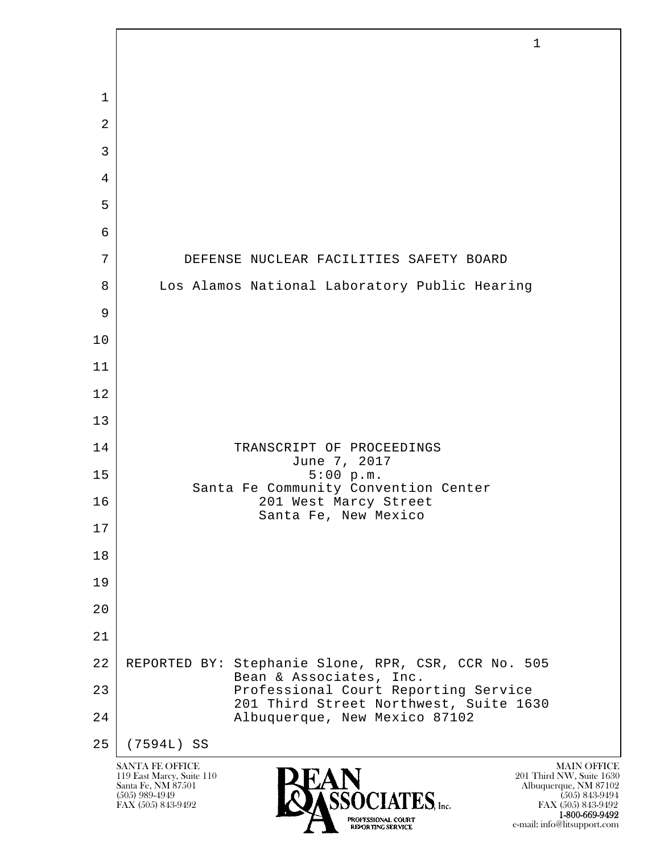| 1<br>$\overline{2}$<br>$\mathfrak{Z}$<br>4<br>5<br>6<br>7<br>8<br>9<br>10<br>11<br>12<br>13<br>14<br>15<br>16 |                                      | DEFENSE NUCLEAR FACILITIES SAFETY BOARD<br>Los Alamos National Laboratory Public Hearing |                    |
|---------------------------------------------------------------------------------------------------------------|--------------------------------------|------------------------------------------------------------------------------------------|--------------------|
|                                                                                                               |                                      |                                                                                          |                    |
|                                                                                                               |                                      |                                                                                          |                    |
|                                                                                                               |                                      |                                                                                          |                    |
|                                                                                                               |                                      |                                                                                          |                    |
|                                                                                                               |                                      |                                                                                          |                    |
|                                                                                                               |                                      |                                                                                          |                    |
|                                                                                                               |                                      |                                                                                          |                    |
|                                                                                                               |                                      |                                                                                          |                    |
|                                                                                                               |                                      |                                                                                          |                    |
|                                                                                                               |                                      |                                                                                          |                    |
|                                                                                                               |                                      |                                                                                          |                    |
|                                                                                                               |                                      |                                                                                          |                    |
|                                                                                                               |                                      |                                                                                          |                    |
|                                                                                                               |                                      |                                                                                          |                    |
|                                                                                                               |                                      | TRANSCRIPT OF PROCEEDINGS<br>June 7, 2017                                                |                    |
|                                                                                                               |                                      | 5:00 p.m.<br>Santa Fe Community Convention Center                                        |                    |
|                                                                                                               |                                      | 201 West Marcy Street<br>Santa Fe, New Mexico                                            |                    |
| 17                                                                                                            |                                      |                                                                                          |                    |
| 18                                                                                                            |                                      |                                                                                          |                    |
| 19                                                                                                            |                                      |                                                                                          |                    |
| 20                                                                                                            |                                      |                                                                                          |                    |
| 21                                                                                                            |                                      |                                                                                          |                    |
| 22                                                                                                            |                                      | REPORTED BY: Stephanie Slone, RPR, CSR, CCR No. 505<br>Bean & Associates, Inc.           |                    |
| 23                                                                                                            |                                      | Professional Court Reporting Service<br>201 Third Street Northwest, Suite 1630           |                    |
| 24                                                                                                            |                                      | Albuquerque, New Mexico 87102                                                            |                    |
| 25                                                                                                            | (7594L) SS<br><b>SANTA FE OFFICE</b> |                                                                                          | <b>MAIN OFFICE</b> |

**1-800-669-9492** e-mail: info@litsupport.com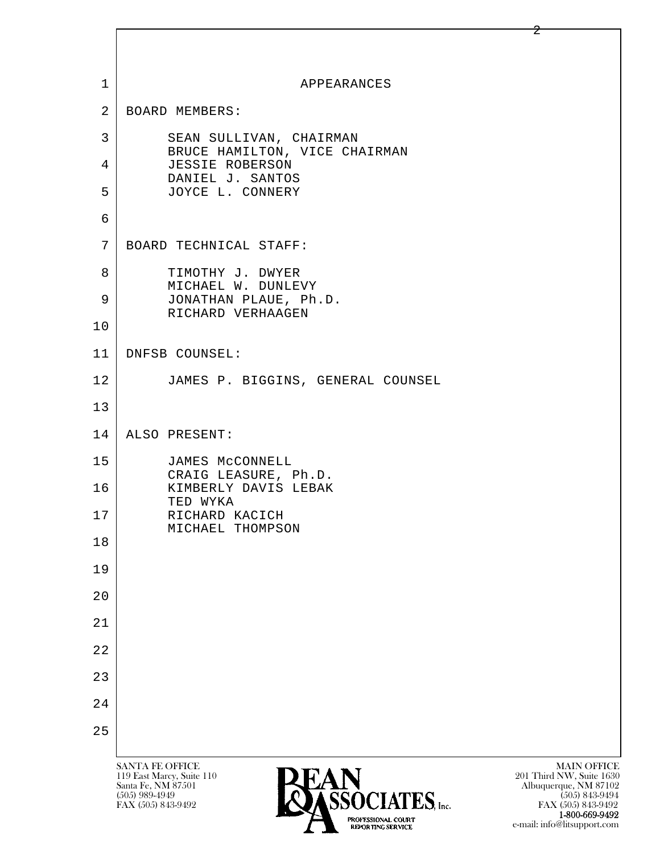| $\mathbf 1$    | APPEARANCES                                                                                                                                                                                        |
|----------------|----------------------------------------------------------------------------------------------------------------------------------------------------------------------------------------------------|
| $\overline{2}$ | BOARD MEMBERS:                                                                                                                                                                                     |
| 3              | SEAN SULLIVAN, CHAIRMAN<br>BRUCE HAMILTON, VICE CHAIRMAN                                                                                                                                           |
| $\overline{4}$ | JESSIE ROBERSON<br>DANIEL J. SANTOS                                                                                                                                                                |
| 5              | JOYCE L. CONNERY                                                                                                                                                                                   |
| 6              |                                                                                                                                                                                                    |
| 7              | BOARD TECHNICAL STAFF:                                                                                                                                                                             |
| 8<br>9         | TIMOTHY J. DWYER<br>MICHAEL W. DUNLEVY<br>JONATHAN PLAUE, Ph.D.                                                                                                                                    |
| 10             | RICHARD VERHAAGEN                                                                                                                                                                                  |
| 11             | DNFSB COUNSEL:                                                                                                                                                                                     |
| 12             | JAMES P. BIGGINS, GENERAL COUNSEL                                                                                                                                                                  |
| 13             |                                                                                                                                                                                                    |
| 14             | ALSO PRESENT:                                                                                                                                                                                      |
| 15             | JAMES MCCONNELL                                                                                                                                                                                    |
| 16             | CRAIG LEASURE, Ph.D.<br>KIMBERLY DAVIS LEBAK                                                                                                                                                       |
| 17             | TED WYKA<br>RICHARD KACICH                                                                                                                                                                         |
| 18             | MICHAEL THOMPSON                                                                                                                                                                                   |
| 19             |                                                                                                                                                                                                    |
| 20             |                                                                                                                                                                                                    |
| 21             |                                                                                                                                                                                                    |
| 22             |                                                                                                                                                                                                    |
| 23             |                                                                                                                                                                                                    |
| 24             |                                                                                                                                                                                                    |
| 25             |                                                                                                                                                                                                    |
|                | SANTA FE OFFICE<br><b>MAIN OFFICE</b><br>201 Third NW, Suite 1630<br>119 East Marcy, Suite 110<br>Santa Fe, NM 87501<br>Albuquerque, NM 87102<br>$(505)$ 989-4949<br>REACLATER<br>$(505)$ 843-9494 |

FAX (505) 843-9492 FAX (505) 843-9492

 $\mathbf{I}$ 

**1-800-669-9492** e-mail: info@litsupport.com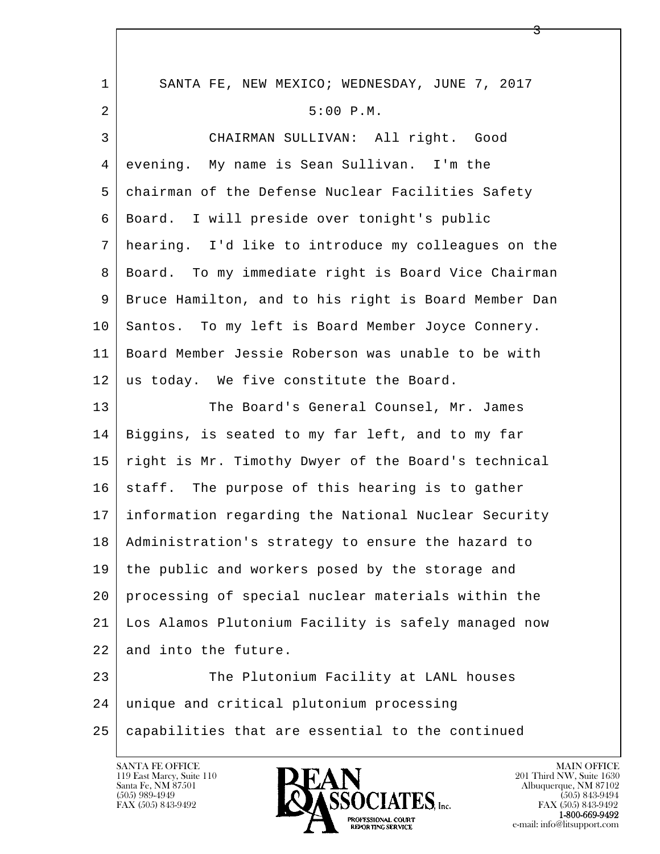| $\mathbf{1}$ | SANTA FE, NEW MEXICO; WEDNESDAY, JUNE 7, 2017        |
|--------------|------------------------------------------------------|
| 2            | 5:00 P.M.                                            |
| 3            | CHAIRMAN SULLIVAN: All right. Good                   |
| 4            | evening. My name is Sean Sullivan. I'm the           |
| 5            | chairman of the Defense Nuclear Facilities Safety    |
| 6            | Board. I will preside over tonight's public          |
| 7            | hearing. I'd like to introduce my colleagues on the  |
| 8            | Board. To my immediate right is Board Vice Chairman  |
| 9            | Bruce Hamilton, and to his right is Board Member Dan |
| 10           | Santos. To my left is Board Member Joyce Connery.    |
| 11           | Board Member Jessie Roberson was unable to be with   |
| 12           | us today. We five constitute the Board.              |
| 13           | The Board's General Counsel, Mr. James               |
| 14           | Biggins, is seated to my far left, and to my far     |
| 15           | right is Mr. Timothy Dwyer of the Board's technical  |
| 16           | staff. The purpose of this hearing is to gather      |
| 17           | information regarding the National Nuclear Security  |
| 18           | Administration's strategy to ensure the hazard to    |
| 19           | the public and workers posed by the storage and      |
| 20           | processing of special nuclear materials within the   |
| 21           | Los Alamos Plutonium Facility is safely managed now  |
| 22           | and into the future.                                 |
| 23           | The Plutonium Facility at LANL houses                |
| 24           | unique and critical plutonium processing             |
| 25           | capabilities that are essential to the continued     |
|              |                                                      |

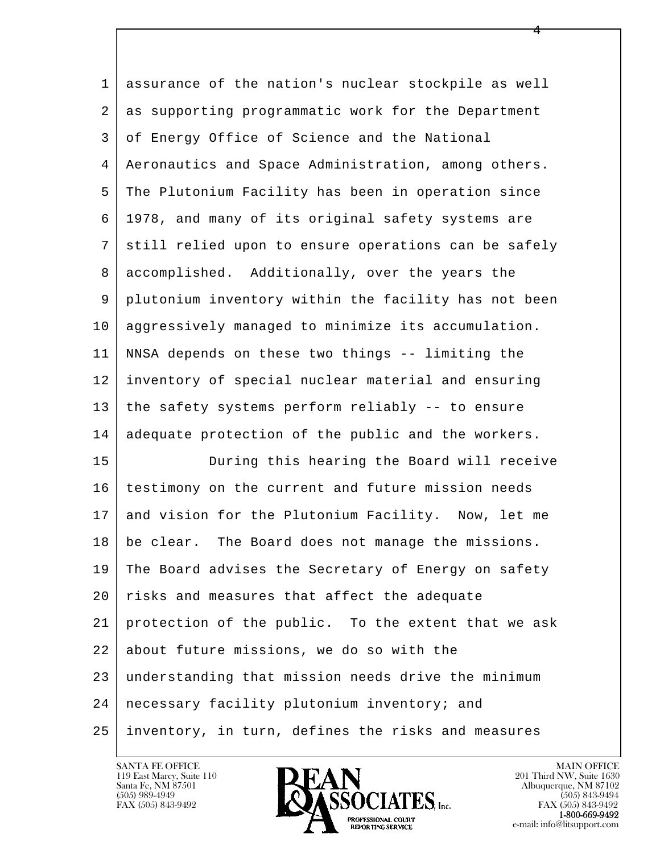| 1  | assurance of the nation's nuclear stockpile as well  |
|----|------------------------------------------------------|
| 2  | as supporting programmatic work for the Department   |
| 3  | of Energy Office of Science and the National         |
| 4  | Aeronautics and Space Administration, among others.  |
| 5  | The Plutonium Facility has been in operation since   |
| 6  | 1978, and many of its original safety systems are    |
| 7  | still relied upon to ensure operations can be safely |
| 8  | accomplished. Additionally, over the years the       |
| 9  | plutonium inventory within the facility has not been |
| 10 | aggressively managed to minimize its accumulation.   |
| 11 | NNSA depends on these two things -- limiting the     |
| 12 | inventory of special nuclear material and ensuring   |
| 13 | the safety systems perform reliably -- to ensure     |
| 14 | adequate protection of the public and the workers.   |
| 15 | During this hearing the Board will receive           |
| 16 | testimony on the current and future mission needs    |
| 17 | and vision for the Plutonium Facility. Now, let me   |
| 18 | be clear. The Board does not manage the missions.    |
| 19 | The Board advises the Secretary of Energy on safety  |
| 20 | risks and measures that affect the adequate          |
| 21 | protection of the public. To the extent that we ask  |
| 22 | about future missions, we do so with the             |
| 23 | understanding that mission needs drive the minimum   |
| 24 | necessary facility plutonium inventory; and          |
| 25 | inventory, in turn, defines the risks and measures   |

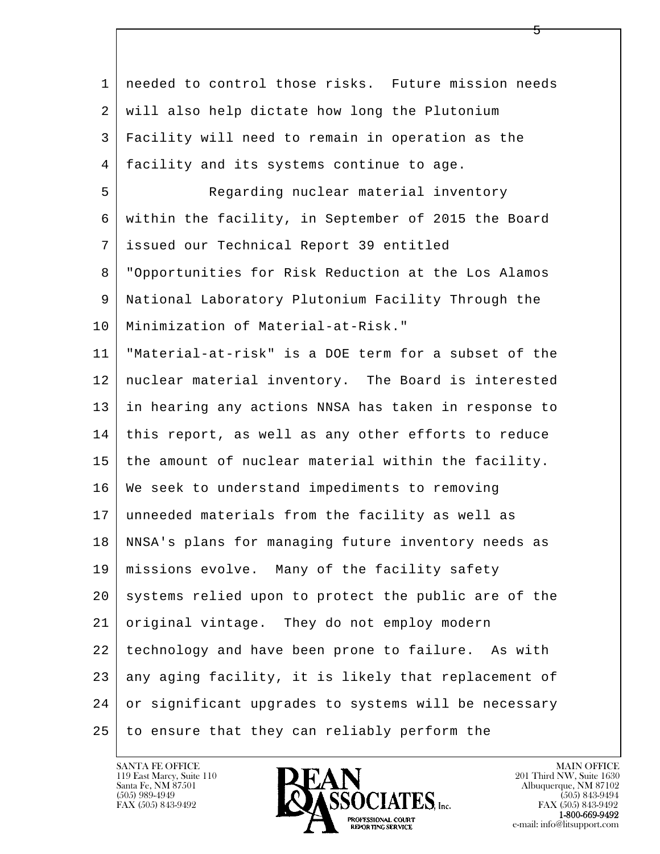| $\mathbf 1$ | needed to control those risks. Future mission needs  |
|-------------|------------------------------------------------------|
| 2           | will also help dictate how long the Plutonium        |
| 3           | Facility will need to remain in operation as the     |
| 4           | facility and its systems continue to age.            |
| 5           | Regarding nuclear material inventory                 |
| 6           | within the facility, in September of 2015 the Board  |
| 7           | issued our Technical Report 39 entitled              |
| 8           | "Opportunities for Risk Reduction at the Los Alamos  |
| 9           | National Laboratory Plutonium Facility Through the   |
| 10          | Minimization of Material-at-Risk."                   |
| 11          | "Material-at-risk" is a DOE term for a subset of the |
| 12          | nuclear material inventory. The Board is interested  |
| 13          | in hearing any actions NNSA has taken in response to |
| 14          | this report, as well as any other efforts to reduce  |
| 15          | the amount of nuclear material within the facility.  |
| 16          | We seek to understand impediments to removing        |
| 17          | unneeded materials from the facility as well as      |
| 18          | NNSA's plans for managing future inventory needs as  |
| 19          | missions evolve. Many of the facility safety         |
| 20          | systems relied upon to protect the public are of the |
| 21          | original vintage. They do not employ modern          |
| 22          | technology and have been prone to failure. As with   |
| 23          | any aging facility, it is likely that replacement of |
| 24          | or significant upgrades to systems will be necessary |
| 25          | to ensure that they can reliably perform the         |

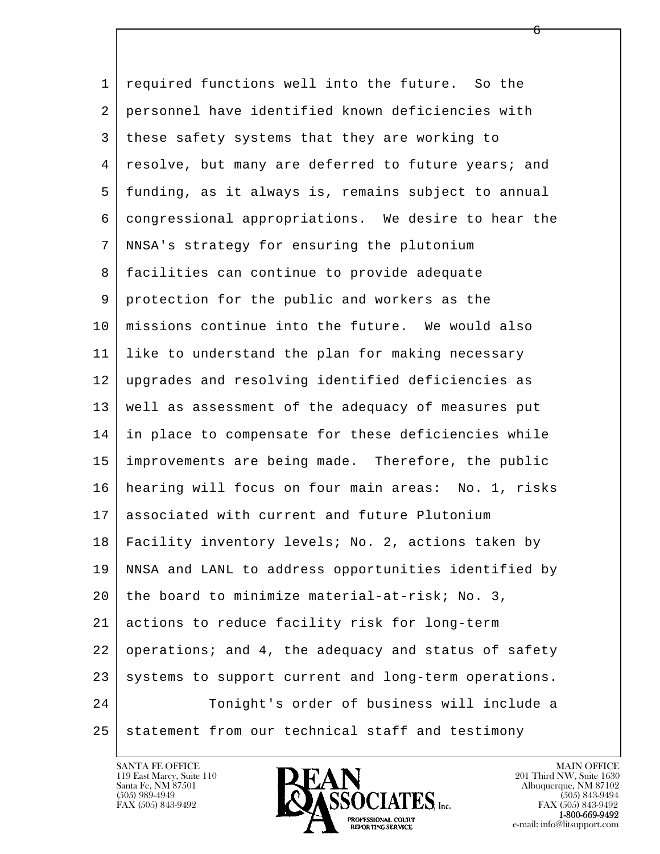l  $\overline{\phantom{a}}$  1 required functions well into the future. So the 2 personnel have identified known deficiencies with 3 these safety systems that they are working to 4 | resolve, but many are deferred to future years; and 5 funding, as it always is, remains subject to annual 6 congressional appropriations. We desire to hear the 7 NNSA's strategy for ensuring the plutonium 8 facilities can continue to provide adequate 9 protection for the public and workers as the 10 missions continue into the future. We would also 11 like to understand the plan for making necessary 12 upgrades and resolving identified deficiencies as 13 well as assessment of the adequacy of measures put 14 in place to compensate for these deficiencies while 15 improvements are being made. Therefore, the public 16 hearing will focus on four main areas: No. 1, risks 17 associated with current and future Plutonium 18 Facility inventory levels; No. 2, actions taken by 19 NNSA and LANL to address opportunities identified by 20 the board to minimize material-at-risk; No. 3, 21 actions to reduce facility risk for long-term 22 operations; and 4, the adequacy and status of safety  $23$  systems to support current and long-term operations. 24 Tonight's order of business will include a 25 statement from our technical staff and testimony

119 East Marcy, Suite 110<br>Santa Fe, NM 87501

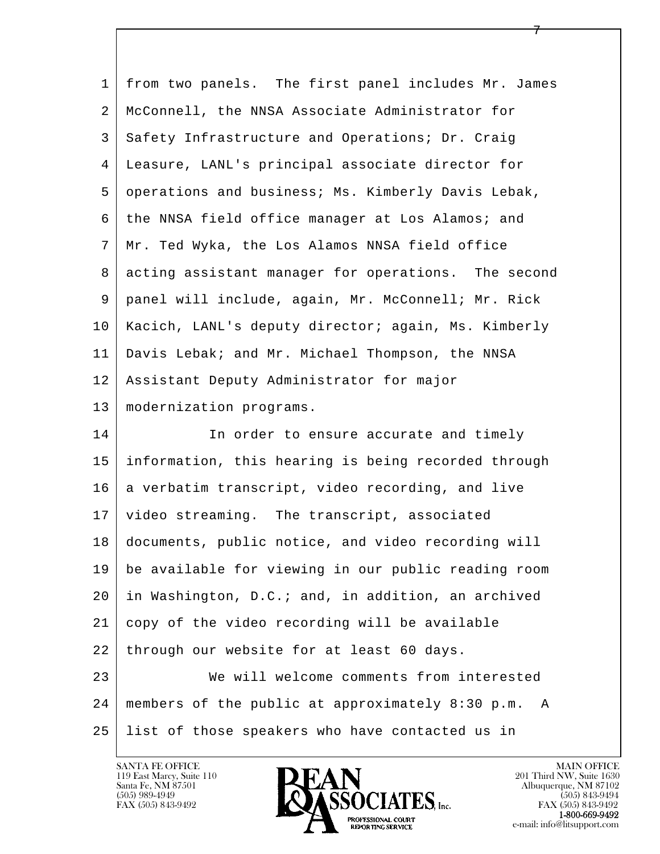| 1  | from two panels. The first panel includes Mr. James   |
|----|-------------------------------------------------------|
| 2  | McConnell, the NNSA Associate Administrator for       |
| 3  | Safety Infrastructure and Operations; Dr. Craig       |
| 4  | Leasure, LANL's principal associate director for      |
| 5  | operations and business; Ms. Kimberly Davis Lebak,    |
| 6  | the NNSA field office manager at Los Alamos; and      |
| 7  | Mr. Ted Wyka, the Los Alamos NNSA field office        |
| 8  | acting assistant manager for operations. The second   |
| 9  | panel will include, again, Mr. McConnell; Mr. Rick    |
| 10 | Kacich, LANL's deputy director; again, Ms. Kimberly   |
| 11 | Davis Lebak; and Mr. Michael Thompson, the NNSA       |
| 12 | Assistant Deputy Administrator for major              |
| 13 | modernization programs.                               |
| 14 | In order to ensure accurate and timely                |
| 15 | information, this hearing is being recorded through   |
| 16 | a verbatim transcript, video recording, and live      |
| 17 | video streaming. The transcript, associated           |
| 18 | documents, public notice, and video recording will    |
| 19 | be available for viewing in our public reading room   |
| 20 | in Washington, D.C.; and, in addition, an archived    |
| 21 | copy of the video recording will be available         |
| 22 | through our website for at least 60 days.             |
| 23 | We will welcome comments from interested              |
| 24 | members of the public at approximately 8:30 p.m.<br>A |
| 25 | list of those speakers who have contacted us in       |

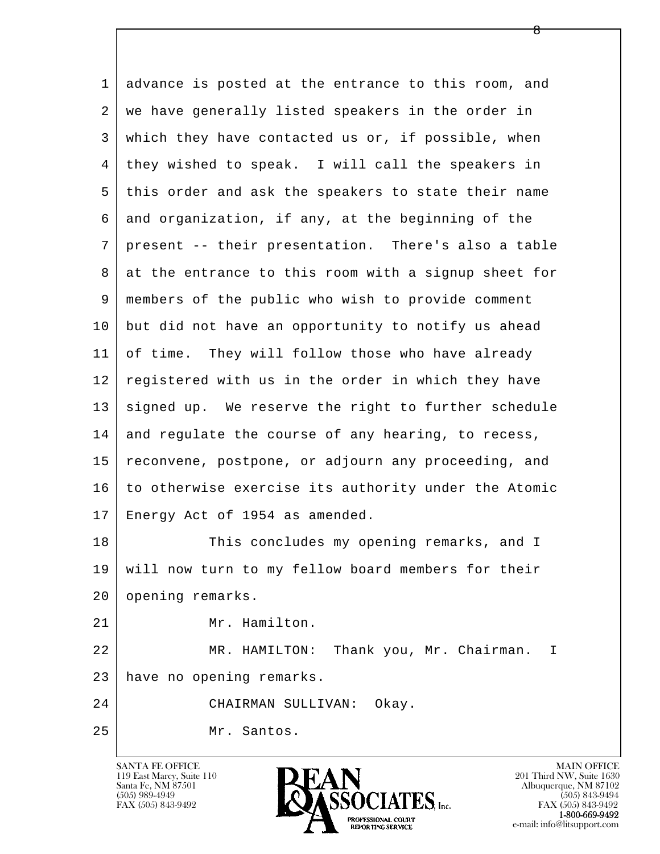l  $\overline{\phantom{a}}$  1 advance is posted at the entrance to this room, and 2 | we have generally listed speakers in the order in 3 which they have contacted us or, if possible, when 4 they wished to speak. I will call the speakers in 5 this order and ask the speakers to state their name 6 and organization, if any, at the beginning of the 7 present -- their presentation. There's also a table 8 at the entrance to this room with a signup sheet for 9 members of the public who wish to provide comment 10 but did not have an opportunity to notify us ahead 11 of time. They will follow those who have already 12 registered with us in the order in which they have 13 signed up. We reserve the right to further schedule 14 and regulate the course of any hearing, to recess, 15 reconvene, postpone, or adjourn any proceeding, and 16 to otherwise exercise its authority under the Atomic 17 Energy Act of 1954 as amended. 18 This concludes my opening remarks, and I 19 will now turn to my fellow board members for their 20 opening remarks. 21 | Mr. Hamilton. 22 MR. HAMILTON: Thank you, Mr. Chairman. I 23 have no opening remarks. 24 CHAIRMAN SULLIVAN: Okay. 25 Mr. Santos.

119 East Marcy, Suite 110<br>Santa Fe, NM 87501

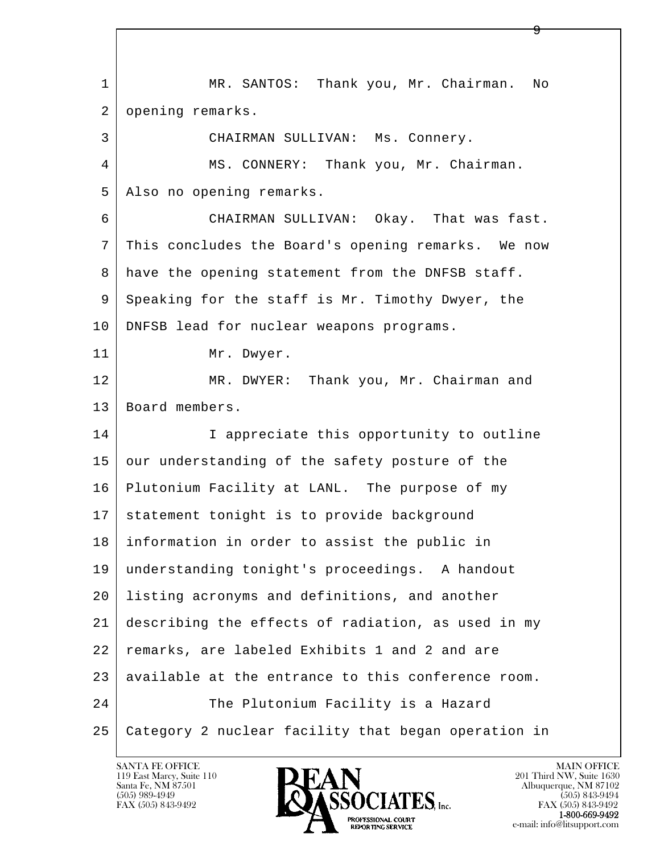l  $\overline{\phantom{a}}$  1 MR. SANTOS: Thank you, Mr. Chairman. No 2 | opening remarks. 3 CHAIRMAN SULLIVAN: Ms. Connery. 4 MS. CONNERY: Thank you, Mr. Chairman. 5 | Also no opening remarks. 6 CHAIRMAN SULLIVAN: Okay. That was fast. 7 This concludes the Board's opening remarks. We now 8 have the opening statement from the DNFSB staff. 9 Speaking for the staff is Mr. Timothy Dwyer, the 10 | DNFSB lead for nuclear weapons programs. 11 | Mr. Dwyer. 12 MR. DWYER: Thank you, Mr. Chairman and 13 | Board members. 14 I appreciate this opportunity to outline 15 our understanding of the safety posture of the 16 Plutonium Facility at LANL. The purpose of my 17 statement tonight is to provide background 18 information in order to assist the public in 19 understanding tonight's proceedings. A handout 20 listing acronyms and definitions, and another 21 describing the effects of radiation, as used in my 22 remarks, are labeled Exhibits 1 and 2 and are 23 | available at the entrance to this conference room. 24 The Plutonium Facility is a Hazard 25 Category 2 nuclear facility that began operation in

119 East Marcy, Suite 110<br>Santa Fe, NM 87501



FAX (505) 843-9492<br>**1-800-669-9492**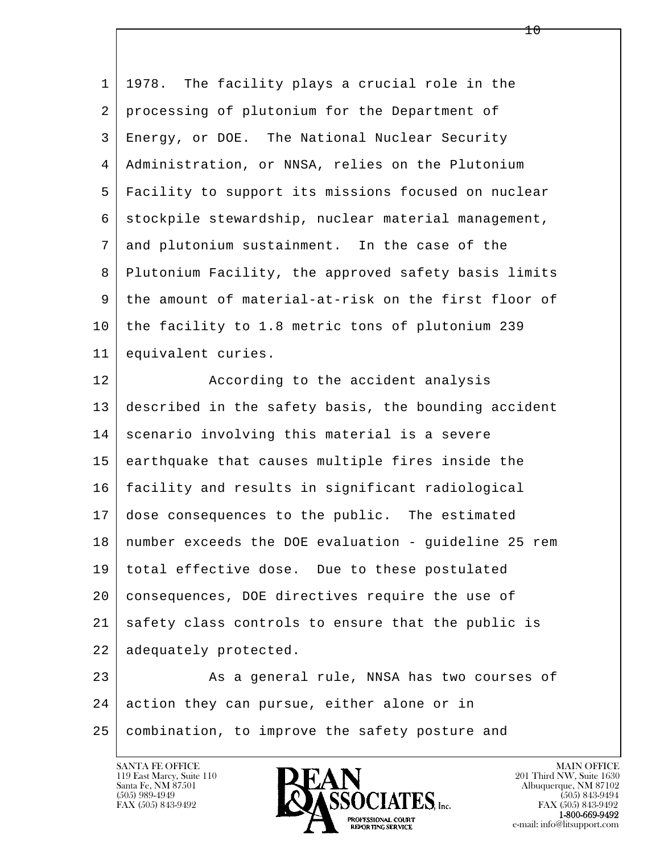| 1  | The facility plays a crucial role in the<br>1978.    |
|----|------------------------------------------------------|
| 2  | processing of plutonium for the Department of        |
| 3  | Energy, or DOE. The National Nuclear Security        |
| 4  | Administration, or NNSA, relies on the Plutonium     |
| 5  | Facility to support its missions focused on nuclear  |
| 6  | stockpile stewardship, nuclear material management,  |
| 7  | and plutonium sustainment. In the case of the        |
| 8  | Plutonium Facility, the approved safety basis limits |
| 9  | the amount of material-at-risk on the first floor of |
| 10 | the facility to 1.8 metric tons of plutonium 239     |
| 11 | equivalent curies.                                   |
| 12 | According to the accident analysis                   |
| 13 | described in the safety basis, the bounding accident |
| 14 | scenario involving this material is a severe         |
| 15 | earthquake that causes multiple fires inside the     |
| 16 | facility and results in significant radiological     |
| 17 | dose consequences to the public. The estimated       |
| 18 | number exceeds the DOE evaluation - guideline 25 rem |
| 19 | total effective dose. Due to these postulated        |
| 20 | consequences, DOE directives require the use of      |
| 21 | safety class controls to ensure that the public is   |
| 22 | adequately protected.                                |
| 23 | As a general rule, NNSA has two courses of           |
| 24 | action they can pursue, either alone or in           |
| 25 | combination, to improve the safety posture and       |
|    |                                                      |

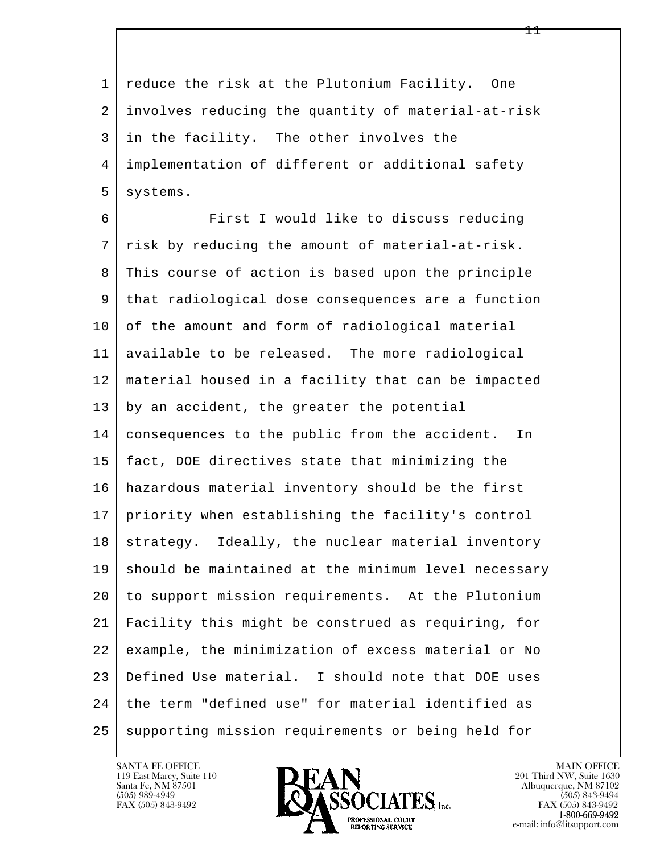1 reduce the risk at the Plutonium Facility. One 2 involves reducing the quantity of material-at-risk 3 in the facility. The other involves the 4 implementation of different or additional safety 5 systems.

l  $\overline{\phantom{a}}$  6 First I would like to discuss reducing 7 risk by reducing the amount of material-at-risk. 8 This course of action is based upon the principle 9 that radiological dose consequences are a function 10 of the amount and form of radiological material 11 available to be released. The more radiological 12 material housed in a facility that can be impacted 13 by an accident, the greater the potential 14 consequences to the public from the accident. In 15 fact, DOE directives state that minimizing the 16 hazardous material inventory should be the first 17 priority when establishing the facility's control 18 strategy. Ideally, the nuclear material inventory 19 should be maintained at the minimum level necessary 20 to support mission requirements. At the Plutonium 21 Facility this might be construed as requiring, for 22 example, the minimization of excess material or No 23 Defined Use material. I should note that DOE uses 24 | the term "defined use" for material identified as 25 supporting mission requirements or being held for

119 East Marcy, Suite 110<br>Santa Fe, NM 87501



FAX (505) 843-9492<br>**1-800-669-9492**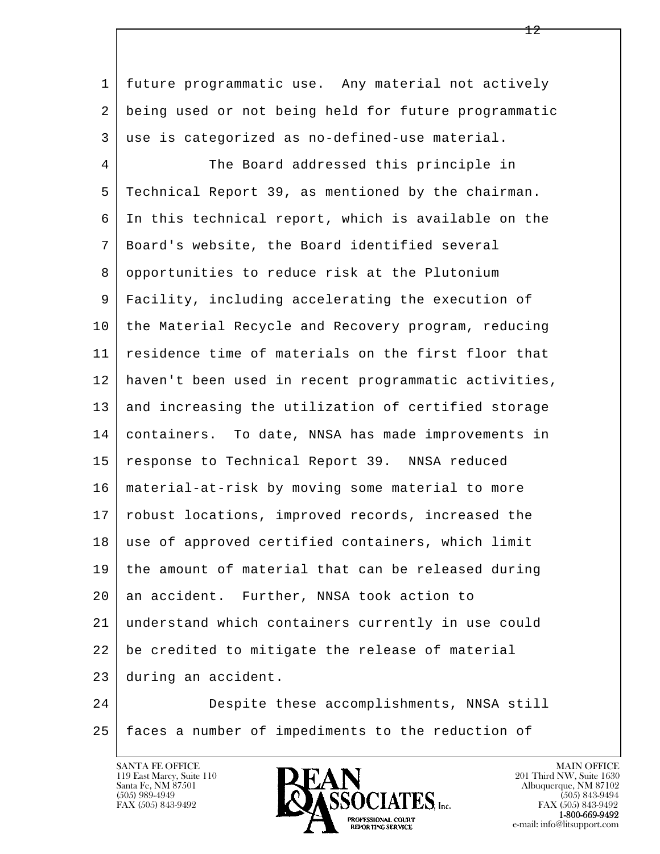l 1 future programmatic use. Any material not actively 2 being used or not being held for future programmatic 3 use is categorized as no-defined-use material. 4 The Board addressed this principle in 5 Technical Report 39, as mentioned by the chairman. 6 In this technical report, which is available on the 7 Board's website, the Board identified several 8 opportunities to reduce risk at the Plutonium 9 Facility, including accelerating the execution of 10 the Material Recycle and Recovery program, reducing 11 residence time of materials on the first floor that 12 haven't been used in recent programmatic activities, 13 and increasing the utilization of certified storage 14 containers. To date, NNSA has made improvements in 15 response to Technical Report 39. NNSA reduced 16 material-at-risk by moving some material to more 17 | robust locations, improved records, increased the 18 | use of approved certified containers, which limit 19 the amount of material that can be released during 20 an accident. Further, NNSA took action to 21 understand which containers currently in use could 22 be credited to mitigate the release of material 23 during an accident. 24 Despite these accomplishments, NNSA still

 $\overline{\phantom{a}}$ 25 faces a number of impediments to the reduction of

119 East Marcy, Suite 110<br>Santa Fe, NM 87501

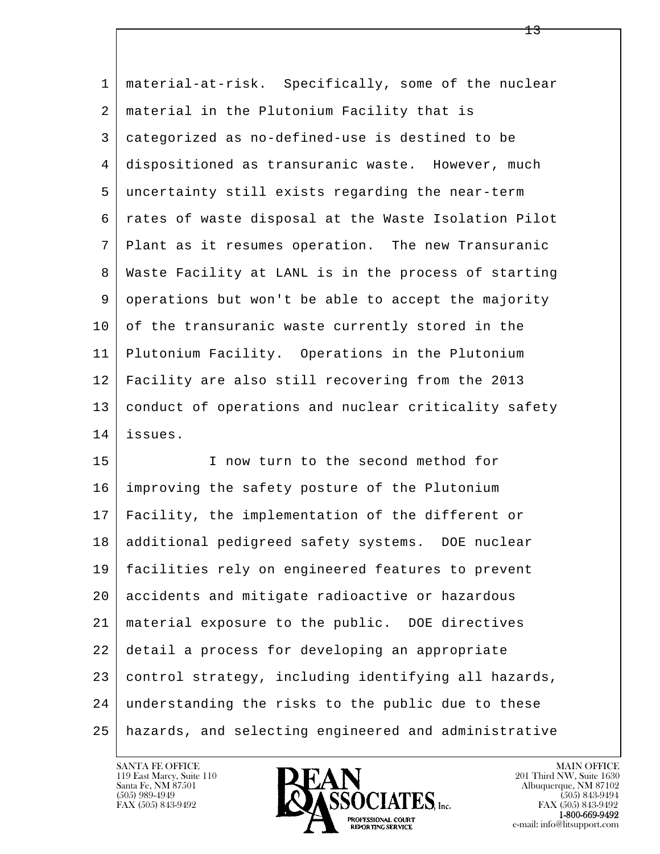| $\mathbf 1$ | material-at-risk. Specifically, some of the nuclear  |
|-------------|------------------------------------------------------|
| 2           | material in the Plutonium Facility that is           |
| 3           | categorized as no-defined-use is destined to be      |
| 4           | dispositioned as transuranic waste. However, much    |
| 5           | uncertainty still exists regarding the near-term     |
| 6           | rates of waste disposal at the Waste Isolation Pilot |
| 7           | Plant as it resumes operation. The new Transuranic   |
| 8           | Waste Facility at LANL is in the process of starting |
| 9           | operations but won't be able to accept the majority  |
| 10          | of the transuranic waste currently stored in the     |
| 11          | Plutonium Facility. Operations in the Plutonium      |
| 12          | Facility are also still recovering from the 2013     |
| 13          | conduct of operations and nuclear criticality safety |
| 14          | issues.                                              |
| 15          | I now turn to the second method for                  |
| 16          | improving the safety posture of the Plutonium        |
| 17          | Facility, the implementation of the different or     |
| 18          | additional pedigreed safety systems. DOE nuclear     |
| 19          | facilities rely on engineered features to prevent    |
| 20          | accidents and mitigate radioactive or hazardous      |
| 21          | material exposure to the public. DOE directives      |
| 22          | detail a process for developing an appropriate       |
| 23          | control strategy, including identifying all hazards, |
| 24          | understanding the risks to the public due to these   |
| 25          | hazards, and selecting engineered and administrative |

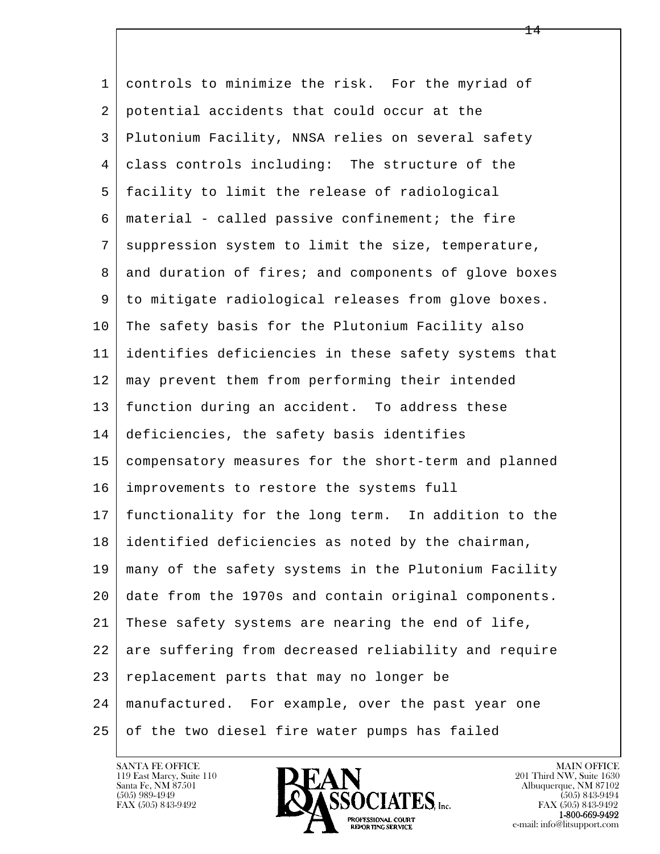l  $\overline{\phantom{a}}$ 1 controls to minimize the risk. For the myriad of 2 potential accidents that could occur at the 3 Plutonium Facility, NNSA relies on several safety 4 class controls including: The structure of the 5 facility to limit the release of radiological  $6 \mid$  material - called passive confinement; the fire 7 | suppression system to limit the size, temperature, 8 and duration of fires; and components of glove boxes 9 to mitigate radiological releases from glove boxes. 10 The safety basis for the Plutonium Facility also 11 identifies deficiencies in these safety systems that 12 may prevent them from performing their intended 13 function during an accident. To address these 14 deficiencies, the safety basis identifies 15 compensatory measures for the short-term and planned 16 improvements to restore the systems full 17 functionality for the long term. In addition to the 18 identified deficiencies as noted by the chairman, 19 many of the safety systems in the Plutonium Facility 20 date from the 1970s and contain original components. 21 These safety systems are nearing the end of life, 22 are suffering from decreased reliability and require 23 replacement parts that may no longer be 24 manufactured. For example, over the past year one 25 of the two diesel fire water pumps has failed



FAX (505) 843-9492<br>**1-800-669-9492**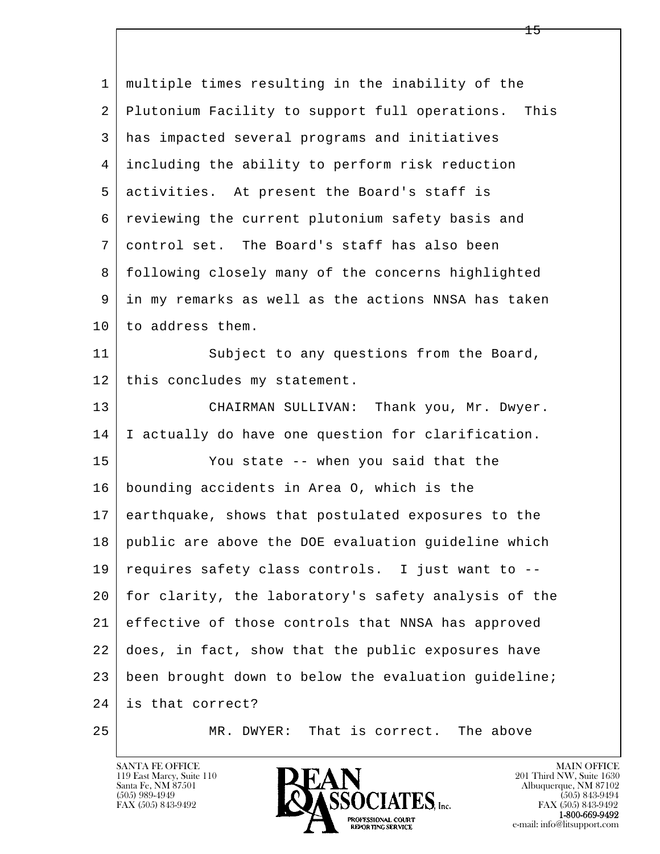l  $\overline{\phantom{a}}$  1 multiple times resulting in the inability of the 2 Plutonium Facility to support full operations. This 3 has impacted several programs and initiatives 4 including the ability to perform risk reduction 5 activities. At present the Board's staff is 6 reviewing the current plutonium safety basis and 7 control set. The Board's staff has also been 8 following closely many of the concerns highlighted 9 in my remarks as well as the actions NNSA has taken 10 to address them. 11 Subject to any questions from the Board, 12 | this concludes my statement. 13 | CHAIRMAN SULLIVAN: Thank you, Mr. Dwyer. 14 I actually do have one question for clarification. 15 You state -- when you said that the 16 bounding accidents in Area O, which is the 17 earthquake, shows that postulated exposures to the 18 public are above the DOE evaluation guideline which 19 requires safety class controls. I just want to -- 20 for clarity, the laboratory's safety analysis of the 21 effective of those controls that NNSA has approved 22 does, in fact, show that the public exposures have 23 been brought down to below the evaluation guideline; 24 is that correct? 25 MR. DWYER: That is correct. The above

119 East Marcy, Suite 110<br>Santa Fe, NM 87501

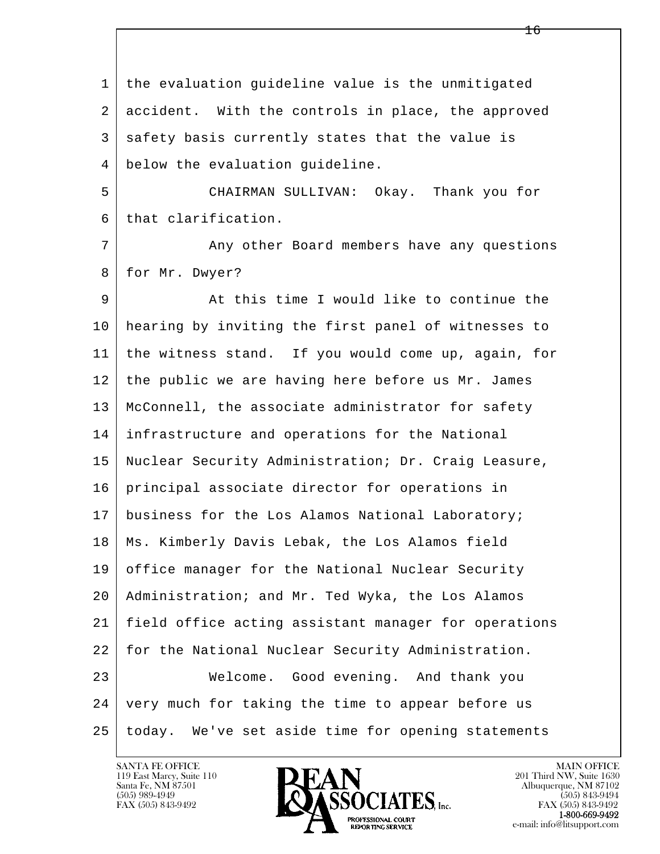l  $\overline{\phantom{a}}$  1 the evaluation guideline value is the unmitigated 2 accident. With the controls in place, the approved 3 safety basis currently states that the value is 4 below the evaluation guideline. 5 CHAIRMAN SULLIVAN: Okay. Thank you for 6 that clarification. 7 Any other Board members have any questions 8 | for Mr. Dwyer? 9 At this time I would like to continue the 10 hearing by inviting the first panel of witnesses to 11 the witness stand. If you would come up, again, for 12 the public we are having here before us Mr. James 13 McConnell, the associate administrator for safety 14 infrastructure and operations for the National 15 Nuclear Security Administration; Dr. Craig Leasure, 16 principal associate director for operations in 17 | business for the Los Alamos National Laboratory; 18 Ms. Kimberly Davis Lebak, the Los Alamos field 19 office manager for the National Nuclear Security 20 Administration; and Mr. Ted Wyka, the Los Alamos 21 field office acting assistant manager for operations 22 for the National Nuclear Security Administration. 23 Welcome. Good evening. And thank you 24 very much for taking the time to appear before us 25 today. We've set aside time for opening statements

119 East Marcy, Suite 110<br>Santa Fe, NM 87501

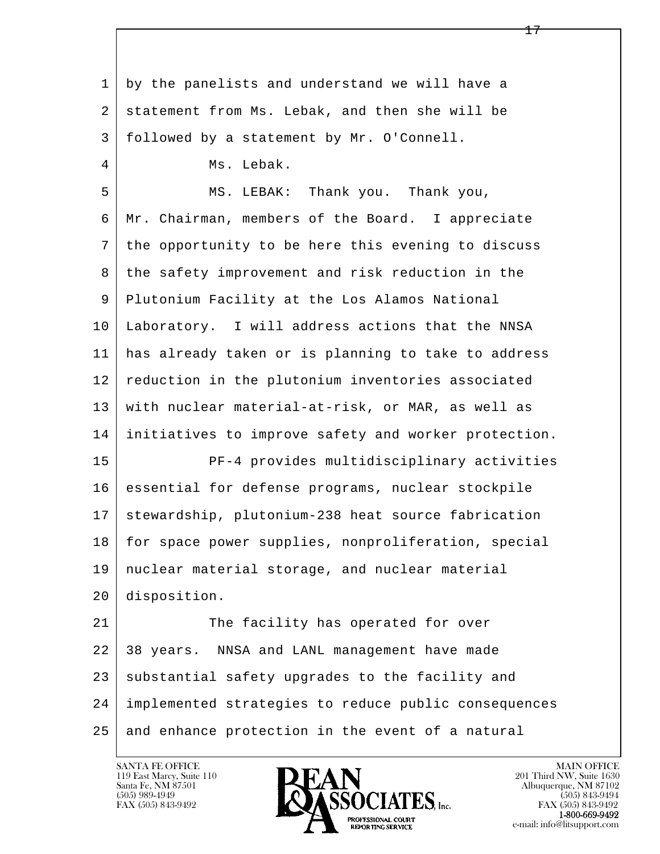l  $\overline{\phantom{a}}$  1 by the panelists and understand we will have a 2 statement from Ms. Lebak, and then she will be 3 followed by a statement by Mr. O'Connell. 4 Ms. Lebak. 5 MS. LEBAK: Thank you. Thank you, 6 Mr. Chairman, members of the Board. I appreciate 7 the opportunity to be here this evening to discuss 8 | the safety improvement and risk reduction in the 9 Plutonium Facility at the Los Alamos National 10 Laboratory. I will address actions that the NNSA 11 has already taken or is planning to take to address 12 reduction in the plutonium inventories associated 13 with nuclear material-at-risk, or MAR, as well as 14 initiatives to improve safety and worker protection. 15 PF-4 provides multidisciplinary activities 16 essential for defense programs, nuclear stockpile 17 | stewardship, plutonium-238 heat source fabrication 18 for space power supplies, nonproliferation, special 19 nuclear material storage, and nuclear material 20 disposition. 21 The facility has operated for over 22 38 years. NNSA and LANL management have made 23 substantial safety upgrades to the facility and 24 implemented strategies to reduce public consequences 25 and enhance protection in the event of a natural

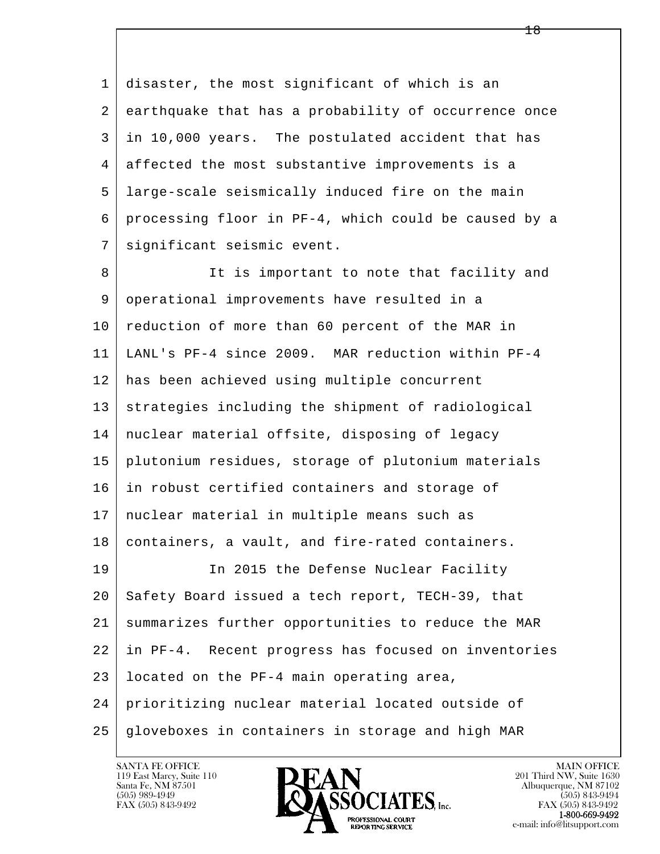l  $\overline{\phantom{a}}$  1 disaster, the most significant of which is an 2 earthquake that has a probability of occurrence once 3 in 10,000 years. The postulated accident that has 4 affected the most substantive improvements is a 5 large-scale seismically induced fire on the main 6 processing floor in PF-4, which could be caused by a 7 significant seismic event. 8 It is important to note that facility and 9 operational improvements have resulted in a 10 reduction of more than 60 percent of the MAR in 11 LANL's PF-4 since 2009. MAR reduction within PF-4 12 has been achieved using multiple concurrent 13 strategies including the shipment of radiological 14 nuclear material offsite, disposing of legacy 15 plutonium residues, storage of plutonium materials 16 in robust certified containers and storage of 17 nuclear material in multiple means such as 18 containers, a vault, and fire-rated containers. 19 In 2015 the Defense Nuclear Facility 20 Safety Board issued a tech report, TECH-39, that 21 summarizes further opportunities to reduce the MAR 22 in PF-4. Recent progress has focused on inventories 23 located on the PF-4 main operating area, 24 prioritizing nuclear material located outside of 25 gloveboxes in containers in storage and high MAR

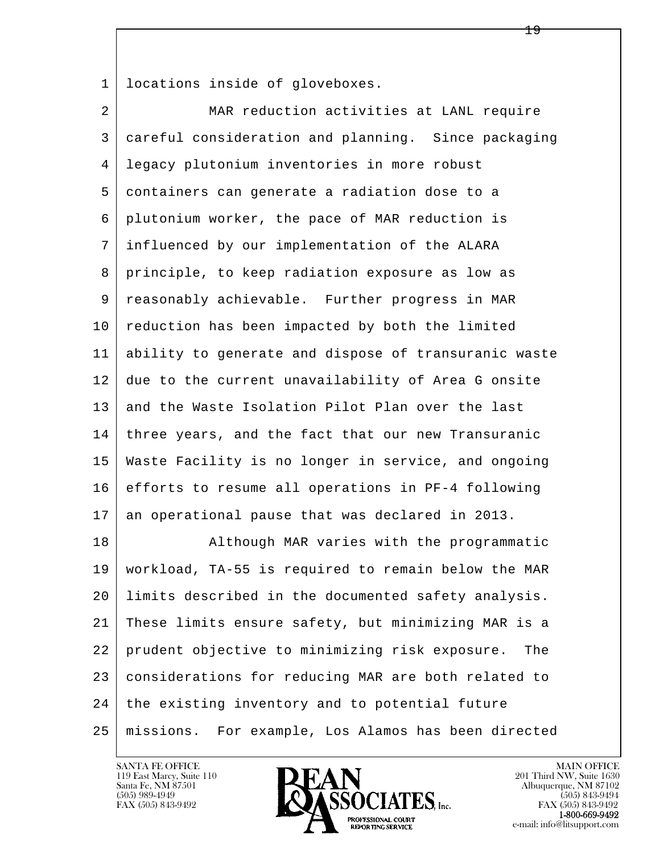1 locations inside of gloveboxes.

| $\overline{a}$ | MAR reduction activities at LANL require              |
|----------------|-------------------------------------------------------|
| 3              | careful consideration and planning. Since packaging   |
| 4              | legacy plutonium inventories in more robust           |
| 5              | containers can generate a radiation dose to a         |
| 6              | plutonium worker, the pace of MAR reduction is        |
| 7              | influenced by our implementation of the ALARA         |
| 8              | principle, to keep radiation exposure as low as       |
| 9              | reasonably achievable. Further progress in MAR        |
| 10             | reduction has been impacted by both the limited       |
| 11             | ability to generate and dispose of transuranic waste  |
| 12             | due to the current unavailability of Area G onsite    |
| 13             | and the Waste Isolation Pilot Plan over the last      |
| 14             | three years, and the fact that our new Transuranic    |
| 15             | Waste Facility is no longer in service, and ongoing   |
| 16             | efforts to resume all operations in PF-4 following    |
| 17             | an operational pause that was declared in 2013.       |
| 18             | Although MAR varies with the programmatic             |
| 19             | workload, TA-55 is required to remain below the MAR   |
| 20             | limits described in the documented safety analysis.   |
| 21             | These limits ensure safety, but minimizing MAR is a   |
| 22             | prudent objective to minimizing risk exposure.<br>The |
| 23             | considerations for reducing MAR are both related to   |
| 24             | the existing inventory and to potential future        |
| 25             | missions. For example, Los Alamos has been directed   |

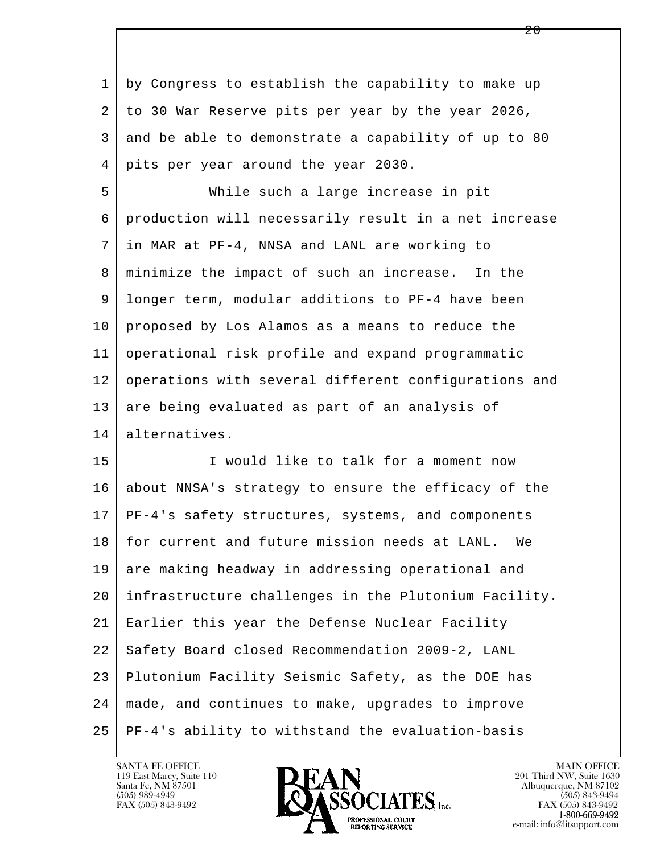l  $\overline{\phantom{a}}$  1 by Congress to establish the capability to make up 2 to 30 War Reserve pits per year by the year 2026, 3 and be able to demonstrate a capability of up to 80 4 pits per year around the year 2030. 5 While such a large increase in pit 6 production will necessarily result in a net increase 7 in MAR at PF-4, NNSA and LANL are working to 8 | minimize the impact of such an increase. In the 9 longer term, modular additions to PF-4 have been 10 proposed by Los Alamos as a means to reduce the 11 operational risk profile and expand programmatic 12 operations with several different configurations and 13 are being evaluated as part of an analysis of 14 alternatives. 15 I would like to talk for a moment now 16 about NNSA's strategy to ensure the efficacy of the 17 PF-4's safety structures, systems, and components 18 for current and future mission needs at LANL. We 19 are making headway in addressing operational and 20 infrastructure challenges in the Plutonium Facility. 21 Earlier this year the Defense Nuclear Facility 22 Safety Board closed Recommendation 2009-2, LANL 23 Plutonium Facility Seismic Safety, as the DOE has 24 made, and continues to make, upgrades to improve 25 PF-4's ability to withstand the evaluation-basis

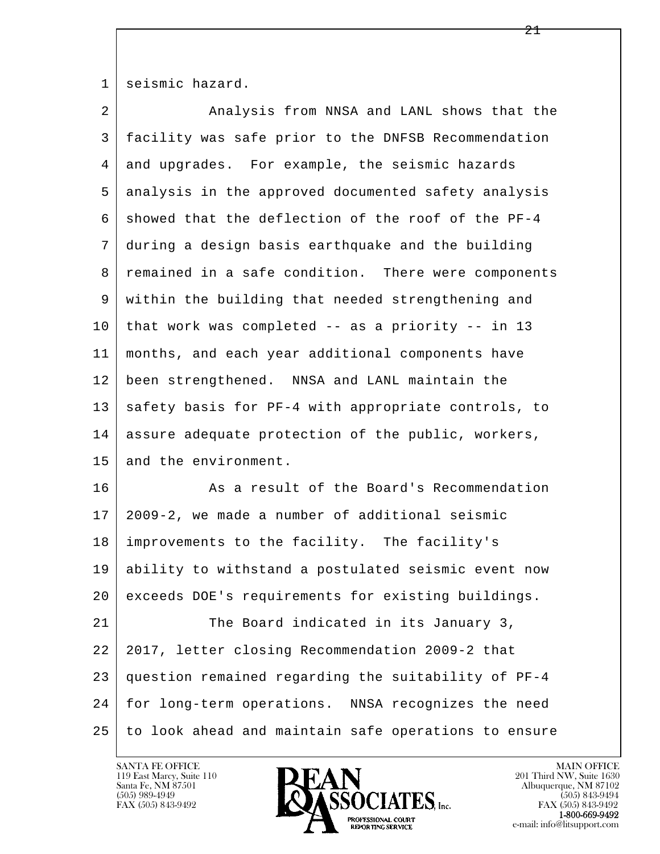1 seismic hazard.

| $\overline{a}$ | Analysis from NNSA and LANL shows that the           |
|----------------|------------------------------------------------------|
| 3              | facility was safe prior to the DNFSB Recommendation  |
| 4              | and upgrades. For example, the seismic hazards       |
| 5              | analysis in the approved documented safety analysis  |
| 6              | showed that the deflection of the roof of the PF-4   |
| 7              | during a design basis earthquake and the building    |
| 8              | remained in a safe condition. There were components  |
| 9              | within the building that needed strengthening and    |
| 10             | that work was completed -- as a priority -- in 13    |
| 11             | months, and each year additional components have     |
| 12             | been strengthened. NNSA and LANL maintain the        |
| 13             | safety basis for PF-4 with appropriate controls, to  |
| 14             | assure adequate protection of the public, workers,   |
| 15             | and the environment.                                 |
| 16             | As a result of the Board's Recommendation            |
| 17             | 2009-2, we made a number of additional seismic       |
| 18             | improvements to the facility. The facility's         |
| 19             | ability to withstand a postulated seismic event now  |
| 20             | exceeds DOE's requirements for existing buildings.   |
| 21             | The Board indicated in its January 3,                |
| 22             | 2017, letter closing Recommendation 2009-2 that      |
| 23             | question remained regarding the suitability of PF-4  |
| 24             | for long-term operations. NNSA recognizes the need   |
| 25             | to look ahead and maintain safe operations to ensure |

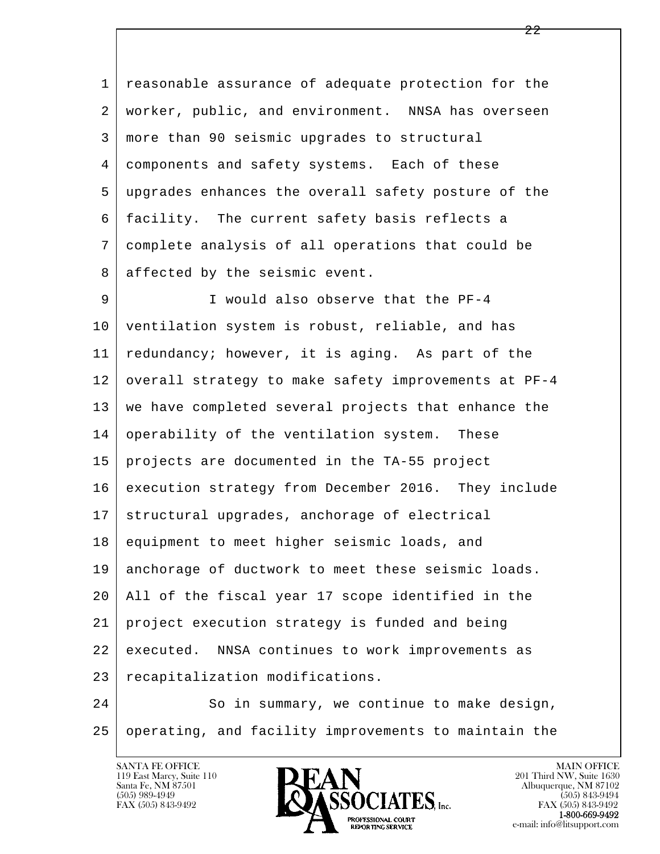1 reasonable assurance of adequate protection for the 2 worker, public, and environment. NNSA has overseen 3 more than 90 seismic upgrades to structural 4 components and safety systems. Each of these 5 upgrades enhances the overall safety posture of the 6 facility. The current safety basis reflects a 7 complete analysis of all operations that could be 8 affected by the seismic event.

l 9 I would also observe that the PF-4 10 ventilation system is robust, reliable, and has 11 | redundancy; however, it is aging. As part of the 12 overall strategy to make safety improvements at PF-4 13 we have completed several projects that enhance the 14 operability of the ventilation system. These 15 projects are documented in the TA-55 project 16 execution strategy from December 2016. They include 17 structural upgrades, anchorage of electrical 18 equipment to meet higher seismic loads, and 19 anchorage of ductwork to meet these seismic loads. 20 All of the fiscal year 17 scope identified in the 21 project execution strategy is funded and being 22 executed. NNSA continues to work improvements as 23 recapitalization modifications.

 $\overline{\phantom{a}}$ 24 So in summary, we continue to make design, 25 operating, and facility improvements to maintain the

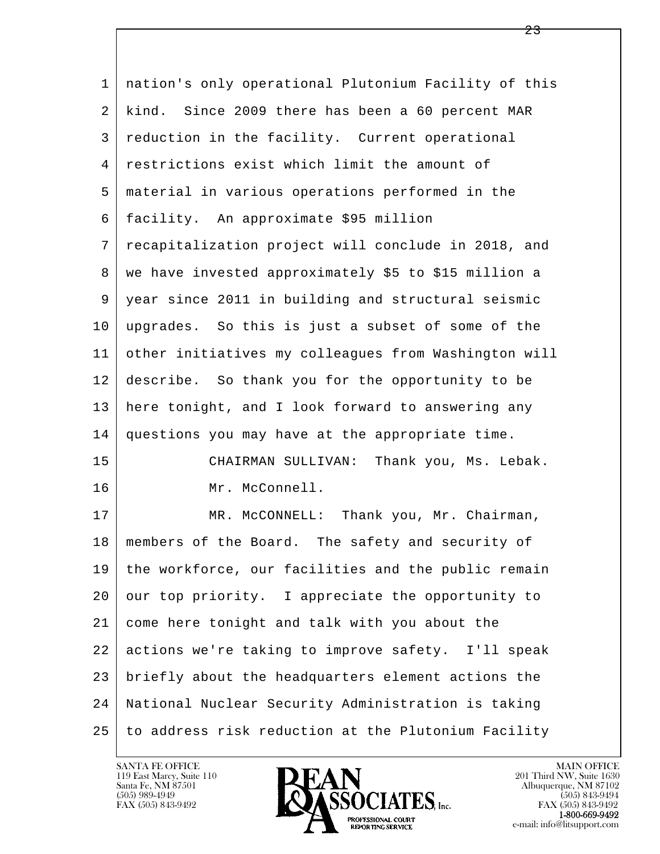l  $\overline{\phantom{a}}$  1 nation's only operational Plutonium Facility of this 2 kind. Since 2009 there has been a 60 percent MAR 3 reduction in the facility. Current operational 4 restrictions exist which limit the amount of 5 material in various operations performed in the 6 facility. An approximate \$95 million 7 recapitalization project will conclude in 2018, and 8 | we have invested approximately \$5 to \$15 million a 9 year since 2011 in building and structural seismic 10 upgrades. So this is just a subset of some of the 11 other initiatives my colleagues from Washington will 12 describe. So thank you for the opportunity to be 13 here tonight, and I look forward to answering any 14 questions you may have at the appropriate time. 15 CHAIRMAN SULLIVAN: Thank you, Ms. Lebak. 16 Mr. McConnell. 17 | MR. McCONNELL: Thank you, Mr. Chairman, 18 members of the Board. The safety and security of 19 the workforce, our facilities and the public remain 20 our top priority. I appreciate the opportunity to 21 come here tonight and talk with you about the 22 actions we're taking to improve safety. I'll speak 23 briefly about the headquarters element actions the 24 National Nuclear Security Administration is taking 25 to address risk reduction at the Plutonium Facility

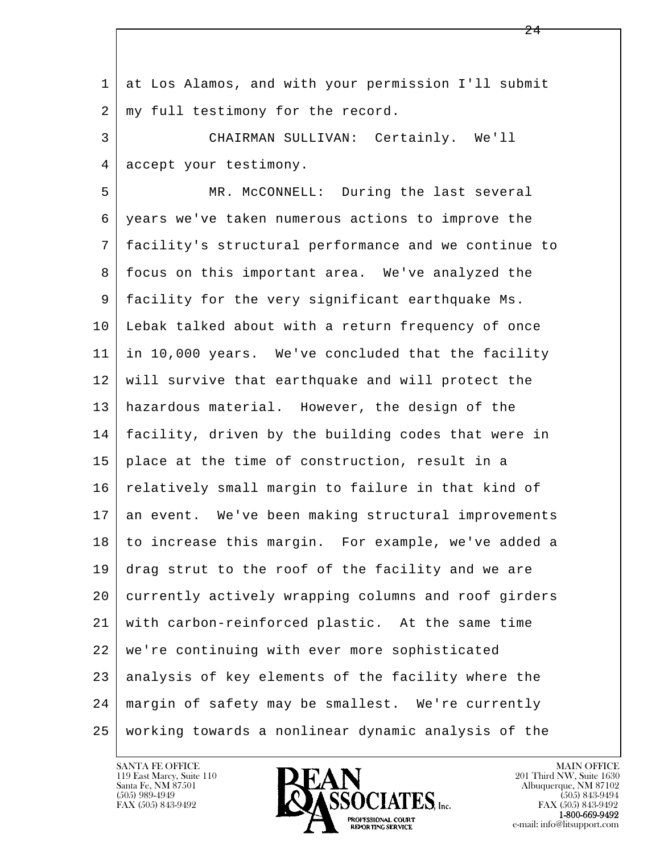l  $\overline{\phantom{a}}$  1 at Los Alamos, and with your permission I'll submit 2 | my full testimony for the record. 3 CHAIRMAN SULLIVAN: Certainly. We'll 4 accept your testimony. 5 MR. McCONNELL: During the last several 6 years we've taken numerous actions to improve the 7 facility's structural performance and we continue to 8 focus on this important area. We've analyzed the 9 facility for the very significant earthquake Ms. 10 Lebak talked about with a return frequency of once 11 in 10,000 years. We've concluded that the facility 12 will survive that earthquake and will protect the 13 hazardous material. However, the design of the 14 facility, driven by the building codes that were in 15 place at the time of construction, result in a 16 relatively small margin to failure in that kind of 17 an event. We've been making structural improvements 18 to increase this margin. For example, we've added a 19 drag strut to the roof of the facility and we are 20 currently actively wrapping columns and roof girders 21 with carbon-reinforced plastic. At the same time 22 we're continuing with ever more sophisticated 23 analysis of key elements of the facility where the 24 margin of safety may be smallest. We're currently 25 working towards a nonlinear dynamic analysis of the

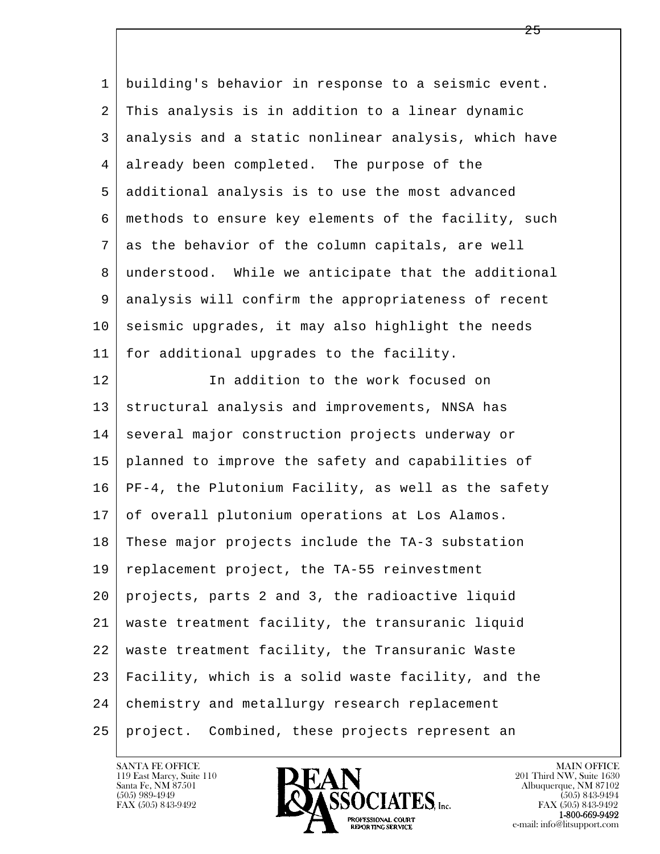l  $\overline{\phantom{a}}$  1 building's behavior in response to a seismic event. 2 This analysis is in addition to a linear dynamic 3 analysis and a static nonlinear analysis, which have 4 already been completed. The purpose of the 5 additional analysis is to use the most advanced 6 methods to ensure key elements of the facility, such 7 as the behavior of the column capitals, are well 8 understood. While we anticipate that the additional 9 analysis will confirm the appropriateness of recent  $10$  seismic upgrades, it may also highlight the needs 11 for additional upgrades to the facility. 12 In addition to the work focused on 13 structural analysis and improvements, NNSA has 14 several major construction projects underway or 15 planned to improve the safety and capabilities of 16 PF-4, the Plutonium Facility, as well as the safety 17 of overall plutonium operations at Los Alamos. 18 These major projects include the TA-3 substation 19 replacement project, the TA-55 reinvestment 20 projects, parts 2 and 3, the radioactive liquid 21 waste treatment facility, the transuranic liquid 22 waste treatment facility, the Transuranic Waste 23 Facility, which is a solid waste facility, and the 24 chemistry and metallurgy research replacement 25 project. Combined, these projects represent an

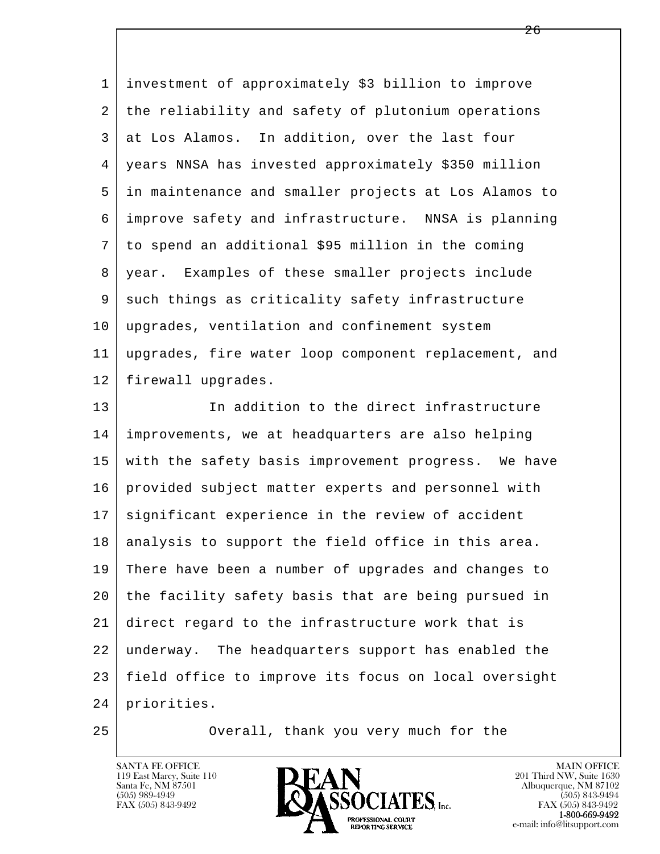| $\mathbf 1$ | investment of approximately \$3 billion to improve   |
|-------------|------------------------------------------------------|
| 2           | the reliability and safety of plutonium operations   |
| 3           | at Los Alamos. In addition, over the last four       |
| 4           | years NNSA has invested approximately \$350 million  |
| 5           | in maintenance and smaller projects at Los Alamos to |
| 6           | improve safety and infrastructure. NNSA is planning  |
| 7           | to spend an additional \$95 million in the coming    |
| 8           | year. Examples of these smaller projects include     |
| 9           | such things as criticality safety infrastructure     |
| 10          | upgrades, ventilation and confinement system         |
| 11          | upgrades, fire water loop component replacement, and |
| 12          | firewall upgrades.                                   |
| 13          | In addition to the direct infrastructure             |
| 14          | improvements, we at headquarters are also helping    |
| 15          | with the safety basis improvement progress. We have  |
| 16          | provided subject matter experts and personnel with   |
| 17          | significant experience in the review of accident     |
| 18          | analysis to support the field office in this area.   |
| 19          | There have been a number of upgrades and changes to  |
| 20          | the facility safety basis that are being pursued in  |
| 21          | direct regard to the infrastructure work that is     |
|             |                                                      |
| 22          | underway. The headquarters support has enabled the   |
| 23          | field office to improve its focus on local oversight |
| 24          | priorities.                                          |

25 | Overall, thank you very much for the

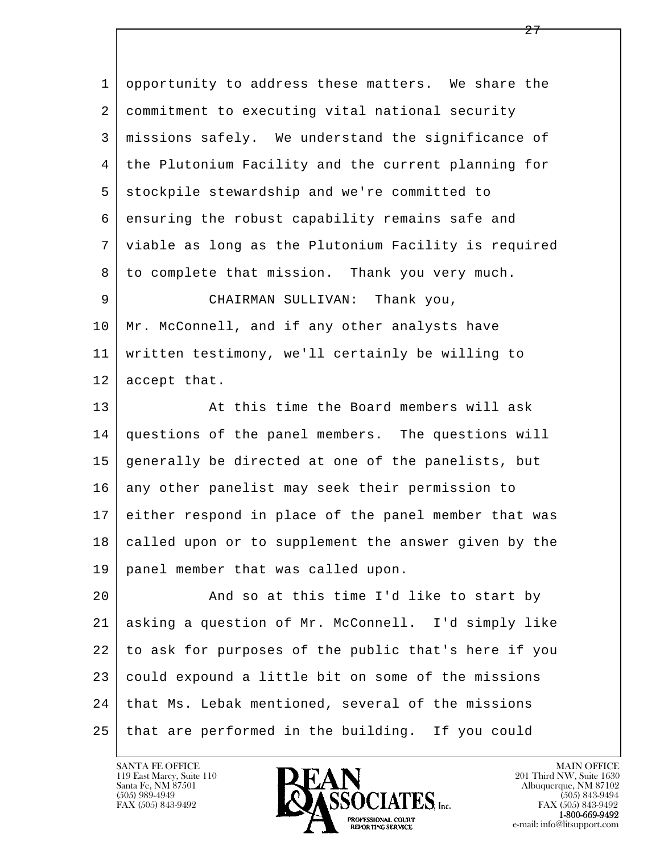1 opportunity to address these matters. We share the 2 commitment to executing vital national security 3 missions safely. We understand the significance of 4 the Plutonium Facility and the current planning for 5 stockpile stewardship and we're committed to 6 ensuring the robust capability remains safe and 7 viable as long as the Plutonium Facility is required 8 to complete that mission. Thank you very much. 9 CHAIRMAN SULLIVAN: Thank you, 10 | Mr. McConnell, and if any other analysts have 11 written testimony, we'll certainly be willing to 12 accept that. 13 At this time the Board members will ask 14 questions of the panel members. The questions will 15 generally be directed at one of the panelists, but 16 any other panelist may seek their permission to 17 either respond in place of the panel member that was 18 called upon or to supplement the answer given by the

19 panel member that was called upon.

l  $\overline{\phantom{a}}$ 20 And so at this time I'd like to start by 21 asking a question of Mr. McConnell. I'd simply like 22 to ask for purposes of the public that's here if you 23 could expound a little bit on some of the missions 24 | that Ms. Lebak mentioned, several of the missions 25 that are performed in the building. If you could

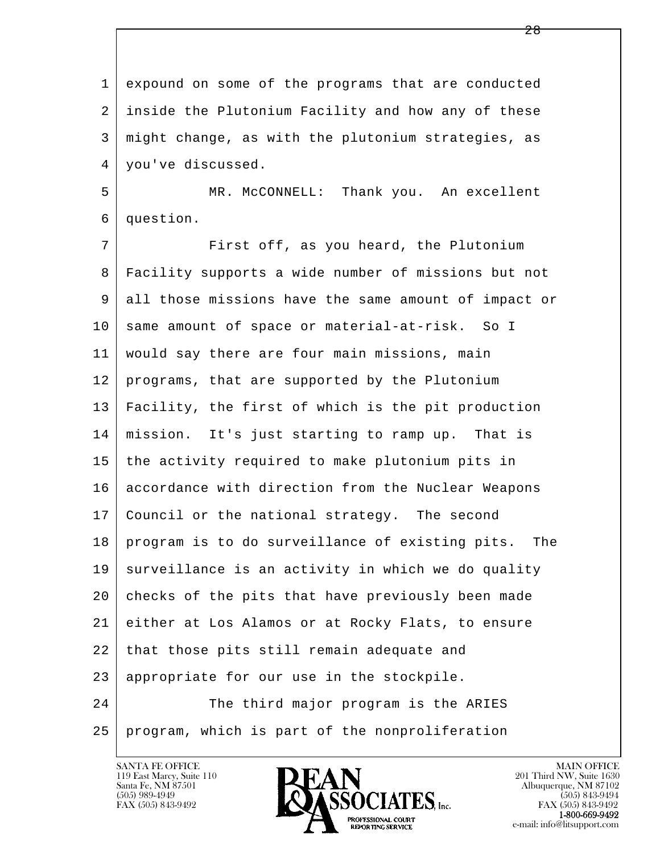l  $\overline{\phantom{a}}$  1 expound on some of the programs that are conducted 2 inside the Plutonium Facility and how any of these 3 might change, as with the plutonium strategies, as 4 | you've discussed. 5 MR. McCONNELL: Thank you. An excellent 6 question. 7 | First off, as you heard, the Plutonium 8 Facility supports a wide number of missions but not 9 all those missions have the same amount of impact or 10 same amount of space or material-at-risk. So I 11 would say there are four main missions, main 12 programs, that are supported by the Plutonium 13 Facility, the first of which is the pit production 14 mission. It's just starting to ramp up. That is 15 the activity required to make plutonium pits in 16 accordance with direction from the Nuclear Weapons 17 Council or the national strategy. The second 18 program is to do surveillance of existing pits. The 19 surveillance is an activity in which we do quality 20 checks of the pits that have previously been made 21 either at Los Alamos or at Rocky Flats, to ensure 22 that those pits still remain adequate and 23 | appropriate for our use in the stockpile. 24 The third major program is the ARIES 25 program, which is part of the nonproliferation

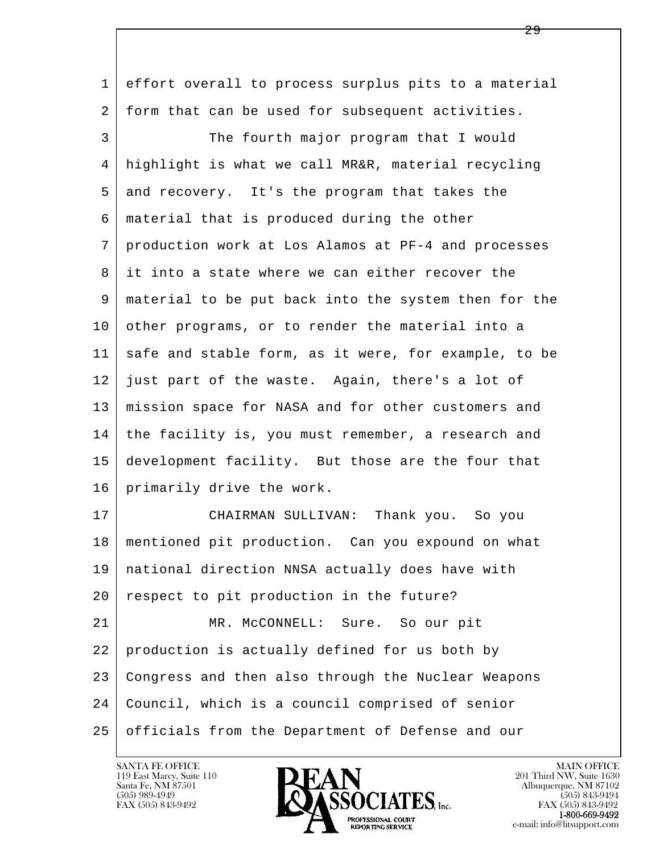l  $\overline{\phantom{a}}$  1 effort overall to process surplus pits to a material 2 form that can be used for subsequent activities. 3 The fourth major program that I would 4 highlight is what we call MR&R, material recycling 5 and recovery. It's the program that takes the 6 material that is produced during the other 7 production work at Los Alamos at PF-4 and processes 8 it into a state where we can either recover the 9 material to be put back into the system then for the 10 other programs, or to render the material into a 11 safe and stable form, as it were, for example, to be 12 just part of the waste. Again, there's a lot of 13 mission space for NASA and for other customers and 14 the facility is, you must remember, a research and 15 development facility. But those are the four that 16 primarily drive the work. 17 | CHAIRMAN SULLIVAN: Thank you. So you 18 mentioned pit production. Can you expound on what 19 national direction NNSA actually does have with 20 respect to pit production in the future? 21 | MR. McCONNELL: Sure. So our pit 22 production is actually defined for us both by 23 Congress and then also through the Nuclear Weapons 24 Council, which is a council comprised of senior 25 officials from the Department of Defense and our

119 East Marcy, Suite 110<br>Santa Fe, NM 87501

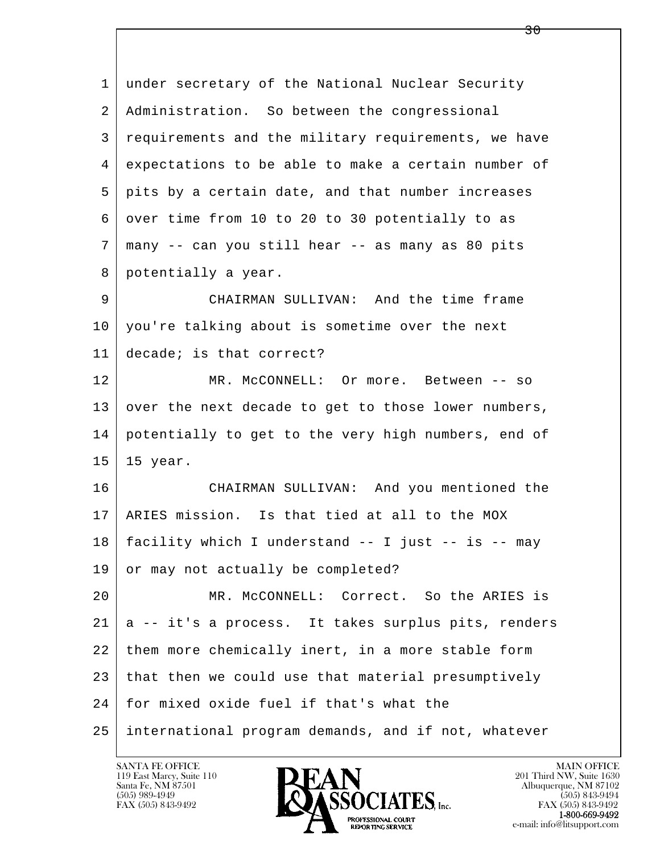l  $\overline{\phantom{a}}$  1 under secretary of the National Nuclear Security 2 Administration. So between the congressional 3 requirements and the military requirements, we have 4 expectations to be able to make a certain number of 5 pits by a certain date, and that number increases 6 over time from 10 to 20 to 30 potentially to as  $7 \mid$  many -- can you still hear -- as many as 80 pits 8 potentially a year. 9 CHAIRMAN SULLIVAN: And the time frame 10 you're talking about is sometime over the next 11 decade; is that correct? 12 MR. McCONNELL: Or more. Between -- so 13 over the next decade to get to those lower numbers, 14 potentially to get to the very high numbers, end of 15 15 year. 16 CHAIRMAN SULLIVAN: And you mentioned the 17 ARIES mission. Is that tied at all to the MOX 18 facility which I understand -- I just -- is -- may 19 or may not actually be completed? 20 MR. McCONNELL: Correct. So the ARIES is 21 a -- it's a process. It takes surplus pits, renders 22 them more chemically inert, in a more stable form 23 that then we could use that material presumptively 24 for mixed oxide fuel if that's what the 25 international program demands, and if not, whatever

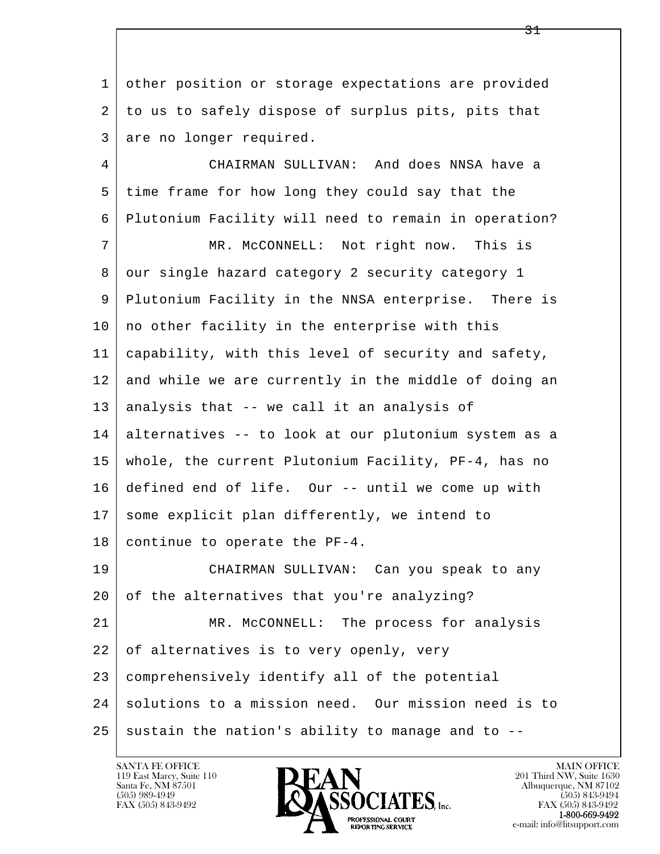1 other position or storage expectations are provided 2 to us to safely dispose of surplus pits, pits that 3 are no longer required.

l  $\overline{\phantom{a}}$  4 CHAIRMAN SULLIVAN: And does NNSA have a 5 time frame for how long they could say that the 6 Plutonium Facility will need to remain in operation? 7 MR. McCONNELL: Not right now. This is 8 our single hazard category 2 security category 1 9 Plutonium Facility in the NNSA enterprise. There is  $10$  no other facility in the enterprise with this 11 capability, with this level of security and safety, 12 and while we are currently in the middle of doing an 13 analysis that -- we call it an analysis of 14 alternatives -- to look at our plutonium system as a 15 whole, the current Plutonium Facility, PF-4, has no 16 defined end of life. Our -- until we come up with 17 some explicit plan differently, we intend to  $18$  continue to operate the PF-4. 19 CHAIRMAN SULLIVAN: Can you speak to any 20 of the alternatives that you're analyzing? 21 MR. McCONNELL: The process for analysis 22 of alternatives is to very openly, very 23 comprehensively identify all of the potential 24 solutions to a mission need. Our mission need is to  $25$  sustain the nation's ability to manage and to  $-$ -

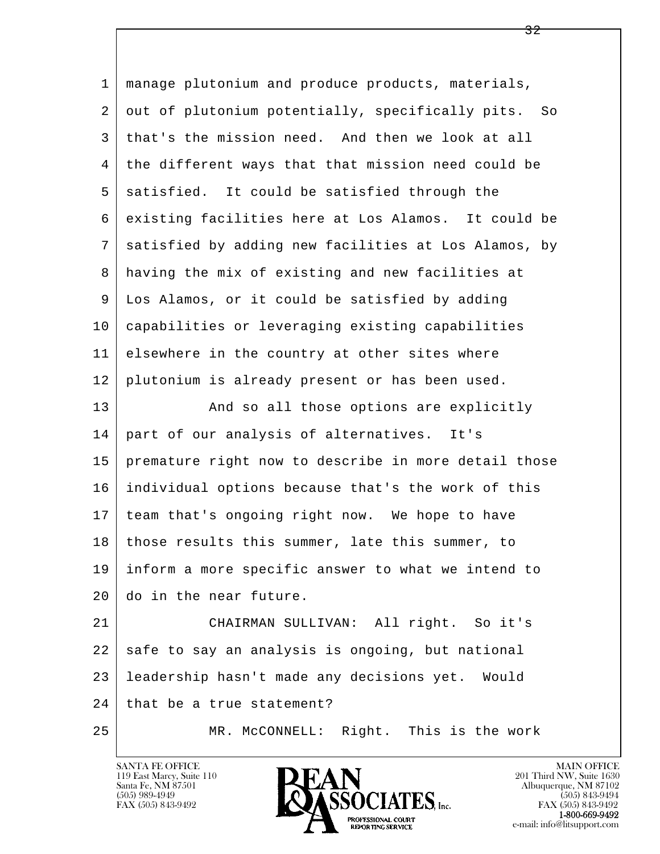l  $\overline{\phantom{a}}$  1 manage plutonium and produce products, materials, 2 out of plutonium potentially, specifically pits. So 3 that's the mission need. And then we look at all 4 the different ways that that mission need could be 5 satisfied. It could be satisfied through the 6 existing facilities here at Los Alamos. It could be 7 satisfied by adding new facilities at Los Alamos, by 8 having the mix of existing and new facilities at 9 Los Alamos, or it could be satisfied by adding 10 capabilities or leveraging existing capabilities 11 elsewhere in the country at other sites where 12 plutonium is already present or has been used. 13 And so all those options are explicitly 14 part of our analysis of alternatives. It's 15 premature right now to describe in more detail those 16 individual options because that's the work of this 17 team that's ongoing right now. We hope to have 18 | those results this summer, late this summer, to 19 inform a more specific answer to what we intend to 20 do in the near future. 21 CHAIRMAN SULLIVAN: All right. So it's 22 safe to say an analysis is ongoing, but national 23 leadership hasn't made any decisions yet. Would 24 | that be a true statement? 25 | MR. McCONNELL: Right. This is the work

119 East Marcy, Suite 110<br>Santa Fe, NM 87501

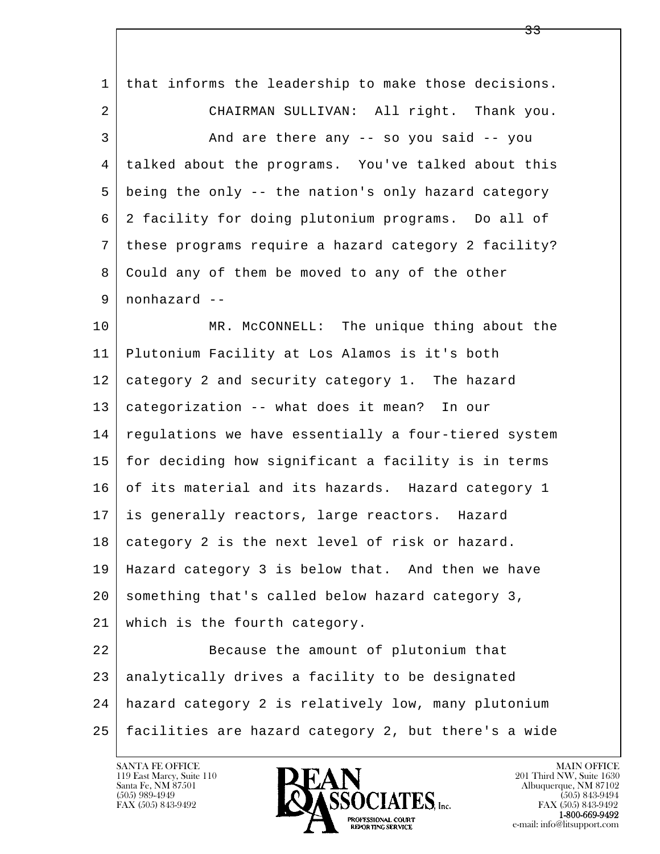| 1  | that informs the leadership to make those decisions. |
|----|------------------------------------------------------|
| 2  | CHAIRMAN SULLIVAN: All right. Thank you.             |
| 3  | And are there any -- so you said -- you              |
| 4  | talked about the programs. You've talked about this  |
| 5  | being the only -- the nation's only hazard category  |
| 6  | 2 facility for doing plutonium programs. Do all of   |
| 7  | these programs require a hazard category 2 facility? |
| 8  | Could any of them be moved to any of the other       |
| 9  | nonhazard --                                         |
| 10 | MR. McCONNELL: The unique thing about the            |
| 11 | Plutonium Facility at Los Alamos is it's both        |
| 12 | category 2 and security category 1. The hazard       |
| 13 | categorization -- what does it mean? In our          |
| 14 | regulations we have essentially a four-tiered system |
| 15 | for deciding how significant a facility is in terms  |
| 16 | of its material and its hazards. Hazard category 1   |
| 17 | is generally reactors, large reactors. Hazard        |
| 18 | category 2 is the next level of risk or hazard.      |
| 19 | Hazard category 3 is below that. And then we have    |
| 20 | something that's called below hazard category 3,     |
| 21 | which is the fourth category.                        |
| 22 | Because the amount of plutonium that                 |
| 23 | analytically drives a facility to be designated      |
| 24 | hazard category 2 is relatively low, many plutonium  |
| 25 | facilities are hazard category 2, but there's a wide |

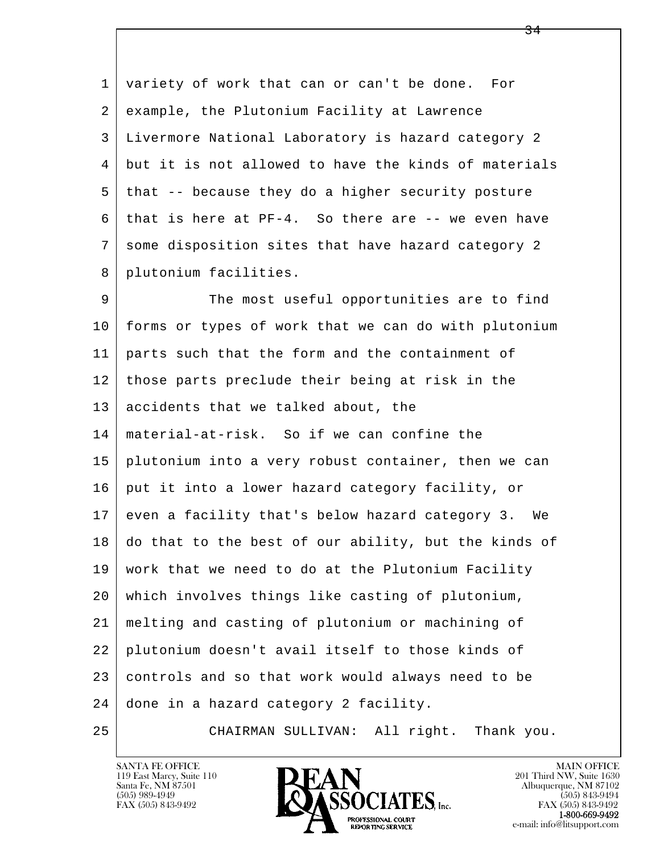1 variety of work that can or can't be done. For 2 example, the Plutonium Facility at Lawrence 3 Livermore National Laboratory is hazard category 2 4 but it is not allowed to have the kinds of materials 5 that -- because they do a higher security posture  $6 \mid$  that is here at PF-4. So there are -- we even have 7 some disposition sites that have hazard category 2 8 plutonium facilities.

l  $\overline{\phantom{a}}$ 9 The most useful opportunities are to find 10 forms or types of work that we can do with plutonium 11 parts such that the form and the containment of 12 those parts preclude their being at risk in the 13 accidents that we talked about, the 14 material-at-risk. So if we can confine the 15 plutonium into a very robust container, then we can 16 put it into a lower hazard category facility, or 17 even a facility that's below hazard category 3. We 18 do that to the best of our ability, but the kinds of 19 work that we need to do at the Plutonium Facility 20 which involves things like casting of plutonium, 21 melting and casting of plutonium or machining of 22 plutonium doesn't avail itself to those kinds of 23 controls and so that work would always need to be 24 done in a hazard category 2 facility.

25 CHAIRMAN SULLIVAN: All right. Thank you.

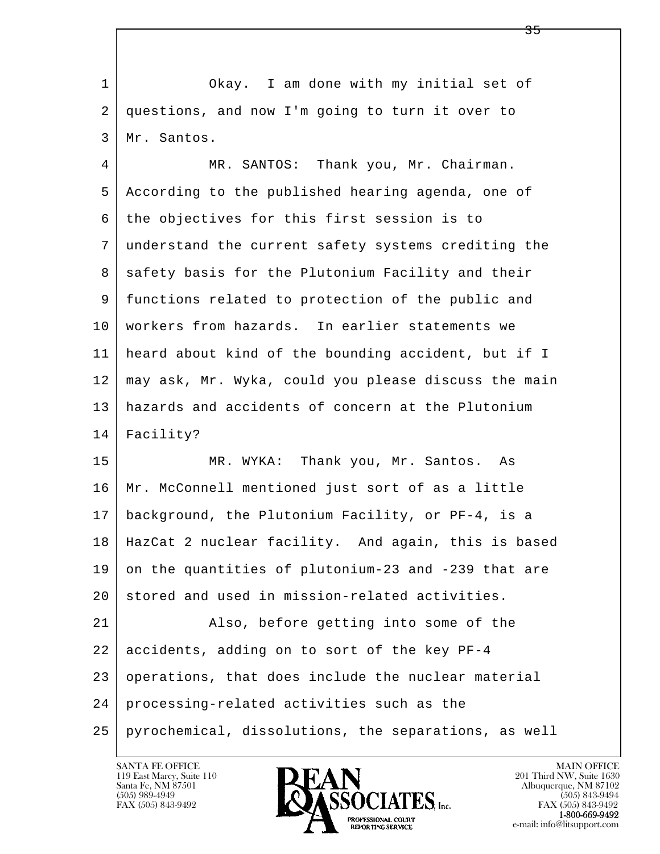1 Okay. I am done with my initial set of 2 questions, and now I'm going to turn it over to 3 Mr. Santos.

 4 MR. SANTOS: Thank you, Mr. Chairman. 5 According to the published hearing agenda, one of  $6$  the objectives for this first session is to 7 understand the current safety systems crediting the 8 | safety basis for the Plutonium Facility and their 9 functions related to protection of the public and 10 workers from hazards. In earlier statements we 11 heard about kind of the bounding accident, but if I 12 may ask, Mr. Wyka, could you please discuss the main 13 hazards and accidents of concern at the Plutonium 14 Facility?

15 | MR. WYKA: Thank you, Mr. Santos. As 16 Mr. McConnell mentioned just sort of as a little 17 background, the Plutonium Facility, or PF-4, is a 18 HazCat 2 nuclear facility. And again, this is based 19 on the quantities of plutonium-23 and -239 that are 20 stored and used in mission-related activities.

l  $\overline{\phantom{a}}$ 21 Also, before getting into some of the  $22$  accidents, adding on to sort of the key PF-4 23 operations, that does include the nuclear material 24 processing-related activities such as the 25 pyrochemical, dissolutions, the separations, as well

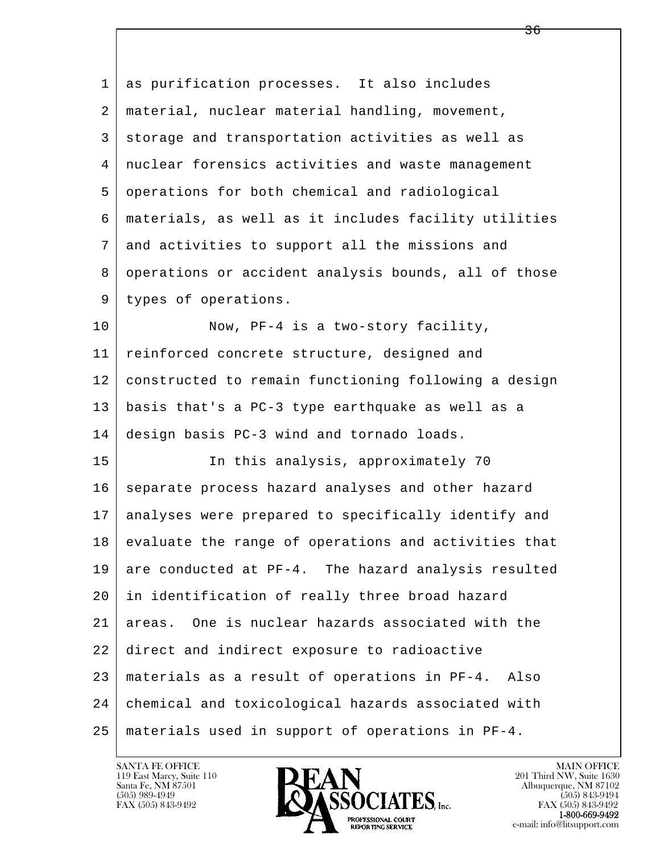| 1  | as purification processes. It also includes          |
|----|------------------------------------------------------|
| 2  | material, nuclear material handling, movement,       |
| 3  | storage and transportation activities as well as     |
| 4  | nuclear forensics activities and waste management    |
| 5  | operations for both chemical and radiological        |
| 6  | materials, as well as it includes facility utilities |
| 7  | and activities to support all the missions and       |
| 8  | operations or accident analysis bounds, all of those |
| 9  | types of operations.                                 |
| 10 | Now, PF-4 is a two-story facility,                   |
| 11 | reinforced concrete structure, designed and          |
| 12 | constructed to remain functioning following a design |
| 13 | basis that's a PC-3 type earthquake as well as a     |
| 14 | design basis PC-3 wind and tornado loads.            |
| 15 | In this analysis, approximately 70                   |
| 16 | separate process hazard analyses and other hazard    |
| 17 | analyses were prepared to specifically identify and  |
| 18 | evaluate the range of operations and activities that |
| 19 | are conducted at PF-4. The hazard analysis resulted  |
| 20 | in identification of really three broad hazard       |
| 21 | One is nuclear hazards associated with the<br>areas. |
| 22 | direct and indirect exposure to radioactive          |
| 23 | materials as a result of operations in PF-4. Also    |
| 24 | chemical and toxicological hazards associated with   |
| 25 | materials used in support of operations in PF-4.     |

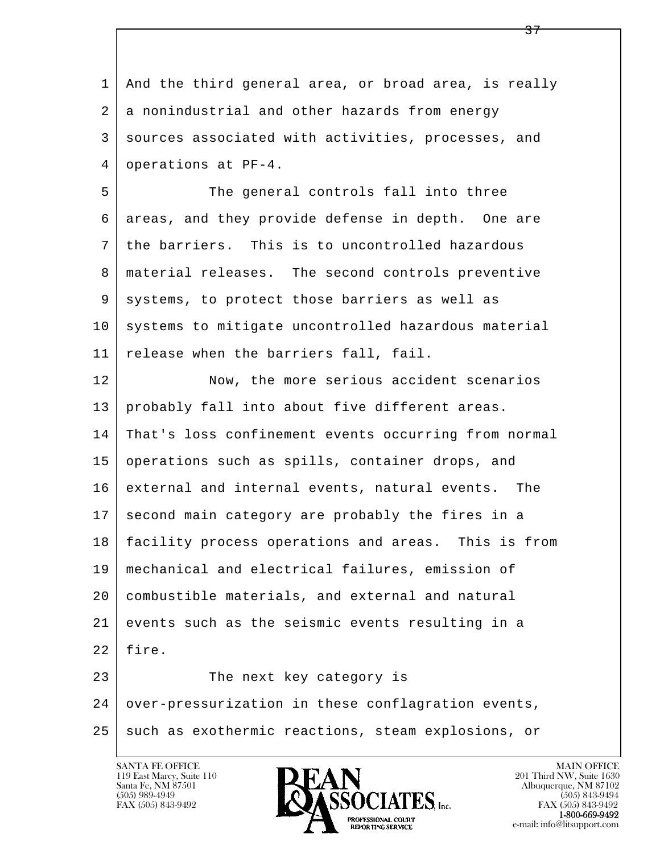| 1  | And the third general area, or broad area, is really |
|----|------------------------------------------------------|
| 2  | a nonindustrial and other hazards from energy        |
| 3  | sources associated with activities, processes, and   |
| 4  | operations at PF-4.                                  |
| 5  | The general controls fall into three                 |
| 6  | areas, and they provide defense in depth. One are    |
| 7  | the barriers. This is to uncontrolled hazardous      |
| 8  | material releases. The second controls preventive    |
| 9  | systems, to protect those barriers as well as        |
| 10 | systems to mitigate uncontrolled hazardous material  |
| 11 | release when the barriers fall, fail.                |
| 12 | Now, the more serious accident scenarios             |
| 13 | probably fall into about five different areas.       |
| 14 | That's loss confinement events occurring from normal |
| 15 | operations such as spills, container drops, and      |
| 16 | external and internal events, natural events. The    |
| 17 | second main category are probably the fires in a     |
| 18 | facility process operations and areas. This is from  |
| 19 | mechanical and electrical failures, emission of      |
| 20 | combustible materials, and external and natural      |
| 21 | events such as the seismic events resulting in a     |
| 22 | fire.                                                |
| 23 | The next key category is                             |
| 24 | over-pressurization in these conflagration events,   |
| 25 | such as exothermic reactions, steam explosions, or   |
|    |                                                      |

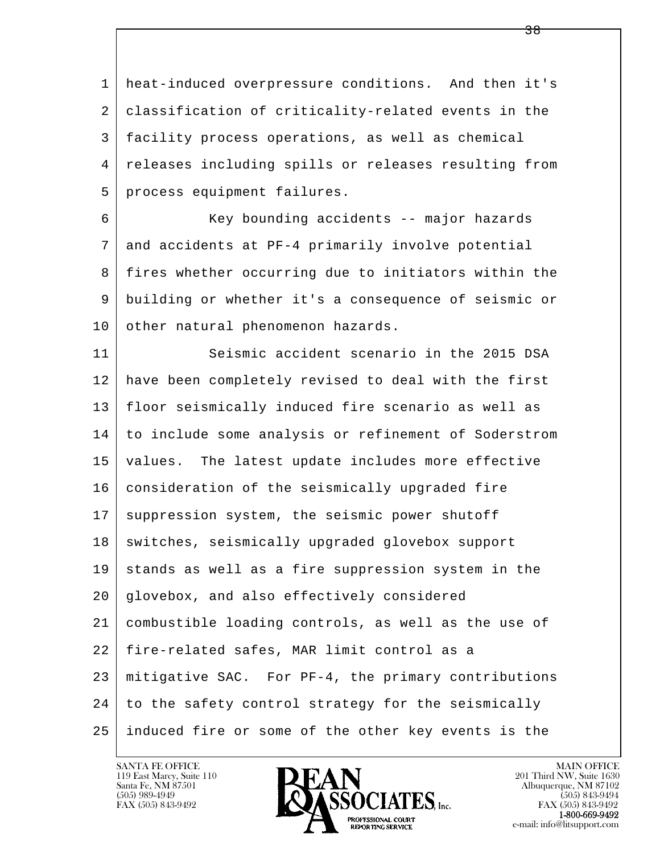1 heat-induced overpressure conditions. And then it's 2 classification of criticality-related events in the 3 facility process operations, as well as chemical 4 releases including spills or releases resulting from 5 process equipment failures.

 6 Key bounding accidents -- major hazards 7 and accidents at PF-4 primarily involve potential 8 fires whether occurring due to initiators within the 9 building or whether it's a consequence of seismic or 10 other natural phenomenon hazards.

l  $\overline{\phantom{a}}$  11 Seismic accident scenario in the 2015 DSA 12 have been completely revised to deal with the first 13 floor seismically induced fire scenario as well as 14 to include some analysis or refinement of Soderstrom 15 values. The latest update includes more effective 16 consideration of the seismically upgraded fire 17 | suppression system, the seismic power shutoff 18 | switches, seismically upgraded glovebox support 19 stands as well as a fire suppression system in the 20 glovebox, and also effectively considered 21 combustible loading controls, as well as the use of 22 fire-related safes, MAR limit control as a 23 mitigative SAC. For PF-4, the primary contributions 24 to the safety control strategy for the seismically 25 induced fire or some of the other key events is the

119 East Marcy, Suite 110<br>Santa Fe, NM 87501

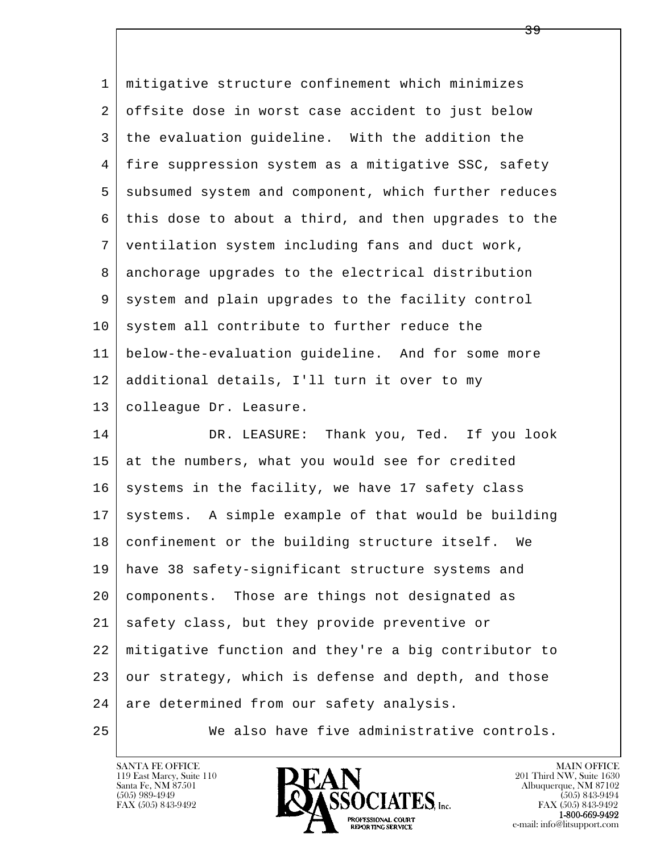| $\mathbf 1$ | mitigative structure confinement which minimizes     |
|-------------|------------------------------------------------------|
| 2           | offsite dose in worst case accident to just below    |
| 3           | the evaluation guideline. With the addition the      |
| 4           | fire suppression system as a mitigative SSC, safety  |
| 5           | subsumed system and component, which further reduces |
| 6           | this dose to about a third, and then upgrades to the |
| 7           | ventilation system including fans and duct work,     |
| 8           | anchorage upgrades to the electrical distribution    |
| 9           | system and plain upgrades to the facility control    |
| 10          | system all contribute to further reduce the          |
| 11          | below-the-evaluation guideline. And for some more    |
| 12          | additional details, I'll turn it over to my          |
| 13          | colleague Dr. Leasure.                               |
| 14          | DR. LEASURE: Thank you, Ted. If you look             |
| 15          | at the numbers, what you would see for credited      |
| 16          | systems in the facility, we have 17 safety class     |
| 17          | systems. A simple example of that would be building  |
| 18          | confinement or the building structure itself.<br>We  |
| 19          | have 38 safety-significant structure systems and     |
| 20          | components. Those are things not designated as       |
| 21          | safety class, but they provide preventive or         |
| 22          | mitigative function and they're a big contributor to |
| 23          | our strategy, which is defense and depth, and those  |
| 24          | are determined from our safety analysis.             |
| 25          | We also have five administrative controls.           |

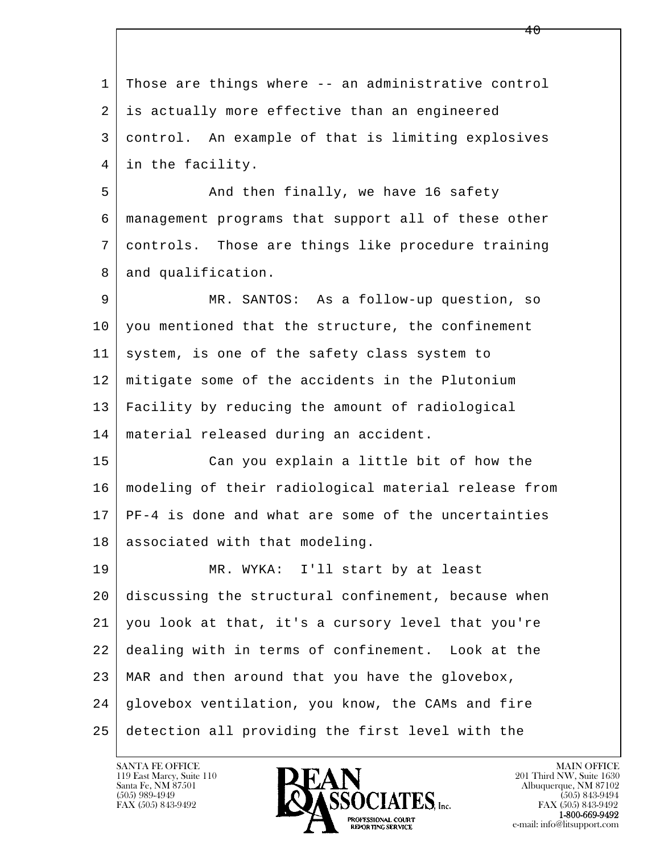l  $\overline{\phantom{a}}$  1 Those are things where -- an administrative control 2 is actually more effective than an engineered 3 control. An example of that is limiting explosives 4 in the facility. 5 And then finally, we have 16 safety 6 management programs that support all of these other 7 controls. Those are things like procedure training 8 and qualification. 9 MR. SANTOS: As a follow-up question, so 10 you mentioned that the structure, the confinement 11 system, is one of the safety class system to 12 mitigate some of the accidents in the Plutonium 13 Facility by reducing the amount of radiological 14 material released during an accident. 15 Can you explain a little bit of how the 16 modeling of their radiological material release from 17 PF-4 is done and what are some of the uncertainties 18 associated with that modeling. 19 MR. WYKA: I'll start by at least 20 discussing the structural confinement, because when 21 you look at that, it's a cursory level that you're 22 dealing with in terms of confinement. Look at the 23 MAR and then around that you have the glovebox, 24 glovebox ventilation, you know, the CAMs and fire 25 detection all providing the first level with the

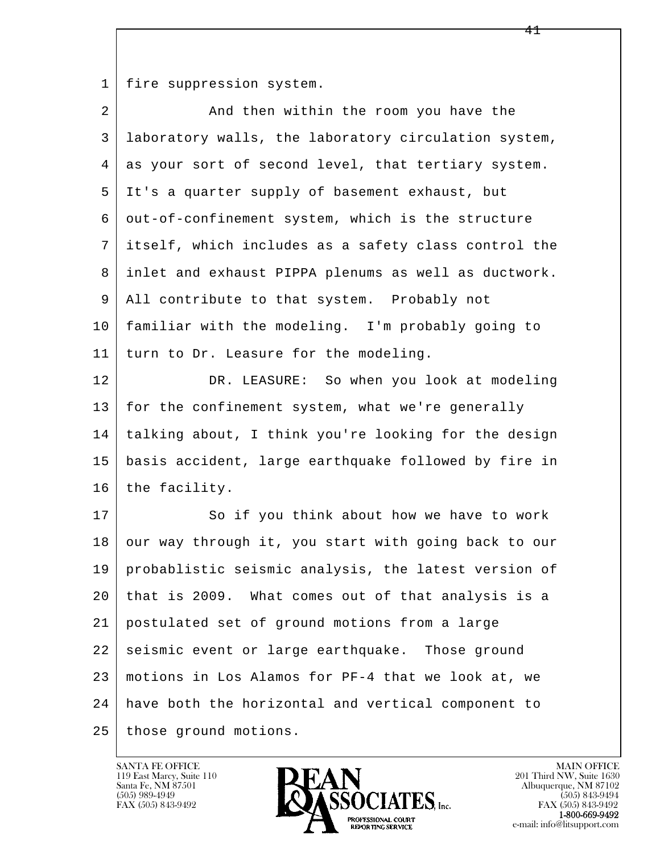1 | fire suppression system.

| $\overline{2}$ | And then within the room you have the                |
|----------------|------------------------------------------------------|
| 3              | laboratory walls, the laboratory circulation system, |
| 4              | as your sort of second level, that tertiary system.  |
| 5              | It's a quarter supply of basement exhaust, but       |
| 6              | out-of-confinement system, which is the structure    |
| 7              | itself, which includes as a safety class control the |
| 8              | inlet and exhaust PIPPA plenums as well as ductwork. |
| 9              | All contribute to that system. Probably not          |
| 10             | familiar with the modeling. I'm probably going to    |
| 11             | turn to Dr. Leasure for the modeling.                |
| 12             | DR. LEASURE: So when you look at modeling            |
| 13             | for the confinement system, what we're generally     |
| 14             | talking about, I think you're looking for the design |
| 15             | basis accident, large earthquake followed by fire in |
| 16             | the facility.                                        |
| 17             | So if you think about how we have to work            |
| 18             | our way through it, you start with going back to our |
| 19             | probablistic seismic analysis, the latest version of |
| 20             | that is 2009. What comes out of that analysis is a   |
| 21             | postulated set of ground motions from a large        |
| 22             | seismic event or large earthquake. Those ground      |
| 23             | motions in Los Alamos for PF-4 that we look at, we   |
| 24             | have both the horizontal and vertical component to   |
| 25             | those ground motions.                                |

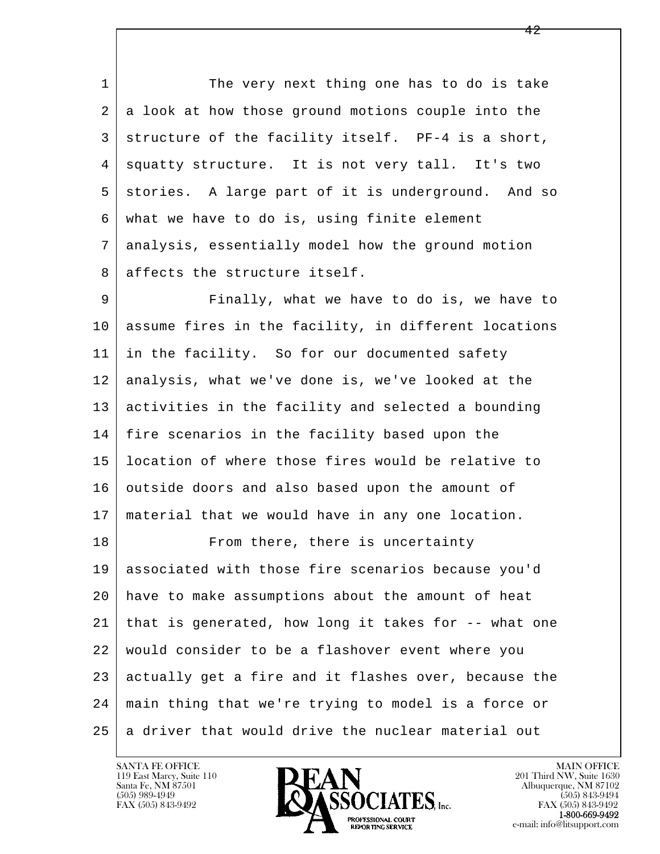1 The very next thing one has to do is take  $2 | a$  look at how those ground motions couple into the 3 structure of the facility itself. PF-4 is a short, 4 squatty structure. It is not very tall. It's two 5 stories. A large part of it is underground. And so 6 what we have to do is, using finite element 7 analysis, essentially model how the ground motion 8 affects the structure itself.

 9 Finally, what we have to do is, we have to 10 assume fires in the facility, in different locations 11 in the facility. So for our documented safety 12 analysis, what we've done is, we've looked at the 13 activities in the facility and selected a bounding 14 fire scenarios in the facility based upon the 15 location of where those fires would be relative to 16 outside doors and also based upon the amount of 17 material that we would have in any one location.

l  $\overline{\phantom{a}}$ 18 From there, there is uncertainty 19 associated with those fire scenarios because you'd 20 have to make assumptions about the amount of heat 21 that is generated, how long it takes for -- what one 22 would consider to be a flashover event where you 23 actually get a fire and it flashes over, because the 24 main thing that we're trying to model is a force or 25 a driver that would drive the nuclear material out

119 East Marcy, Suite 110<br>Santa Fe, NM 87501

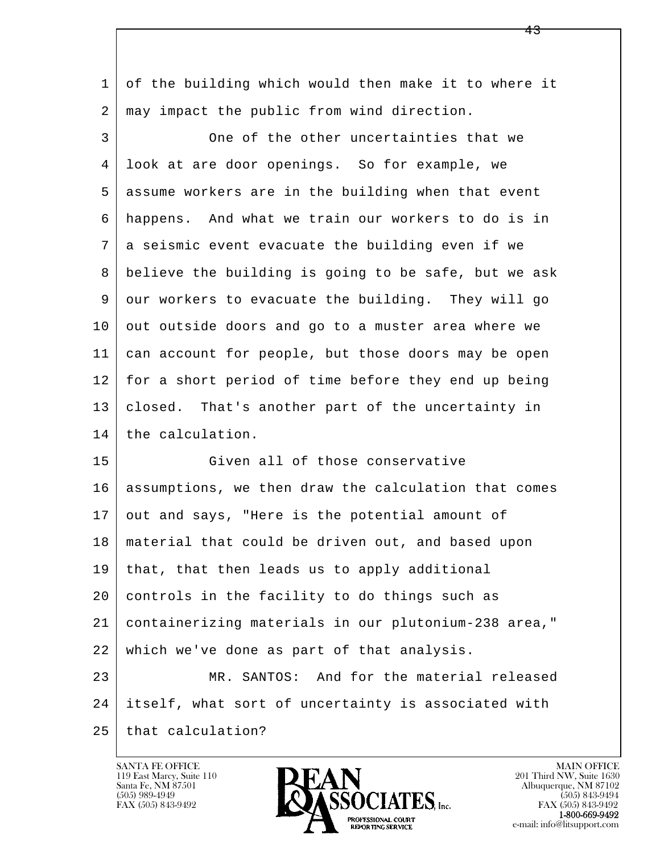1 of the building which would then make it to where it 2 | may impact the public from wind direction.

 3 One of the other uncertainties that we 4 look at are door openings. So for example, we 5 assume workers are in the building when that event 6 happens. And what we train our workers to do is in 7 a seismic event evacuate the building even if we 8 believe the building is going to be safe, but we ask 9 our workers to evacuate the building. They will go 10 out outside doors and go to a muster area where we 11 can account for people, but those doors may be open 12 for a short period of time before they end up being 13 closed. That's another part of the uncertainty in 14 the calculation.

l  $\overline{\phantom{a}}$  15 Given all of those conservative 16 assumptions, we then draw the calculation that comes 17 out and says, "Here is the potential amount of 18 material that could be driven out, and based upon 19 that, that then leads us to apply additional 20 controls in the facility to do things such as 21 containerizing materials in our plutonium-238 area," 22 which we've done as part of that analysis. 23 MR. SANTOS: And for the material released 24 itself, what sort of uncertainty is associated with

25 that calculation?

119 East Marcy, Suite 110<br>Santa Fe, NM 87501

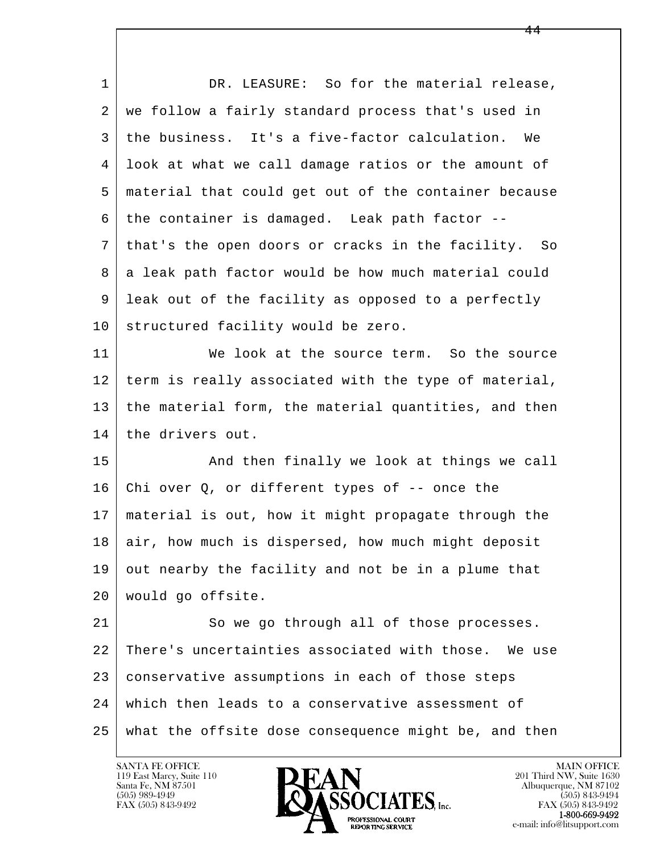| $\mathbf{1}$ | DR. LEASURE: So for the material release,            |
|--------------|------------------------------------------------------|
| 2            | we follow a fairly standard process that's used in   |
| 3            | the business. It's a five-factor calculation.<br>We  |
| 4            | look at what we call damage ratios or the amount of  |
| 5            | material that could get out of the container because |
| 6            | the container is damaged. Leak path factor --        |
| 7            | that's the open doors or cracks in the facility. So  |
| 8            | a leak path factor would be how much material could  |
| 9            | leak out of the facility as opposed to a perfectly   |
| 10           | structured facility would be zero.                   |
| 11           | We look at the source term. So the source            |
| 12           | term is really associated with the type of material, |
| 13           | the material form, the material quantities, and then |
| 14           | the drivers out.                                     |
| 15           | And then finally we look at things we call           |
| 16           | Chi over $Q$ , or different types of $-$ once the    |
| 17           | material is out, how it might propagate through the  |
| 18           | air, how much is dispersed, how much might deposit   |
| 19           | out nearby the facility and not be in a plume that   |
| 20           | would go offsite.                                    |
| 21           | So we go through all of those processes.             |
| 22           | There's uncertainties associated with those. We use  |
| 23           | conservative assumptions in each of those steps      |
| 24           | which then leads to a conservative assessment of     |
| 25           | what the offsite dose consequence might be, and then |
|              |                                                      |

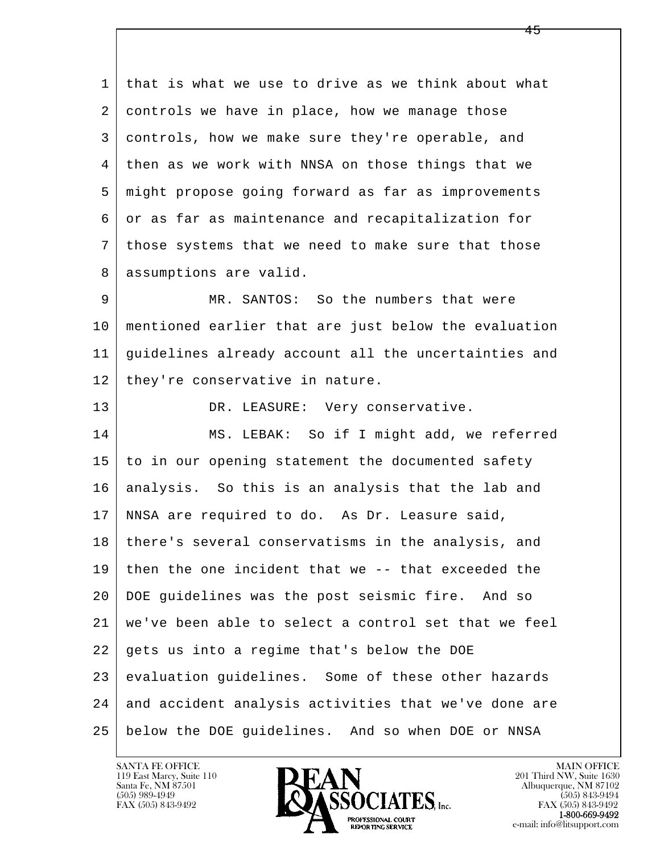1 that is what we use to drive as we think about what 2 controls we have in place, how we manage those 3 controls, how we make sure they're operable, and 4 then as we work with NNSA on those things that we 5 might propose going forward as far as improvements 6 or as far as maintenance and recapitalization for 7 those systems that we need to make sure that those 8 | assumptions are valid. 9 MR. SANTOS: So the numbers that were 10 mentioned earlier that are just below the evaluation

 11 guidelines already account all the uncertainties and 12 | they're conservative in nature.

l  $\overline{\phantom{a}}$ 13 DR. LEASURE: Very conservative. 14 MS. LEBAK: So if I might add, we referred 15 to in our opening statement the documented safety 16 | analysis. So this is an analysis that the lab and 17 NNSA are required to do. As Dr. Leasure said, 18 there's several conservatisms in the analysis, and 19 then the one incident that we -- that exceeded the 20 DOE guidelines was the post seismic fire. And so 21 we've been able to select a control set that we feel  $22$  gets us into a regime that's below the DOE 23 evaluation guidelines. Some of these other hazards 24 and accident analysis activities that we've done are 25 below the DOE guidelines. And so when DOE or NNSA

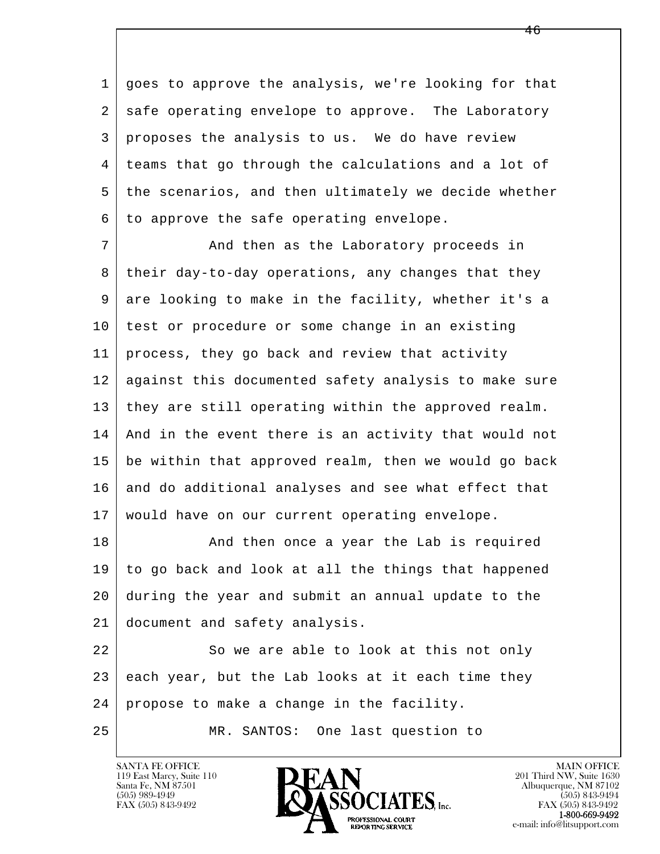1 goes to approve the analysis, we're looking for that 2 | safe operating envelope to approve. The Laboratory 3 proposes the analysis to us. We do have review 4 teams that go through the calculations and a lot of 5 the scenarios, and then ultimately we decide whether  $6$  to approve the safe operating envelope.

7 And then as the Laboratory proceeds in 8 their day-to-day operations, any changes that they 9 are looking to make in the facility, whether it's a 10 test or procedure or some change in an existing 11 process, they go back and review that activity 12 against this documented safety analysis to make sure 13 they are still operating within the approved realm. 14 And in the event there is an activity that would not 15 be within that approved realm, then we would go back 16 and do additional analyses and see what effect that 17 | would have on our current operating envelope.

18 And then once a year the Lab is required 19 to go back and look at all the things that happened 20 during the year and submit an annual update to the 21 document and safety analysis.

l  $\overline{\phantom{a}}$ 22 So we are able to look at this not only  $23$  each year, but the Lab looks at it each time they 24 propose to make a change in the facility.

25 MR. SANTOS: One last question to

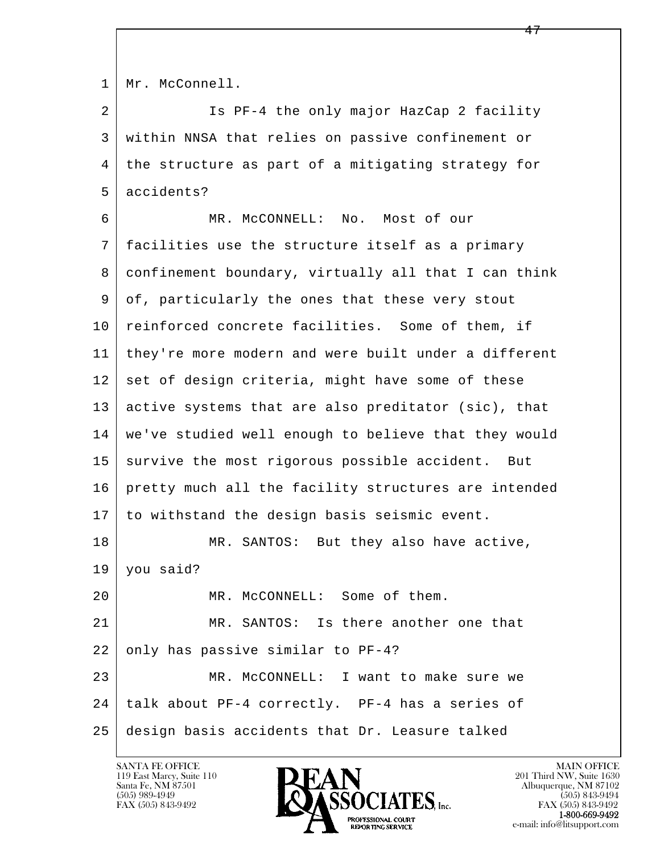1 | Mr. McConnell.

 2 Is PF-4 the only major HazCap 2 facility 3 within NNSA that relies on passive confinement or 4 the structure as part of a mitigating strategy for 5 accidents?

l  $\overline{\phantom{a}}$  6 MR. McCONNELL: No. Most of our 7 facilities use the structure itself as a primary 8 confinement boundary, virtually all that I can think 9 of, particularly the ones that these very stout 10 reinforced concrete facilities. Some of them, if 11 | they're more modern and were built under a different 12 set of design criteria, might have some of these 13 active systems that are also preditator (sic), that 14 we've studied well enough to believe that they would 15 survive the most rigorous possible accident. But 16 pretty much all the facility structures are intended 17 to withstand the design basis seismic event. 18 MR. SANTOS: But they also have active, 19 you said? 20 MR. McCONNELL: Some of them. 21 MR. SANTOS: Is there another one that 22 only has passive similar to PF-4? 23 MR. McCONNELL: I want to make sure we 24 talk about PF-4 correctly. PF-4 has a series of 25 design basis accidents that Dr. Leasure talked

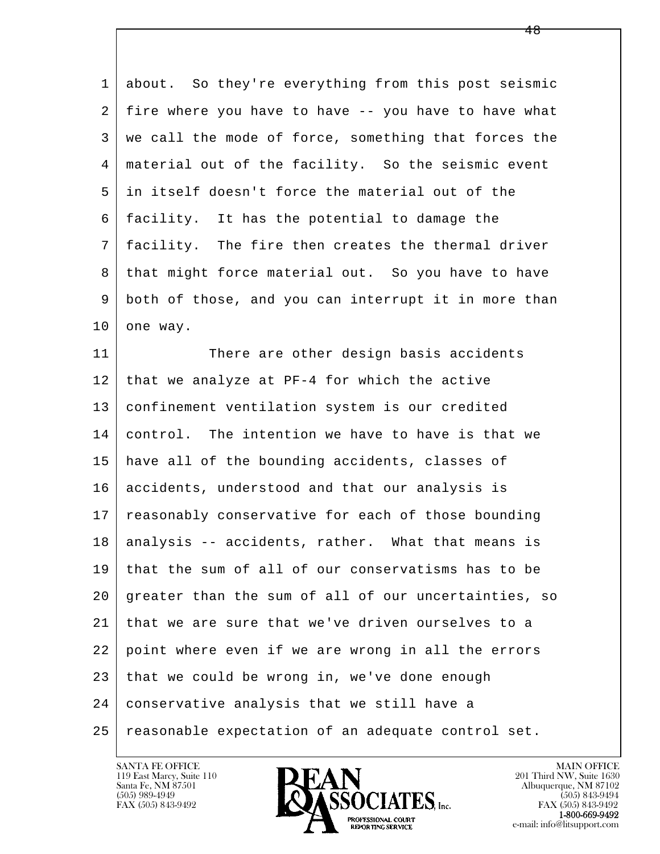1 about. So they're everything from this post seismic 2 fire where you have to have -- you have to have what 3 we call the mode of force, something that forces the 4 material out of the facility. So the seismic event 5 in itself doesn't force the material out of the 6 facility. It has the potential to damage the 7 facility. The fire then creates the thermal driver 8 that might force material out. So you have to have 9 | both of those, and you can interrupt it in more than  $10$  one way.

l  $\overline{\phantom{a}}$ 11 There are other design basis accidents  $12$  that we analyze at PF-4 for which the active 13 confinement ventilation system is our credited 14 control. The intention we have to have is that we 15 have all of the bounding accidents, classes of 16 accidents, understood and that our analysis is 17 | reasonably conservative for each of those bounding 18 | analysis -- accidents, rather. What that means is 19 that the sum of all of our conservatisms has to be 20 greater than the sum of all of our uncertainties, so 21 that we are sure that we've driven ourselves to a 22 point where even if we are wrong in all the errors  $23$  that we could be wrong in, we've done enough 24 conservative analysis that we still have a 25 reasonable expectation of an adequate control set.

119 East Marcy, Suite 110<br>Santa Fe, NM 87501

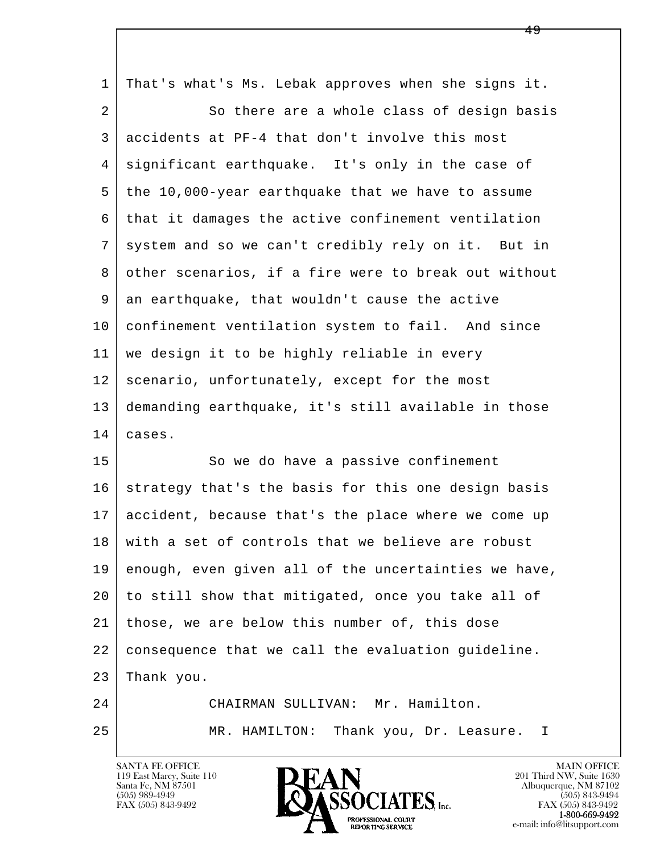| 1  | That's what's Ms. Lebak approves when she signs it.  |
|----|------------------------------------------------------|
| 2  | So there are a whole class of design basis           |
| 3  | accidents at PF-4 that don't involve this most       |
| 4  | significant earthquake. It's only in the case of     |
| 5  | the 10,000-year earthquake that we have to assume    |
| 6  | that it damages the active confinement ventilation   |
| 7  | system and so we can't credibly rely on it. But in   |
| 8  | other scenarios, if a fire were to break out without |
| 9  | an earthquake, that wouldn't cause the active        |
| 10 | confinement ventilation system to fail. And since    |
| 11 | we design it to be highly reliable in every          |
| 12 | scenario, unfortunately, except for the most         |
| 13 | demanding earthquake, it's still available in those  |
| 14 | cases.                                               |
| 15 | So we do have a passive confinement                  |
| 16 | strategy that's the basis for this one design basis  |
| 17 | accident, because that's the place where we come up  |
| 18 | with a set of controls that we believe are robust    |
| 19 | enough, even given all of the uncertainties we have, |
| 20 | to still show that mitigated, once you take all of   |
| 21 | those, we are below this number of, this dose        |
| 22 | consequence that we call the evaluation guideline.   |
| 23 | Thank you.                                           |
| 24 | CHAIRMAN SULLIVAN: Mr. Hamilton.                     |
| 25 | Thank you, Dr. Leasure. I<br>MR. HAMILTON:           |

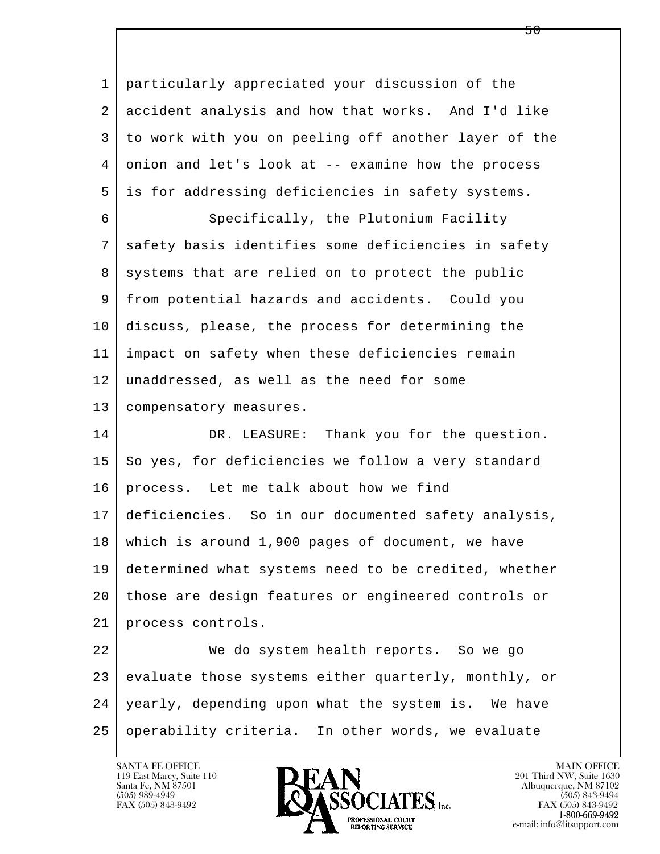l  $\overline{\phantom{a}}$  1 particularly appreciated your discussion of the 2 accident analysis and how that works. And I'd like 3 to work with you on peeling off another layer of the 4 onion and let's look at -- examine how the process 5 is for addressing deficiencies in safety systems. 6 Specifically, the Plutonium Facility 7 | safety basis identifies some deficiencies in safety 8 systems that are relied on to protect the public 9 from potential hazards and accidents. Could you 10 discuss, please, the process for determining the 11 impact on safety when these deficiencies remain 12 unaddressed, as well as the need for some 13 | compensatory measures. 14 DR. LEASURE: Thank you for the question.  $15$  So yes, for deficiencies we follow a very standard 16 process. Let me talk about how we find 17 deficiencies. So in our documented safety analysis, 18 which is around 1,900 pages of document, we have 19 determined what systems need to be credited, whether 20 those are design features or engineered controls or 21 process controls. 22 We do system health reports. So we go 23 evaluate those systems either quarterly, monthly, or 24 yearly, depending upon what the system is. We have 25 operability criteria. In other words, we evaluate

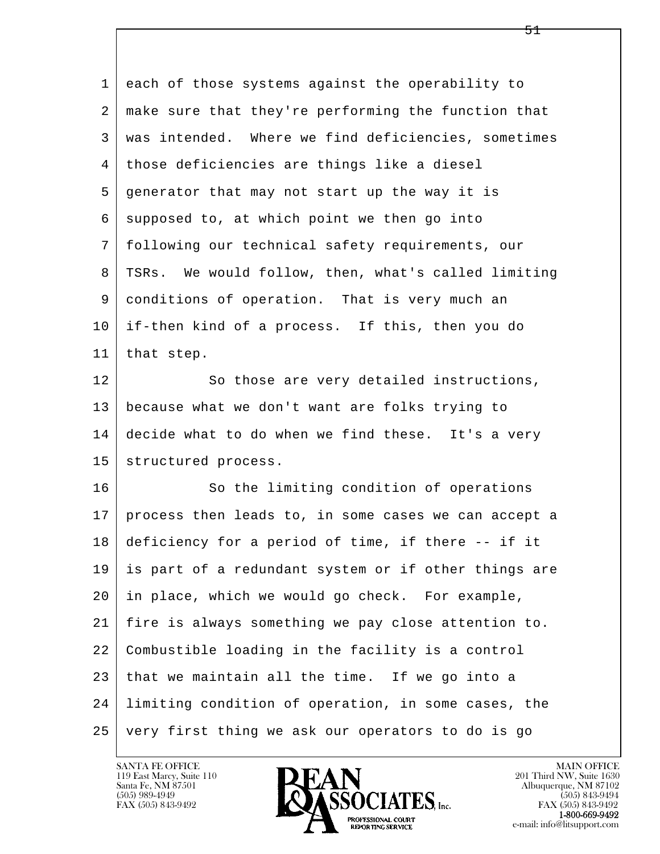l  $\overline{\phantom{a}}$  1 each of those systems against the operability to 2 make sure that they're performing the function that 3 was intended. Where we find deficiencies, sometimes 4 those deficiencies are things like a diesel 5 generator that may not start up the way it is 6 supposed to, at which point we then go into 7 following our technical safety requirements, our 8 | TSRs. We would follow, then, what's called limiting 9 conditions of operation. That is very much an 10 if-then kind of a process. If this, then you do 11 that step. 12 So those are very detailed instructions, 13 because what we don't want are folks trying to 14 decide what to do when we find these. It's a very 15 | structured process. 16 So the limiting condition of operations 17 process then leads to, in some cases we can accept a 18 deficiency for a period of time, if there -- if it 19 is part of a redundant system or if other things are 20 in place, which we would go check. For example, 21 fire is always something we pay close attention to. 22 Combustible loading in the facility is a control  $23$  that we maintain all the time. If we go into a 24 limiting condition of operation, in some cases, the 25 very first thing we ask our operators to do is go

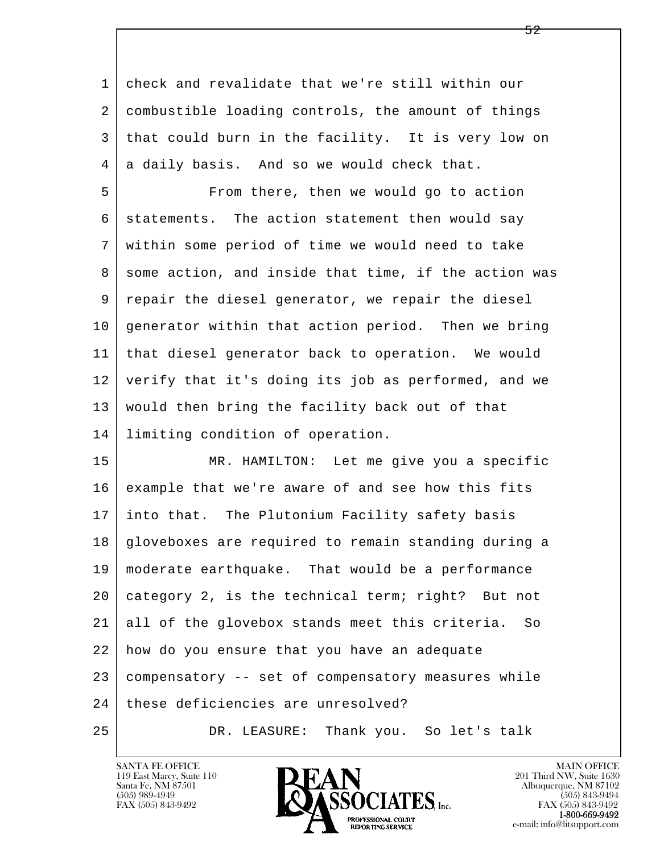l  $\overline{\phantom{a}}$  1 check and revalidate that we're still within our 2 combustible loading controls, the amount of things 3 that could burn in the facility. It is very low on  $4 \mid a$  daily basis. And so we would check that. 5 From there, then we would go to action 6 statements. The action statement then would say 7 within some period of time we would need to take 8 some action, and inside that time, if the action was 9 repair the diesel generator, we repair the diesel 10 generator within that action period. Then we bring 11 that diesel generator back to operation. We would 12 verify that it's doing its job as performed, and we 13 would then bring the facility back out of that 14 limiting condition of operation. 15 MR. HAMILTON: Let me give you a specific 16 example that we're aware of and see how this fits 17 into that. The Plutonium Facility safety basis 18 gloveboxes are required to remain standing during a 19 moderate earthquake. That would be a performance 20 category 2, is the technical term; right? But not 21 all of the glovebox stands meet this criteria. So 22 how do you ensure that you have an adequate 23 compensatory -- set of compensatory measures while 24 these deficiencies are unresolved?

25 DR. LEASURE: Thank you. So let's talk

119 East Marcy, Suite 110<br>Santa Fe, NM 87501



FAX (505) 843-9492<br>**1-800-669-9492**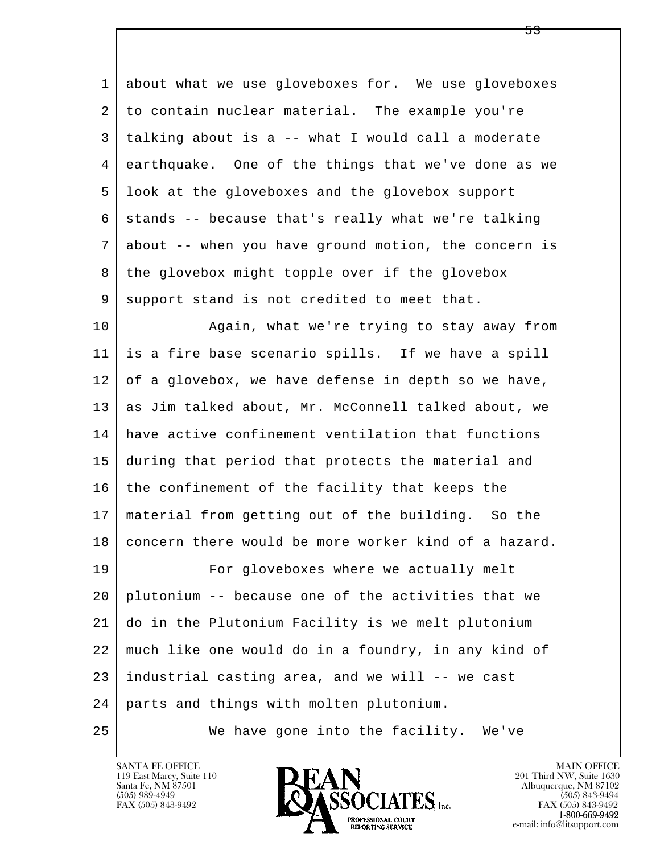1 about what we use gloveboxes for. We use gloveboxes 2 to contain nuclear material. The example you're 3 talking about is a -- what I would call a moderate 4 earthquake. One of the things that we've done as we 5 look at the gloveboxes and the glovebox support  $6$  stands -- because that's really what we're talking 7 about -- when you have ground motion, the concern is 8 | the glovebox might topple over if the glovebox 9 support stand is not credited to meet that.

10 Again, what we're trying to stay away from 11 is a fire base scenario spills. If we have a spill 12 of a glovebox, we have defense in depth so we have, 13 as Jim talked about, Mr. McConnell talked about, we 14 have active confinement ventilation that functions 15 during that period that protects the material and 16 the confinement of the facility that keeps the 17 material from getting out of the building. So the 18 concern there would be more worker kind of a hazard. 19 For gloveboxes where we actually melt 20 plutonium -- because one of the activities that we 21 do in the Plutonium Facility is we melt plutonium 22 much like one would do in a foundry, in any kind of

 $23$  industrial casting area, and we will  $-$ - we cast

l  $\overline{\phantom{a}}$ 24 parts and things with molten plutonium.

25 We have gone into the facility. We've

119 East Marcy, Suite 110<br>Santa Fe, NM 87501

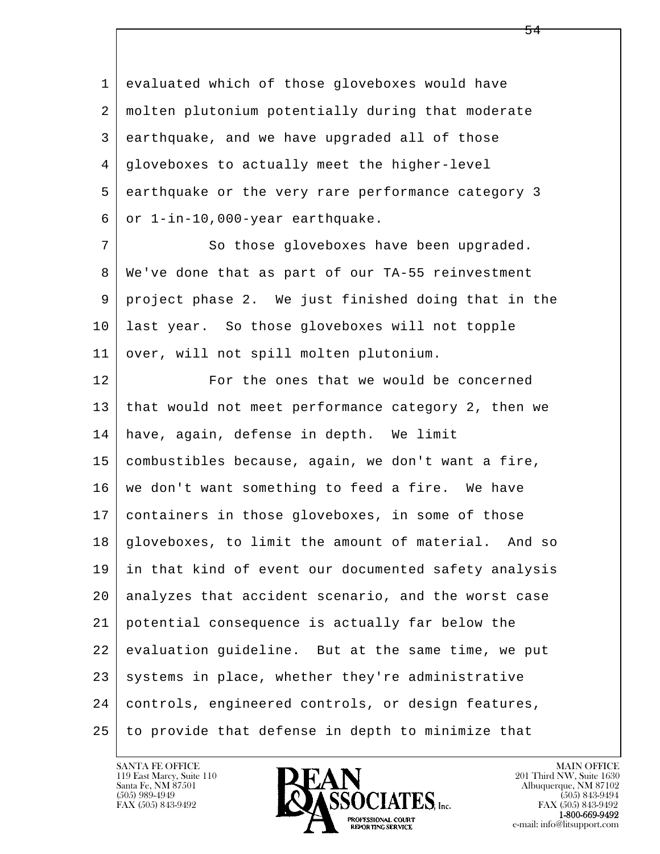l  $\overline{\phantom{a}}$  1 evaluated which of those gloveboxes would have 2 molten plutonium potentially during that moderate 3 earthquake, and we have upgraded all of those 4 gloveboxes to actually meet the higher-level 5 earthquake or the very rare performance category 3  $6 \mid$  or  $1$ -in-10,000-year earthquake. 7 So those gloveboxes have been upgraded. 8 We've done that as part of our TA-55 reinvestment 9 project phase 2. We just finished doing that in the 10 last year. So those gloveboxes will not topple 11 | over, will not spill molten plutonium. 12 For the ones that we would be concerned 13 that would not meet performance category 2, then we 14 have, again, defense in depth. We limit 15 combustibles because, again, we don't want a fire, 16 we don't want something to feed a fire. We have 17 containers in those gloveboxes, in some of those 18 gloveboxes, to limit the amount of material. And so 19 in that kind of event our documented safety analysis 20 analyzes that accident scenario, and the worst case 21 potential consequence is actually far below the 22 evaluation guideline. But at the same time, we put  $23$  systems in place, whether they're administrative 24 controls, engineered controls, or design features, 25 to provide that defense in depth to minimize that

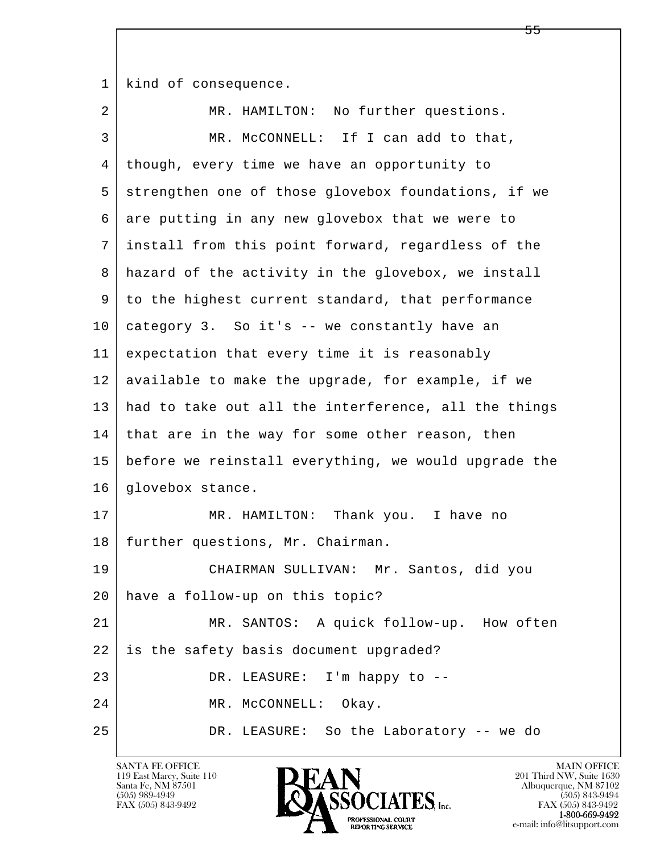1 | kind of consequence.

| 2  | MR. HAMILTON: No further questions.                  |
|----|------------------------------------------------------|
| 3  | MR. MCCONNELL: If I can add to that,                 |
| 4  | though, every time we have an opportunity to         |
| 5  | strengthen one of those glovebox foundations, if we  |
| 6  | are putting in any new glovebox that we were to      |
| 7  | install from this point forward, regardless of the   |
| 8  | hazard of the activity in the glovebox, we install   |
| 9  | to the highest current standard, that performance    |
| 10 | category 3. So it's -- we constantly have an         |
| 11 | expectation that every time it is reasonably         |
| 12 | available to make the upgrade, for example, if we    |
| 13 | had to take out all the interference, all the things |
| 14 | that are in the way for some other reason, then      |
| 15 | before we reinstall everything, we would upgrade the |
| 16 | glovebox stance.                                     |
| 17 | Thank you. I have no<br>MR. HAMILTON:                |
| 18 | further questions, Mr. Chairman.                     |
| 19 | CHAIRMAN SULLIVAN: Mr. Santos, did you               |
| 20 | have a follow-up on this topic?                      |
| 21 | MR. SANTOS: A quick follow-up. How often             |
| 22 | is the safety basis document upgraded?               |
| 23 | DR. LEASURE: I'm happy to --                         |
| 24 | MR. MCCONNELL:<br>Okay.                              |
| 25 | DR. LEASURE: So the Laboratory -- we do              |

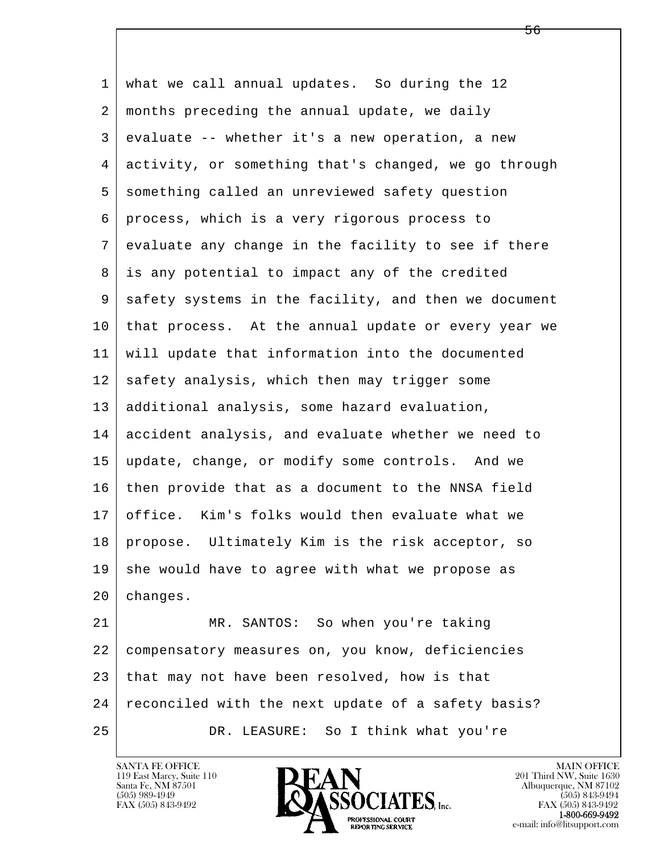l  $\overline{\phantom{a}}$  1 what we call annual updates. So during the 12 2 months preceding the annual update, we daily 3 evaluate -- whether it's a new operation, a new 4 activity, or something that's changed, we go through 5 something called an unreviewed safety question 6 process, which is a very rigorous process to 7 evaluate any change in the facility to see if there 8 is any potential to impact any of the credited 9 safety systems in the facility, and then we document 10 that process. At the annual update or every year we 11 will update that information into the documented 12 safety analysis, which then may trigger some 13 additional analysis, some hazard evaluation, 14 accident analysis, and evaluate whether we need to 15 update, change, or modify some controls. And we 16 then provide that as a document to the NNSA field 17 office. Kim's folks would then evaluate what we 18 propose. Ultimately Kim is the risk acceptor, so  $19$  she would have to agree with what we propose as 20 changes. 21 MR. SANTOS: So when you're taking 22 compensatory measures on, you know, deficiencies 23 that may not have been resolved, how is that 24 | reconciled with the next update of a safety basis? 25 DR. LEASURE: So I think what you're

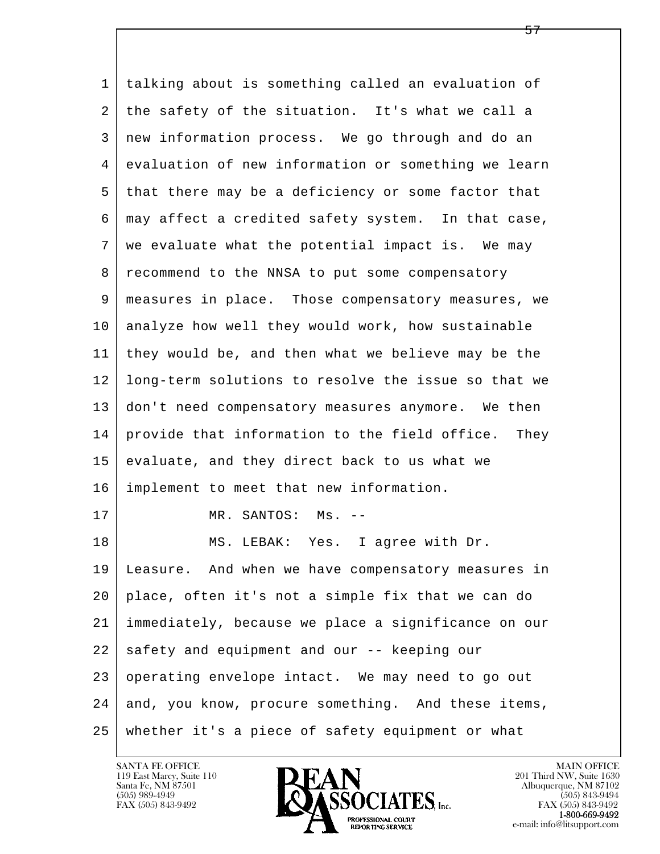l  $\overline{\phantom{a}}$  1 talking about is something called an evaluation of 2 the safety of the situation. It's what we call a 3 new information process. We go through and do an 4 evaluation of new information or something we learn 5 that there may be a deficiency or some factor that 6 may affect a credited safety system. In that case, 7 we evaluate what the potential impact is. We may 8 | recommend to the NNSA to put some compensatory 9 measures in place. Those compensatory measures, we 10 analyze how well they would work, how sustainable 11 they would be, and then what we believe may be the 12 long-term solutions to resolve the issue so that we 13 don't need compensatory measures anymore. We then 14 provide that information to the field office. They 15 evaluate, and they direct back to us what we 16 implement to meet that new information. 17 MR. SANTOS: Ms. --18 MS. LEBAK: Yes. I agree with Dr. 19 Leasure. And when we have compensatory measures in 20 place, often it's not a simple fix that we can do 21 immediately, because we place a significance on our 22 safety and equipment and our -- keeping our 23 | operating envelope intact. We may need to go out 24 and, you know, procure something. And these items, 25 whether it's a piece of safety equipment or what

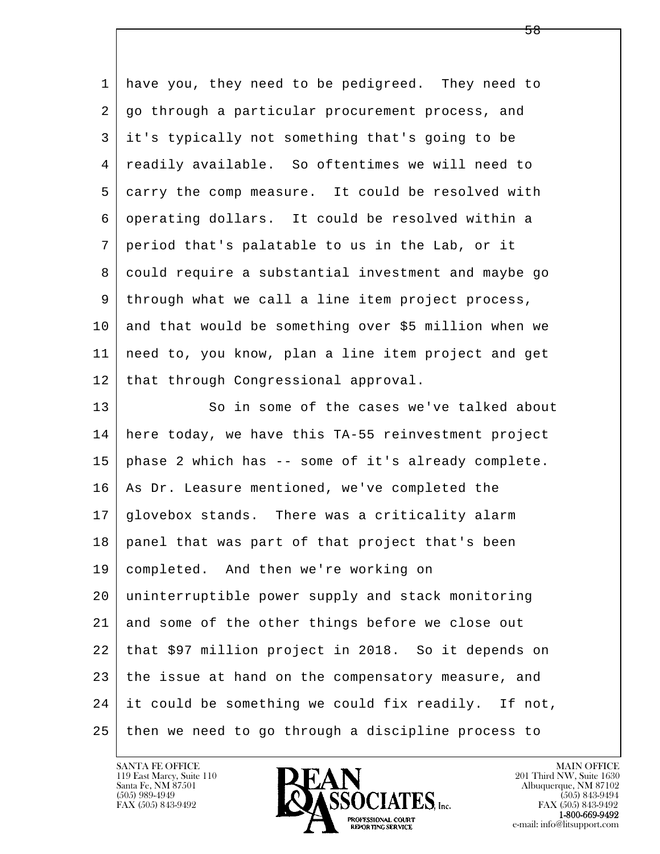| 1  | have you, they need to be pedigreed. They need to    |
|----|------------------------------------------------------|
| 2  | go through a particular procurement process, and     |
| 3  | it's typically not something that's going to be      |
| 4  | readily available. So oftentimes we will need to     |
| 5  | carry the comp measure. It could be resolved with    |
| 6  | operating dollars. It could be resolved within a     |
| 7  | period that's palatable to us in the Lab, or it      |
| 8  | could require a substantial investment and maybe go  |
| 9  | through what we call a line item project process,    |
| 10 | and that would be something over \$5 million when we |
| 11 | need to, you know, plan a line item project and get  |
| 12 | that through Congressional approval.                 |
| 13 | So in some of the cases we've talked about           |
| 14 | here today, we have this TA-55 reinvestment project  |
| 15 | phase 2 which has -- some of it's already complete.  |
| 16 | As Dr. Leasure mentioned, we've completed the        |
| 17 | glovebox stands. There was a criticality alarm       |
| 18 | panel that was part of that project that's been      |
| 19 | completed. And then we're working on                 |
| 20 | uninterruptible power supply and stack monitoring    |
| 21 | and some of the other things before we close out     |
| 22 | that \$97 million project in 2018. So it depends on  |
| 23 | the issue at hand on the compensatory measure, and   |
| 24 | it could be something we could fix readily. If not,  |
| 25 | then we need to go through a discipline process to   |

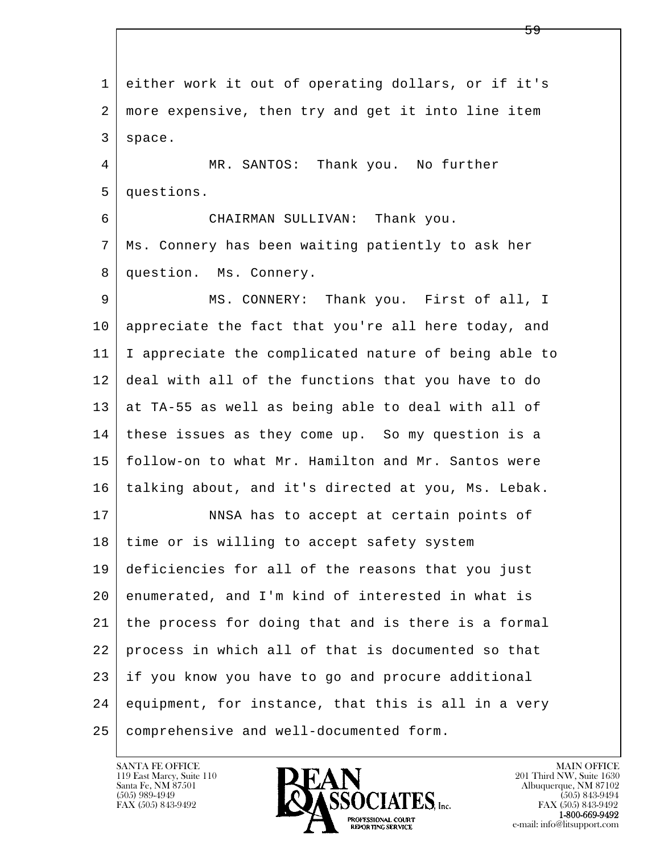l  $\overline{\phantom{a}}$  1 either work it out of operating dollars, or if it's 2 more expensive, then try and get it into line item 3 space. 4 MR. SANTOS: Thank you. No further 5 questions. 6 CHAIRMAN SULLIVAN: Thank you. 7 Ms. Connery has been waiting patiently to ask her 8 question. Ms. Connery. 9 MS. CONNERY: Thank you. First of all, I 10 appreciate the fact that you're all here today, and 11 I appreciate the complicated nature of being able to 12 deal with all of the functions that you have to do  $13$  at TA-55 as well as being able to deal with all of 14 these issues as they come up. So my question is a 15 follow-on to what Mr. Hamilton and Mr. Santos were 16 talking about, and it's directed at you, Ms. Lebak. 17 NNSA has to accept at certain points of 18 time or is willing to accept safety system 19 deficiencies for all of the reasons that you just 20 enumerated, and I'm kind of interested in what is 21 the process for doing that and is there is a formal 22 process in which all of that is documented so that 23 if you know you have to go and procure additional 24 equipment, for instance, that this is all in a very 25 comprehensive and well-documented form.

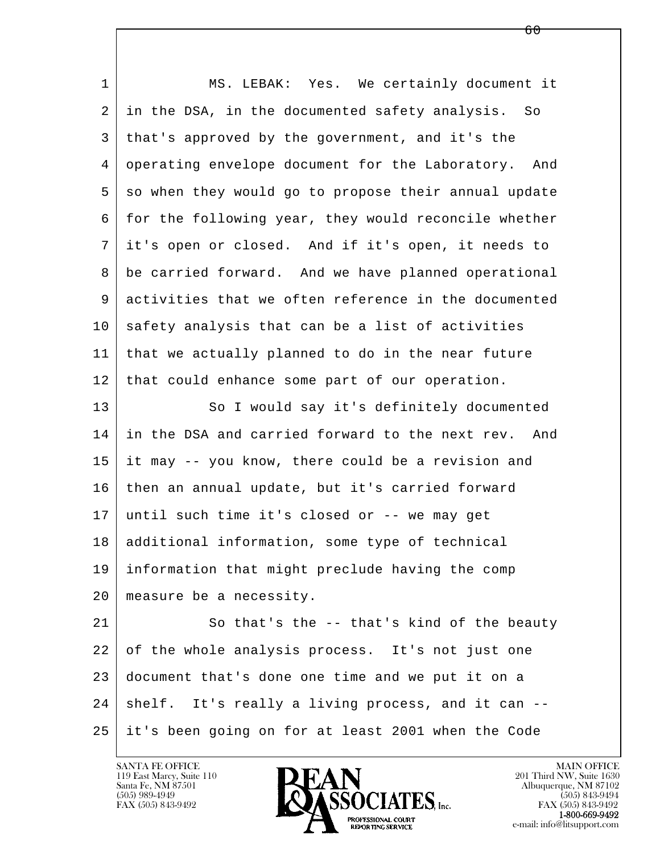| $\mathbf{1}$ | MS. LEBAK: Yes. We certainly document it               |
|--------------|--------------------------------------------------------|
| 2            | in the DSA, in the documented safety analysis. So      |
| 3            | that's approved by the government, and it's the        |
| 4            | operating envelope document for the Laboratory.<br>And |
| 5            | so when they would go to propose their annual update   |
| 6            | for the following year, they would reconcile whether   |
| 7            | it's open or closed. And if it's open, it needs to     |
| 8            | be carried forward. And we have planned operational    |
| 9            | activities that we often reference in the documented   |
| 10           | safety analysis that can be a list of activities       |
| 11           | that we actually planned to do in the near future      |
| 12           | that could enhance some part of our operation.         |
| 13           | So I would say it's definitely documented              |
| 14           | in the DSA and carried forward to the next rev.<br>And |
| 15           | it may -- you know, there could be a revision and      |
| 16           | then an annual update, but it's carried forward        |
| 17           | until such time it's closed or -- we may get           |
| 18           | additional information, some type of technical         |
| 19           | information that might preclude having the comp        |
| 20           | measure be a necessity.                                |
| 21           | So that's the -- that's kind of the beauty             |
| 22           | of the whole analysis process. It's not just one       |
| 23           | document that's done one time and we put it on a       |
| 24           | shelf. It's really a living process, and it can --     |
| 25           | it's been going on for at least 2001 when the Code     |

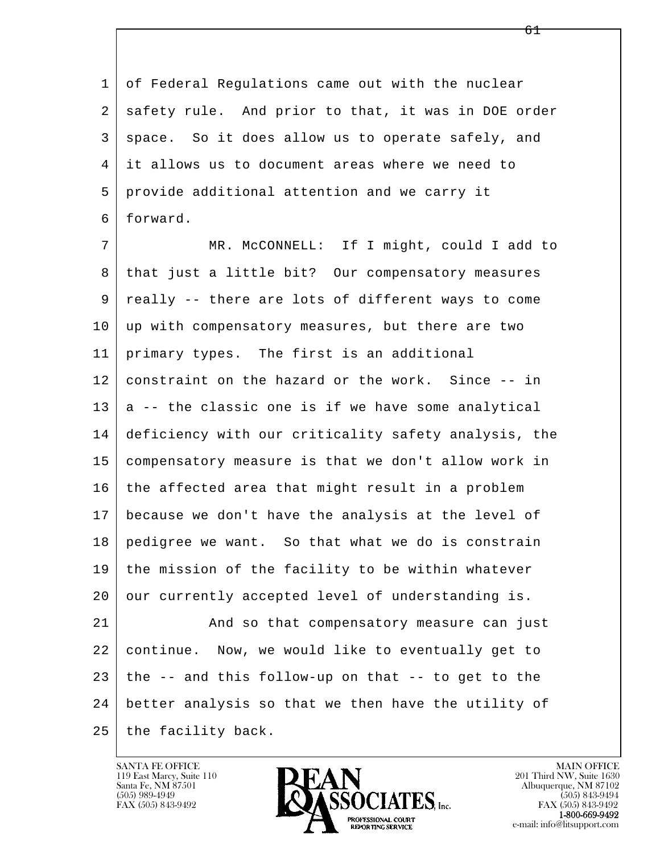1 of Federal Regulations came out with the nuclear 2 safety rule. And prior to that, it was in DOE order 3 | space. So it does allow us to operate safely, and 4 it allows us to document areas where we need to 5 provide additional attention and we carry it 6 forward.

 7 MR. McCONNELL: If I might, could I add to 8 that just a little bit? Our compensatory measures 9 really -- there are lots of different ways to come 10 | up with compensatory measures, but there are two 11 primary types. The first is an additional 12 constraint on the hazard or the work. Since -- in  $13$  a -- the classic one is if we have some analytical 14 deficiency with our criticality safety analysis, the 15 compensatory measure is that we don't allow work in  $16$  the affected area that might result in a problem 17 because we don't have the analysis at the level of 18 pedigree we want. So that what we do is constrain 19 the mission of the facility to be within whatever 20 our currently accepted level of understanding is. 21 And so that compensatory measure can just 22 continue. Now, we would like to eventually get to

l  $\overline{\phantom{a}}$  24 better analysis so that we then have the utility of  $25$  the facility back.

 $23$  the  $-$ - and this follow-up on that  $-$ - to get to the

119 East Marcy, Suite 110<br>Santa Fe, NM 87501

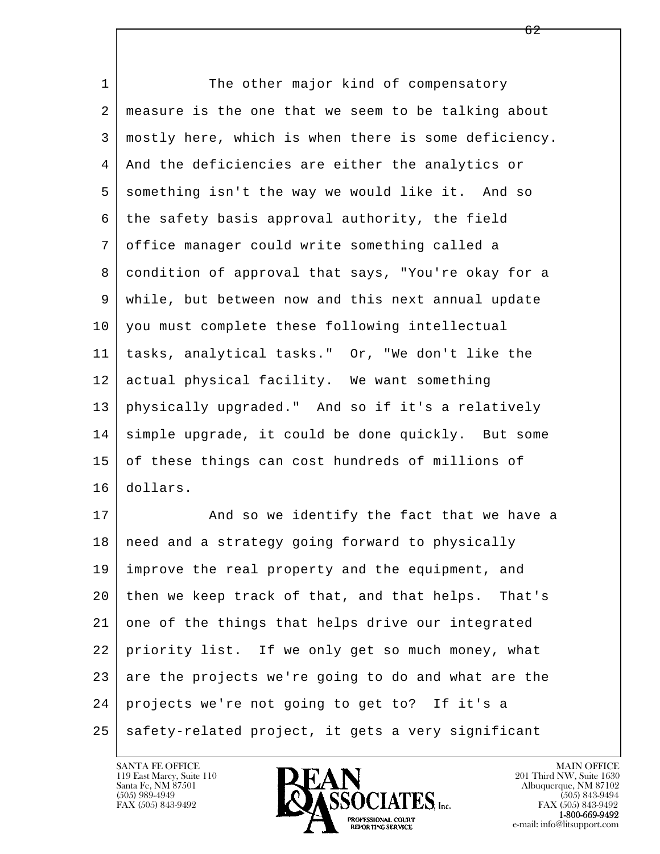l  $\overline{\phantom{a}}$ 1 The other major kind of compensatory 2 measure is the one that we seem to be talking about 3 mostly here, which is when there is some deficiency. 4 And the deficiencies are either the analytics or 5 something isn't the way we would like it. And so 6 the safety basis approval authority, the field 7 office manager could write something called a 8 condition of approval that says, "You're okay for a 9 while, but between now and this next annual update 10 you must complete these following intellectual 11 tasks, analytical tasks." Or, "We don't like the 12 actual physical facility. We want something 13 physically upgraded." And so if it's a relatively 14 simple upgrade, it could be done quickly. But some 15 of these things can cost hundreds of millions of 16 dollars. 17 | And so we identify the fact that we have a 18 | need and a strategy going forward to physically 19 improve the real property and the equipment, and 20 then we keep track of that, and that helps. That's 21 one of the things that helps drive our integrated 22 priority list. If we only get so much money, what 23 are the projects we're going to do and what are the 24 projects we're not going to get to? If it's a

 $25$  safety-related project, it gets a very significant

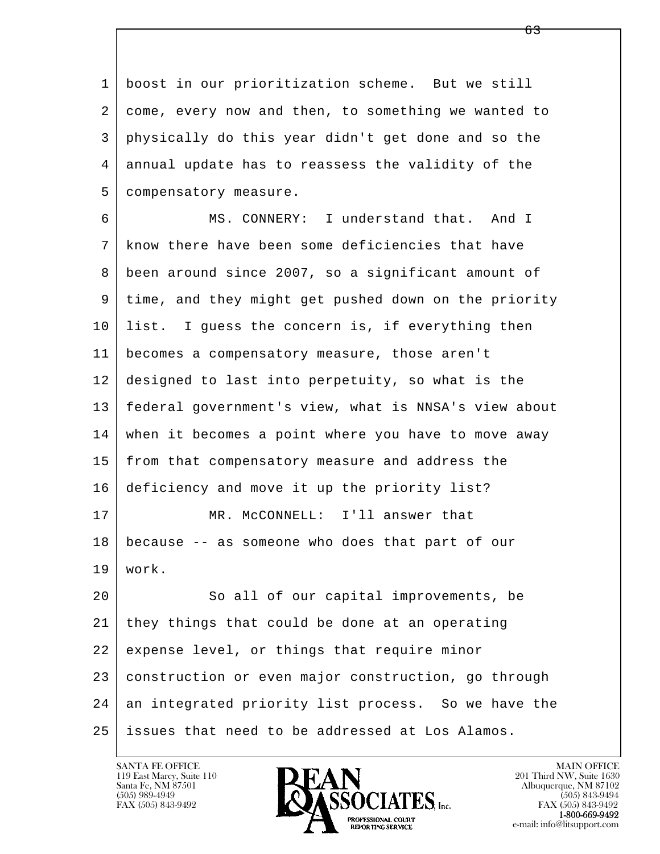1 boost in our prioritization scheme. But we still 2 come, every now and then, to something we wanted to 3 physically do this year didn't get done and so the 4 annual update has to reassess the validity of the 5 | compensatory measure.

 6 MS. CONNERY: I understand that. And I 7 know there have been some deficiencies that have 8 been around since 2007, so a significant amount of 9 time, and they might get pushed down on the priority 10 list. I guess the concern is, if everything then 11 becomes a compensatory measure, those aren't 12 designed to last into perpetuity, so what is the 13 federal government's view, what is NNSA's view about 14 when it becomes a point where you have to move away 15 | from that compensatory measure and address the 16 deficiency and move it up the priority list? 17 MR. McCONNELL: I'll answer that 18 because -- as someone who does that part of our 19 work. 20 So all of our capital improvements, be 21 they things that could be done at an operating 22 expense level, or things that require minor 23 construction or even major construction, go through

l  $\overline{\phantom{a}}$ 24 an integrated priority list process. So we have the 25 issues that need to be addressed at Los Alamos.

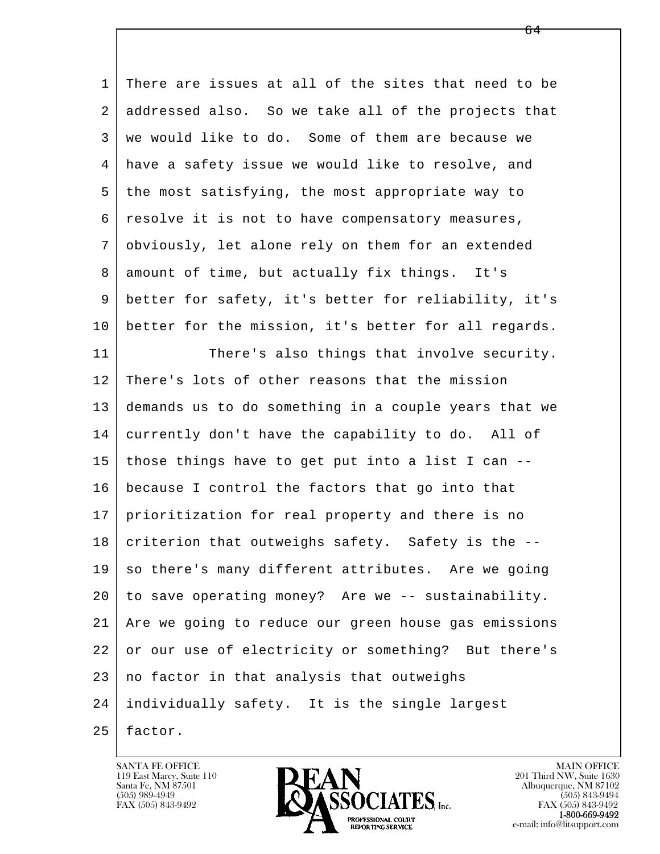l  $\overline{\phantom{a}}$  1 There are issues at all of the sites that need to be 2 addressed also. So we take all of the projects that 3 we would like to do. Some of them are because we 4 have a safety issue we would like to resolve, and 5 the most satisfying, the most appropriate way to 6 resolve it is not to have compensatory measures, 7 obviously, let alone rely on them for an extended 8 amount of time, but actually fix things. It's 9 better for safety, it's better for reliability, it's 10 better for the mission, it's better for all regards. 11 There's also things that involve security. 12 There's lots of other reasons that the mission 13 demands us to do something in a couple years that we 14 currently don't have the capability to do. All of 15 those things have to get put into a list I can -- 16 because I control the factors that go into that 17 prioritization for real property and there is no  $18$  criterion that outweighs safety. Safety is the  $-$ - $19$  so there's many different attributes. Are we going 20 to save operating money? Are we -- sustainability. 21 Are we going to reduce our green house gas emissions 22 or our use of electricity or something? But there's  $23$  no factor in that analysis that outweighs 24 individually safety. It is the single largest  $25$  factor.

119 East Marcy, Suite 110<br>Santa Fe, NM 87501

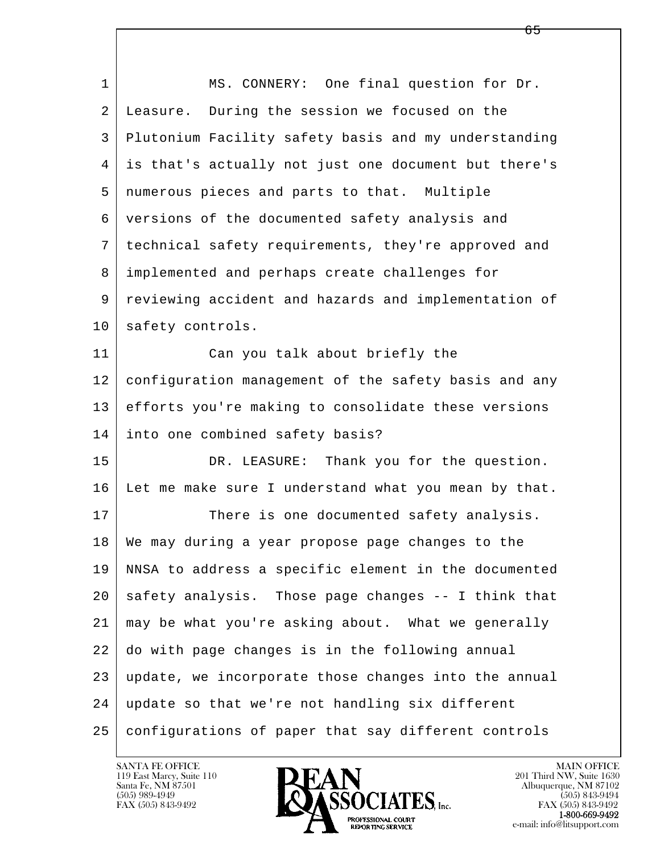l  $\overline{\phantom{a}}$ 1 | MS. CONNERY: One final question for Dr. 2 Leasure. During the session we focused on the 3 Plutonium Facility safety basis and my understanding 4 is that's actually not just one document but there's 5 numerous pieces and parts to that. Multiple 6 versions of the documented safety analysis and 7 technical safety requirements, they're approved and 8 implemented and perhaps create challenges for 9 reviewing accident and hazards and implementation of 10 safety controls. 11 Can you talk about briefly the 12 configuration management of the safety basis and any 13 efforts you're making to consolidate these versions 14 into one combined safety basis? 15 DR. LEASURE: Thank you for the question. 16 Let me make sure I understand what you mean by that. 17 There is one documented safety analysis. 18 | We may during a year propose page changes to the 19 NNSA to address a specific element in the documented 20 safety analysis. Those page changes -- I think that 21 may be what you're asking about. What we generally 22 do with page changes is in the following annual 23 update, we incorporate those changes into the annual 24 update so that we're not handling six different 25 configurations of paper that say different controls

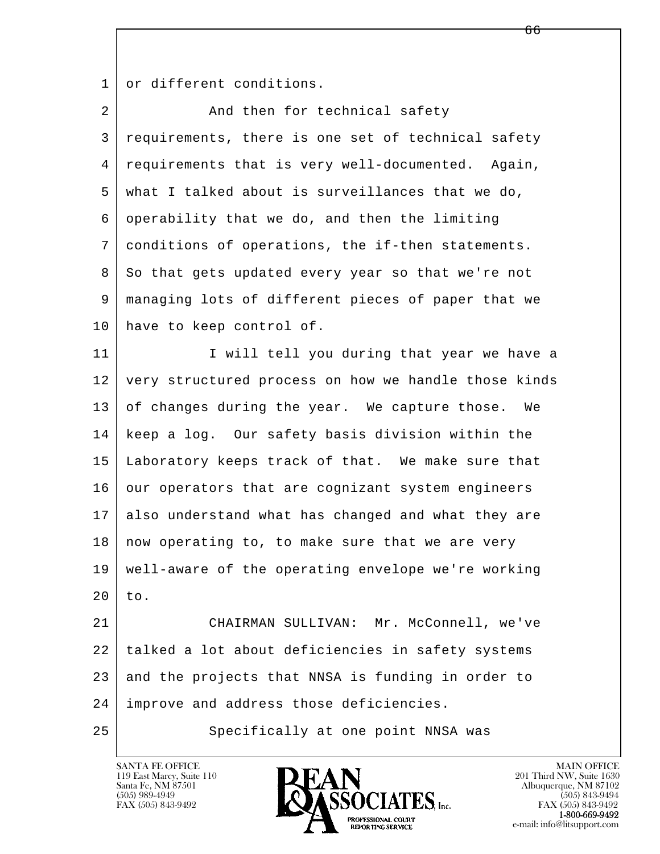1 or different conditions.

| $\overline{a}$ | And then for technical safety                        |
|----------------|------------------------------------------------------|
| 3              | requirements, there is one set of technical safety   |
| 4              | requirements that is very well-documented. Again,    |
| 5              | what I talked about is surveillances that we do,     |
| 6              | operability that we do, and then the limiting        |
| 7              | conditions of operations, the if-then statements.    |
| 8              | So that gets updated every year so that we're not    |
| 9              | managing lots of different pieces of paper that we   |
| 10             | have to keep control of.                             |
| 11             | I will tell you during that year we have a           |
| 12             | very structured process on how we handle those kinds |
| 13             | of changes during the year. We capture those.<br>We  |
| 14             | keep a log. Our safety basis division within the     |
| 15             | Laboratory keeps track of that. We make sure that    |
| 16             | our operators that are cognizant system engineers    |
| 17             | also understand what has changed and what they are   |
| 18             | now operating to, to make sure that we are very      |
| 19             | well-aware of the operating envelope we're working   |
| 20             | to.                                                  |
| 21             | CHAIRMAN SULLIVAN: Mr. McConnell, we've              |
| 22             | talked a lot about deficiencies in safety systems    |
| 23             | and the projects that NNSA is funding in order to    |
| 24             | improve and address those deficiencies.              |
| 25             | Specifically at one point NNSA was                   |

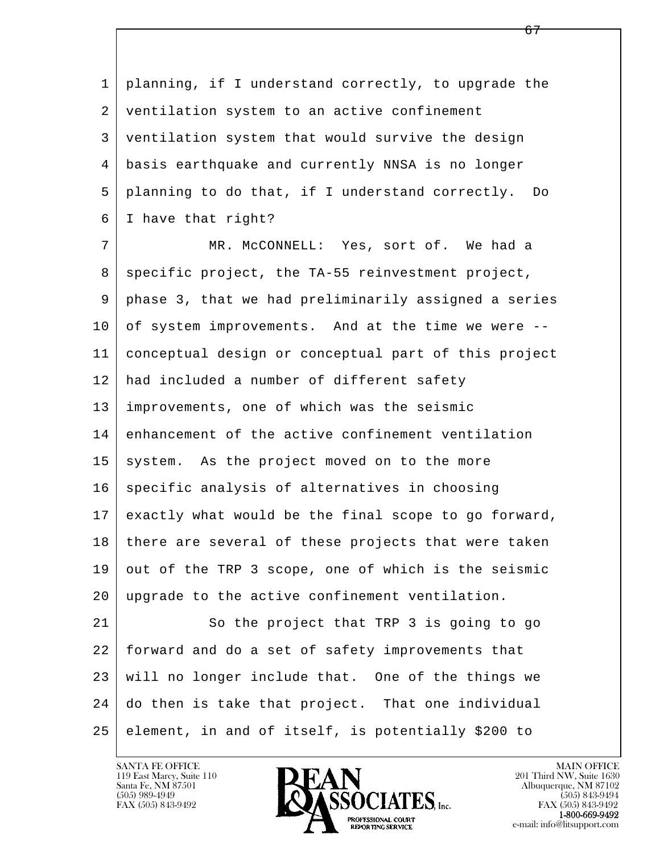l  $\overline{\phantom{a}}$  1 planning, if I understand correctly, to upgrade the 2 ventilation system to an active confinement 3 ventilation system that would survive the design 4 basis earthquake and currently NNSA is no longer 5 planning to do that, if I understand correctly. Do 6 I have that right? 7 MR. McCONNELL: Yes, sort of. We had a 8 | specific project, the TA-55 reinvestment project, 9 phase 3, that we had preliminarily assigned a series 10 of system improvements. And at the time we were -- 11 conceptual design or conceptual part of this project 12 had included a number of different safety 13 improvements, one of which was the seismic 14 enhancement of the active confinement ventilation  $15$  system. As the project moved on to the more 16 specific analysis of alternatives in choosing 17 exactly what would be the final scope to go forward, 18 there are several of these projects that were taken 19 out of the TRP 3 scope, one of which is the seismic 20 upgrade to the active confinement ventilation. 21 So the project that TRP 3 is going to go 22 forward and do a set of safety improvements that 23 will no longer include that. One of the things we 24 do then is take that project. That one individual 25 element, in and of itself, is potentially \$200 to

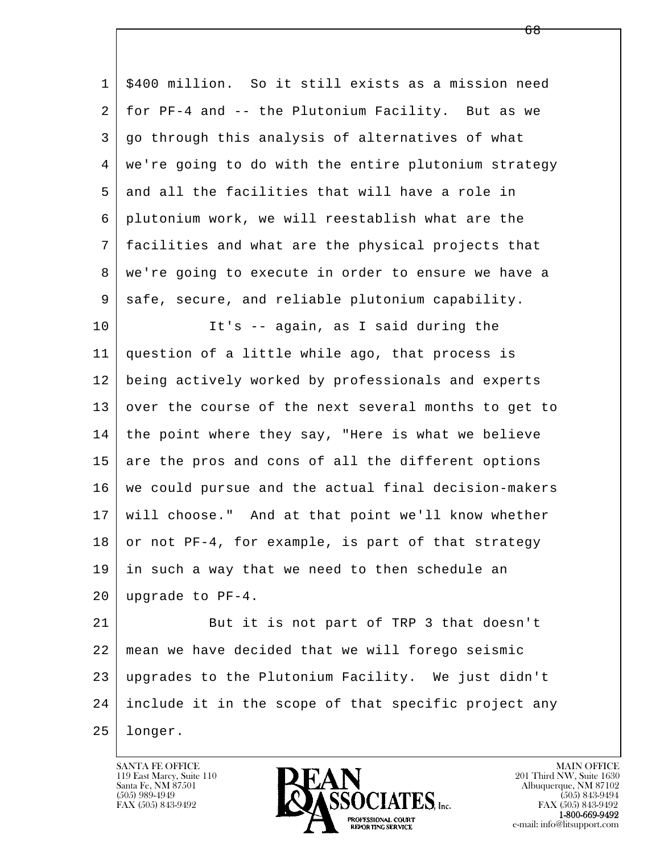l 1 \$400 million. So it still exists as a mission need 2 for PF-4 and -- the Plutonium Facility. But as we 3 go through this analysis of alternatives of what 4 | we're going to do with the entire plutonium strategy 5 and all the facilities that will have a role in 6 plutonium work, we will reestablish what are the 7 facilities and what are the physical projects that 8 | we're going to execute in order to ensure we have a 9 safe, secure, and reliable plutonium capability. 10 It's -- again, as I said during the 11 question of a little while ago, that process is 12 being actively worked by professionals and experts 13 over the course of the next several months to get to 14 the point where they say, "Here is what we believe 15 are the pros and cons of all the different options 16 we could pursue and the actual final decision-makers 17 will choose." And at that point we'll know whether  $18$  or not PF-4, for example, is part of that strategy 19 in such a way that we need to then schedule an 20 upgrade to PF-4. 21 But it is not part of TRP 3 that doesn't 22 mean we have decided that we will forego seismic 23 upgrades to the Plutonium Facility. We just didn't 24 include it in the scope of that specific project any

25 longer.

 $\overline{\phantom{a}}$ 

119 East Marcy, Suite 110<br>Santa Fe, NM 87501

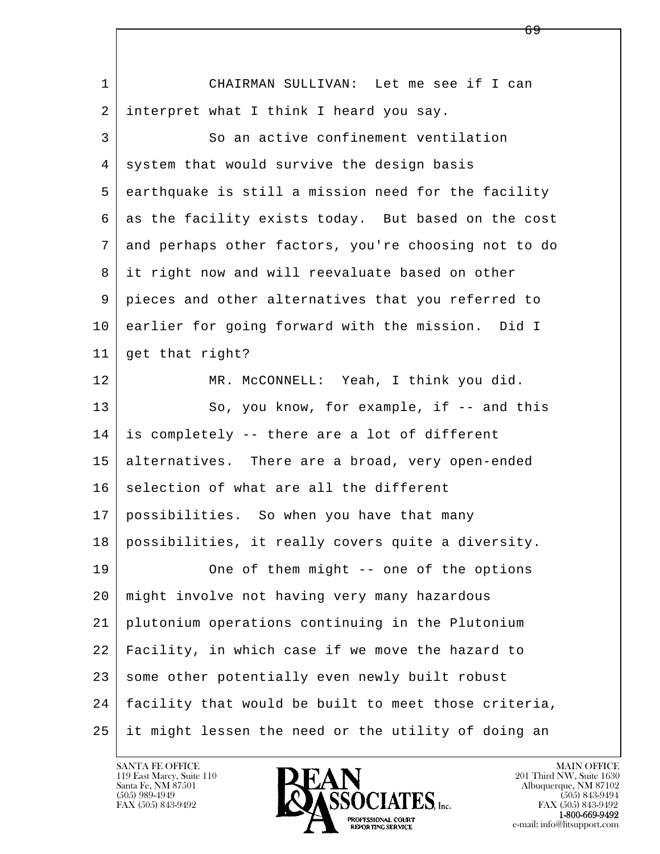| $\mathbf 1$     | CHAIRMAN SULLIVAN: Let me see if I can               |
|-----------------|------------------------------------------------------|
| 2               | interpret what I think I heard you say.              |
| 3               | So an active confinement ventilation                 |
| 4               | system that would survive the design basis           |
| 5               | earthquake is still a mission need for the facility  |
| 6               | as the facility exists today. But based on the cost  |
| 7               | and perhaps other factors, you're choosing not to do |
| 8               | it right now and will reevaluate based on other      |
| 9               | pieces and other alternatives that you referred to   |
| 10 <sub>o</sub> | earlier for going forward with the mission. Did I    |
| 11              | get that right?                                      |
| 12              | MR. McCONNELL: Yeah, I think you did.                |
| 13              | So, you know, for example, if -- and this            |
| 14              | is completely -- there are a lot of different        |
| 15              | alternatives. There are a broad, very open-ended     |
| 16              | selection of what are all the different              |
| 17              | possibilities. So when you have that many            |
| 18              | possibilities, it really covers quite a diversity.   |
| 19              | One of them might -- one of the options              |
| 20              | might involve not having very many hazardous         |
| 21              | plutonium operations continuing in the Plutonium     |
| 22              | Facility, in which case if we move the hazard to     |
| 23              | some other potentially even newly built robust       |
| 24              | facility that would be built to meet those criteria, |
| 25              | it might lessen the need or the utility of doing an  |

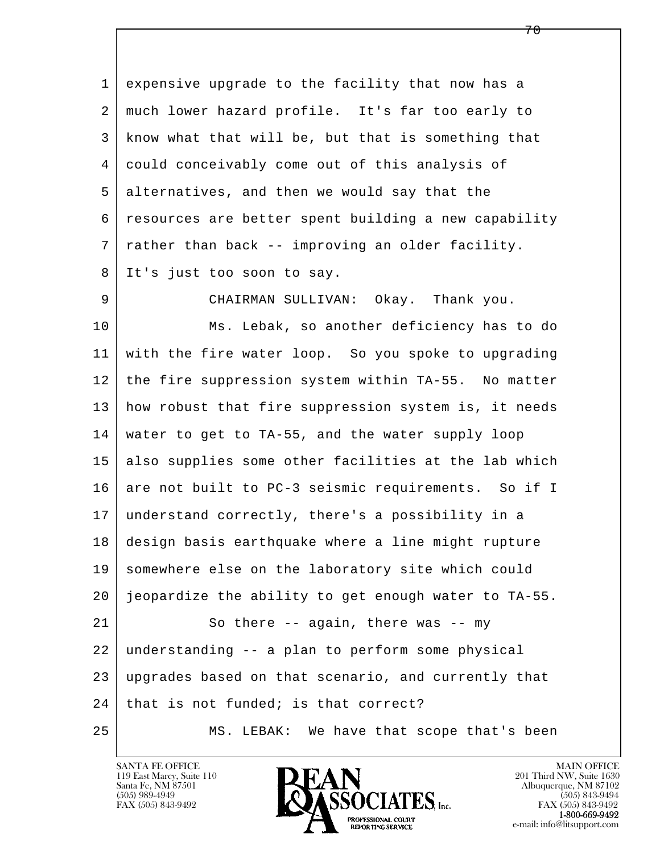1 expensive upgrade to the facility that now has a 2 much lower hazard profile. It's far too early to 3 know what that will be, but that is something that 4 could conceivably come out of this analysis of 5 alternatives, and then we would say that the 6 resources are better spent building a new capability 7 rather than back -- improving an older facility. 8 It's just too soon to say.

9 CHAIRMAN SULLIVAN: Okay. Thank you.

l  $\overline{\phantom{a}}$  10 Ms. Lebak, so another deficiency has to do 11 with the fire water loop. So you spoke to upgrading 12 the fire suppression system within TA-55. No matter 13 how robust that fire suppression system is, it needs 14 water to get to TA-55, and the water supply loop 15 also supplies some other facilities at the lab which 16 are not built to PC-3 seismic requirements. So if I 17 understand correctly, there's a possibility in a 18 design basis earthquake where a line might rupture 19 somewhere else on the laboratory site which could 20 jeopardize the ability to get enough water to TA-55. 21 So there -- again, there was -- my 22 understanding -- a plan to perform some physical 23 upgrades based on that scenario, and currently that  $24$  that is not funded; is that correct? 25 MS. LEBAK: We have that scope that's been

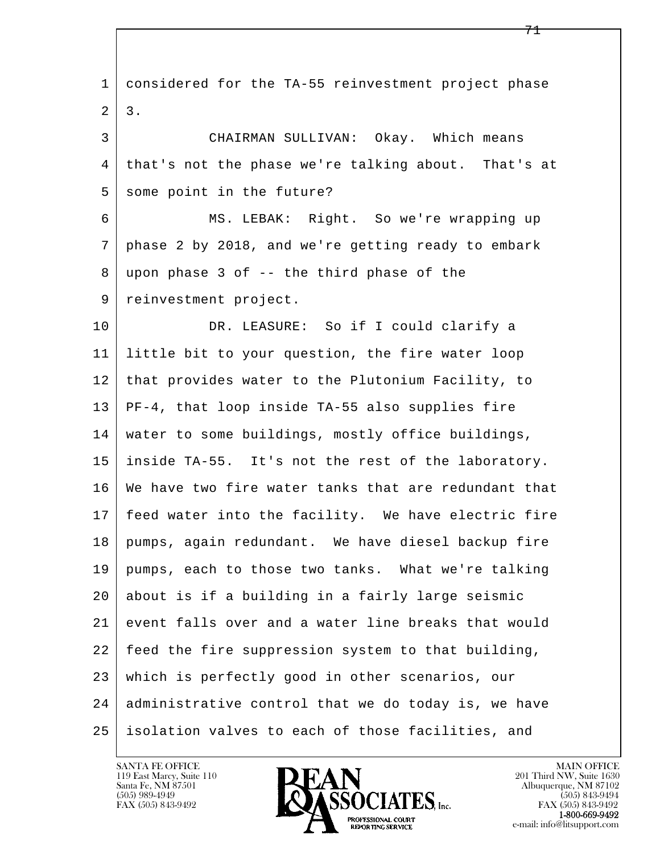l  $\overline{\phantom{a}}$  1 considered for the TA-55 reinvestment project phase  $2 \mid 3$ . 3 CHAIRMAN SULLIVAN: Okay. Which means 4 that's not the phase we're talking about. That's at 5 some point in the future? 6 MS. LEBAK: Right. So we're wrapping up 7 phase 2 by 2018, and we're getting ready to embark 8 upon phase 3 of -- the third phase of the 9 | reinvestment project. 10 DR. LEASURE: So if I could clarify a 11 little bit to your question, the fire water loop 12 that provides water to the Plutonium Facility, to 13 PF-4, that loop inside TA-55 also supplies fire 14 water to some buildings, mostly office buildings, 15 inside TA-55. It's not the rest of the laboratory. 16 We have two fire water tanks that are redundant that 17 feed water into the facility. We have electric fire 18 pumps, again redundant. We have diesel backup fire 19 pumps, each to those two tanks. What we're talking 20 about is if a building in a fairly large seismic 21 event falls over and a water line breaks that would 22 feed the fire suppression system to that building, 23 which is perfectly good in other scenarios, our 24 administrative control that we do today is, we have 25 isolation valves to each of those facilities, and

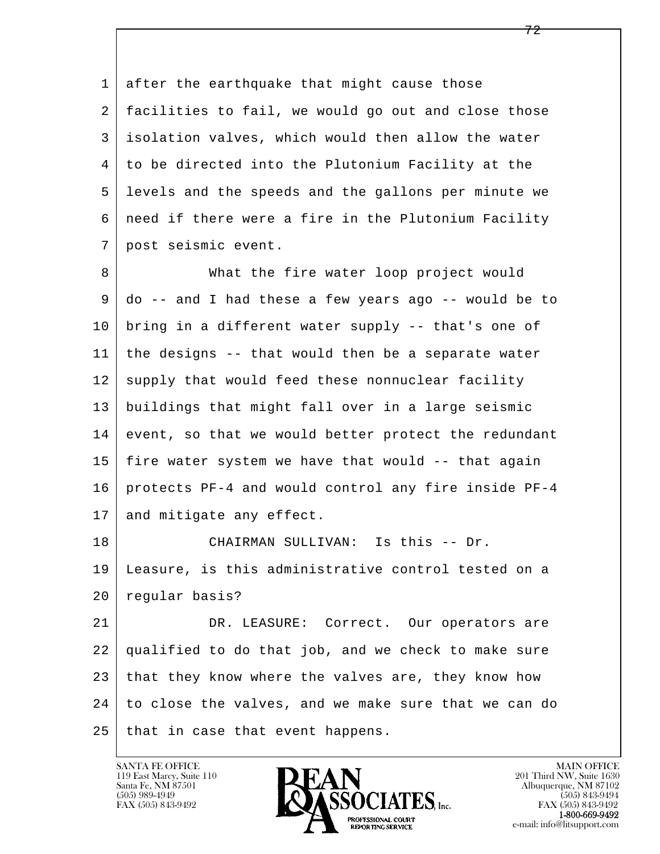l  $\overline{\phantom{a}}$  1 after the earthquake that might cause those 2 facilities to fail, we would go out and close those 3 isolation valves, which would then allow the water 4 to be directed into the Plutonium Facility at the 5 levels and the speeds and the gallons per minute we 6 need if there were a fire in the Plutonium Facility 7 post seismic event. 8 What the fire water loop project would 9 do -- and I had these a few years ago -- would be to 10 bring in a different water supply -- that's one of 11 the designs -- that would then be a separate water 12 supply that would feed these nonnuclear facility 13 buildings that might fall over in a large seismic 14 event, so that we would better protect the redundant 15 fire water system we have that would -- that again 16 protects PF-4 and would control any fire inside PF-4 17 and mitigate any effect. 18 CHAIRMAN SULLIVAN: Is this -- Dr. 19 Leasure, is this administrative control tested on a 20 regular basis? 21 DR. LEASURE: Correct. Our operators are 22 qualified to do that job, and we check to make sure 23 that they know where the valves are, they know how 24 to close the valves, and we make sure that we can do  $25$  that in case that event happens.

119 East Marcy, Suite 110<br>Santa Fe, NM 87501

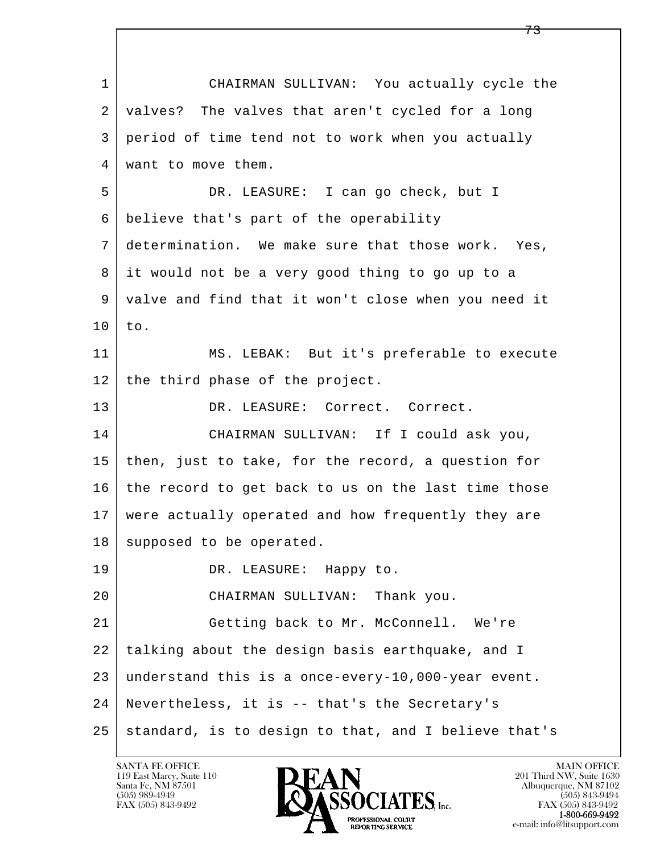l  $\overline{\phantom{a}}$  1 CHAIRMAN SULLIVAN: You actually cycle the 2 | valves? The valves that aren't cycled for a long 3 period of time tend not to work when you actually 4 want to move them. 5 DR. LEASURE: I can go check, but I 6 believe that's part of the operability 7 determination. We make sure that those work. Yes, 8 it would not be a very good thing to go up to a 9 valve and find that it won't close when you need it 10 to. 11 MS. LEBAK: But it's preferable to execute 12 the third phase of the project. 13 DR. LEASURE: Correct. Correct. 14 CHAIRMAN SULLIVAN: If I could ask you, 15 then, just to take, for the record, a question for 16 the record to get back to us on the last time those 17 were actually operated and how frequently they are 18 | supposed to be operated. 19 DR. LEASURE: Happy to. 20 CHAIRMAN SULLIVAN: Thank you. 21 Getting back to Mr. McConnell. We're 22 talking about the design basis earthquake, and I 23 understand this is a once-every-10,000-year event. 24 Nevertheless, it is -- that's the Secretary's  $25$  standard, is to design to that, and I believe that's

119 East Marcy, Suite 110<br>Santa Fe, NM 87501

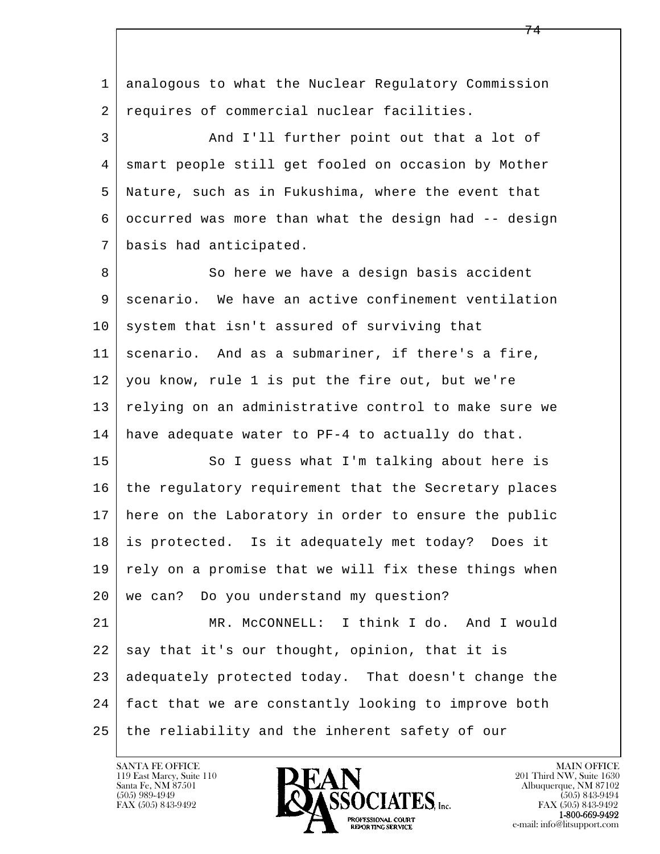l  $\overline{\phantom{a}}$  1 analogous to what the Nuclear Regulatory Commission 2 requires of commercial nuclear facilities. 3 And I'll further point out that a lot of 4 smart people still get fooled on occasion by Mother 5 Nature, such as in Fukushima, where the event that 6 occurred was more than what the design had -- design 7 basis had anticipated. 8 So here we have a design basis accident 9 scenario. We have an active confinement ventilation  $10$  system that isn't assured of surviving that 11 scenario. And as a submariner, if there's a fire, 12 you know, rule 1 is put the fire out, but we're 13 relying on an administrative control to make sure we 14 have adequate water to PF-4 to actually do that. 15 | So I guess what I'm talking about here is 16 the regulatory requirement that the Secretary places 17 here on the Laboratory in order to ensure the public 18 is protected. Is it adequately met today? Does it  $19$  rely on a promise that we will fix these things when 20 | we can? Do you understand my question? 21 | MR. McCONNELL: I think I do. And I would  $22$  say that it's our thought, opinion, that it is 23 adequately protected today. That doesn't change the 24 fact that we are constantly looking to improve both 25 | the reliability and the inherent safety of our

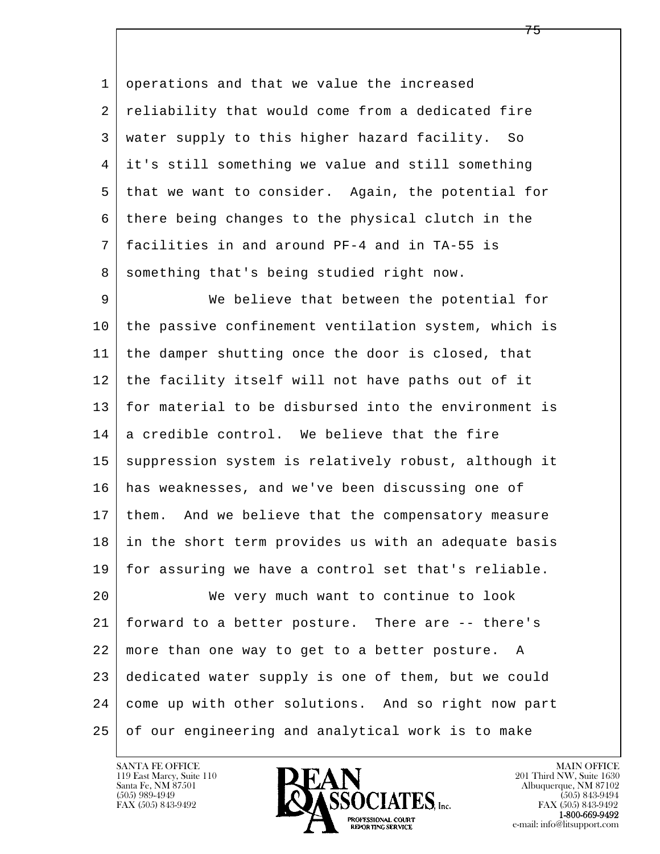1 operations and that we value the increased 2 reliability that would come from a dedicated fire 3 water supply to this higher hazard facility. So 4 it's still something we value and still something 5 that we want to consider. Again, the potential for 6 there being changes to the physical clutch in the 7 facilities in and around PF-4 and in TA-55 is 8 something that's being studied right now.

9 We believe that between the potential for 10 the passive confinement ventilation system, which is 11 the damper shutting once the door is closed, that 12 the facility itself will not have paths out of it 13 for material to be disbursed into the environment is  $14$  a credible control. We believe that the fire 15 | suppression system is relatively robust, although it 16 has weaknesses, and we've been discussing one of 17 them. And we believe that the compensatory measure 18 in the short term provides us with an adequate basis 19 for assuring we have a control set that's reliable. 20 We very much want to continue to look

l  $\overline{\phantom{a}}$  21 forward to a better posture. There are -- there's 22 more than one way to get to a better posture. A 23 dedicated water supply is one of them, but we could 24 come up with other solutions. And so right now part 25 of our engineering and analytical work is to make

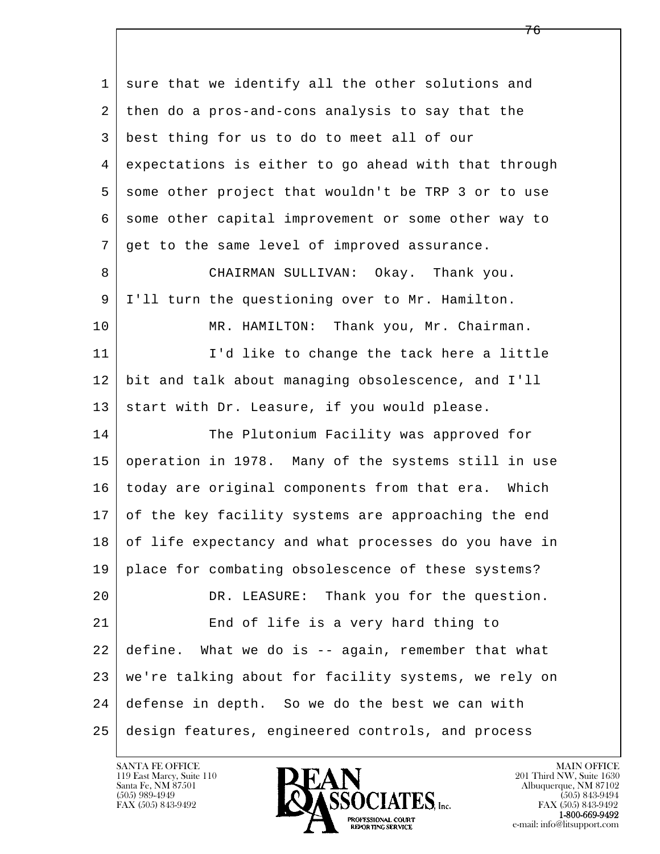l  $\overline{\phantom{a}}$ 1 sure that we identify all the other solutions and 2 then do a pros-and-cons analysis to say that the 3 best thing for us to do to meet all of our 4 expectations is either to go ahead with that through 5 some other project that wouldn't be TRP 3 or to use 6 some other capital improvement or some other way to 7 get to the same level of improved assurance. 8 CHAIRMAN SULLIVAN: Okay. Thank you. 9 I'll turn the questioning over to Mr. Hamilton. 10 MR. HAMILTON: Thank you, Mr. Chairman. 11 | I'd like to change the tack here a little 12 bit and talk about managing obsolescence, and I'll 13 start with Dr. Leasure, if you would please. 14 The Plutonium Facility was approved for 15 operation in 1978. Many of the systems still in use 16 today are original components from that era. Which 17 of the key facility systems are approaching the end 18 of life expectancy and what processes do you have in 19 | place for combating obsolescence of these systems? 20 DR. LEASURE: Thank you for the question. 21 End of life is a very hard thing to 22 define. What we do is -- again, remember that what 23 we're talking about for facility systems, we rely on 24 defense in depth. So we do the best we can with 25 design features, engineered controls, and process

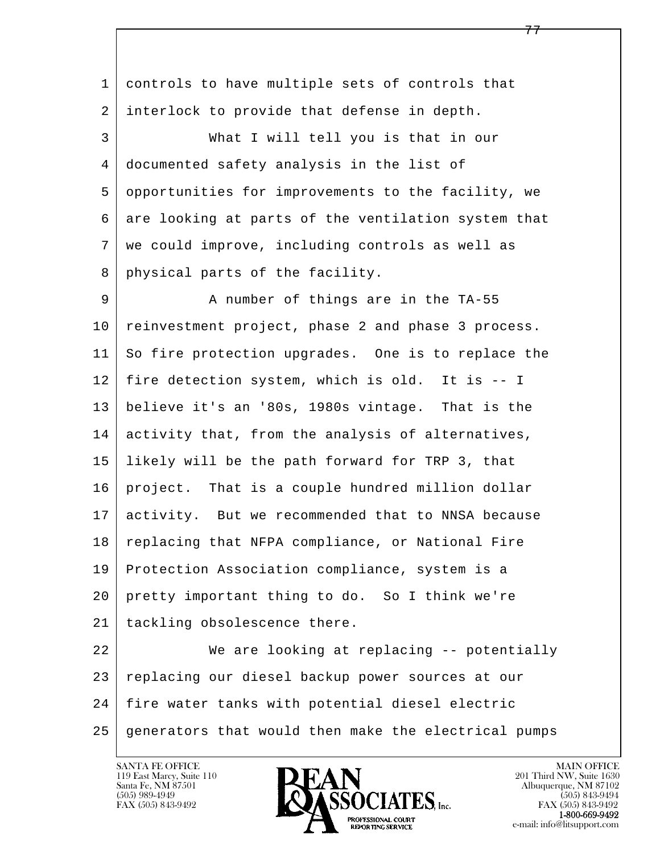l  $\overline{\phantom{a}}$  1 controls to have multiple sets of controls that 2 interlock to provide that defense in depth. 3 What I will tell you is that in our 4 documented safety analysis in the list of 5 opportunities for improvements to the facility, we 6 are looking at parts of the ventilation system that 7 we could improve, including controls as well as 8 physical parts of the facility. 9 A number of things are in the TA-55 10 | reinvestment project, phase 2 and phase 3 process. 11 So fire protection upgrades. One is to replace the 12 fire detection system, which is old. It is -- I 13 believe it's an '80s, 1980s vintage. That is the 14 activity that, from the analysis of alternatives, 15 likely will be the path forward for TRP 3, that 16 project. That is a couple hundred million dollar 17 activity. But we recommended that to NNSA because 18 | replacing that NFPA compliance, or National Fire 19 Protection Association compliance, system is a 20 pretty important thing to do. So I think we're 21 | tackling obsolescence there. 22 We are looking at replacing -- potentially 23 | replacing our diesel backup power sources at our 24 fire water tanks with potential diesel electric 25 generators that would then make the electrical pumps

119 East Marcy, Suite 110<br>Santa Fe, NM 87501

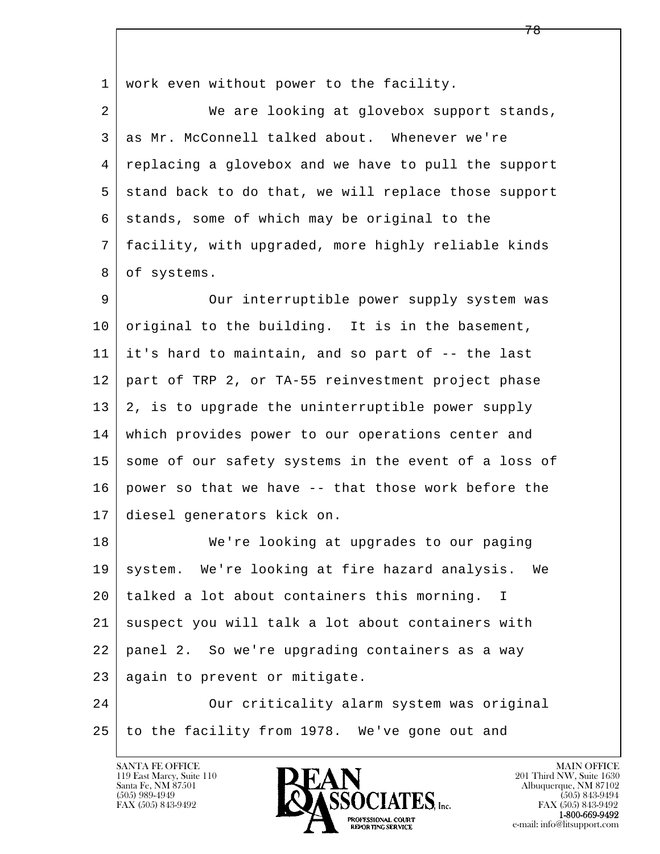l  $\overline{\phantom{a}}$  1 work even without power to the facility. 2 | We are looking at glovebox support stands, 3 as Mr. McConnell talked about. Whenever we're 4 replacing a glovebox and we have to pull the support 5 stand back to do that, we will replace those support  $6$  stands, some of which may be original to the 7 facility, with upgraded, more highly reliable kinds 8 of systems. 9 Our interruptible power supply system was  $10$  original to the building. It is in the basement,  $11$  it's hard to maintain, and so part of  $-$ - the last 12 part of TRP 2, or TA-55 reinvestment project phase 13 2, is to upgrade the uninterruptible power supply 14 which provides power to our operations center and 15 some of our safety systems in the event of a loss of 16 power so that we have -- that those work before the 17 diesel generators kick on. 18 We're looking at upgrades to our paging 19 | system. We're looking at fire hazard analysis. We 20 talked a lot about containers this morning. I 21 suspect you will talk a lot about containers with 22 panel 2. So we're upgrading containers as a way 23 | again to prevent or mitigate. 24 Our criticality alarm system was original 25 to the facility from 1978. We've gone out and

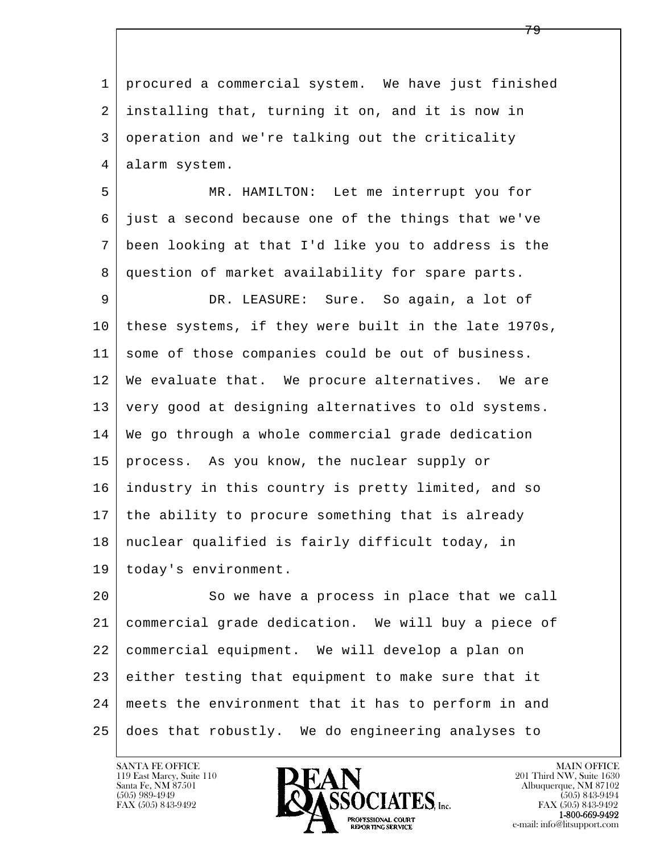l  $\overline{\phantom{a}}$  1 procured a commercial system. We have just finished 2 installing that, turning it on, and it is now in 3 operation and we're talking out the criticality 4 alarm system. 5 MR. HAMILTON: Let me interrupt you for 6 just a second because one of the things that we've 7 been looking at that I'd like you to address is the 8 question of market availability for spare parts. 9 DR. LEASURE: Sure. So again, a lot of 10 these systems, if they were built in the late 1970s, 11 some of those companies could be out of business. 12 We evaluate that. We procure alternatives. We are 13 very good at designing alternatives to old systems. 14 We go through a whole commercial grade dedication 15 process. As you know, the nuclear supply or 16 industry in this country is pretty limited, and so 17 the ability to procure something that is already 18 nuclear qualified is fairly difficult today, in 19 | today's environment. 20 So we have a process in place that we call 21 commercial grade dedication. We will buy a piece of 22 commercial equipment. We will develop a plan on 23 either testing that equipment to make sure that it 24 meets the environment that it has to perform in and 25 does that robustly. We do engineering analyses to

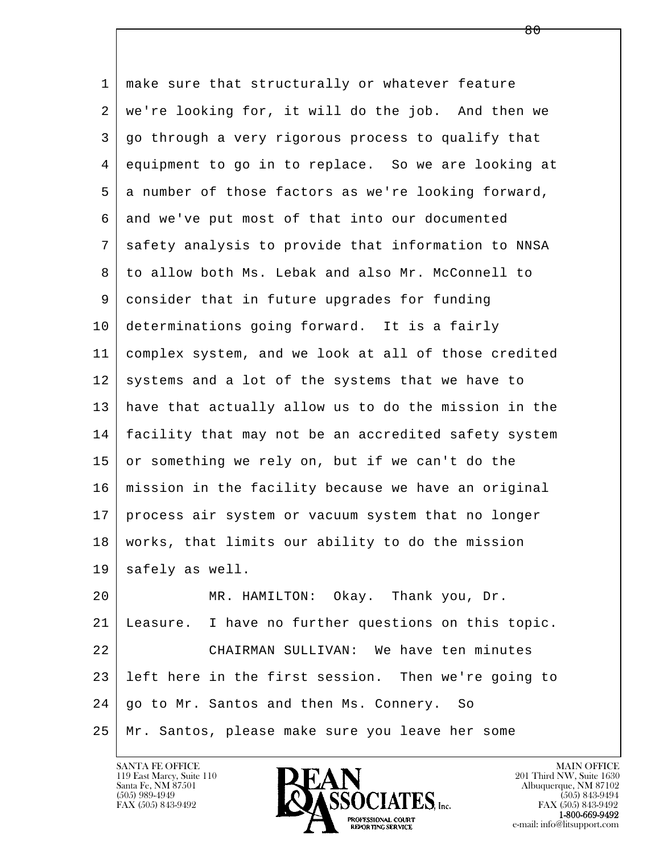l  $\overline{\phantom{a}}$ 1 make sure that structurally or whatever feature 2 we're looking for, it will do the job. And then we 3 go through a very rigorous process to qualify that 4 equipment to go in to replace. So we are looking at 5 a number of those factors as we're looking forward, 6 and we've put most of that into our documented 7 safety analysis to provide that information to NNSA 8 to allow both Ms. Lebak and also Mr. McConnell to 9 consider that in future upgrades for funding 10 determinations going forward. It is a fairly 11 complex system, and we look at all of those credited  $12$  systems and a lot of the systems that we have to 13 have that actually allow us to do the mission in the 14 facility that may not be an accredited safety system  $15$  or something we rely on, but if we can't do the 16 mission in the facility because we have an original 17 process air system or vacuum system that no longer 18 works, that limits our ability to do the mission 19 safely as well. 20 MR. HAMILTON: Okay. Thank you, Dr. 21 Leasure. I have no further questions on this topic. 22 CHAIRMAN SULLIVAN: We have ten minutes 23 left here in the first session. Then we're going to 24 | go to Mr. Santos and then Ms. Connery. So 25 Mr. Santos, please make sure you leave her some

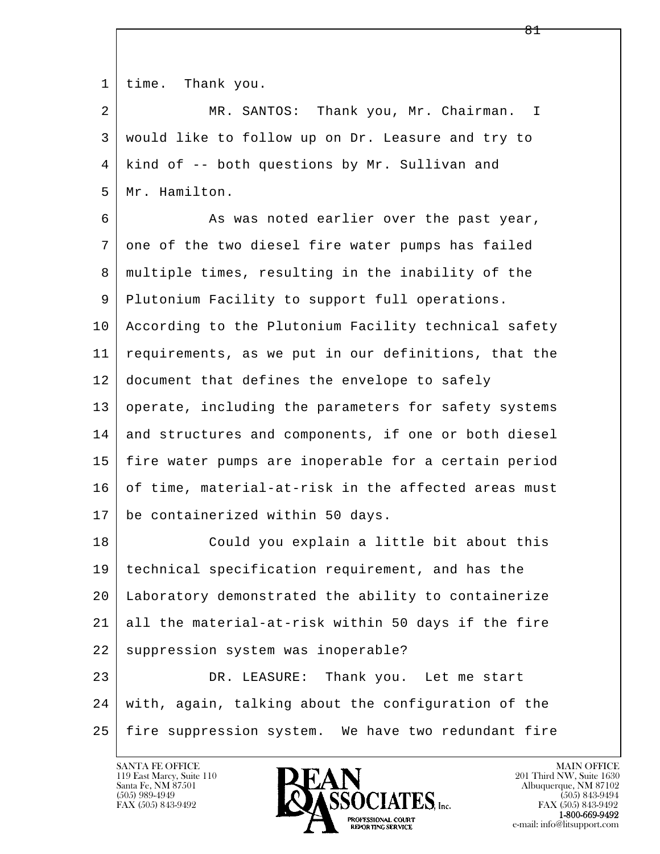1 | time. Thank you.

 2 MR. SANTOS: Thank you, Mr. Chairman. I 3 would like to follow up on Dr. Leasure and try to 4 kind of -- both questions by Mr. Sullivan and 5 Mr. Hamilton.

6 As was noted earlier over the past year, 7 one of the two diesel fire water pumps has failed 8 multiple times, resulting in the inability of the 9 | Plutonium Facility to support full operations. 10 According to the Plutonium Facility technical safety 11 requirements, as we put in our definitions, that the 12 document that defines the envelope to safely 13 operate, including the parameters for safety systems 14 and structures and components, if one or both diesel 15 fire water pumps are inoperable for a certain period 16 of time, material-at-risk in the affected areas must 17 be containerized within 50 days.

18 Could you explain a little bit about this 19 technical specification requirement, and has the 20 Laboratory demonstrated the ability to containerize 21 all the material-at-risk within 50 days if the fire 22 suppression system was inoperable? 23 DR. LEASURE: Thank you. Let me start

l  $\overline{\phantom{a}}$  24 with, again, talking about the configuration of the 25 fire suppression system. We have two redundant fire

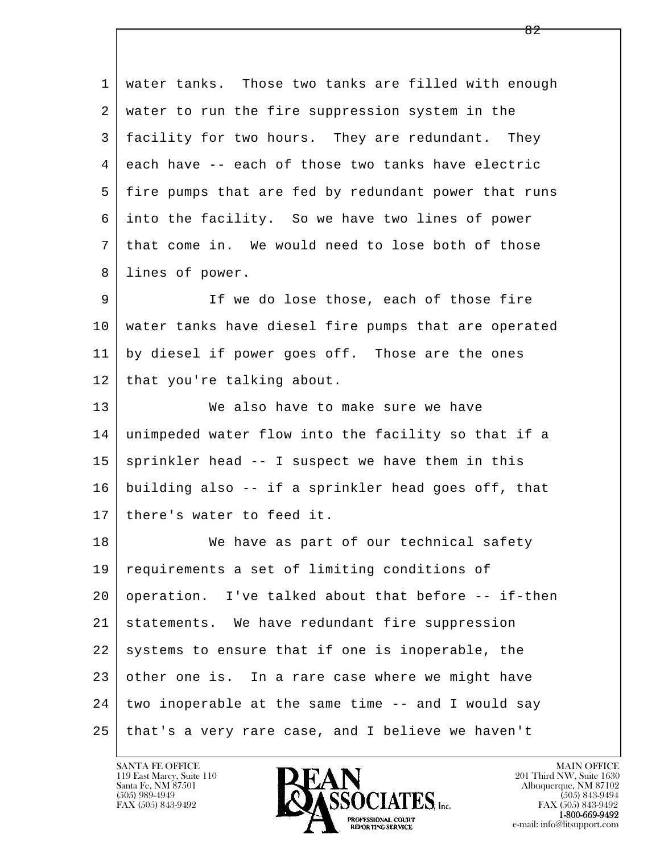| $\mathbf{1}$ | water tanks. Those two tanks are filled with enough  |
|--------------|------------------------------------------------------|
| 2            | water to run the fire suppression system in the      |
| 3            | facility for two hours. They are redundant. They     |
| 4            | each have -- each of those two tanks have electric   |
| 5            | fire pumps that are fed by redundant power that runs |
| 6            | into the facility. So we have two lines of power     |
| 7            | that come in. We would need to lose both of those    |
| 8            | lines of power.                                      |
| 9            | If we do lose those, each of those fire              |
| 10           | water tanks have diesel fire pumps that are operated |
| 11           | by diesel if power goes off. Those are the ones      |
| 12           | that you're talking about.                           |
| 13           | We also have to make sure we have                    |
| 14           | unimpeded water flow into the facility so that if a  |
| 15           | sprinkler head -- I suspect we have them in this     |
| 16           | building also -- if a sprinkler head goes off, that  |
| 17           | there's water to feed it.                            |
| 18           | We have as part of our technical safety              |
| 19           | requirements a set of limiting conditions of         |
| 20           | operation. I've talked about that before -- if-then  |
| 21           | statements. We have redundant fire suppression       |
| 22           | systems to ensure that if one is inoperable, the     |
| 23           | other one is. In a rare case where we might have     |
| 24           | two inoperable at the same time -- and I would say   |
| 25           | that's a very rare case, and I believe we haven't    |

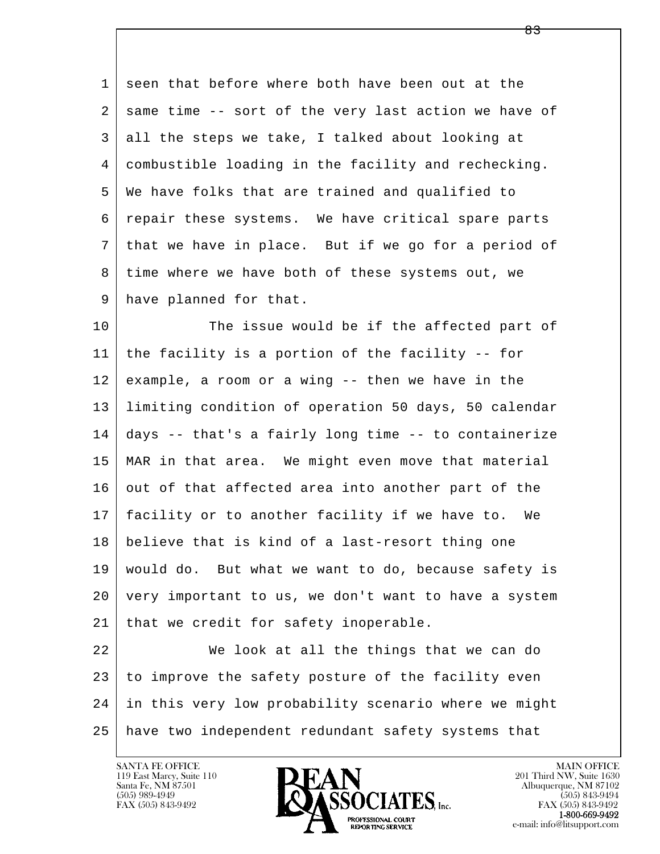1 seen that before where both have been out at the 2 | same time -- sort of the very last action we have of 3 all the steps we take, I talked about looking at 4 combustible loading in the facility and rechecking. 5 We have folks that are trained and qualified to 6 repair these systems. We have critical spare parts 7 that we have in place. But if we go for a period of 8 time where we have both of these systems out, we 9 have planned for that.

10 The issue would be if the affected part of 11 the facility is a portion of the facility -- for 12 example, a room or a wing -- then we have in the 13 limiting condition of operation 50 days, 50 calendar 14 days -- that's a fairly long time -- to containerize 15 MAR in that area. We might even move that material 16 out of that affected area into another part of the 17 facility or to another facility if we have to. We 18 believe that is kind of a last-resort thing one 19 would do. But what we want to do, because safety is 20 very important to us, we don't want to have a system 21 | that we credit for safety inoperable.

l  $\overline{\phantom{a}}$ 22 We look at all the things that we can do 23 to improve the safety posture of the facility even 24 in this very low probability scenario where we might 25 have two independent redundant safety systems that

119 East Marcy, Suite 110<br>Santa Fe, NM 87501

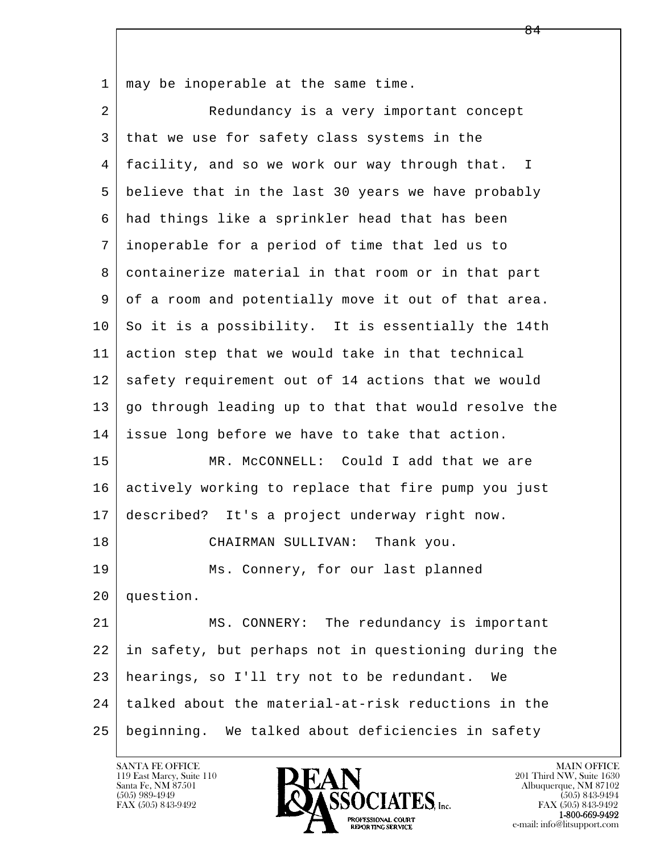1 | may be inoperable at the same time.

l  $\overline{\phantom{a}}$ 2 Redundancy is a very important concept 3 that we use for safety class systems in the 4 facility, and so we work our way through that. I 5 believe that in the last 30 years we have probably 6 had things like a sprinkler head that has been 7 inoperable for a period of time that led us to 8 containerize material in that room or in that part 9 of a room and potentially move it out of that area.  $10$  So it is a possibility. It is essentially the 14th 11 action step that we would take in that technical 12 safety requirement out of 14 actions that we would 13 go through leading up to that that would resolve the 14 issue long before we have to take that action. 15 MR. McCONNELL: Could I add that we are 16 actively working to replace that fire pump you just 17 described? It's a project underway right now. 18 CHAIRMAN SULLIVAN: Thank you. 19 Ms. Connery, for our last planned 20 question. 21 MS. CONNERY: The redundancy is important 22 in safety, but perhaps not in questioning during the 23 hearings, so I'll try not to be redundant. We 24 talked about the material-at-risk reductions in the 25 beginning. We talked about deficiencies in safety

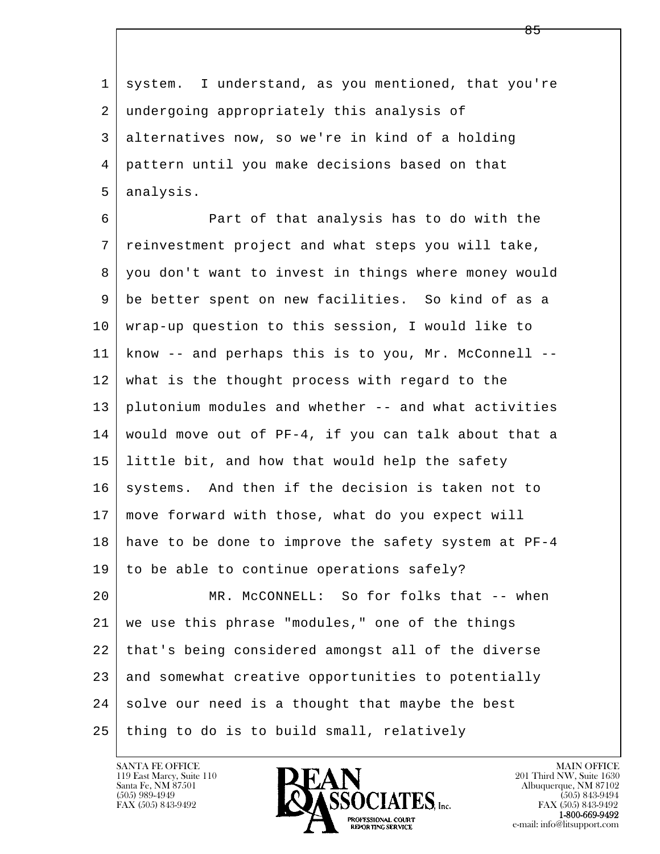l  $\overline{\phantom{a}}$  1 system. I understand, as you mentioned, that you're 2 undergoing appropriately this analysis of 3 alternatives now, so we're in kind of a holding 4 pattern until you make decisions based on that 5 analysis. 6 Part of that analysis has to do with the 7 reinvestment project and what steps you will take, 8 you don't want to invest in things where money would 9 be better spent on new facilities. So kind of as a 10 wrap-up question to this session, I would like to 11 know -- and perhaps this is to you, Mr. McConnell -- 12 what is the thought process with regard to the 13 plutonium modules and whether -- and what activities 14 would move out of PF-4, if you can talk about that a 15 little bit, and how that would help the safety 16 systems. And then if the decision is taken not to 17 move forward with those, what do you expect will 18 have to be done to improve the safety system at PF-4 19 to be able to continue operations safely? 20 MR. McCONNELL: So for folks that -- when 21 we use this phrase "modules," one of the things 22 that's being considered amongst all of the diverse 23 and somewhat creative opportunities to potentially  $24$  solve our need is a thought that maybe the best  $25$  thing to do is to build small, relatively

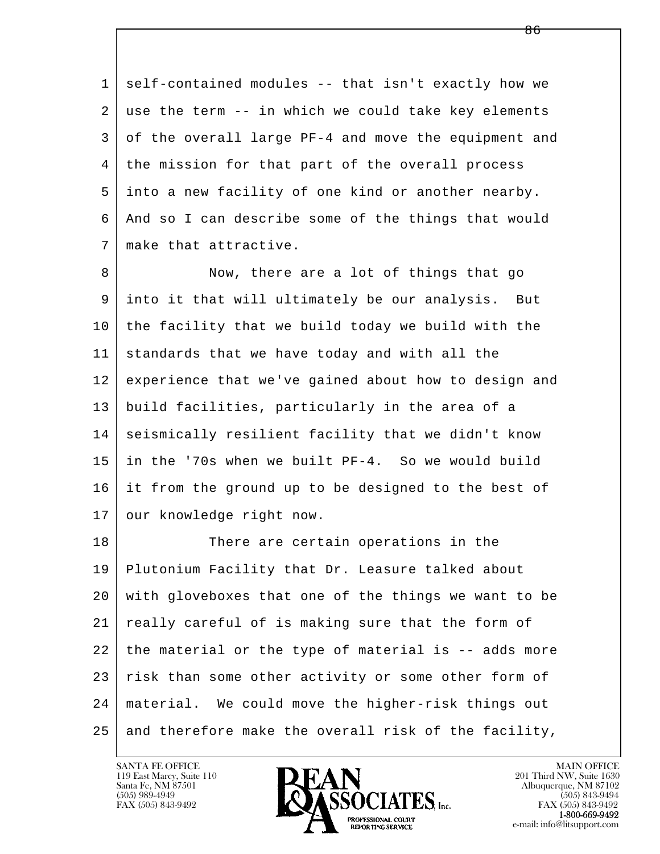1 self-contained modules -- that isn't exactly how we 2 use the term -- in which we could take key elements 3 of the overall large PF-4 and move the equipment and 4 the mission for that part of the overall process 5 into a new facility of one kind or another nearby. 6 And so I can describe some of the things that would 7 make that attractive.

8 Now, there are a lot of things that go 9 into it that will ultimately be our analysis. But 10 the facility that we build today we build with the 11 standards that we have today and with all the 12 experience that we've gained about how to design and 13 build facilities, particularly in the area of a 14 seismically resilient facility that we didn't know 15 in the '70s when we built PF-4. So we would build 16 it from the ground up to be designed to the best of 17 | our knowledge right now.

l  $\overline{\phantom{a}}$ 18 There are certain operations in the 19 Plutonium Facility that Dr. Leasure talked about 20 with gloveboxes that one of the things we want to be 21 really careful of is making sure that the form of 22 the material or the type of material is -- adds more 23 risk than some other activity or some other form of 24 material. We could move the higher-risk things out  $25$  and therefore make the overall risk of the facility,

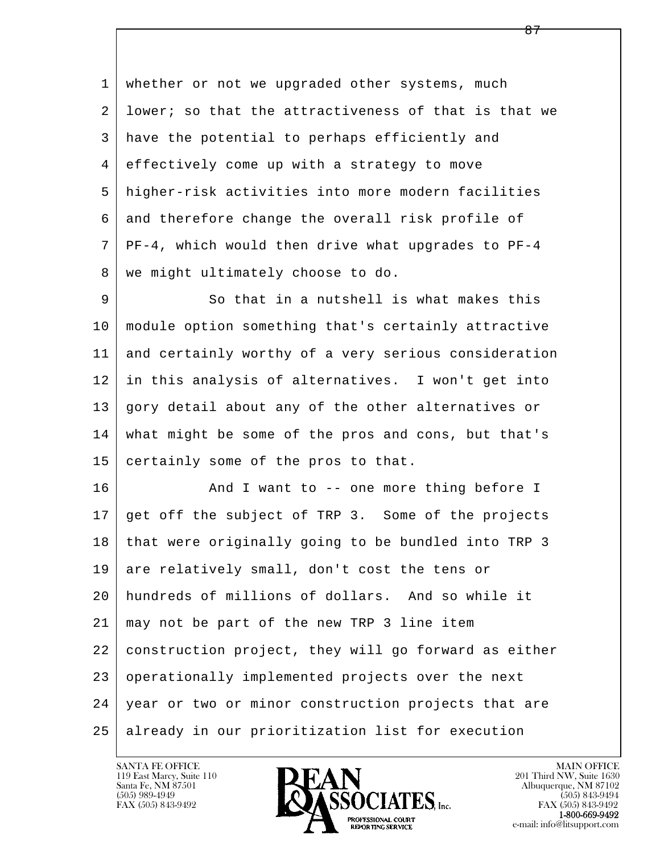1 whether or not we upgraded other systems, much 2 lower; so that the attractiveness of that is that we 3 have the potential to perhaps efficiently and 4 effectively come up with a strategy to move 5 higher-risk activities into more modern facilities 6 and therefore change the overall risk profile of 7 PF-4, which would then drive what upgrades to PF-4 8 | we might ultimately choose to do. 9 So that in a nutshell is what makes this 10 module option something that's certainly attractive

 11 and certainly worthy of a very serious consideration 12 in this analysis of alternatives. I won't get into 13 gory detail about any of the other alternatives or 14 what might be some of the pros and cons, but that's 15 certainly some of the pros to that.

l  $\overline{\phantom{a}}$ 16 And I want to -- one more thing before I 17 get off the subject of TRP 3. Some of the projects 18 that were originally going to be bundled into TRP 3 19 are relatively small, don't cost the tens or 20 hundreds of millions of dollars. And so while it 21 may not be part of the new TRP 3 line item 22 construction project, they will go forward as either 23 operationally implemented projects over the next 24 year or two or minor construction projects that are 25 already in our prioritization list for execution

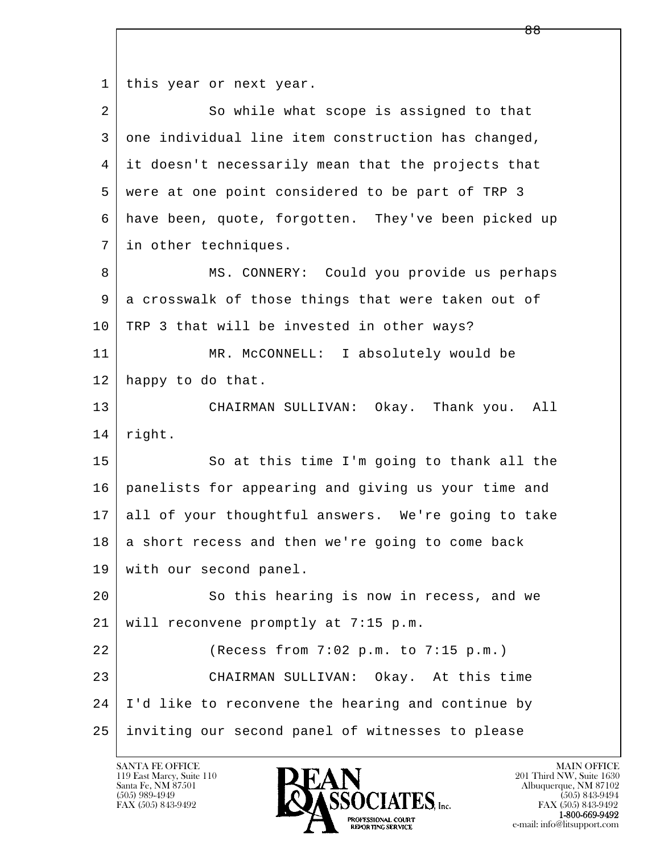1 | this year or next year.

l  $\overline{\phantom{a}}$ 2 So while what scope is assigned to that 3 one individual line item construction has changed, 4 it doesn't necessarily mean that the projects that 5 were at one point considered to be part of TRP 3 6 have been, quote, forgotten. They've been picked up 7 in other techniques. 8 | MS. CONNERY: Could you provide us perhaps 9 a crosswalk of those things that were taken out of 10 | TRP 3 that will be invested in other ways? 11 MR. McCONNELL: I absolutely would be 12 happy to do that. 13 CHAIRMAN SULLIVAN: Okay. Thank you. All 14 | right. 15 | So at this time I'm going to thank all the 16 panelists for appearing and giving us your time and 17 all of your thoughtful answers. We're going to take  $18$  a short recess and then we're going to come back 19 with our second panel. 20 So this hearing is now in recess, and we 21 will reconvene promptly at 7:15 p.m. 22 (Recess from 7:02 p.m. to 7:15 p.m.) 23 CHAIRMAN SULLIVAN: Okay. At this time 24 I'd like to reconvene the hearing and continue by 25 inviting our second panel of witnesses to please

119 East Marcy, Suite 110<br>Santa Fe, NM 87501

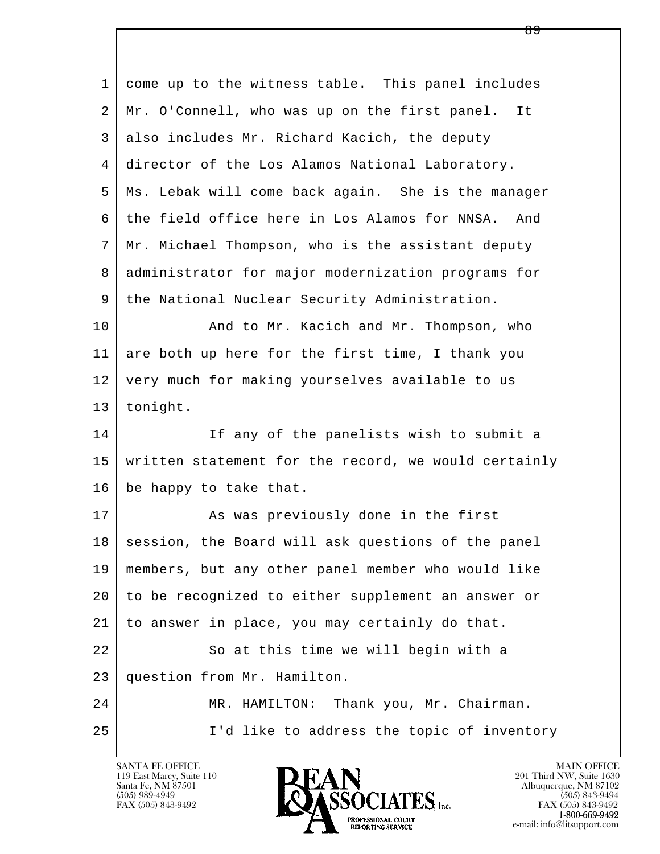| 1  | come up to the witness table. This panel includes    |
|----|------------------------------------------------------|
| 2  | Mr. O'Connell, who was up on the first panel.<br>It  |
| 3  | also includes Mr. Richard Kacich, the deputy         |
| 4  | director of the Los Alamos National Laboratory.      |
| 5  | Ms. Lebak will come back again. She is the manager   |
| 6  | the field office here in Los Alamos for NNSA.<br>And |
| 7  | Mr. Michael Thompson, who is the assistant deputy    |
| 8  | administrator for major modernization programs for   |
| 9  | the National Nuclear Security Administration.        |
| 10 | And to Mr. Kacich and Mr. Thompson, who              |
| 11 | are both up here for the first time, I thank you     |
| 12 | very much for making yourselves available to us      |
| 13 | tonight.                                             |
| 14 | If any of the panelists wish to submit a             |
| 15 | written statement for the record, we would certainly |
| 16 | be happy to take that.                               |
| 17 | As was previously done in the first                  |
| 18 | session, the Board will ask questions of the panel   |
| 19 | members, but any other panel member who would like   |
| 20 | to be recognized to either supplement an answer or   |
| 21 | to answer in place, you may certainly do that.       |
| 22 | So at this time we will begin with a                 |
| 23 | question from Mr. Hamilton.                          |
| 24 | MR. HAMILTON: Thank you, Mr. Chairman.               |
| 25 | I'd like to address the topic of inventory           |

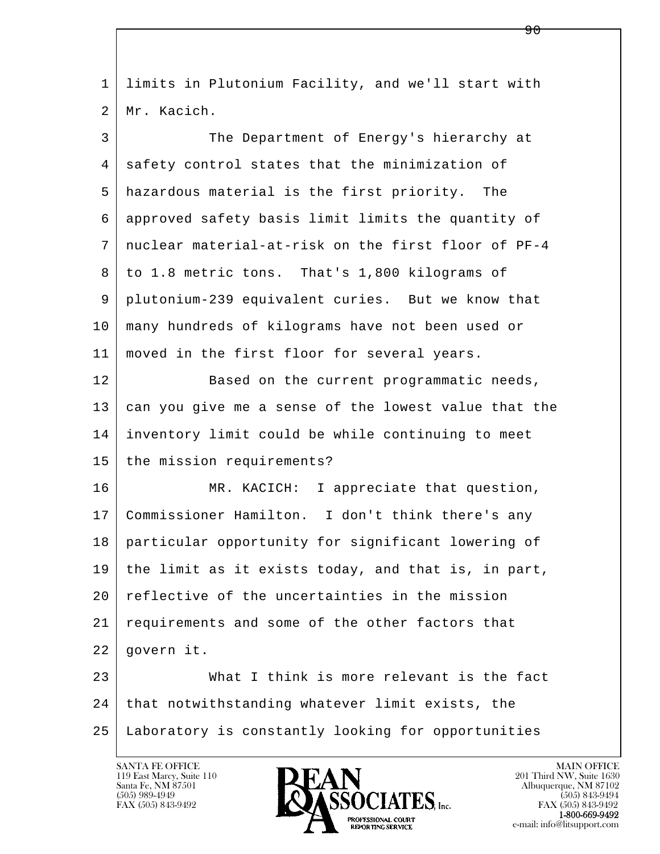| $\mathbf{1}$ | limits in Plutonium Facility, and we'll start with   |
|--------------|------------------------------------------------------|
| 2            | Mr. Kacich.                                          |
| 3            | The Department of Energy's hierarchy at              |
| 4            | safety control states that the minimization of       |
| 5            | hazardous material is the first priority. The        |
| 6            | approved safety basis limit limits the quantity of   |
| 7            | nuclear material-at-risk on the first floor of PF-4  |
| 8            | to 1.8 metric tons. That's 1,800 kilograms of        |
| 9            | plutonium-239 equivalent curies. But we know that    |
| 10           | many hundreds of kilograms have not been used or     |
| 11           | moved in the first floor for several years.          |
| 12           | Based on the current programmatic needs,             |
| 13           | can you give me a sense of the lowest value that the |
| 14           | inventory limit could be while continuing to meet    |
| 15           | the mission requirements?                            |
| 16           | MR. KACICH: I appreciate that question,              |
| 17           | Commissioner Hamilton. I don't think there's any     |
| 18           | particular opportunity for significant lowering of   |
| 19           | the limit as it exists today, and that is, in part,  |
| 20           | reflective of the uncertainties in the mission       |
| 21           | requirements and some of the other factors that      |
| 22           | govern it.                                           |
| 23           | What I think is more relevant is the fact            |
| 24           | that notwithstanding whatever limit exists, the      |
| 25           | Laboratory is constantly looking for opportunities   |

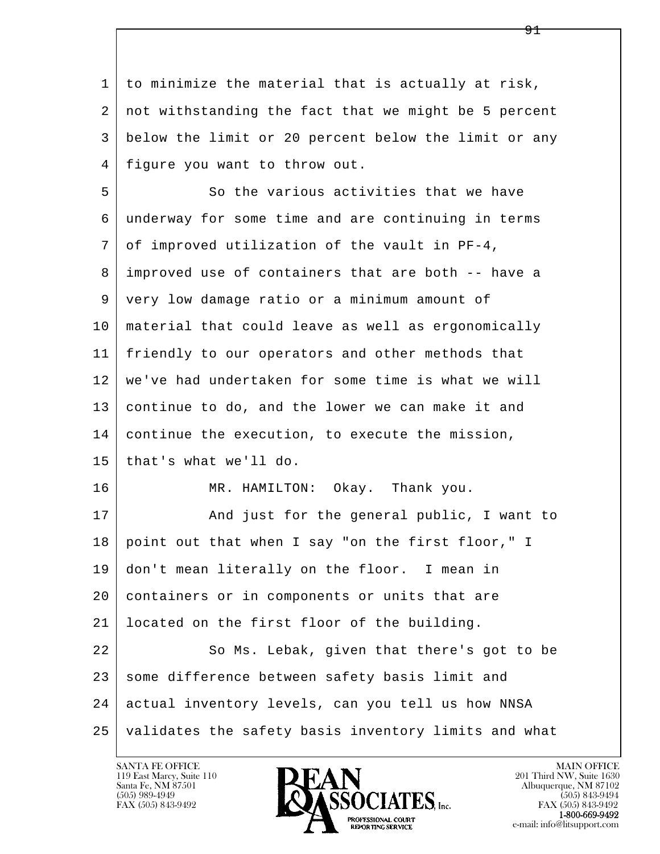1 to minimize the material that is actually at risk, 2 not withstanding the fact that we might be 5 percent 3 below the limit or 20 percent below the limit or any 4 figure you want to throw out.

l  $\overline{\phantom{a}}$ 5 So the various activities that we have 6 underway for some time and are continuing in terms  $7$  of improved utilization of the vault in PF-4, 8 improved use of containers that are both -- have a 9 very low damage ratio or a minimum amount of 10 material that could leave as well as ergonomically 11 friendly to our operators and other methods that 12 we've had undertaken for some time is what we will 13 continue to do, and the lower we can make it and 14 continue the execution, to execute the mission, 15 that's what we'll do. 16 MR. HAMILTON: Okay. Thank you. 17 | And just for the general public, I want to 18 point out that when I say "on the first floor," I 19 don't mean literally on the floor. I mean in 20 containers or in components or units that are 21 located on the first floor of the building. 22 So Ms. Lebak, given that there's got to be 23 some difference between safety basis limit and 24 actual inventory levels, can you tell us how NNSA 25 validates the safety basis inventory limits and what

119 East Marcy, Suite 110<br>Santa Fe, NM 87501

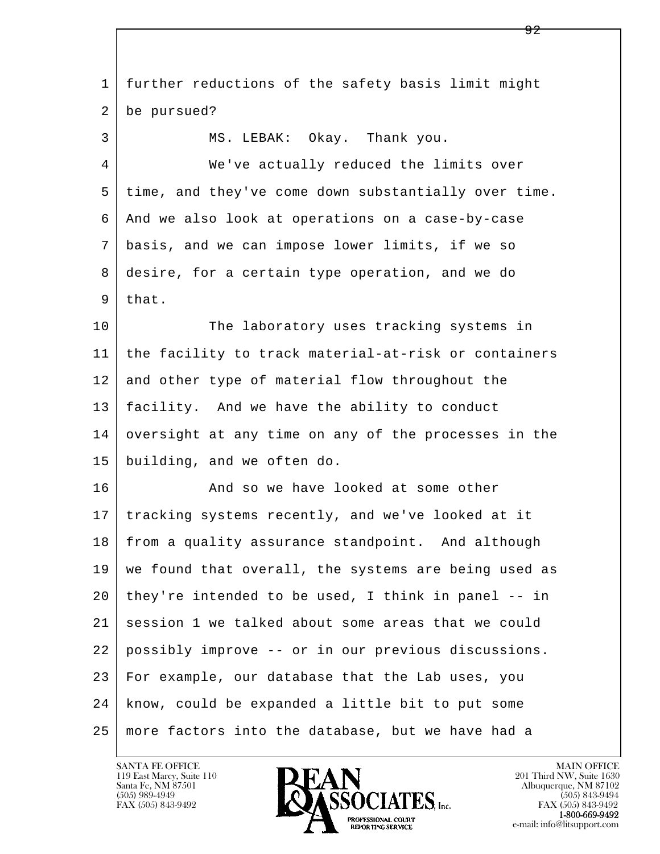l  $\overline{\phantom{a}}$  1 further reductions of the safety basis limit might 2 be pursued? 3 MS. LEBAK: Okay. Thank you. 4 We've actually reduced the limits over 5 time, and they've come down substantially over time. 6 And we also look at operations on a case-by-case 7 basis, and we can impose lower limits, if we so 8 desire, for a certain type operation, and we do  $9$  that. 10 The laboratory uses tracking systems in 11 the facility to track material-at-risk or containers 12 and other type of material flow throughout the 13 facility. And we have the ability to conduct 14 oversight at any time on any of the processes in the 15 building, and we often do. 16 And so we have looked at some other 17 tracking systems recently, and we've looked at it 18 | from a quality assurance standpoint. And although 19 we found that overall, the systems are being used as  $20$  they're intended to be used, I think in panel  $-$ - in 21 session 1 we talked about some areas that we could 22 possibly improve -- or in our previous discussions. 23 For example, our database that the Lab uses, you 24 know, could be expanded a little bit to put some 25 more factors into the database, but we have had a

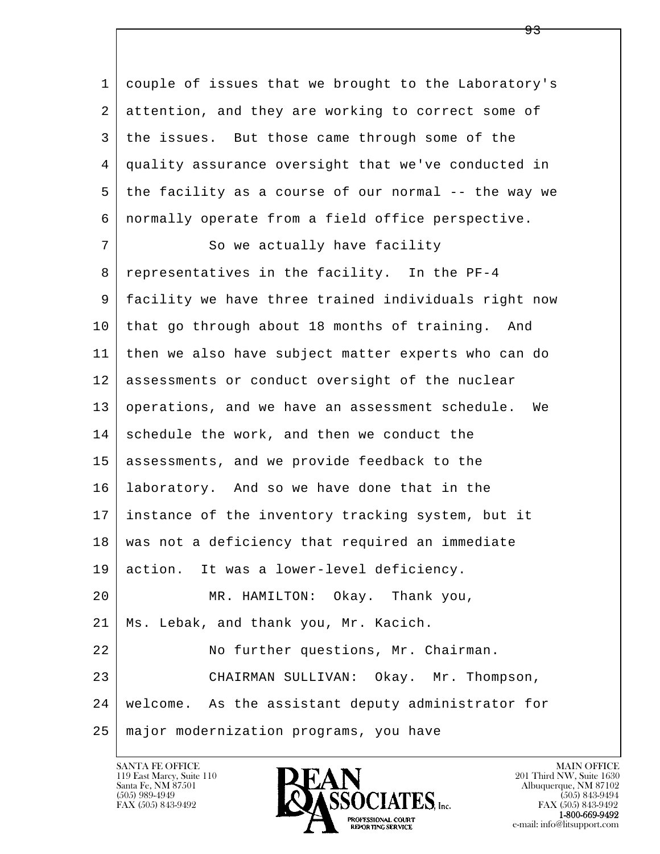l  $\overline{\phantom{a}}$  1 couple of issues that we brought to the Laboratory's 2 attention, and they are working to correct some of 3 the issues. But those came through some of the 4 quality assurance oversight that we've conducted in 5 the facility as a course of our normal -- the way we 6 normally operate from a field office perspective. 7 So we actually have facility 8 representatives in the facility. In the PF-4 9 facility we have three trained individuals right now 10 that go through about 18 months of training. And 11 then we also have subject matter experts who can do 12 assessments or conduct oversight of the nuclear 13 operations, and we have an assessment schedule. We 14 schedule the work, and then we conduct the 15 assessments, and we provide feedback to the 16 laboratory. And so we have done that in the 17 instance of the inventory tracking system, but it 18 | was not a deficiency that required an immediate 19 action. It was a lower-level deficiency. 20 MR. HAMILTON: Okay. Thank you, 21 Ms. Lebak, and thank you, Mr. Kacich. 22 | No further questions, Mr. Chairman. 23 CHAIRMAN SULLIVAN: Okay. Mr. Thompson, 24 welcome. As the assistant deputy administrator for 25 major modernization programs, you have

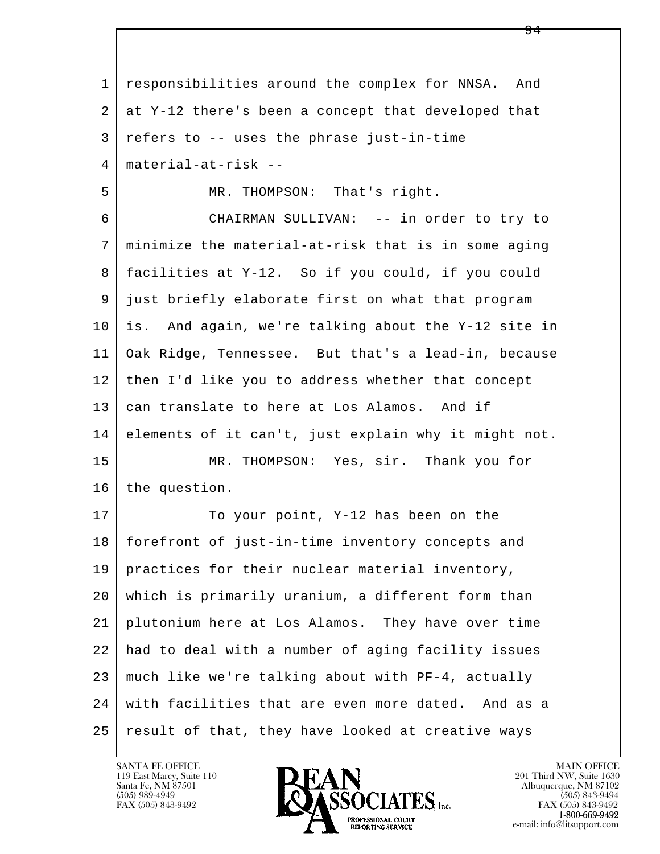l  $\overline{\phantom{a}}$  1 responsibilities around the complex for NNSA. And 2 at Y-12 there's been a concept that developed that  $3$  refers to  $-$  uses the phrase just-in-time 4 material-at-risk -- 5 MR. THOMPSON: That's right. 6 CHAIRMAN SULLIVAN: -- in order to try to 7 minimize the material-at-risk that is in some aging 8 facilities at Y-12. So if you could, if you could 9 just briefly elaborate first on what that program 10 is. And again, we're talking about the Y-12 site in 11 Oak Ridge, Tennessee. But that's a lead-in, because 12 then I'd like you to address whether that concept 13 can translate to here at Los Alamos. And if 14 elements of it can't, just explain why it might not. 15 MR. THOMPSON: Yes, sir. Thank you for 16 the question. 17 To your point, Y-12 has been on the 18 forefront of just-in-time inventory concepts and 19 practices for their nuclear material inventory, 20 which is primarily uranium, a different form than 21 plutonium here at Los Alamos. They have over time 22 had to deal with a number of aging facility issues 23 much like we're talking about with PF-4, actually 24 with facilities that are even more dated. And as a 25 result of that, they have looked at creative ways

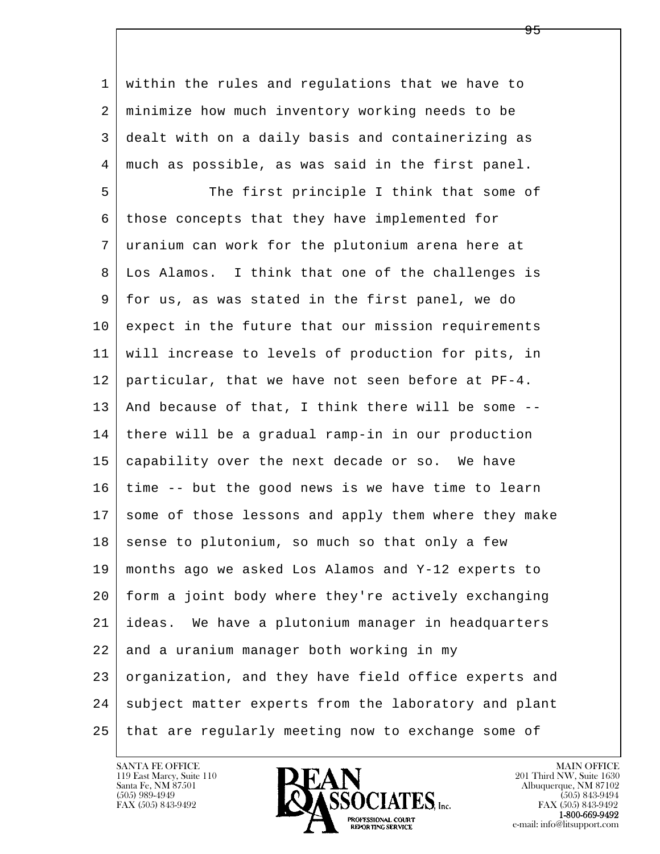1 within the rules and regulations that we have to 2 minimize how much inventory working needs to be 3 dealt with on a daily basis and containerizing as 4 much as possible, as was said in the first panel.

l  $\overline{\phantom{a}}$ 5 The first principle I think that some of 6 those concepts that they have implemented for 7 uranium can work for the plutonium arena here at 8 Los Alamos. I think that one of the challenges is 9 for us, as was stated in the first panel, we do 10 expect in the future that our mission requirements 11 will increase to levels of production for pits, in 12 particular, that we have not seen before at PF-4. 13 And because of that, I think there will be some -- 14 there will be a gradual ramp-in in our production 15 capability over the next decade or so. We have 16 time -- but the good news is we have time to learn 17 some of those lessons and apply them where they make  $18$  sense to plutonium, so much so that only a few 19 months ago we asked Los Alamos and Y-12 experts to 20 form a joint body where they're actively exchanging 21 ideas. We have a plutonium manager in headquarters 22 and a uranium manager both working in my 23 organization, and they have field office experts and 24 subject matter experts from the laboratory and plant 25 that are regularly meeting now to exchange some of

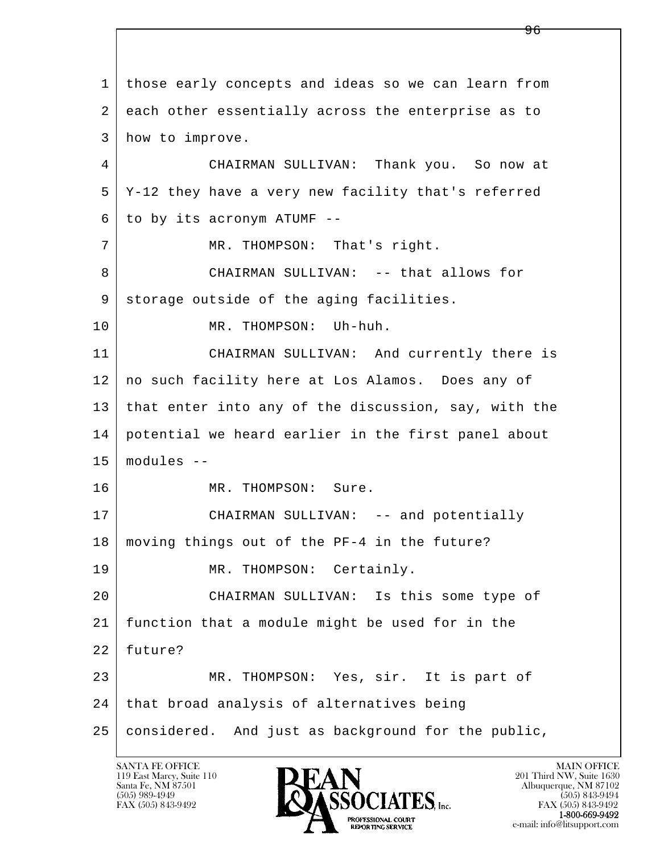l  $\overline{\phantom{a}}$  1 those early concepts and ideas so we can learn from 2 each other essentially across the enterprise as to 3 how to improve. 4 CHAIRMAN SULLIVAN: Thank you. So now at 5 Y-12 they have a very new facility that's referred  $6$  to by its acronym ATUMF --7 | MR. THOMPSON: That's right. 8 CHAIRMAN SULLIVAN: -- that allows for 9 storage outside of the aging facilities. 10 MR. THOMPSON: Uh-huh. 11 CHAIRMAN SULLIVAN: And currently there is 12 no such facility here at Los Alamos. Does any of 13 that enter into any of the discussion, say, with the 14 potential we heard earlier in the first panel about 15 modules -- 16 MR. THOMPSON: Sure. 17 | CHAIRMAN SULLIVAN: -- and potentially 18 moving things out of the PF-4 in the future? 19 MR. THOMPSON: Certainly. 20 CHAIRMAN SULLIVAN: Is this some type of 21 function that a module might be used for in the 22 future? 23 MR. THOMPSON: Yes, sir. It is part of 24 | that broad analysis of alternatives being 25 considered. And just as background for the public,

119 East Marcy, Suite 110<br>Santa Fe, NM 87501

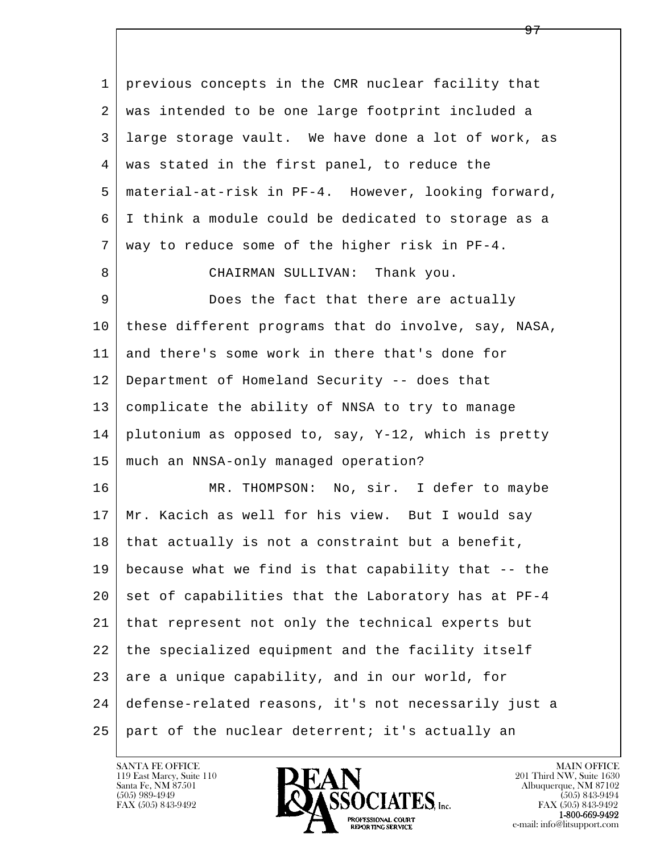l  $\overline{\phantom{a}}$  1 previous concepts in the CMR nuclear facility that 2 was intended to be one large footprint included a 3 large storage vault. We have done a lot of work, as 4 was stated in the first panel, to reduce the 5 material-at-risk in PF-4. However, looking forward, 6 I think a module could be dedicated to storage as a 7 way to reduce some of the higher risk in PF-4. 8 CHAIRMAN SULLIVAN: Thank you. 9 Does the fact that there are actually 10 these different programs that do involve, say, NASA, 11 and there's some work in there that's done for 12 Department of Homeland Security -- does that 13 complicate the ability of NNSA to try to manage 14 plutonium as opposed to, say, Y-12, which is pretty 15 much an NNSA-only managed operation? 16 MR. THOMPSON: No, sir. I defer to maybe 17 Mr. Kacich as well for his view. But I would say  $18$  that actually is not a constraint but a benefit, 19 because what we find is that capability that -- the  $20$  set of capabilities that the Laboratory has at PF-4 21 that represent not only the technical experts but 22 the specialized equipment and the facility itself  $23$  are a unique capability, and in our world, for 24 defense-related reasons, it's not necessarily just a 25 part of the nuclear deterrent; it's actually an



<del>97</del>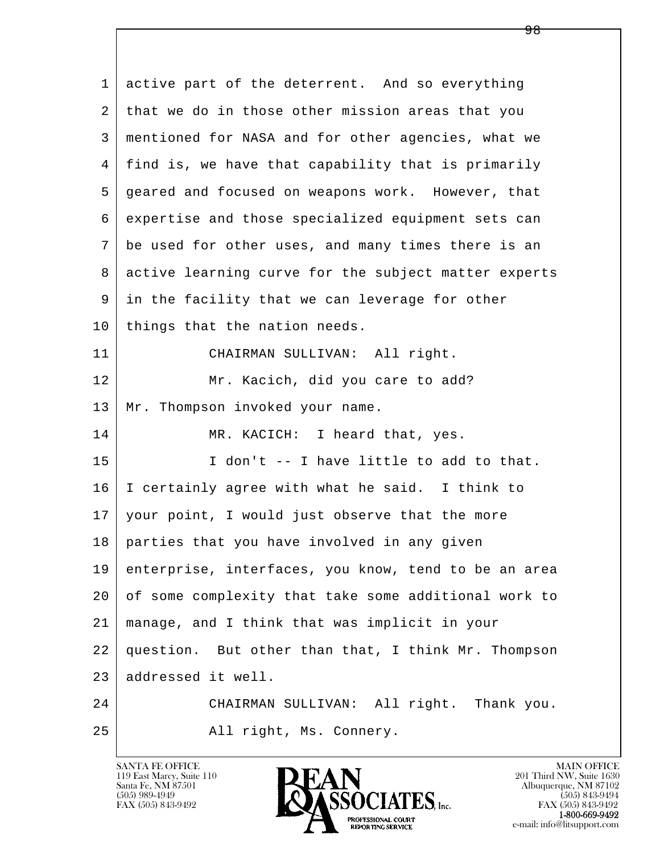| $\mathbf{1}$ | active part of the deterrent. And so everything      |
|--------------|------------------------------------------------------|
| 2            | that we do in those other mission areas that you     |
| 3            | mentioned for NASA and for other agencies, what we   |
| 4            | find is, we have that capability that is primarily   |
| 5            | geared and focused on weapons work. However, that    |
| 6            | expertise and those specialized equipment sets can   |
| 7            | be used for other uses, and many times there is an   |
| 8            | active learning curve for the subject matter experts |
| 9            | in the facility that we can leverage for other       |
| 10           | things that the nation needs.                        |
| 11           | CHAIRMAN SULLIVAN: All right.                        |
| 12           | Mr. Kacich, did you care to add?                     |
| 13           | Mr. Thompson invoked your name.                      |
| 14           | MR. KACICH: I heard that, yes.                       |
| 15           | I don't -- I have little to add to that.             |
| 16           | I certainly agree with what he said. I think to      |
| 17           | your point, I would just observe that the more       |
| 18           | parties that you have involved in any given          |
| 19           | enterprise, interfaces, you know, tend to be an area |
| 20           | of some complexity that take some additional work to |
| 21           | manage, and I think that was implicit in your        |
| 22           | question. But other than that, I think Mr. Thompson  |
| 23           | addressed it well.                                   |
| 24           | CHAIRMAN SULLIVAN: All right. Thank you.             |
| 25           | All right, Ms. Connery.                              |

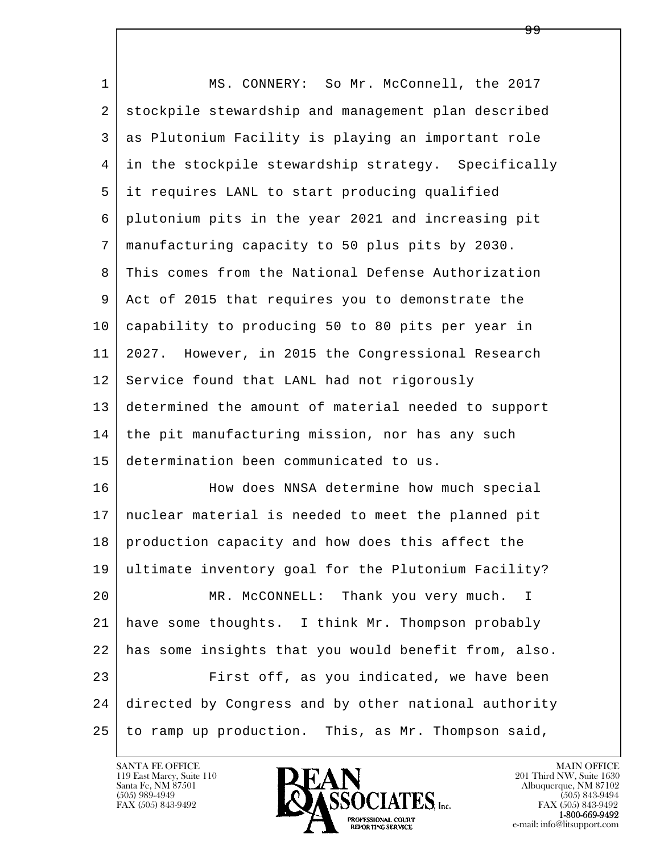l  $\overline{\phantom{a}}$  1 MS. CONNERY: So Mr. McConnell, the 2017 2 stockpile stewardship and management plan described 3 as Plutonium Facility is playing an important role 4 in the stockpile stewardship strategy. Specifically 5 it requires LANL to start producing qualified 6 plutonium pits in the year 2021 and increasing pit 7 manufacturing capacity to 50 plus pits by 2030. 8 This comes from the National Defense Authorization 9 Act of 2015 that requires you to demonstrate the 10 capability to producing 50 to 80 pits per year in 11 2027. However, in 2015 the Congressional Research 12 Service found that LANL had not rigorously 13 determined the amount of material needed to support 14 the pit manufacturing mission, nor has any such 15 determination been communicated to us. 16 How does NNSA determine how much special 17 nuclear material is needed to meet the planned pit 18 | production capacity and how does this affect the 19 ultimate inventory goal for the Plutonium Facility? 20 MR. McCONNELL: Thank you very much. I 21 have some thoughts. I think Mr. Thompson probably 22 has some insights that you would benefit from, also. 23 First off, as you indicated, we have been 24 directed by Congress and by other national authority 25 to ramp up production. This, as Mr. Thompson said,

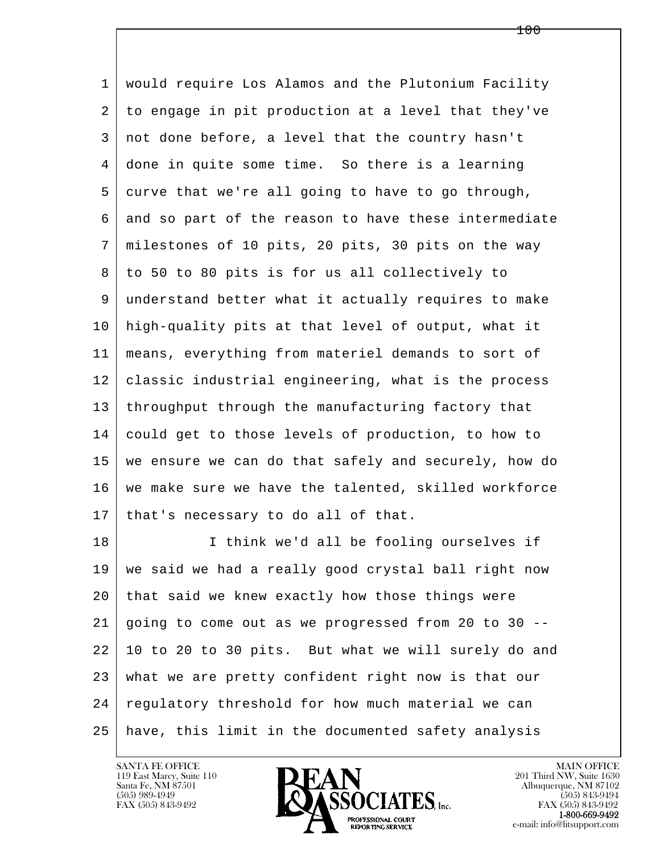l  $\overline{\phantom{a}}$  1 would require Los Alamos and the Plutonium Facility 2 to engage in pit production at a level that they've 3 not done before, a level that the country hasn't 4 done in quite some time. So there is a learning 5 curve that we're all going to have to go through, 6 and so part of the reason to have these intermediate 7 milestones of 10 pits, 20 pits, 30 pits on the way 8 to 50 to 80 pits is for us all collectively to 9 understand better what it actually requires to make 10 high-quality pits at that level of output, what it 11 means, everything from materiel demands to sort of 12 classic industrial engineering, what is the process 13 | throughput through the manufacturing factory that 14 could get to those levels of production, to how to 15 we ensure we can do that safely and securely, how do 16 | we make sure we have the talented, skilled workforce 17 | that's necessary to do all of that. 18 | I think we'd all be fooling ourselves if 19 we said we had a really good crystal ball right now 20 that said we knew exactly how those things were 21 going to come out as we progressed from 20 to 30 -- 22 10 to 20 to 30 pits. But what we will surely do and 23 what we are pretty confident right now is that our 24 regulatory threshold for how much material we can

## 25 have, this limit in the documented safety analysis

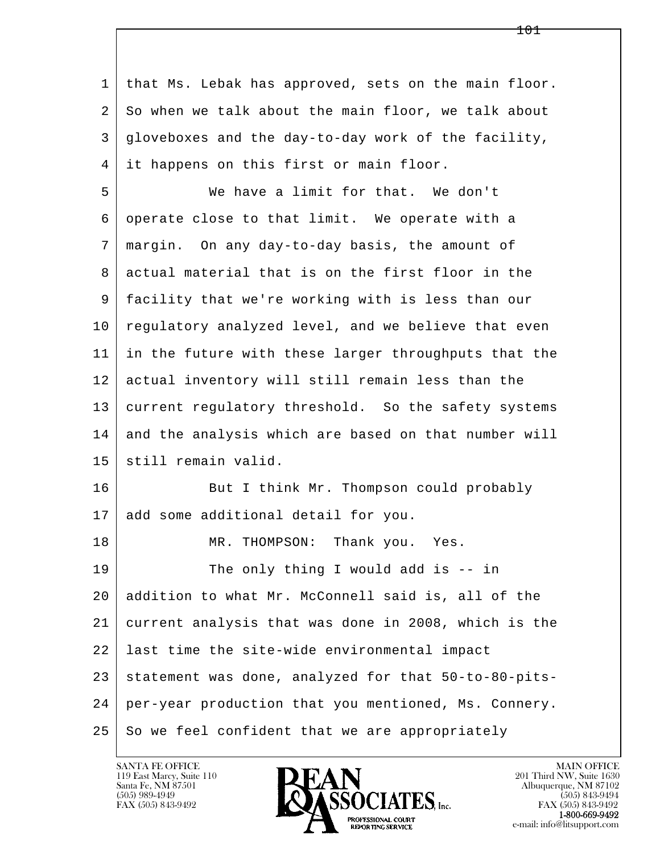| 1  | that Ms. Lebak has approved, sets on the main floor. |
|----|------------------------------------------------------|
| 2  | So when we talk about the main floor, we talk about  |
| 3  | gloveboxes and the day-to-day work of the facility,  |
| 4  | it happens on this first or main floor.              |
| 5  | We have a limit for that. We don't                   |
| 6  | operate close to that limit. We operate with a       |
| 7  | margin. On any day-to-day basis, the amount of       |
| 8  | actual material that is on the first floor in the    |
| 9  | facility that we're working with is less than our    |
| 10 | regulatory analyzed level, and we believe that even  |
| 11 | in the future with these larger throughputs that the |
| 12 | actual inventory will still remain less than the     |
| 13 | current regulatory threshold. So the safety systems  |
| 14 | and the analysis which are based on that number will |
| 15 | still remain valid.                                  |
| 16 | But I think Mr. Thompson could probably              |
| 17 | add some additional detail for you.                  |
| 18 | MR. THOMPSON: Thank you. Yes.                        |
| 19 | The only thing I would add is $-$ - in               |
| 20 | addition to what Mr. McConnell said is, all of the   |
| 21 | current analysis that was done in 2008, which is the |
| 22 | last time the site-wide environmental impact         |
| 23 | statement was done, analyzed for that 50-to-80-pits- |
| 24 | per-year production that you mentioned, Ms. Connery. |
| 25 | So we feel confident that we are appropriately       |

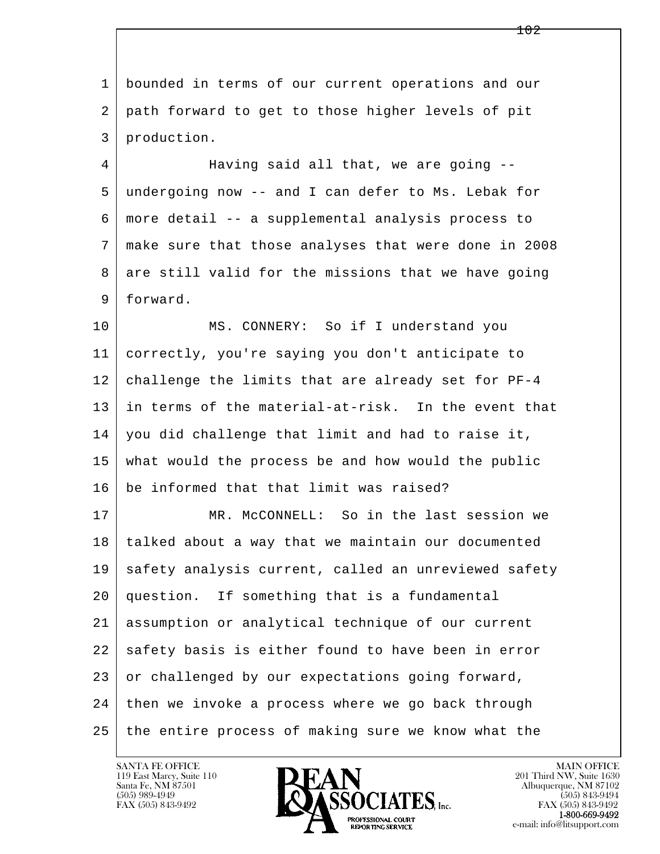l  $\overline{\phantom{a}}$  1 bounded in terms of our current operations and our 2 path forward to get to those higher levels of pit 3 production. 4 Having said all that, we are going -- 5 undergoing now -- and I can defer to Ms. Lebak for 6 more detail -- a supplemental analysis process to 7 make sure that those analyses that were done in 2008 8 are still valid for the missions that we have going 9 forward. 10 MS. CONNERY: So if I understand you 11 correctly, you're saying you don't anticipate to 12 challenge the limits that are already set for PF-4 13 in terms of the material-at-risk. In the event that 14 you did challenge that limit and had to raise it, 15 what would the process be and how would the public 16 be informed that that limit was raised? 17 MR. McCONNELL: So in the last session we 18 talked about a way that we maintain our documented 19 | safety analysis current, called an unreviewed safety 20 question. If something that is a fundamental 21 assumption or analytical technique of our current 22 safety basis is either found to have been in error 23 or challenged by our expectations going forward, 24 | then we invoke a process where we go back through 25 the entire process of making sure we know what the

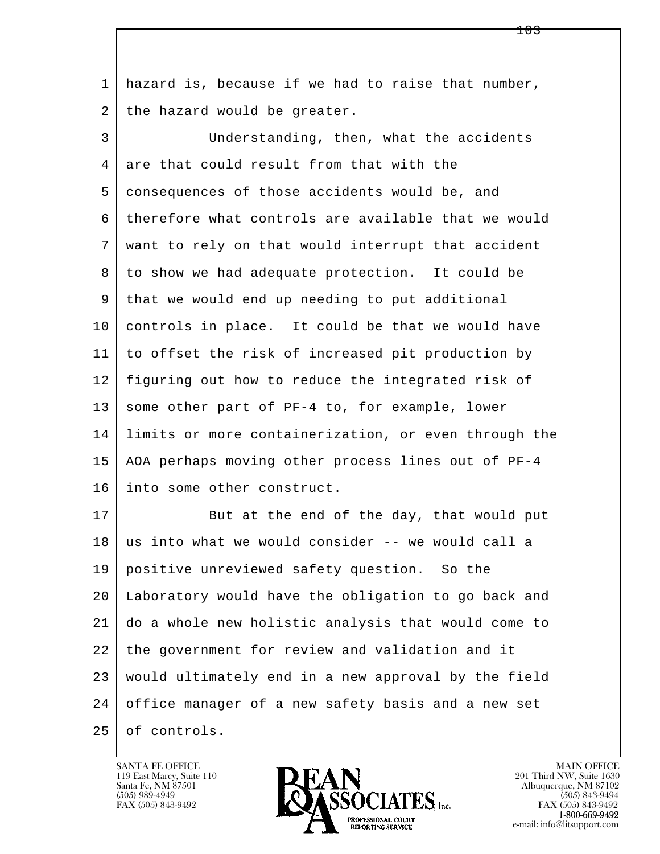1 hazard is, because if we had to raise that number, 2 | the hazard would be greater.

 3 Understanding, then, what the accidents 4 are that could result from that with the 5 consequences of those accidents would be, and 6 therefore what controls are available that we would 7 want to rely on that would interrupt that accident 8 to show we had adequate protection. It could be 9 that we would end up needing to put additional 10 controls in place. It could be that we would have 11 to offset the risk of increased pit production by 12 figuring out how to reduce the integrated risk of 13 some other part of PF-4 to, for example, lower 14 limits or more containerization, or even through the 15 AOA perhaps moving other process lines out of PF-4 16 into some other construct.

l  $\overline{\phantom{a}}$ 17 But at the end of the day, that would put  $18$  us into what we would consider  $-$ - we would call a 19 positive unreviewed safety question. So the 20 Laboratory would have the obligation to go back and 21 do a whole new holistic analysis that would come to 22 the government for review and validation and it 23 would ultimately end in a new approval by the field 24 office manager of a new safety basis and a new set 25 of controls.

119 East Marcy, Suite 110<br>Santa Fe, NM 87501

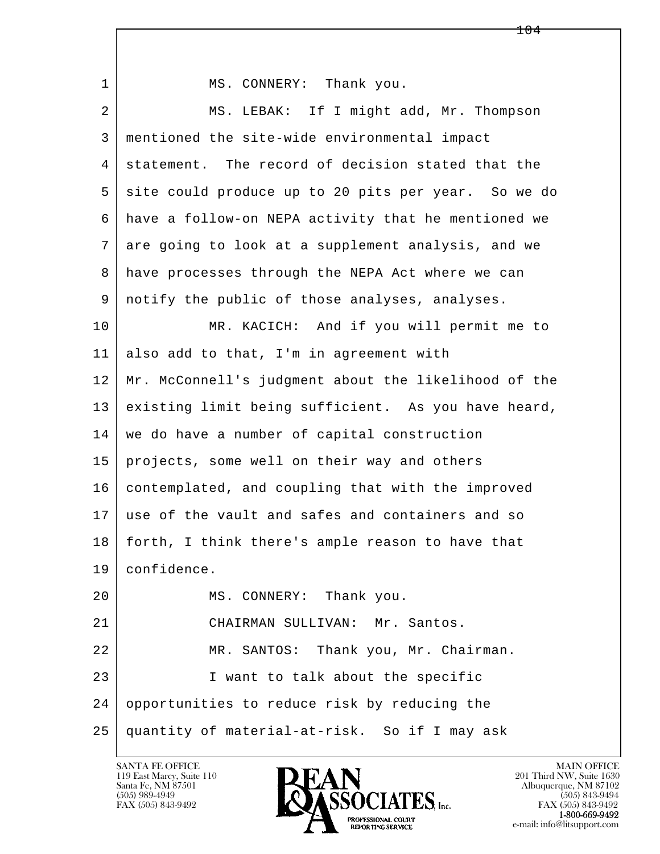| $\mathbf{1}$ | MS. CONNERY: Thank you.                              |
|--------------|------------------------------------------------------|
| 2            | MS. LEBAK: If I might add, Mr. Thompson              |
| 3            | mentioned the site-wide environmental impact         |
| 4            | statement. The record of decision stated that the    |
| 5            | site could produce up to 20 pits per year. So we do  |
| 6            | have a follow-on NEPA activity that he mentioned we  |
| 7            | are going to look at a supplement analysis, and we   |
| 8            | have processes through the NEPA Act where we can     |
| 9            | notify the public of those analyses, analyses.       |
| 10           | MR. KACICH: And if you will permit me to             |
| 11           | also add to that, I'm in agreement with              |
| 12           | Mr. McConnell's judgment about the likelihood of the |
| 13           | existing limit being sufficient. As you have heard,  |
| 14           | we do have a number of capital construction          |
| 15           | projects, some well on their way and others          |
| 16           | contemplated, and coupling that with the improved    |
| 17           | use of the vault and safes and containers and so     |
| 18           | forth, I think there's ample reason to have that     |
| 19           | confidence.                                          |
| 20           | MS. CONNERY: Thank you.                              |
| 21           | CHAIRMAN SULLIVAN: Mr. Santos.                       |
| 22           | MR. SANTOS: Thank you, Mr. Chairman.                 |
| 23           | I want to talk about the specific                    |
| 24           | opportunities to reduce risk by reducing the         |
| 25           | quantity of material-at-risk. So if I may ask        |

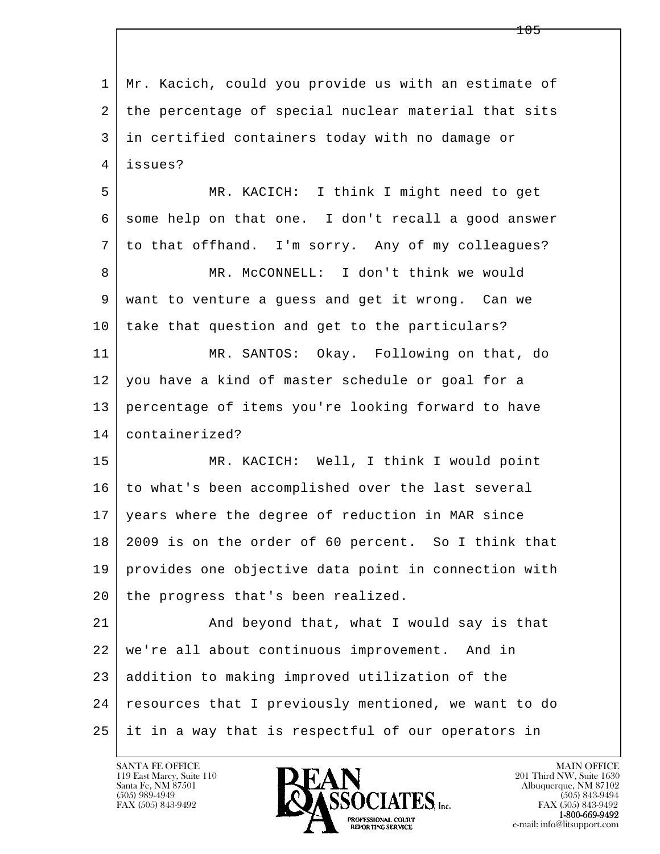l  $\overline{\phantom{a}}$  1 Mr. Kacich, could you provide us with an estimate of 2 the percentage of special nuclear material that sits 3 in certified containers today with no damage or 4 issues? 5 MR. KACICH: I think I might need to get 6 some help on that one. I don't recall a good answer 7 to that offhand. I'm sorry. Any of my colleagues? 8 | MR. McCONNELL: I don't think we would 9 want to venture a guess and get it wrong. Can we 10 take that question and get to the particulars? 11 MR. SANTOS: Okay. Following on that, do 12 you have a kind of master schedule or goal for a 13 percentage of items you're looking forward to have 14 containerized? 15 MR. KACICH: Well, I think I would point 16 to what's been accomplished over the last several 17 years where the degree of reduction in MAR since 18 2009 is on the order of 60 percent. So I think that 19 provides one objective data point in connection with 20 the progress that's been realized. 21 And beyond that, what I would say is that 22 we're all about continuous improvement. And in 23 addition to making improved utilization of the 24 resources that I previously mentioned, we want to do 25 it in a way that is respectful of our operators in

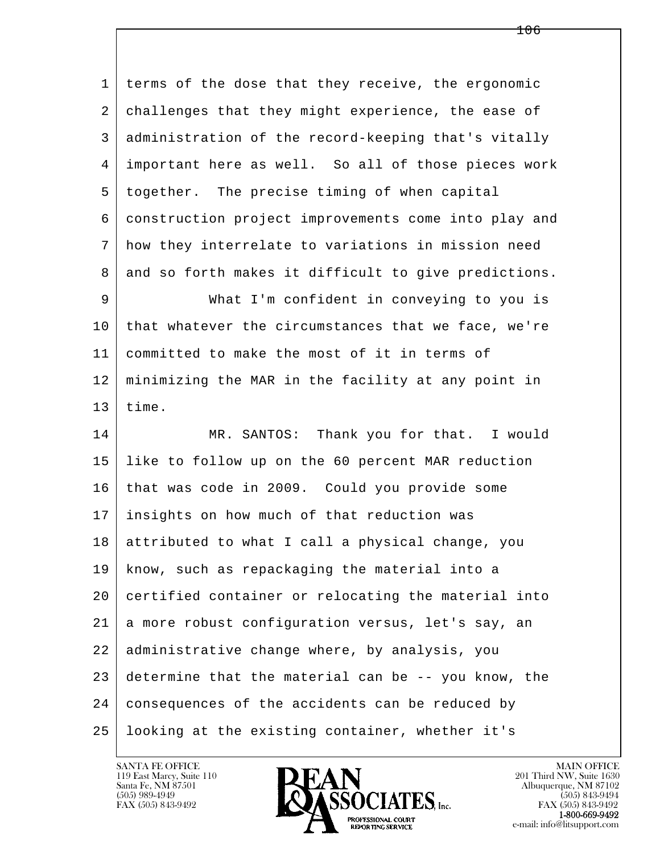1 terms of the dose that they receive, the ergonomic 2 challenges that they might experience, the ease of 3 administration of the record-keeping that's vitally 4 important here as well. So all of those pieces work 5 together. The precise timing of when capital 6 construction project improvements come into play and 7 how they interrelate to variations in mission need 8 and so forth makes it difficult to give predictions. 9 What I'm confident in conveying to you is 10 that whatever the circumstances that we face, we're 11 committed to make the most of it in terms of 12 minimizing the MAR in the facility at any point in  $13$  time. 14 MR. SANTOS: Thank you for that. I would 15 like to follow up on the 60 percent MAR reduction 16 that was code in 2009. Could you provide some

l  $\overline{\phantom{a}}$  17 insights on how much of that reduction was 18 attributed to what I call a physical change, you 19 know, such as repackaging the material into a 20 certified container or relocating the material into 21 a more robust configuration versus, let's say, an 22 administrative change where, by analysis, you 23 determine that the material can be -- you know, the 24 consequences of the accidents can be reduced by 25 looking at the existing container, whether it's

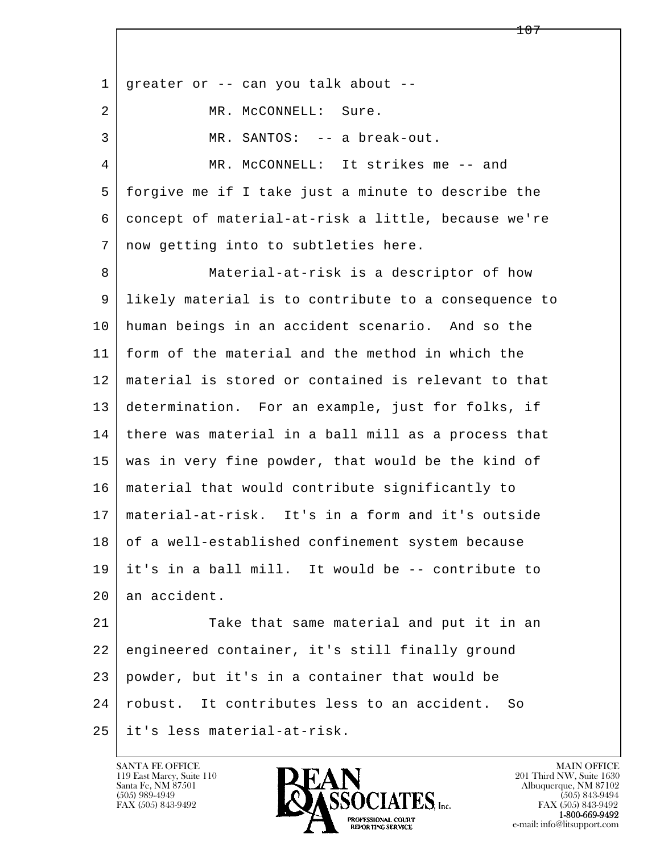l  $\overline{\phantom{a}}$ 1 | greater or  $-$ - can you talk about  $-$ -2 MR. McCONNELL: Sure. 3 MR. SANTOS: -- a break-out. 4 MR. McCONNELL: It strikes me -- and 5 forgive me if I take just a minute to describe the 6 concept of material-at-risk a little, because we're 7 now getting into to subtleties here. 8 Material-at-risk is a descriptor of how 9 likely material is to contribute to a consequence to 10 human beings in an accident scenario. And so the 11 form of the material and the method in which the 12 material is stored or contained is relevant to that 13 determination. For an example, just for folks, if 14 there was material in a ball mill as a process that 15 was in very fine powder, that would be the kind of 16 material that would contribute significantly to 17 material-at-risk. It's in a form and it's outside 18 of a well-established confinement system because 19 it's in a ball mill. It would be -- contribute to 20 an accident. 21 Take that same material and put it in an 22 engineered container, it's still finally ground 23 powder, but it's in a container that would be 24 robust. It contributes less to an accident. So 25 it's less material-at-risk.

119 East Marcy, Suite 110<br>Santa Fe, NM 87501



FAX (505) 843-9492<br>**1-800-669-9492**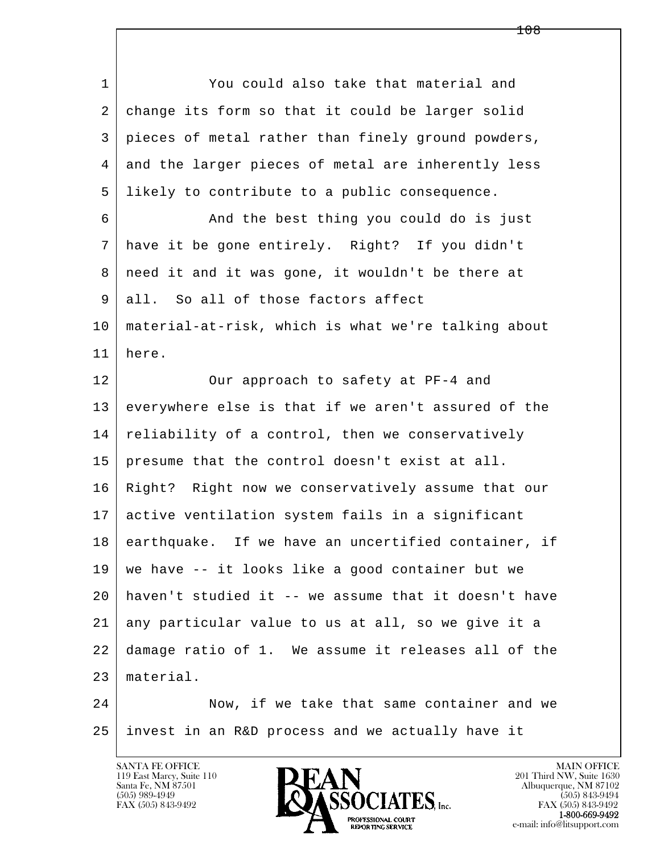l  $\overline{\phantom{a}}$  1 You could also take that material and 2 change its form so that it could be larger solid 3 pieces of metal rather than finely ground powders, 4 and the larger pieces of metal are inherently less 5 likely to contribute to a public consequence. 6 And the best thing you could do is just 7 have it be gone entirely. Right? If you didn't 8 | need it and it was gone, it wouldn't be there at 9 all. So all of those factors affect 10 material-at-risk, which is what we're talking about 11 here. 12 Our approach to safety at PF-4 and 13 everywhere else is that if we aren't assured of the 14 reliability of a control, then we conservatively 15 presume that the control doesn't exist at all. 16 Right? Right now we conservatively assume that our 17 active ventilation system fails in a significant 18 earthquake. If we have an uncertified container, if 19 we have -- it looks like a good container but we 20 haven't studied it -- we assume that it doesn't have 21 any particular value to us at all, so we give it a 22 damage ratio of 1. We assume it releases all of the 23 material. 24 Now, if we take that same container and we 25 invest in an R&D process and we actually have it

119 East Marcy, Suite 110<br>Santa Fe, NM 87501



FAX (505) 843-9492<br>**1-800-669-9492**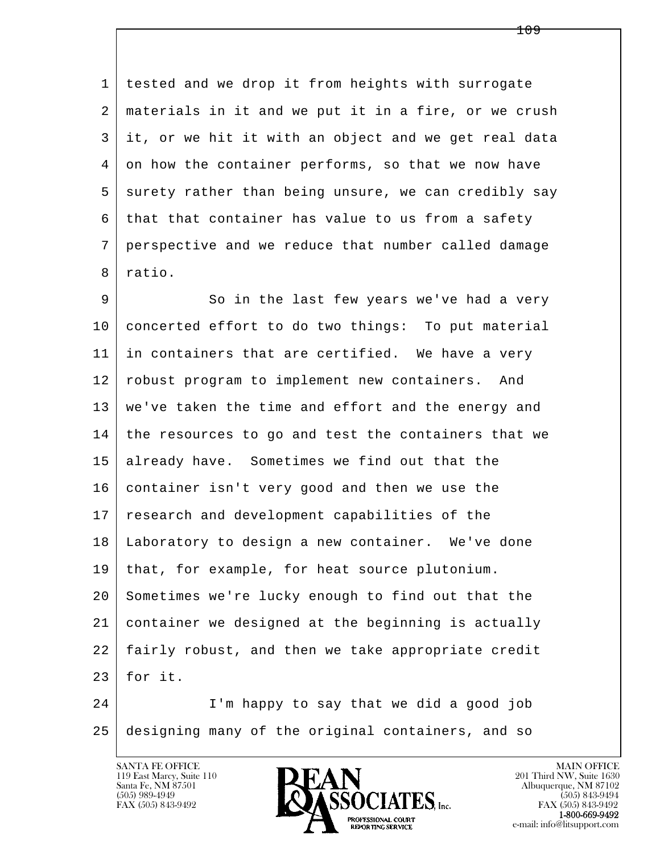1 tested and we drop it from heights with surrogate 2 materials in it and we put it in a fire, or we crush 3 it, or we hit it with an object and we get real data 4 on how the container performs, so that we now have 5 surety rather than being unsure, we can credibly say  $6$  that that container has value to us from a safety 7 perspective and we reduce that number called damage 8 ratio.

l 9 So in the last few years we've had a very 10 concerted effort to do two things: To put material 11 in containers that are certified. We have a very 12 robust program to implement new containers. And 13 we've taken the time and effort and the energy and 14 the resources to go and test the containers that we 15 already have. Sometimes we find out that the 16 container isn't very good and then we use the 17 research and development capabilities of the 18 Laboratory to design a new container. We've done 19 that, for example, for heat source plutonium. 20 Sometimes we're lucky enough to find out that the 21 container we designed at the beginning is actually 22 fairly robust, and then we take appropriate credit  $23$  for it.

 $\overline{\phantom{a}}$  24 I'm happy to say that we did a good job 25 designing many of the original containers, and so

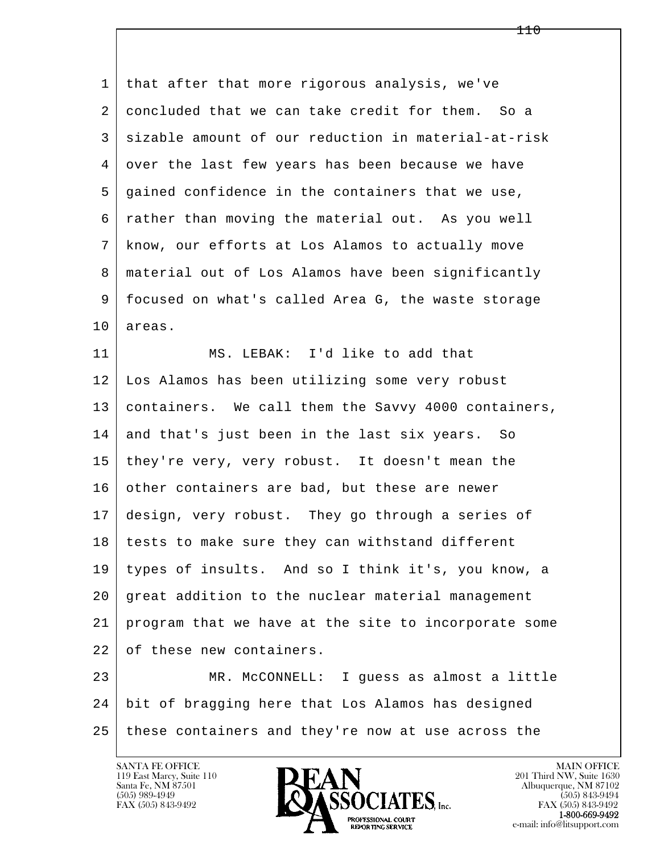1 that after that more rigorous analysis, we've 2 concluded that we can take credit for them. So a 3 sizable amount of our reduction in material-at-risk 4 over the last few years has been because we have 5 gained confidence in the containers that we use, 6 rather than moving the material out. As you well 7 know, our efforts at Los Alamos to actually move 8 material out of Los Alamos have been significantly 9 focused on what's called Area G, the waste storage 10 areas. 11 MS. LEBAK: I'd like to add that 12 Los Alamos has been utilizing some very robust 13 containers. We call them the Savvy 4000 containers,

14 and that's just been in the last six years. So 15 they're very, very robust. It doesn't mean the 16 other containers are bad, but these are newer 17 design, very robust. They go through a series of 18 tests to make sure they can withstand different 19 types of insults. And so I think it's, you know, a 20 great addition to the nuclear material management 21 program that we have at the site to incorporate some 22 of these new containers.

l  $\overline{\phantom{a}}$ 23 MR. McCONNELL: I quess as almost a little 24 bit of bragging here that Los Alamos has designed 25 these containers and they're now at use across the

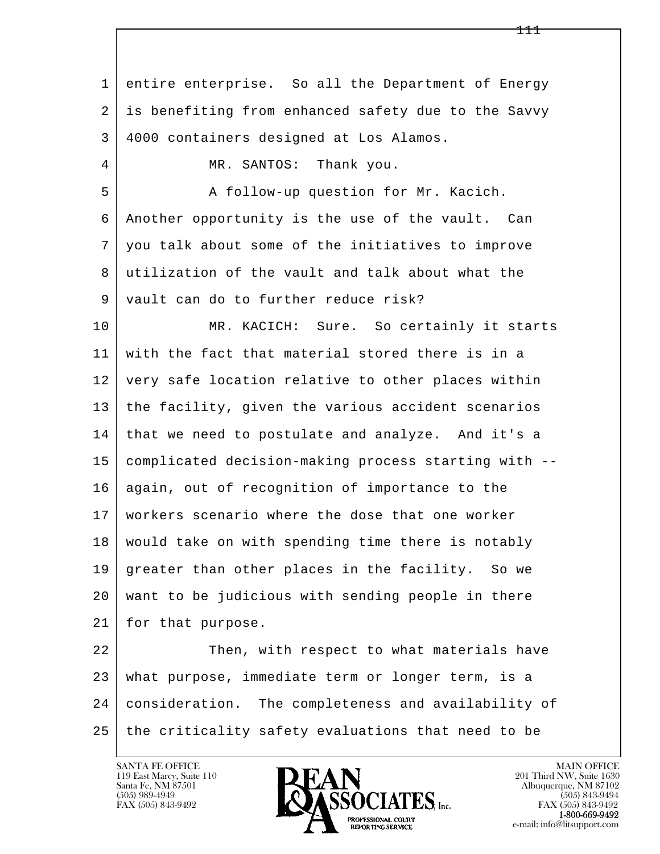l  $\overline{\phantom{a}}$  1 entire enterprise. So all the Department of Energy 2 is benefiting from enhanced safety due to the Savvy 3 4000 containers designed at Los Alamos. 4 | MR. SANTOS: Thank you. 5 A follow-up question for Mr. Kacich. 6 Another opportunity is the use of the vault. Can 7 you talk about some of the initiatives to improve 8 utilization of the vault and talk about what the 9 vault can do to further reduce risk? 10 | MR. KACICH: Sure. So certainly it starts 11 with the fact that material stored there is in a 12 very safe location relative to other places within 13 the facility, given the various accident scenarios 14 that we need to postulate and analyze. And it's a 15 complicated decision-making process starting with -- 16 again, out of recognition of importance to the 17 workers scenario where the dose that one worker 18 | would take on with spending time there is notably 19 greater than other places in the facility. So we 20 want to be judicious with sending people in there 21 for that purpose. 22 Then, with respect to what materials have 23 what purpose, immediate term or longer term, is a 24 consideration. The completeness and availability of 25 | the criticality safety evaluations that need to be

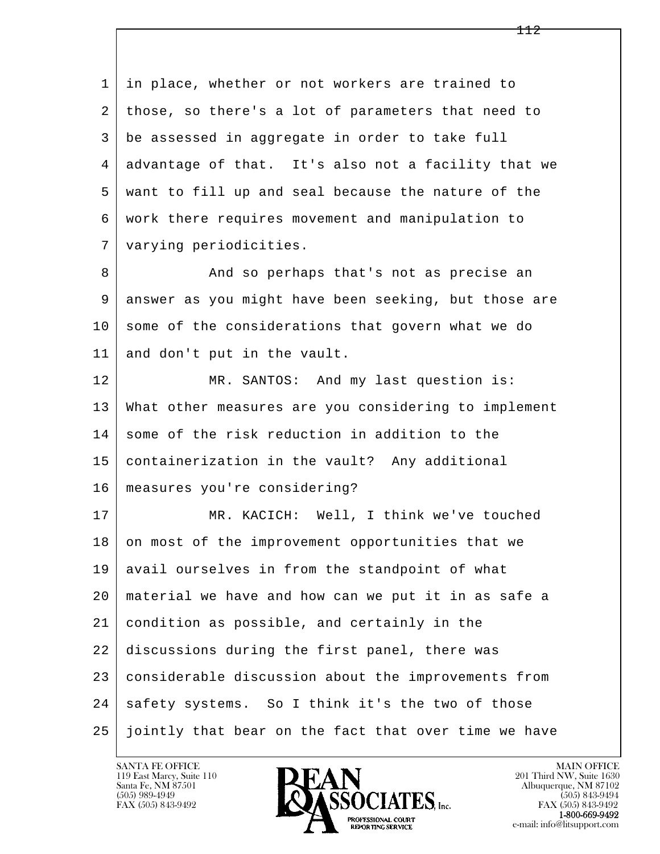l  $\overline{\phantom{a}}$  1 in place, whether or not workers are trained to 2 those, so there's a lot of parameters that need to 3 be assessed in aggregate in order to take full 4 advantage of that. It's also not a facility that we 5 want to fill up and seal because the nature of the 6 work there requires movement and manipulation to 7 varying periodicities. 8 | And so perhaps that's not as precise an 9 answer as you might have been seeking, but those are  $10$  some of the considerations that govern what we do 11 and don't put in the vault. 12 MR. SANTOS: And my last question is: 13 What other measures are you considering to implement 14 some of the risk reduction in addition to the 15 containerization in the vault? Any additional 16 measures you're considering? 17 | MR. KACICH: Well, I think we've touched 18 | on most of the improvement opportunities that we 19 avail ourselves in from the standpoint of what 20 material we have and how can we put it in as safe a 21 condition as possible, and certainly in the 22 discussions during the first panel, there was 23 considerable discussion about the improvements from 24 safety systems. So I think it's the two of those 25 jointly that bear on the fact that over time we have

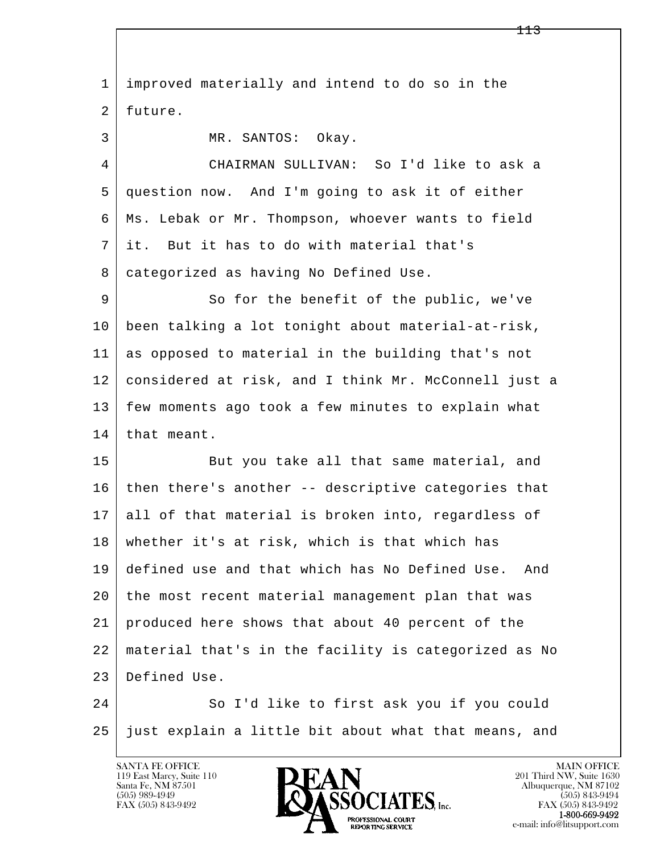l  $\overline{\phantom{a}}$  1 improved materially and intend to do so in the 2 future. 3 MR. SANTOS: Okay. 4 CHAIRMAN SULLIVAN: So I'd like to ask a 5 question now. And I'm going to ask it of either 6 Ms. Lebak or Mr. Thompson, whoever wants to field 7 it. But it has to do with material that's 8 categorized as having No Defined Use. 9 So for the benefit of the public, we've 10 been talking a lot tonight about material-at-risk, 11 as opposed to material in the building that's not 12 considered at risk, and I think Mr. McConnell just a 13 few moments ago took a few minutes to explain what 14 that meant. 15 | But you take all that same material, and  $16$  then there's another -- descriptive categories that 17 all of that material is broken into, regardless of 18 whether it's at risk, which is that which has 19 defined use and that which has No Defined Use. And 20 | the most recent material management plan that was 21 produced here shows that about 40 percent of the 22 material that's in the facility is categorized as No 23 Defined Use. 24 So I'd like to first ask you if you could 25 just explain a little bit about what that means, and

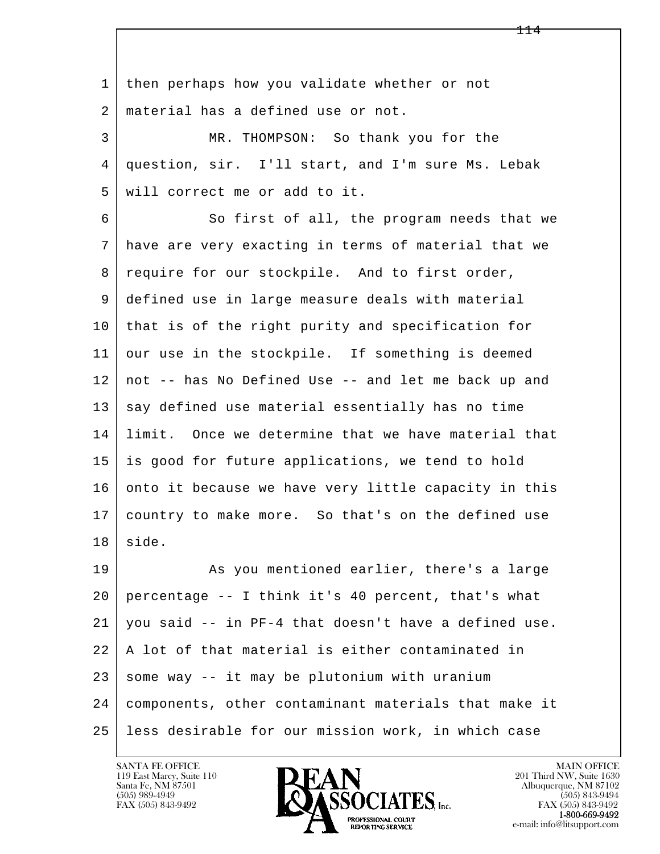l  $\overline{\phantom{a}}$ 1 then perhaps how you validate whether or not 2 material has a defined use or not. 3 MR. THOMPSON: So thank you for the 4 question, sir. I'll start, and I'm sure Ms. Lebak 5 will correct me or add to it. 6 So first of all, the program needs that we 7 have are very exacting in terms of material that we 8 | require for our stockpile. And to first order, 9 defined use in large measure deals with material 10 that is of the right purity and specification for 11 our use in the stockpile. If something is deemed 12 not -- has No Defined Use -- and let me back up and 13 say defined use material essentially has no time 14 limit. Once we determine that we have material that 15 is good for future applications, we tend to hold 16 onto it because we have very little capacity in this 17 country to make more. So that's on the defined use 18 side. 19 As you mentioned earlier, there's a large 20 percentage -- I think it's 40 percent, that's what  $21$  you said  $-$  in PF-4 that doesn't have a defined use. 22 A lot of that material is either contaminated in  $23$  some way  $-$  it may be plutonium with uranium 24 components, other contaminant materials that make it 25 less desirable for our mission work, in which case

119 East Marcy, Suite 110<br>Santa Fe, NM 87501

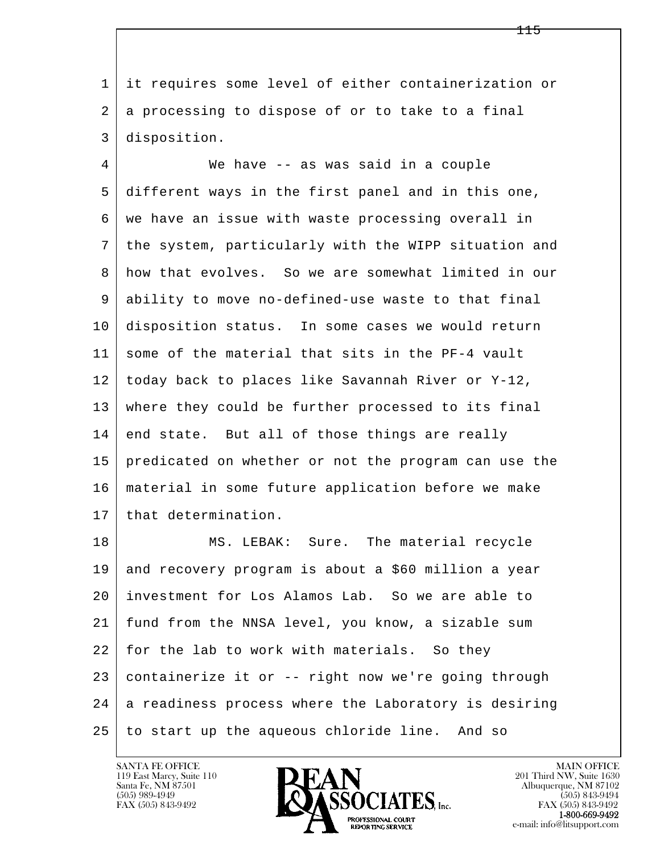1 it requires some level of either containerization or 2 a processing to dispose of or to take to a final 3 disposition.

 4 We have -- as was said in a couple 5 different ways in the first panel and in this one, 6 | we have an issue with waste processing overall in 7 the system, particularly with the WIPP situation and 8 how that evolves. So we are somewhat limited in our 9 ability to move no-defined-use waste to that final 10 disposition status. In some cases we would return 11 some of the material that sits in the PF-4 vault 12 today back to places like Savannah River or Y-12, 13 where they could be further processed to its final  $14$  end state. But all of those things are really 15 predicated on whether or not the program can use the 16 material in some future application before we make 17 that determination.

l  $\overline{\phantom{a}}$ 18 | MS. LEBAK: Sure. The material recycle 19 and recovery program is about a \$60 million a year 20 investment for Los Alamos Lab. So we are able to 21 fund from the NNSA level, you know, a sizable sum 22 for the lab to work with materials. So they 23 containerize it or -- right now we're going through 24 a readiness process where the Laboratory is desiring 25 to start up the aqueous chloride line. And so

119 East Marcy, Suite 110<br>Santa Fe, NM 87501

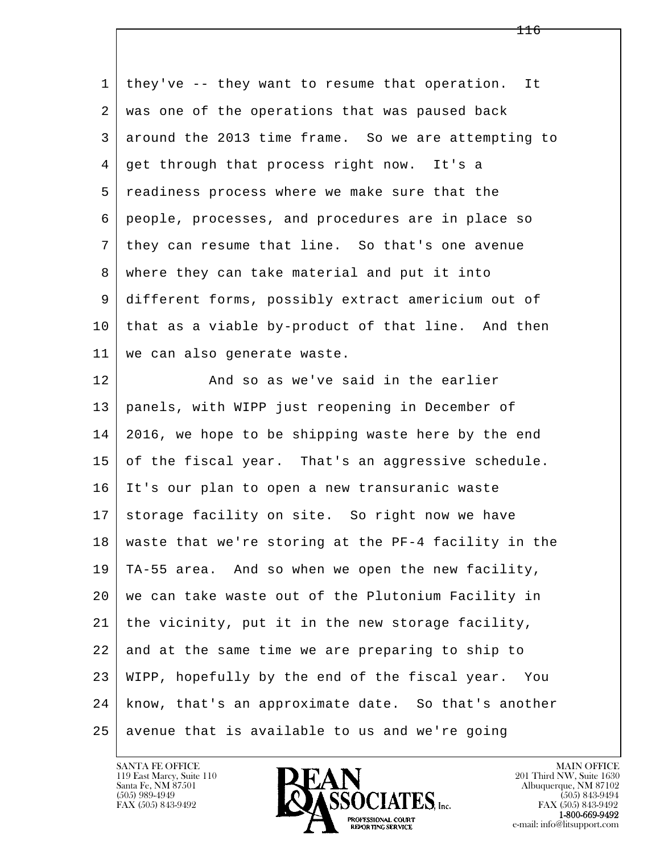| $\mathbf{1}$ | they've -- they want to resume that operation. It         |
|--------------|-----------------------------------------------------------|
| 2            | was one of the operations that was paused back            |
| 3            | around the 2013 time frame. So we are attempting to       |
| 4            | get through that process right now. It's a                |
| 5            | readiness process where we make sure that the             |
| 6            | people, processes, and procedures are in place so         |
| 7            | they can resume that line. So that's one avenue           |
| 8            | where they can take material and put it into              |
| 9            | different forms, possibly extract americium out of        |
| 10           | that as a viable by-product of that line. And then        |
| 11           | we can also generate waste.                               |
| 12           | And so as we've said in the earlier                       |
| 13           | panels, with WIPP just reopening in December of           |
| 14           | 2016, we hope to be shipping waste here by the end        |
| 15           | of the fiscal year. That's an aggressive schedule.        |
| 16           | It's our plan to open a new transuranic waste             |
| 17           | storage facility on site. So right now we have            |
|              | 18   waste that we're storing at the PF-4 facility in the |
| 19           | TA-55 area. And so when we open the new facility,         |
| 20           | we can take waste out of the Plutonium Facility in        |
| 21           | the vicinity, put it in the new storage facility,         |
| 22           | and at the same time we are preparing to ship to          |
| 23           | WIPP, hopefully by the end of the fiscal year. You        |
| 24           | know, that's an approximate date. So that's another       |
| 25           | avenue that is available to us and we're going            |

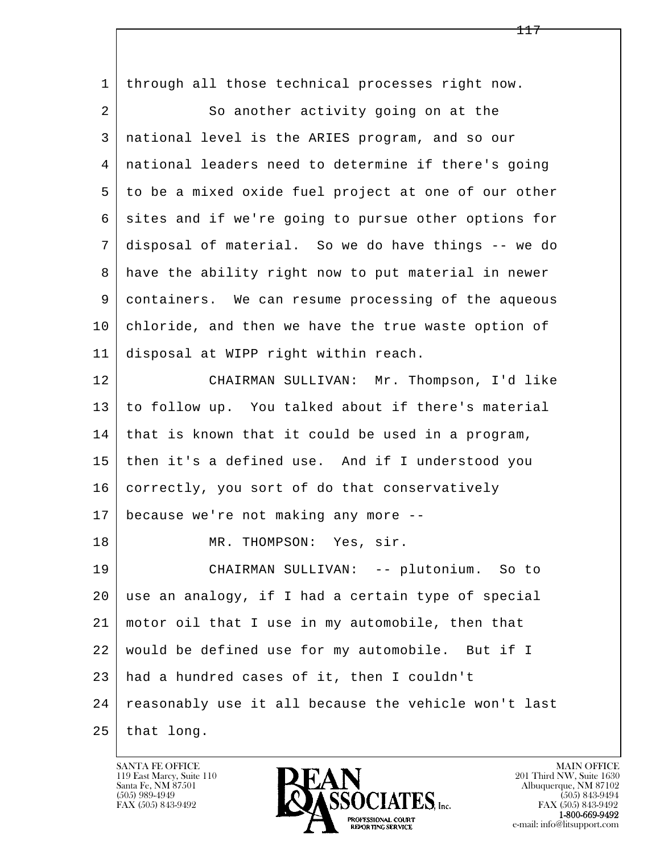| $\mathbf{1}$ | through all those technical processes right now.     |
|--------------|------------------------------------------------------|
| 2            | So another activity going on at the                  |
| 3            | national level is the ARIES program, and so our      |
| 4            | national leaders need to determine if there's going  |
| 5            | to be a mixed oxide fuel project at one of our other |
| 6            | sites and if we're going to pursue other options for |
| 7            | disposal of material. So we do have things -- we do  |
| 8            | have the ability right now to put material in newer  |
| 9            | containers. We can resume processing of the aqueous  |
| 10           | chloride, and then we have the true waste option of  |
| 11           | disposal at WIPP right within reach.                 |
| 12           | CHAIRMAN SULLIVAN: Mr. Thompson, I'd like            |
| 13           | to follow up. You talked about if there's material   |
| 14           | that is known that it could be used in a program,    |
| 15           | then it's a defined use. And if I understood you     |
| 16           | correctly, you sort of do that conservatively        |
| 17           | because we're not making any more --                 |
| 18           | MR. THOMPSON: Yes, sir.                              |
| 19           | CHAIRMAN SULLIVAN: -- plutonium. So to               |
| 20           | use an analogy, if I had a certain type of special   |
| 21           | motor oil that I use in my automobile, then that     |
| 22           | would be defined use for my automobile. But if I     |
| 23           | had a hundred cases of it, then I couldn't           |
| 24           | reasonably use it all because the vehicle won't last |
| 25           | that long.                                           |

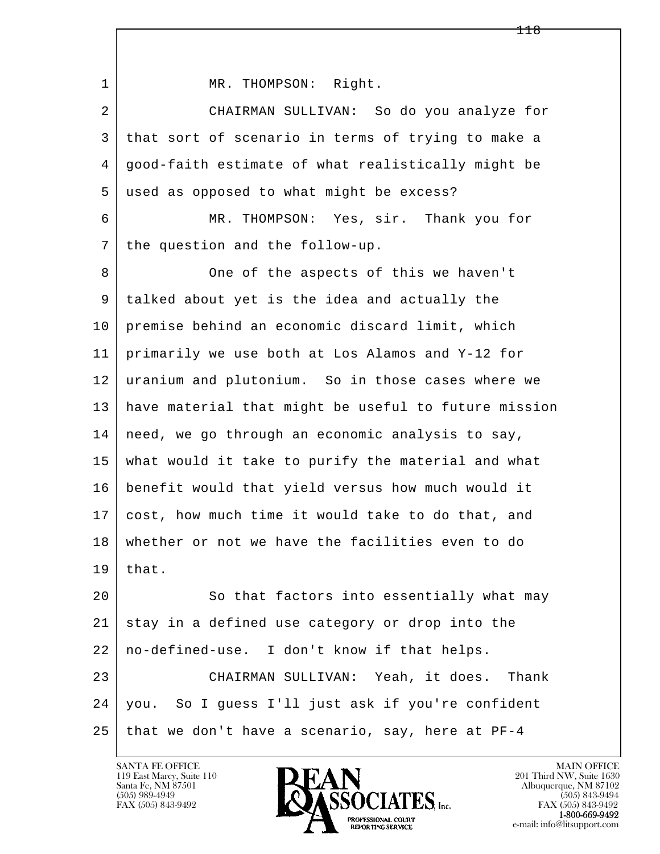| 1  | MR. THOMPSON: Right.                                 |
|----|------------------------------------------------------|
| 2  | CHAIRMAN SULLIVAN: So do you analyze for             |
| 3  | that sort of scenario in terms of trying to make a   |
| 4  | good-faith estimate of what realistically might be   |
| 5  | used as opposed to what might be excess?             |
| 6  | MR. THOMPSON: Yes, sir. Thank you for                |
| 7  | the question and the follow-up.                      |
| 8  | One of the aspects of this we haven't                |
| 9  | talked about yet is the idea and actually the        |
| 10 | premise behind an economic discard limit, which      |
| 11 | primarily we use both at Los Alamos and Y-12 for     |
| 12 | uranium and plutonium. So in those cases where we    |
| 13 | have material that might be useful to future mission |
| 14 | need, we go through an economic analysis to say,     |
| 15 | what would it take to purify the material and what   |
| 16 | benefit would that yield versus how much would it    |
| 17 | cost, how much time it would take to do that, and    |
| 18 | whether or not we have the facilities even to do     |
| 19 | that.                                                |
| 20 | So that factors into essentially what may            |
| 21 | stay in a defined use category or drop into the      |
| 22 | no-defined-use. I don't know if that helps.          |
| 23 | CHAIRMAN SULLIVAN: Yeah, it does. Thank              |
| 24 | you. So I guess I'll just ask if you're confident    |
| 25 | that we don't have a scenario, say, here at PF-4     |

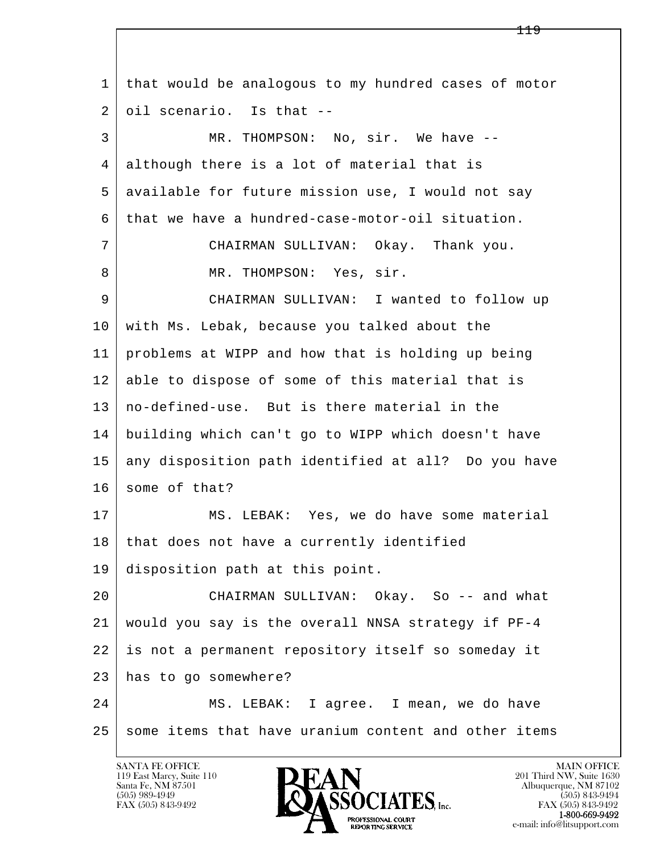l  $\overline{\phantom{a}}$  1 that would be analogous to my hundred cases of motor 2 oil scenario. Is that -- 3 MR. THOMPSON: No, sir. We have -- 4 although there is a lot of material that is 5 | available for future mission use, I would not say 6 that we have a hundred-case-motor-oil situation. 7 CHAIRMAN SULLIVAN: Okay. Thank you. 8 MR. THOMPSON: Yes, sir. 9 CHAIRMAN SULLIVAN: I wanted to follow up 10 with Ms. Lebak, because you talked about the 11 problems at WIPP and how that is holding up being 12 able to dispose of some of this material that is 13 no-defined-use. But is there material in the 14 building which can't go to WIPP which doesn't have 15 any disposition path identified at all? Do you have 16 some of that? 17 MS. LEBAK: Yes, we do have some material 18 | that does not have a currently identified 19 disposition path at this point. 20 | CHAIRMAN SULLIVAN: Okay. So -- and what 21 would you say is the overall NNSA strategy if PF-4 22 is not a permanent repository itself so someday it 23 has to go somewhere? 24 MS. LEBAK: I agree. I mean, we do have 25 some items that have uranium content and other items

119 East Marcy, Suite 110<br>Santa Fe, NM 87501



FAX (505) 843-9492<br>**1-800-669-9492**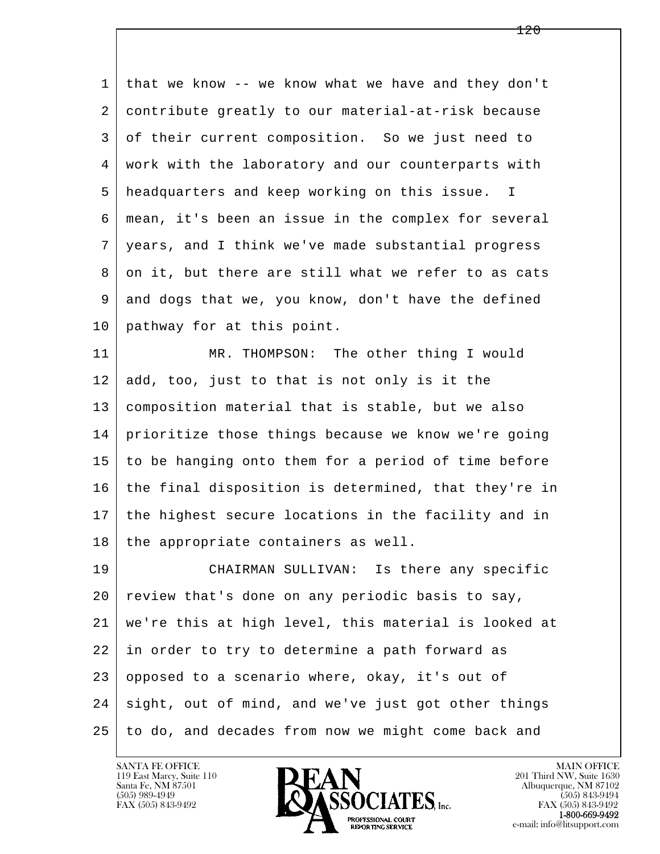1 that we know -- we know what we have and they don't 2 contribute greatly to our material-at-risk because 3 of their current composition. So we just need to 4 work with the laboratory and our counterparts with 5 headquarters and keep working on this issue. I 6 mean, it's been an issue in the complex for several 7 years, and I think we've made substantial progress 8 on it, but there are still what we refer to as cats 9 and dogs that we, you know, don't have the defined 10 pathway for at this point. 11 MR. THOMPSON: The other thing I would  $12$  add, too, just to that is not only is it the 13 composition material that is stable, but we also 14 prioritize those things because we know we're going 15 to be hanging onto them for a period of time before 16 the final disposition is determined, that they're in 17 the highest secure locations in the facility and in  $18$  the appropriate containers as well. 19 CHAIRMAN SULLIVAN: Is there any specific 20 review that's done on any periodic basis to say, 21 we're this at high level, this material is looked at 22 in order to try to determine a path forward as

l  $\overline{\phantom{a}}$ 24 sight, out of mind, and we've just got other things 25 to do, and decades from now we might come back and

23 | opposed to a scenario where, okay, it's out of

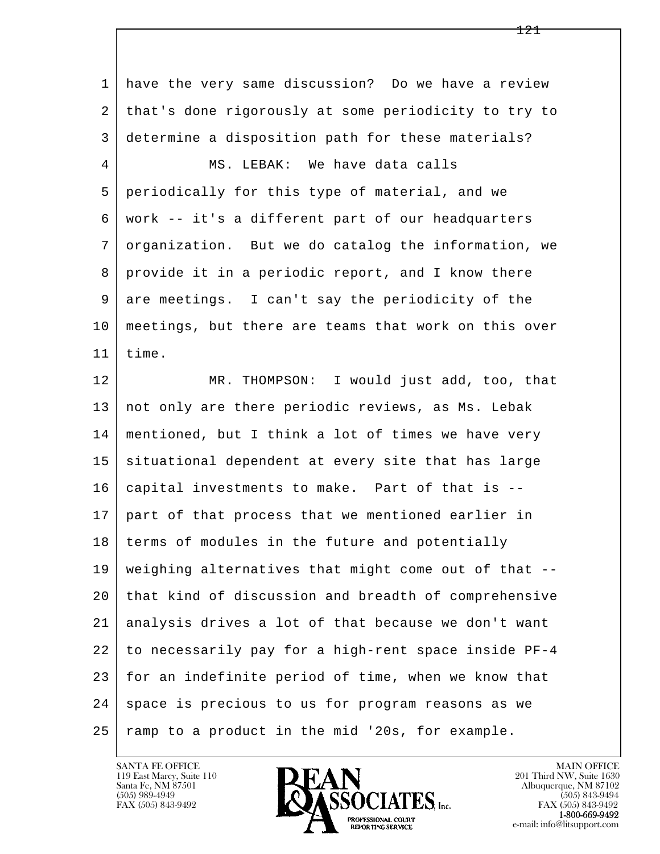l  $\overline{\phantom{a}}$  1 have the very same discussion? Do we have a review 2 that's done rigorously at some periodicity to try to 3 determine a disposition path for these materials? 4 MS. LEBAK: We have data calls 5 periodically for this type of material, and we 6 work -- it's a different part of our headquarters 7 organization. But we do catalog the information, we 8 provide it in a periodic report, and I know there 9 are meetings. I can't say the periodicity of the 10 meetings, but there are teams that work on this over 11 time. 12 MR. THOMPSON: I would just add, too, that 13 not only are there periodic reviews, as Ms. Lebak 14 mentioned, but I think a lot of times we have very 15 situational dependent at every site that has large 16 capital investments to make. Part of that is -- 17 part of that process that we mentioned earlier in 18 | terms of modules in the future and potentially 19 weighing alternatives that might come out of that -- 20 that kind of discussion and breadth of comprehensive 21 analysis drives a lot of that because we don't want 22 to necessarily pay for a high-rent space inside PF-4 23 for an indefinite period of time, when we know that 24 | space is precious to us for program reasons as we  $25$  ramp to a product in the mid '20s, for example.

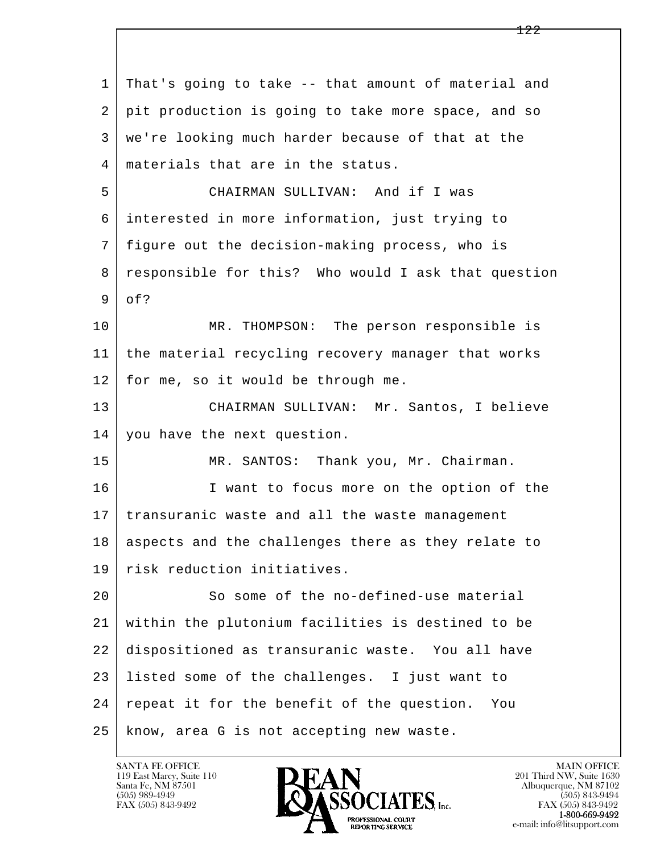| $\mathbf{1}$ | That's going to take -- that amount of material and |
|--------------|-----------------------------------------------------|
| 2            | pit production is going to take more space, and so  |
| 3            | we're looking much harder because of that at the    |
| 4            | materials that are in the status.                   |
| 5            | CHAIRMAN SULLIVAN: And if I was                     |
| 6            | interested in more information, just trying to      |
| 7            | figure out the decision-making process, who is      |
| 8            | responsible for this? Who would I ask that question |
| 9            | of?                                                 |
| 10           | MR. THOMPSON: The person responsible is             |
| 11           | the material recycling recovery manager that works  |
| 12           | for me, so it would be through me.                  |
| 13           | CHAIRMAN SULLIVAN: Mr. Santos, I believe            |
| 14           | you have the next question.                         |
| 15           | MR. SANTOS: Thank you, Mr. Chairman.                |
| 16           | I want to focus more on the option of the           |
| 17           | transuranic waste and all the waste management      |
| 18           | aspects and the challenges there as they relate to  |
| 19           | risk reduction initiatives.                         |
| 20           | So some of the no-defined-use material              |
| 21           | within the plutonium facilities is destined to be   |
| 22           | dispositioned as transuranic waste. You all have    |
| 23           | listed some of the challenges. I just want to       |
| 24           | repeat it for the benefit of the question.<br>You   |
| 25           | know, area G is not accepting new waste.            |

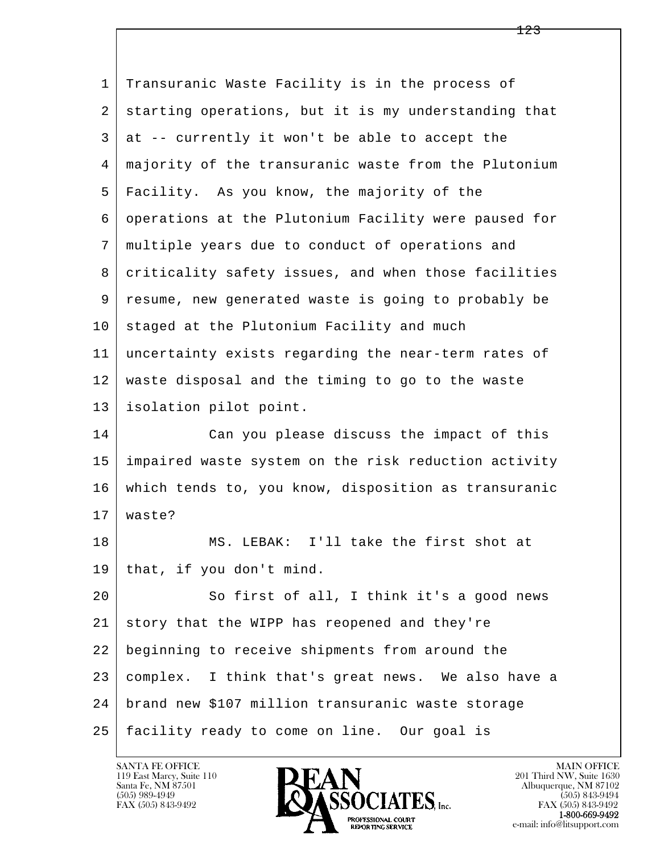| $\mathbf{1}$ | Transuranic Waste Facility is in the process of      |
|--------------|------------------------------------------------------|
| 2            | starting operations, but it is my understanding that |
| 3            | at -- currently it won't be able to accept the       |
| 4            | majority of the transuranic waste from the Plutonium |
| 5            | Facility. As you know, the majority of the           |
| 6            | operations at the Plutonium Facility were paused for |
| 7            | multiple years due to conduct of operations and      |
| 8            | criticality safety issues, and when those facilities |
| 9            | resume, new generated waste is going to probably be  |
| 10           | staged at the Plutonium Facility and much            |
| 11           | uncertainty exists regarding the near-term rates of  |
| 12           | waste disposal and the timing to go to the waste     |
| 13           | isolation pilot point.                               |
| 14           | Can you please discuss the impact of this            |
| 15           | impaired waste system on the risk reduction activity |
| 16           | which tends to, you know, disposition as transuranic |
| 17           | waste?                                               |
| 18           | LEBAK: I'll take the first shot at<br>MS.            |
| 19           | that, if you don't mind.                             |
| 20           | So first of all, I think it's a good news            |
| 21           | story that the WIPP has reopened and they're         |
| 22           | beginning to receive shipments from around the       |
| 23           | complex. I think that's great news. We also have a   |
| 24           | brand new \$107 million transuranic waste storage    |
| 25           | facility ready to come on line. Our goal is          |

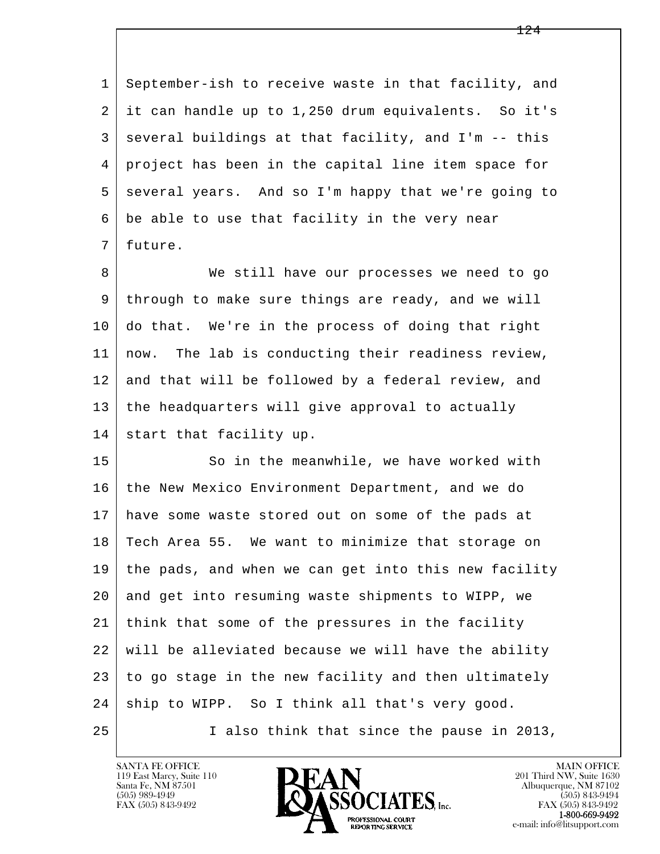1 September-ish to receive waste in that facility, and 2 it can handle up to 1,250 drum equivalents. So it's  $3$  several buildings at that facility, and I'm  $-$  this 4 project has been in the capital line item space for 5 several years. And so I'm happy that we're going to  $6$  be able to use that facility in the very near 7 future.

8 We still have our processes we need to go 9 through to make sure things are ready, and we will 10 do that. We're in the process of doing that right 11 now. The lab is conducting their readiness review, 12 and that will be followed by a federal review, and 13 the headquarters will give approval to actually 14 start that facility up.

l  $\overline{\phantom{a}}$ 15 So in the meanwhile, we have worked with 16 the New Mexico Environment Department, and we do 17 have some waste stored out on some of the pads at 18 Tech Area 55. We want to minimize that storage on 19 the pads, and when we can get into this new facility 20 and get into resuming waste shipments to WIPP, we 21 think that some of the pressures in the facility 22 will be alleviated because we will have the ability 23 to go stage in the new facility and then ultimately 24 | ship to WIPP. So I think all that's very good. 25 I also think that since the pause in 2013,

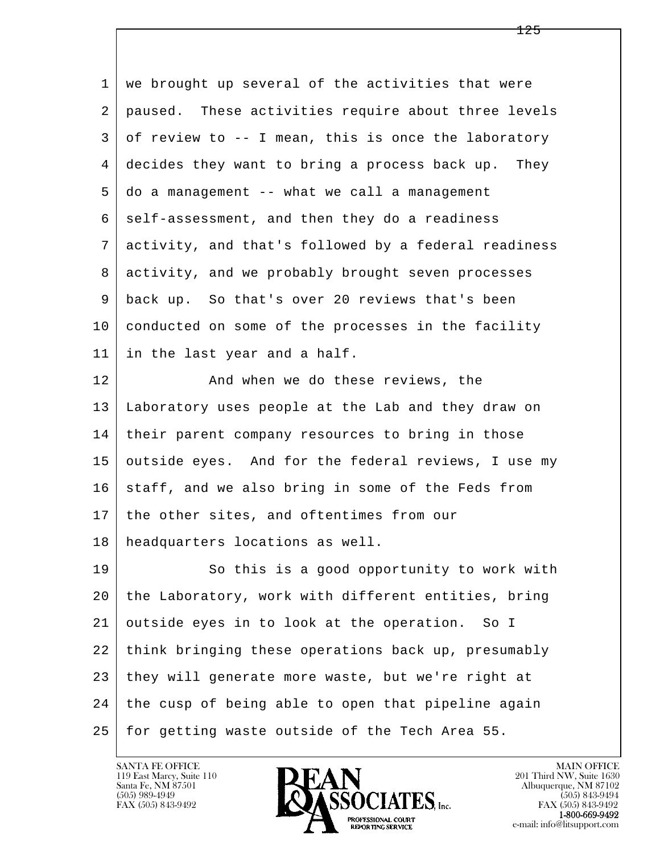l  $\overline{\phantom{a}}$  1 we brought up several of the activities that were 2 paused. These activities require about three levels  $3 \mid$  of review to  $-$  I mean, this is once the laboratory 4 decides they want to bring a process back up. They 5 do a management -- what we call a management  $6$  self-assessment, and then they do a readiness 7 activity, and that's followed by a federal readiness 8 activity, and we probably brought seven processes 9 back up. So that's over 20 reviews that's been 10 conducted on some of the processes in the facility 11 in the last year and a half. 12 | The Mand when we do these reviews, the 13 Laboratory uses people at the Lab and they draw on 14 their parent company resources to bring in those 15 outside eyes. And for the federal reviews, I use my  $16$  staff, and we also bring in some of the Feds from 17 | the other sites, and oftentimes from our 18 headquarters locations as well. 19 So this is a good opportunity to work with 20 the Laboratory, work with different entities, bring 21 outside eyes in to look at the operation. So I 22 think bringing these operations back up, presumably 23 they will generate more waste, but we're right at 24 the cusp of being able to open that pipeline again 25 for getting waste outside of the Tech Area 55.

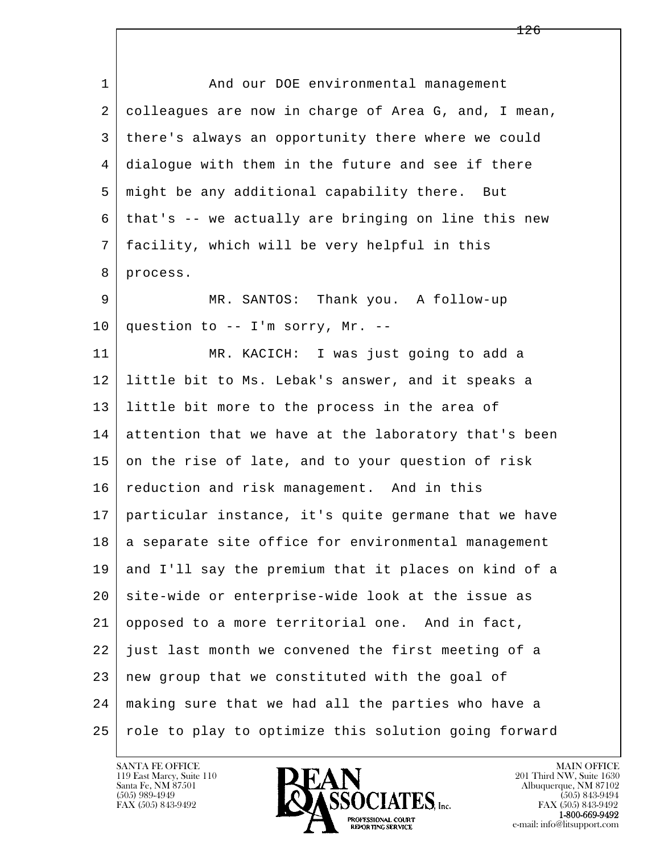l  $\overline{\phantom{a}}$ 1 and our DOE environmental management 2 colleagues are now in charge of Area G, and, I mean, 3 there's always an opportunity there where we could 4 dialogue with them in the future and see if there 5 might be any additional capability there. But 6 that's -- we actually are bringing on line this new 7 facility, which will be very helpful in this 8 process. 9 MR. SANTOS: Thank you. A follow-up  $10$  question to -- I'm sorry, Mr. --11 MR. KACICH: I was just going to add a 12 little bit to Ms. Lebak's answer, and it speaks a 13 little bit more to the process in the area of 14 attention that we have at the laboratory that's been 15 on the rise of late, and to your question of risk 16 reduction and risk management. And in this 17 particular instance, it's quite germane that we have 18 a separate site office for environmental management 19 and I'll say the premium that it places on kind of a 20 site-wide or enterprise-wide look at the issue as 21 opposed to a more territorial one. And in fact, 22 just last month we convened the first meeting of a 23 new group that we constituted with the goal of 24 making sure that we had all the parties who have a 25 | role to play to optimize this solution going forward

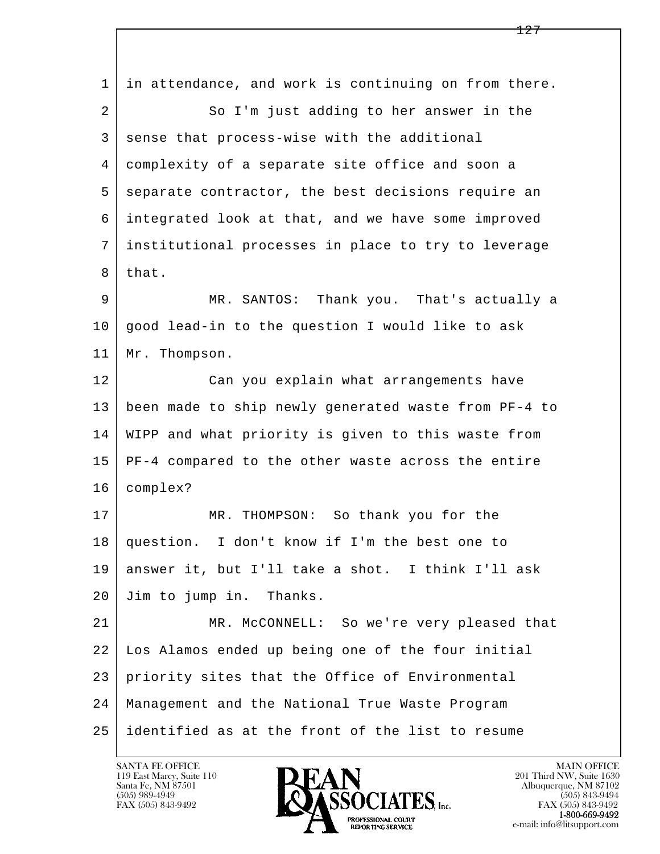l  $\overline{\phantom{a}}$  1 in attendance, and work is continuing on from there. 2 So I'm just adding to her answer in the 3 sense that process-wise with the additional 4 complexity of a separate site office and soon a 5 separate contractor, the best decisions require an 6 integrated look at that, and we have some improved 7 institutional processes in place to try to leverage 8 that. 9 MR. SANTOS: Thank you. That's actually a  $10$  good lead-in to the question I would like to ask 11 | Mr. Thompson. 12 | Can you explain what arrangements have 13 been made to ship newly generated waste from PF-4 to 14 WIPP and what priority is given to this waste from 15 PF-4 compared to the other waste across the entire 16 complex? 17 | MR. THOMPSON: So thank you for the 18 question. I don't know if I'm the best one to 19 answer it, but I'll take a shot. I think I'll ask 20 Jim to jump in. Thanks. 21 MR. McCONNELL: So we're very pleased that 22 Los Alamos ended up being one of the four initial 23 priority sites that the Office of Environmental 24 Management and the National True Waste Program 25 identified as at the front of the list to resume

119 East Marcy, Suite 110<br>Santa Fe, NM 87501

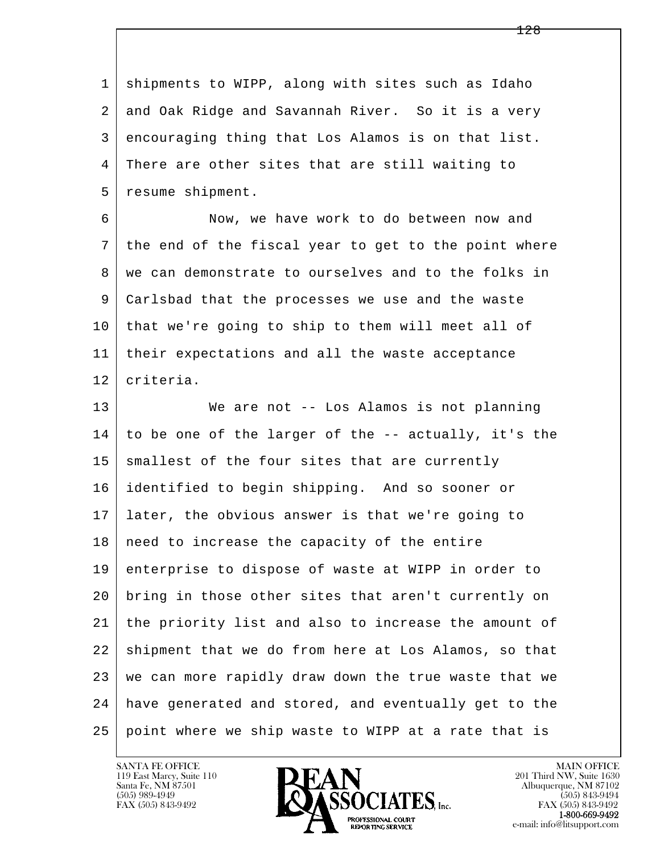1 shipments to WIPP, along with sites such as Idaho 2 and Oak Ridge and Savannah River. So it is a very 3 encouraging thing that Los Alamos is on that list. 4 There are other sites that are still waiting to 5 resume shipment.

 6 Now, we have work to do between now and 7 the end of the fiscal year to get to the point where 8 | we can demonstrate to ourselves and to the folks in 9 Carlsbad that the processes we use and the waste 10 that we're going to ship to them will meet all of 11 their expectations and all the waste acceptance 12 criteria.

l  $\overline{\phantom{a}}$  13 We are not -- Los Alamos is not planning  $14$  to be one of the larger of the -- actually, it's the 15 smallest of the four sites that are currently 16 identified to begin shipping. And so sooner or 17 later, the obvious answer is that we're going to 18 | need to increase the capacity of the entire 19 enterprise to dispose of waste at WIPP in order to 20 bring in those other sites that aren't currently on 21 the priority list and also to increase the amount of 22 shipment that we do from here at Los Alamos, so that 23 we can more rapidly draw down the true waste that we 24 have generated and stored, and eventually get to the 25 point where we ship waste to WIPP at a rate that is

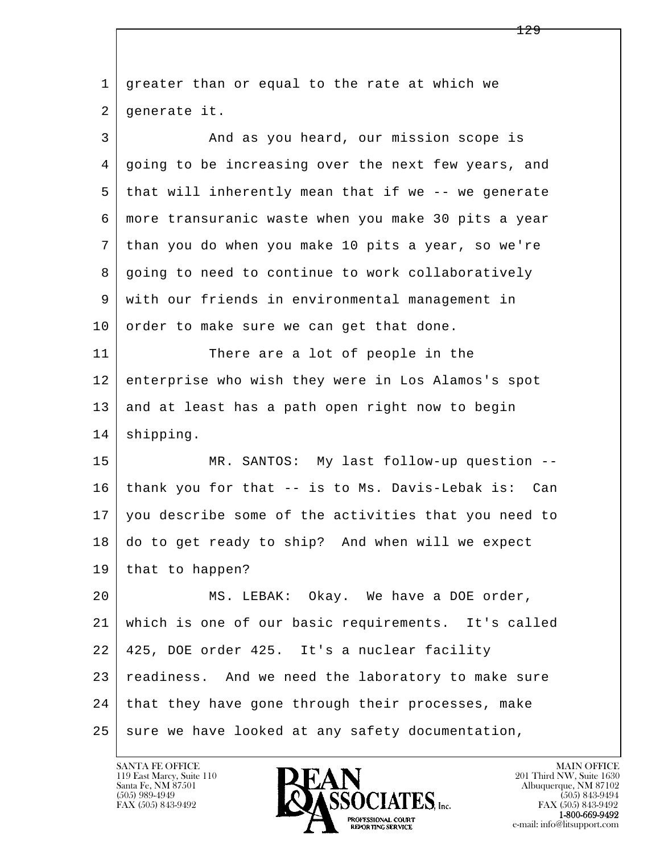l  $\overline{\phantom{a}}$  1 greater than or equal to the rate at which we 2 generate it. 3 And as you heard, our mission scope is 4 going to be increasing over the next few years, and 5 that will inherently mean that if we -- we generate 6 more transuranic waste when you make 30 pits a year 7 than you do when you make 10 pits a year, so we're 8 going to need to continue to work collaboratively 9 with our friends in environmental management in 10 order to make sure we can get that done. 11 There are a lot of people in the 12 enterprise who wish they were in Los Alamos's spot 13 and at least has a path open right now to begin 14 | shipping. 15 | MR. SANTOS: My last follow-up question -- 16 thank you for that -- is to Ms. Davis-Lebak is: Can 17 you describe some of the activities that you need to 18 do to get ready to ship? And when will we expect 19 that to happen? 20 | MS. LEBAK: Okay. We have a DOE order, 21 which is one of our basic requirements. It's called 22 425, DOE order 425. It's a nuclear facility 23 | readiness. And we need the laboratory to make sure 24 | that they have gone through their processes, make  $25$  sure we have looked at any safety documentation,

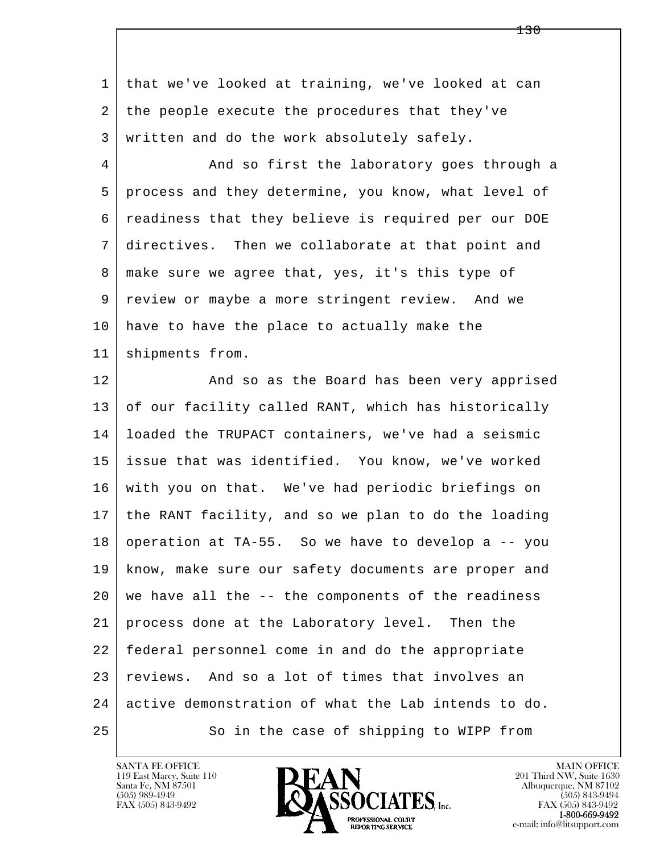l  $\overline{\phantom{a}}$  1 that we've looked at training, we've looked at can 2 the people execute the procedures that they've 3 | written and do the work absolutely safely. 4 And so first the laboratory goes through a 5 process and they determine, you know, what level of 6 readiness that they believe is required per our DOE 7 directives. Then we collaborate at that point and 8 | make sure we agree that, yes, it's this type of 9 review or maybe a more stringent review. And we 10 have to have the place to actually make the 11 | shipments from. 12 And so as the Board has been very apprised 13 of our facility called RANT, which has historically 14 loaded the TRUPACT containers, we've had a seismic 15 issue that was identified. You know, we've worked 16 with you on that. We've had periodic briefings on 17 the RANT facility, and so we plan to do the loading  $18$  operation at TA-55. So we have to develop a  $-$ - you 19 know, make sure our safety documents are proper and  $20$  we have all the  $-$ - the components of the readiness 21 process done at the Laboratory level. Then the 22 federal personnel come in and do the appropriate 23 reviews. And so a lot of times that involves an 24 active demonstration of what the Lab intends to do. 25 So in the case of shipping to WIPP from

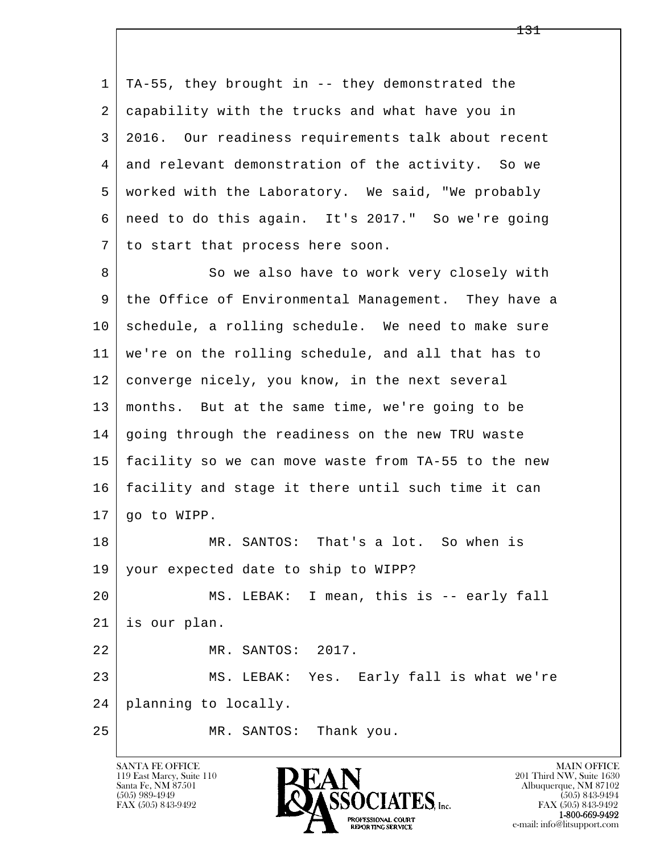l  $\overline{\phantom{a}}$  1 TA-55, they brought in -- they demonstrated the 2 capability with the trucks and what have you in 3 2016. Our readiness requirements talk about recent 4 and relevant demonstration of the activity. So we 5 worked with the Laboratory. We said, "We probably 6 need to do this again. It's 2017." So we're going 7 to start that process here soon. 8 So we also have to work very closely with 9 the Office of Environmental Management. They have a 10 schedule, a rolling schedule. We need to make sure 11 we're on the rolling schedule, and all that has to 12 converge nicely, you know, in the next several 13 months. But at the same time, we're going to be 14 | going through the readiness on the new TRU waste 15 facility so we can move waste from TA-55 to the new 16 facility and stage it there until such time it can 17 go to WIPP. 18 MR. SANTOS: That's a lot. So when is 19 your expected date to ship to WIPP? 20 | MS. LEBAK: I mean, this is -- early fall 21 is our plan. 22 MR. SANTOS: 2017. 23 MS. LEBAK: Yes. Early fall is what we're 24 planning to locally. 25 MR. SANTOS: Thank you.

119 East Marcy, Suite 110<br>Santa Fe, NM 87501



FAX (505) 843-9492<br>**1-800-669-9492**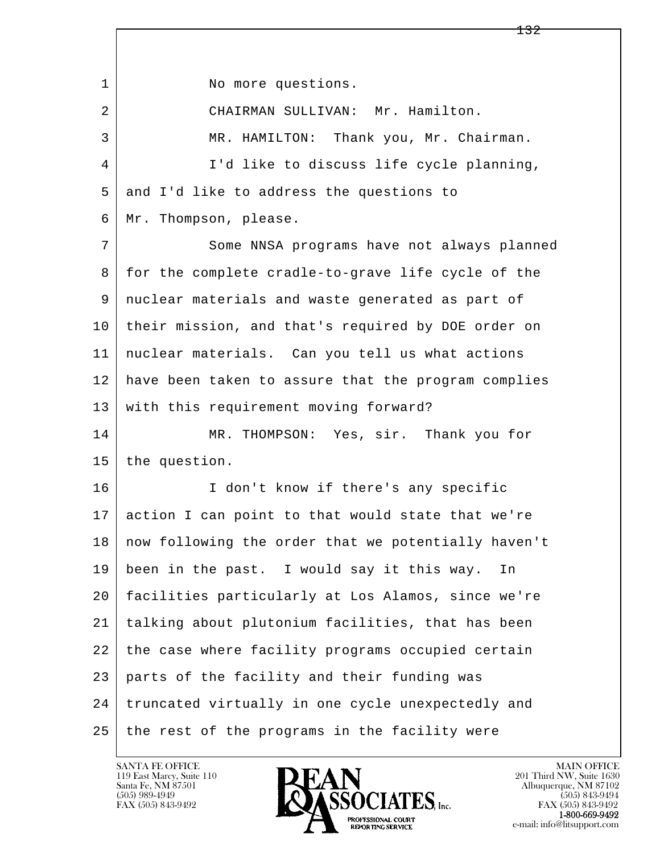l  $\overline{\phantom{a}}$ 1 No more questions. 2 CHAIRMAN SULLIVAN: Mr. Hamilton. 3 MR. HAMILTON: Thank you, Mr. Chairman. 4 I'd like to discuss life cycle planning, 5 and I'd like to address the questions to 6 Mr. Thompson, please. 7 Some NNSA programs have not always planned 8 for the complete cradle-to-grave life cycle of the 9 nuclear materials and waste generated as part of 10 their mission, and that's required by DOE order on 11 nuclear materials. Can you tell us what actions 12 have been taken to assure that the program complies 13 with this requirement moving forward? 14 MR. THOMPSON: Yes, sir. Thank you for 15 the question. 16 | I don't know if there's any specific 17 action I can point to that would state that we're 18 now following the order that we potentially haven't 19 been in the past. I would say it this way. In 20 facilities particularly at Los Alamos, since we're 21 talking about plutonium facilities, that has been 22 the case where facility programs occupied certain 23 parts of the facility and their funding was 24 truncated virtually in one cycle unexpectedly and 25 the rest of the programs in the facility were

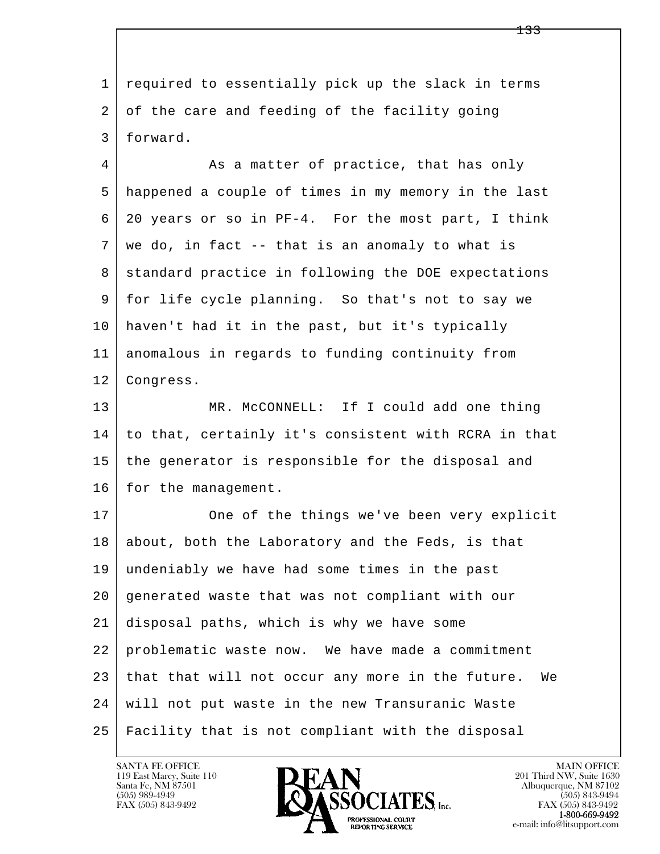l  $\overline{\phantom{a}}$  1 required to essentially pick up the slack in terms 2 of the care and feeding of the facility going 3 forward. 4 As a matter of practice, that has only 5 happened a couple of times in my memory in the last 6 20 years or so in PF-4. For the most part, I think  $7 \mid$  we do, in fact -- that is an anomaly to what is 8 | standard practice in following the DOE expectations 9 for life cycle planning. So that's not to say we 10 haven't had it in the past, but it's typically 11 anomalous in regards to funding continuity from 12 Congress. 13 MR. McCONNELL: If I could add one thing 14 to that, certainly it's consistent with RCRA in that 15 the generator is responsible for the disposal and 16 for the management. 17 One of the things we've been very explicit 18 about, both the Laboratory and the Feds, is that 19 undeniably we have had some times in the past 20 generated waste that was not compliant with our 21 disposal paths, which is why we have some 22 problematic waste now. We have made a commitment 23 that that will not occur any more in the future. We 24 will not put waste in the new Transuranic Waste 25 Facility that is not compliant with the disposal



e-mail: info@litsupport.com<br>REPORTING SERVICE e-mail: info@litsupport.com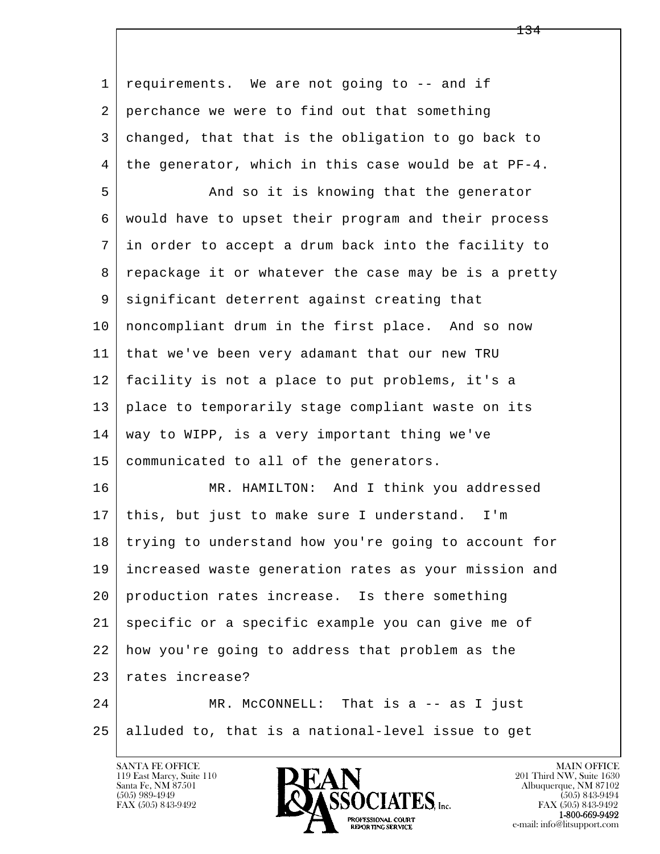l  $\overline{\phantom{a}}$  1 requirements. We are not going to -- and if 2 perchance we were to find out that something 3 changed, that that is the obligation to go back to  $4 \mid$  the generator, which in this case would be at PF-4. 5 And so it is knowing that the generator 6 would have to upset their program and their process 7 in order to accept a drum back into the facility to 8 | repackage it or whatever the case may be is a pretty 9 significant deterrent against creating that 10 noncompliant drum in the first place. And so now 11 that we've been very adamant that our new TRU 12 facility is not a place to put problems, it's a 13 place to temporarily stage compliant waste on its 14 | way to WIPP, is a very important thing we've 15 communicated to all of the generators. 16 MR. HAMILTON: And I think you addressed 17 this, but just to make sure I understand. I'm 18 | trying to understand how you're going to account for 19 increased waste generation rates as your mission and 20 production rates increase. Is there something 21 specific or a specific example you can give me of 22 how you're going to address that problem as the 23 rates increase? 24 MR. McCONNELL: That is a -- as I just 25 alluded to, that is a national-level issue to get

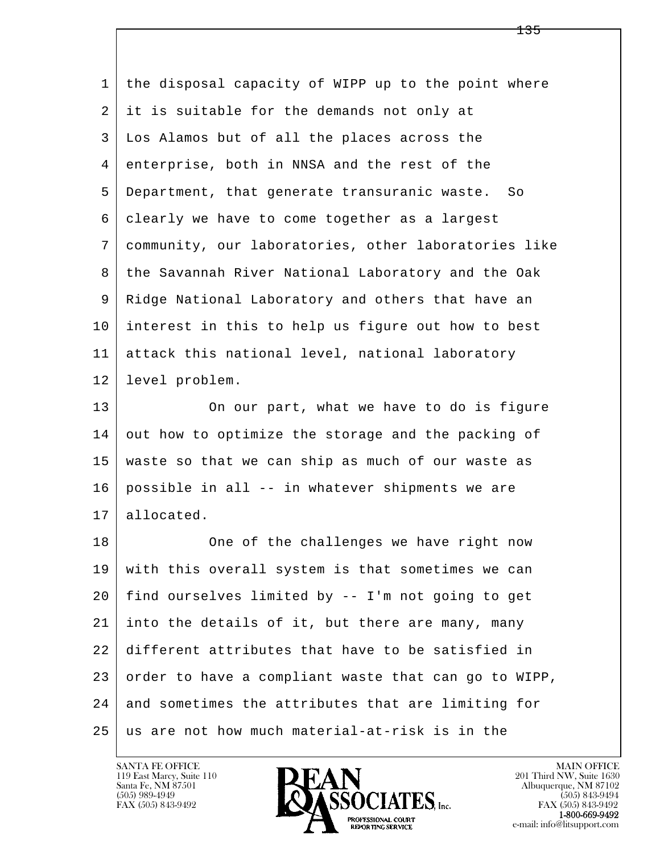l  $\overline{\phantom{a}}$  1 the disposal capacity of WIPP up to the point where 2 it is suitable for the demands not only at 3 Los Alamos but of all the places across the 4 enterprise, both in NNSA and the rest of the 5 Department, that generate transuranic waste. So 6 clearly we have to come together as a largest 7 community, our laboratories, other laboratories like 8 the Savannah River National Laboratory and the Oak 9 Ridge National Laboratory and others that have an 10 interest in this to help us figure out how to best 11 attack this national level, national laboratory 12 level problem. 13 On our part, what we have to do is figure 14 out how to optimize the storage and the packing of 15 waste so that we can ship as much of our waste as 16 possible in all -- in whatever shipments we are 17 allocated. 18 | One of the challenges we have right now 19 with this overall system is that sometimes we can 20 find ourselves limited by -- I'm not going to get 21 into the details of it, but there are many, many 22 different attributes that have to be satisfied in  $23$  order to have a compliant waste that can go to WIPP, 24 and sometimes the attributes that are limiting for  $25$  as are not how much material-at-risk is in the

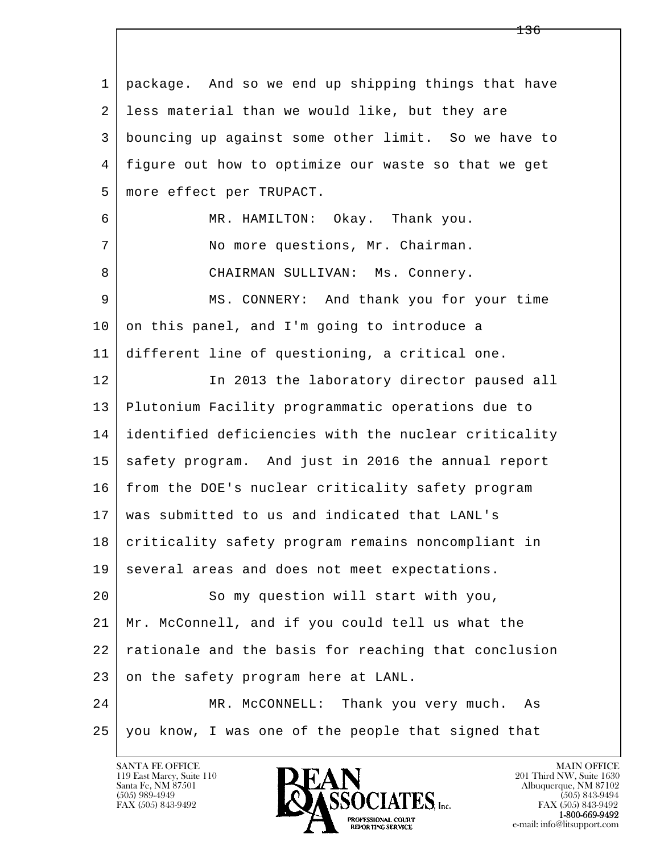l  $\overline{\phantom{a}}$  1 package. And so we end up shipping things that have 2 less material than we would like, but they are 3 bouncing up against some other limit. So we have to 4 figure out how to optimize our waste so that we get 5 more effect per TRUPACT. 6 MR. HAMILTON: Okay. Thank you. 7 No more questions, Mr. Chairman. 8 CHAIRMAN SULLIVAN: Ms. Connery. 9 MS. CONNERY: And thank you for your time  $10$  on this panel, and I'm going to introduce a 11 different line of questioning, a critical one. 12 In 2013 the laboratory director paused all 13 Plutonium Facility programmatic operations due to 14 identified deficiencies with the nuclear criticality 15 safety program. And just in 2016 the annual report 16 from the DOE's nuclear criticality safety program 17 was submitted to us and indicated that LANL's 18 criticality safety program remains noncompliant in 19 several areas and does not meet expectations. 20 So my question will start with you, 21 Mr. McConnell, and if you could tell us what the 22 rationale and the basis for reaching that conclusion 23 on the safety program here at LANL. 24 MR. McCONNELL: Thank you very much. As 25 | you know, I was one of the people that signed that

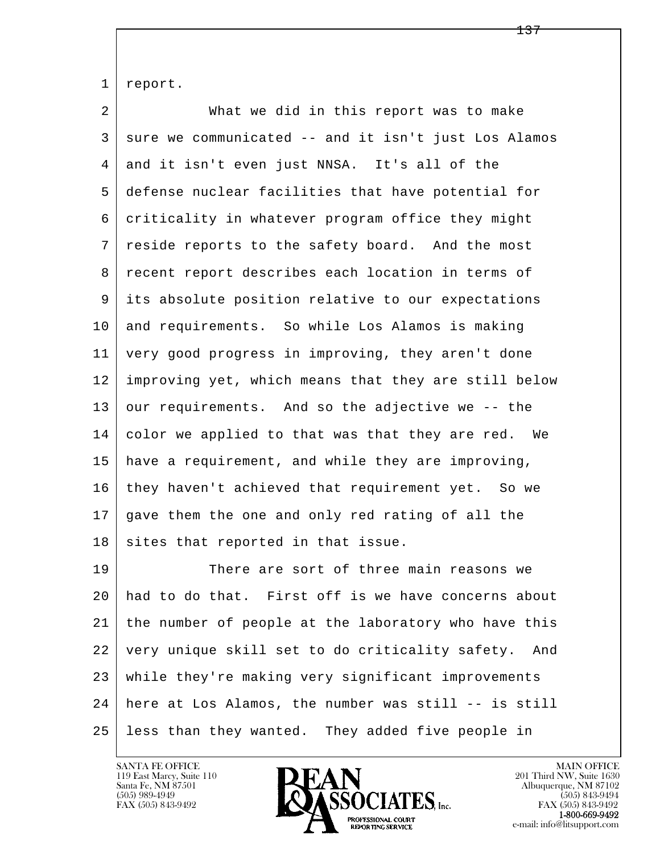1 report.

2 What we did in this report was to make 3 sure we communicated -- and it isn't just Los Alamos 4 and it isn't even just NNSA. It's all of the 5 defense nuclear facilities that have potential for 6 criticality in whatever program office they might 7 reside reports to the safety board. And the most 8 | recent report describes each location in terms of 9 its absolute position relative to our expectations 10 and requirements. So while Los Alamos is making 11 very good progress in improving, they aren't done 12 improving yet, which means that they are still below 13 our requirements. And so the adjective we -- the 14 color we applied to that was that they are red. We 15 have a requirement, and while they are improving, 16 they haven't achieved that requirement yet. So we 17 gave them the one and only red rating of all the 18 sites that reported in that issue. 19 There are sort of three main reasons we 20 had to do that. First off is we have concerns about 21 the number of people at the laboratory who have this 22 very unique skill set to do criticality safety. And

l  $\overline{\phantom{a}}$  23 while they're making very significant improvements 24 here at Los Alamos, the number was still -- is still 25 less than they wanted. They added five people in

119 East Marcy, Suite 110<br>Santa Fe, NM 87501



FAX (505) 843-9492<br>**1-800-669-9492**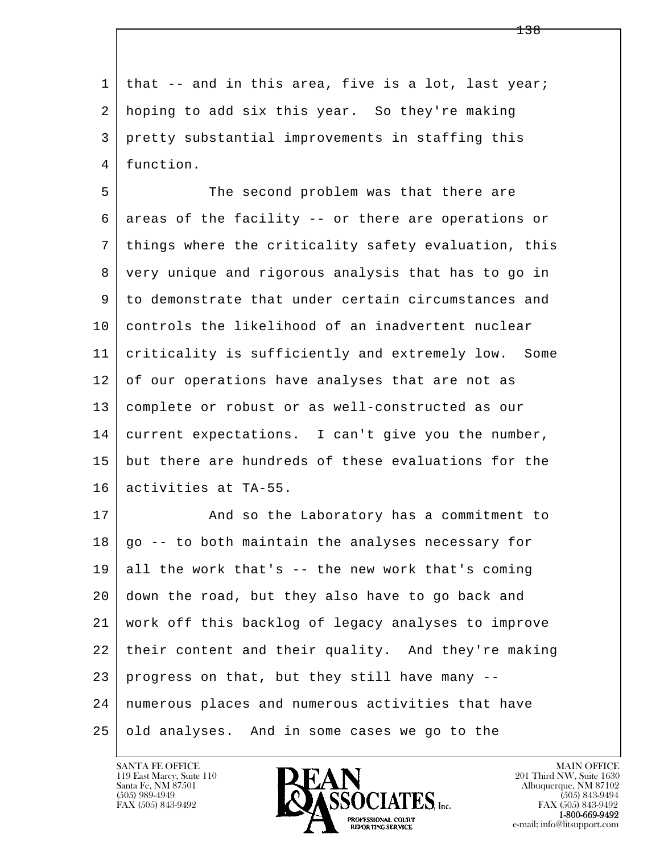1 that -- and in this area, five is a lot, last year; 2 hoping to add six this year. So they're making 3 pretty substantial improvements in staffing this 4 function.

5 The second problem was that there are 6 areas of the facility -- or there are operations or 7 things where the criticality safety evaluation, this 8 very unique and rigorous analysis that has to go in 9 to demonstrate that under certain circumstances and 10 controls the likelihood of an inadvertent nuclear 11 criticality is sufficiently and extremely low. Some 12 of our operations have analyses that are not as 13 complete or robust or as well-constructed as our 14 current expectations. I can't give you the number, 15 but there are hundreds of these evaluations for the 16 activities at TA-55.

l  $\overline{\phantom{a}}$ 17 | And so the Laboratory has a commitment to  $18$  | go -- to both maintain the analyses necessary for  $19$  all the work that's -- the new work that's coming 20 down the road, but they also have to go back and 21 work off this backlog of legacy analyses to improve 22 their content and their quality. And they're making 23 progress on that, but they still have many -- 24 numerous places and numerous activities that have 25 old analyses. And in some cases we go to the

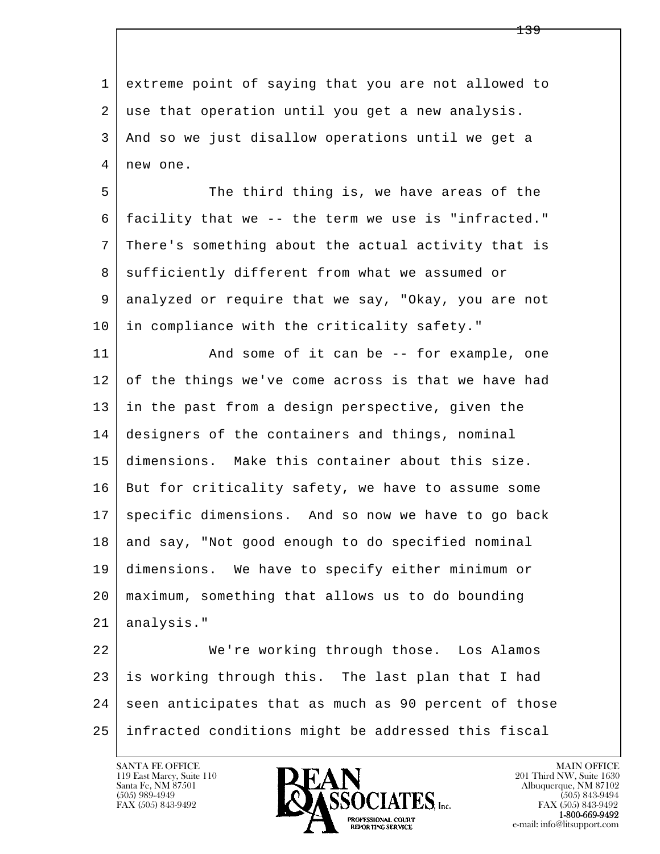l  $\overline{\phantom{a}}$  1 extreme point of saying that you are not allowed to 2 use that operation until you get a new analysis. 3 And so we just disallow operations until we get a 4 | new one. 5 The third thing is, we have areas of the 6 facility that we -- the term we use is "infracted." 7 There's something about the actual activity that is 8 | sufficiently different from what we assumed or 9 analyzed or require that we say, "Okay, you are not 10 in compliance with the criticality safety." 11 | And some of it can be -- for example, one 12 of the things we've come across is that we have had 13 in the past from a design perspective, given the 14 designers of the containers and things, nominal 15 dimensions. Make this container about this size. 16 But for criticality safety, we have to assume some 17 | specific dimensions. And so now we have to go back 18 and say, "Not good enough to do specified nominal 19 dimensions. We have to specify either minimum or 20 maximum, something that allows us to do bounding 21 | analysis." 22 We're working through those. Los Alamos 23 is working through this. The last plan that I had 24 seen anticipates that as much as 90 percent of those 25 infracted conditions might be addressed this fiscal

119 East Marcy, Suite 110<br>Santa Fe, NM 87501

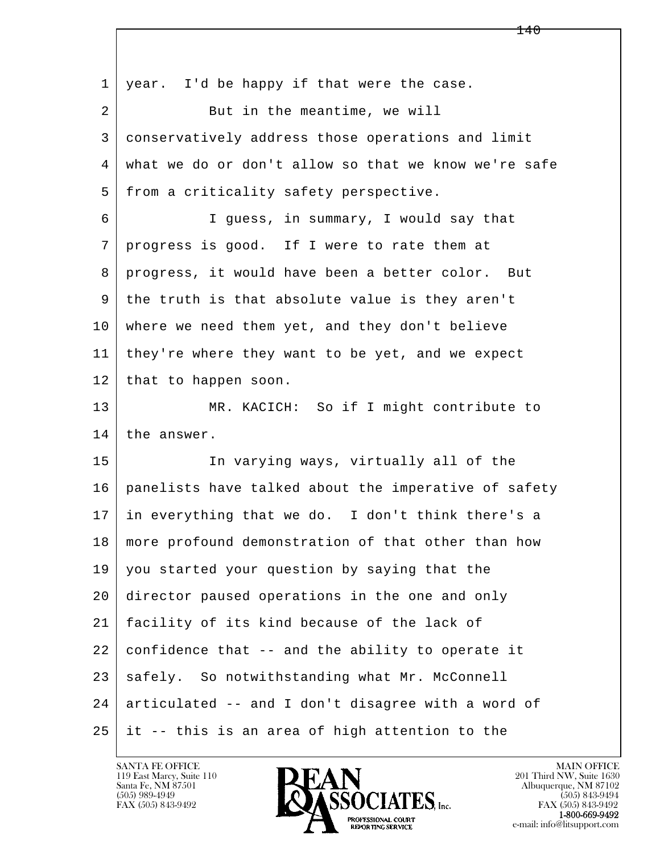l  $\overline{\phantom{a}}$ 1 | year. I'd be happy if that were the case. 2 | But in the meantime, we will 3 conservatively address those operations and limit 4 what we do or don't allow so that we know we're safe 5 | from a criticality safety perspective. 6 I guess, in summary, I would say that 7 progress is good. If I were to rate them at 8 progress, it would have been a better color. But 9 the truth is that absolute value is they aren't 10 where we need them yet, and they don't believe 11 they're where they want to be yet, and we expect 12 | that to happen soon. 13 MR. KACICH: So if I might contribute to 14 the answer. 15 In varying ways, virtually all of the 16 panelists have talked about the imperative of safety 17 in everything that we do. I don't think there's a 18 more profound demonstration of that other than how 19 you started your question by saying that the 20 director paused operations in the one and only 21 facility of its kind because of the lack of  $22$  confidence that  $-$ - and the ability to operate it 23 safely. So notwithstanding what Mr. McConnell 24 articulated -- and I don't disagree with a word of 25 it -- this is an area of high attention to the

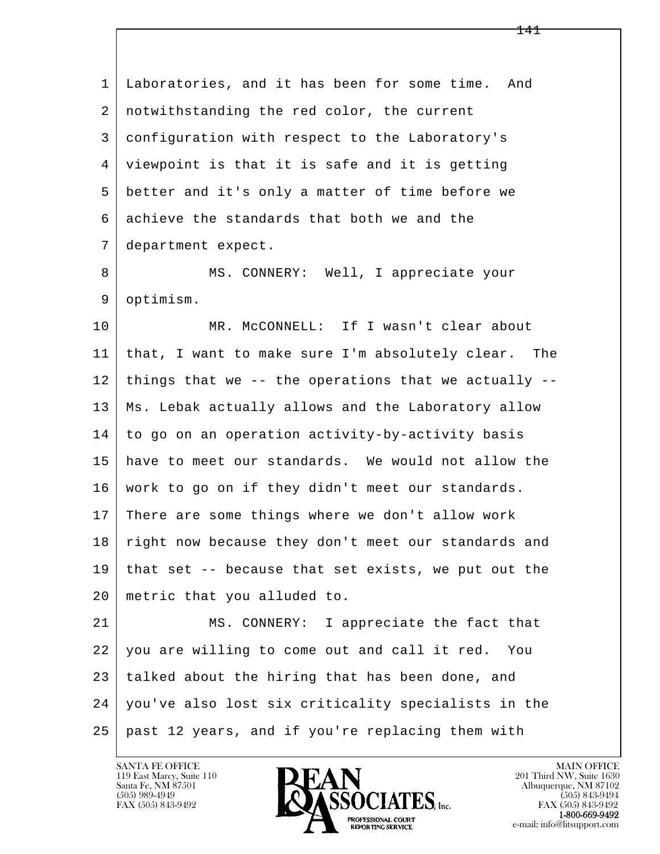l  $\overline{\phantom{a}}$  1 Laboratories, and it has been for some time. And 2 notwithstanding the red color, the current 3 configuration with respect to the Laboratory's 4 viewpoint is that it is safe and it is getting 5 better and it's only a matter of time before we 6 achieve the standards that both we and the 7 department expect. 8 | MS. CONNERY: Well, I appreciate your 9 optimism. 10 | MR. McCONNELL: If I wasn't clear about 11 that, I want to make sure I'm absolutely clear. The  $12$  | things that we -- the operations that we actually -- 13 Ms. Lebak actually allows and the Laboratory allow 14 to go on an operation activity-by-activity basis 15 have to meet our standards. We would not allow the 16 work to go on if they didn't meet our standards. 17 There are some things where we don't allow work 18 right now because they don't meet our standards and  $19$  that set  $-$ - because that set exists, we put out the 20 metric that you alluded to. 21 MS. CONNERY: I appreciate the fact that 22 you are willing to come out and call it red. You 23 talked about the hiring that has been done, and 24 you've also lost six criticality specialists in the 25 past 12 years, and if you're replacing them with

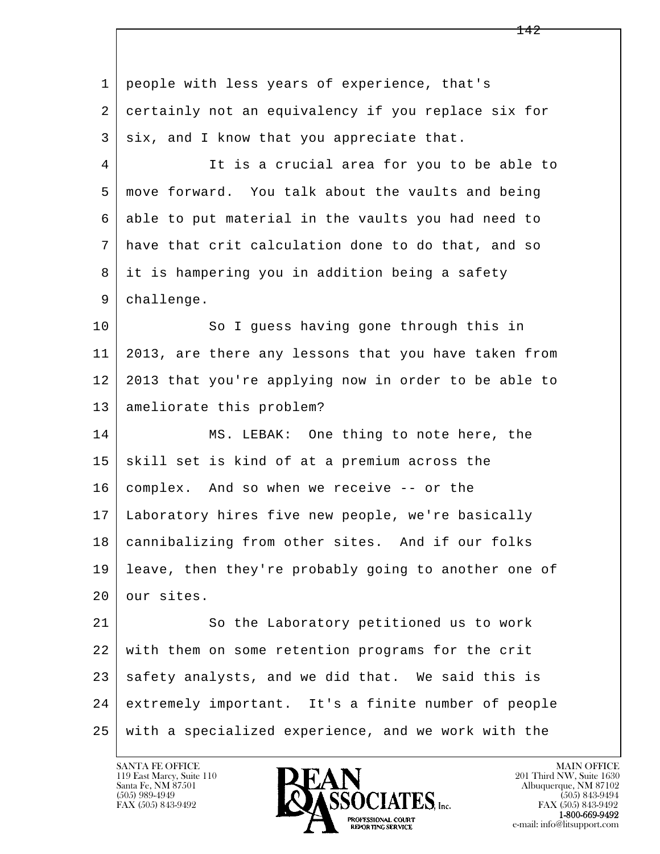l  $\overline{\phantom{a}}$  1 people with less years of experience, that's 2 certainly not an equivalency if you replace six for  $3$  six, and I know that you appreciate that. 4 It is a crucial area for you to be able to 5 move forward. You talk about the vaults and being 6 able to put material in the vaults you had need to 7 have that crit calculation done to do that, and so 8 it is hampering you in addition being a safety 9 challenge. 10 So I quess having gone through this in 11 2013, are there any lessons that you have taken from 12 2013 that you're applying now in order to be able to 13 ameliorate this problem? 14 MS. LEBAK: One thing to note here, the  $15$  skill set is kind of at a premium across the 16 complex. And so when we receive -- or the 17 Laboratory hires five new people, we're basically 18 cannibalizing from other sites. And if our folks 19 leave, then they're probably going to another one of 20 our sites. 21 So the Laboratory petitioned us to work 22 with them on some retention programs for the crit 23 safety analysts, and we did that. We said this is 24 extremely important. It's a finite number of people 25 with a specialized experience, and we work with the

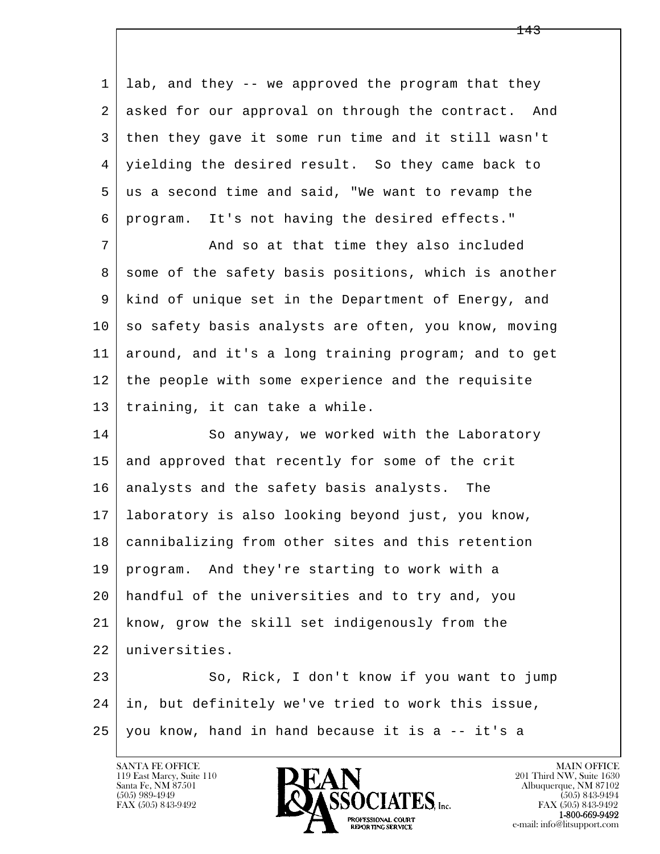1 lab, and they -- we approved the program that they 2 asked for our approval on through the contract. And 3 then they gave it some run time and it still wasn't 4 yielding the desired result. So they came back to 5 us a second time and said, "We want to revamp the 6 program. It's not having the desired effects." 7 | And so at that time they also included

8 some of the safety basis positions, which is another 9 kind of unique set in the Department of Energy, and  $10$  so safety basis analysts are often, you know, moving 11 around, and it's a long training program; and to get 12 the people with some experience and the requisite 13 training, it can take a while.

14 So anyway, we worked with the Laboratory 15 and approved that recently for some of the crit 16 analysts and the safety basis analysts. The 17 laboratory is also looking beyond just, you know, 18 cannibalizing from other sites and this retention 19 program. And they're starting to work with a 20 handful of the universities and to try and, you 21 know, grow the skill set indigenously from the 22 universities.

l  $\overline{\phantom{a}}$ 23 So, Rick, I don't know if you want to jump 24 in, but definitely we've tried to work this issue, 25 you know, hand in hand because it is a -- it's a

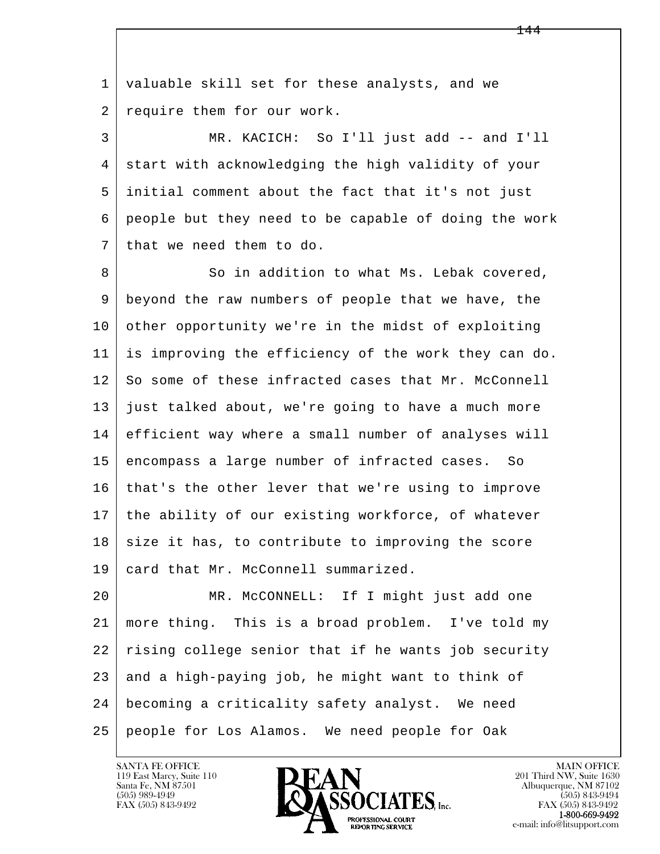l  $\overline{\phantom{a}}$  1 valuable skill set for these analysts, and we 2 require them for our work. 3 MR. KACICH: So I'll just add -- and I'll 4 start with acknowledging the high validity of your 5 initial comment about the fact that it's not just 6 people but they need to be capable of doing the work 7 that we need them to do. 8 So in addition to what Ms. Lebak covered, 9 beyond the raw numbers of people that we have, the 10 other opportunity we're in the midst of exploiting 11 is improving the efficiency of the work they can do. 12 So some of these infracted cases that Mr. McConnell 13 just talked about, we're going to have a much more 14 efficient way where a small number of analyses will 15 encompass a large number of infracted cases. So 16 that's the other lever that we're using to improve 17 the ability of our existing workforce, of whatever  $18$  size it has, to contribute to improving the score 19 card that Mr. McConnell summarized. 20 MR. McCONNELL: If I might just add one 21 more thing. This is a broad problem. I've told my 22 rising college senior that if he wants job security  $23$  and a high-paying job, he might want to think of 24 becoming a criticality safety analyst. We need 25 people for Los Alamos. We need people for Oak

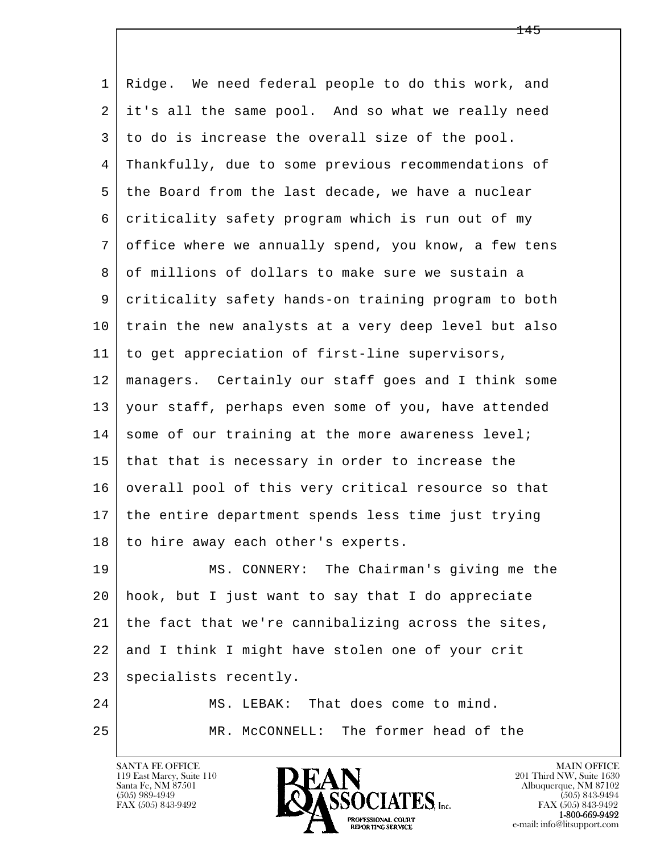l  $\overline{\phantom{a}}$  1 Ridge. We need federal people to do this work, and 2 it's all the same pool. And so what we really need 3 to do is increase the overall size of the pool. 4 Thankfully, due to some previous recommendations of 5 the Board from the last decade, we have a nuclear 6 criticality safety program which is run out of my 7 office where we annually spend, you know, a few tens 8 of millions of dollars to make sure we sustain a 9 criticality safety hands-on training program to both 10 train the new analysts at a very deep level but also 11 to get appreciation of first-line supervisors, 12 managers. Certainly our staff goes and I think some 13 your staff, perhaps even some of you, have attended  $14$  some of our training at the more awareness level;  $15$  that that is necessary in order to increase the 16 overall pool of this very critical resource so that 17 the entire department spends less time just trying 18 to hire away each other's experts. 19 MS. CONNERY: The Chairman's giving me the 20 hook, but I just want to say that I do appreciate 21 the fact that we're cannibalizing across the sites, 22 and I think I might have stolen one of your crit 23 specialists recently. 24 MS. LEBAK: That does come to mind. 25 MR. McCONNELL: The former head of the

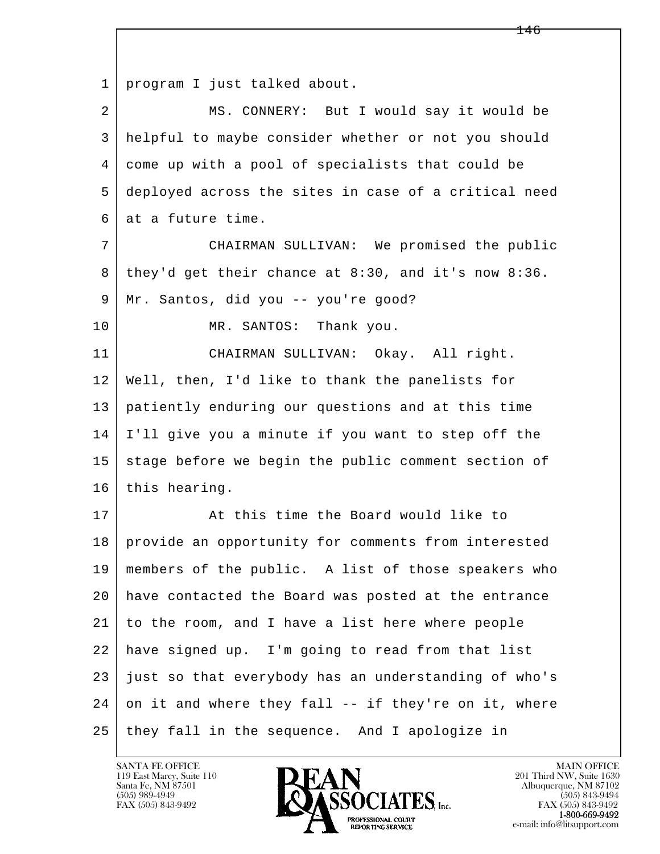l  $\overline{\phantom{a}}$  1 program I just talked about. 2 MS. CONNERY: But I would say it would be 3 helpful to maybe consider whether or not you should 4 come up with a pool of specialists that could be 5 deployed across the sites in case of a critical need 6 at a future time. 7 CHAIRMAN SULLIVAN: We promised the public 8 they'd get their chance at 8:30, and it's now 8:36. 9 Mr. Santos, did you -- you're good? 10 MR. SANTOS: Thank you. 11 CHAIRMAN SULLIVAN: Okay. All right. 12 Well, then, I'd like to thank the panelists for 13 patiently enduring our questions and at this time 14 I'll give you a minute if you want to step off the  $15$  stage before we begin the public comment section of 16 this hearing. 17 At this time the Board would like to 18 | provide an opportunity for comments from interested 19 members of the public. A list of those speakers who 20 have contacted the Board was posted at the entrance 21 to the room, and I have a list here where people 22 have signed up. I'm going to read from that list  $23$  just so that everybody has an understanding of who's  $24$  on it and where they fall  $-$  if they're on it, where 25 they fall in the sequence. And I apologize in

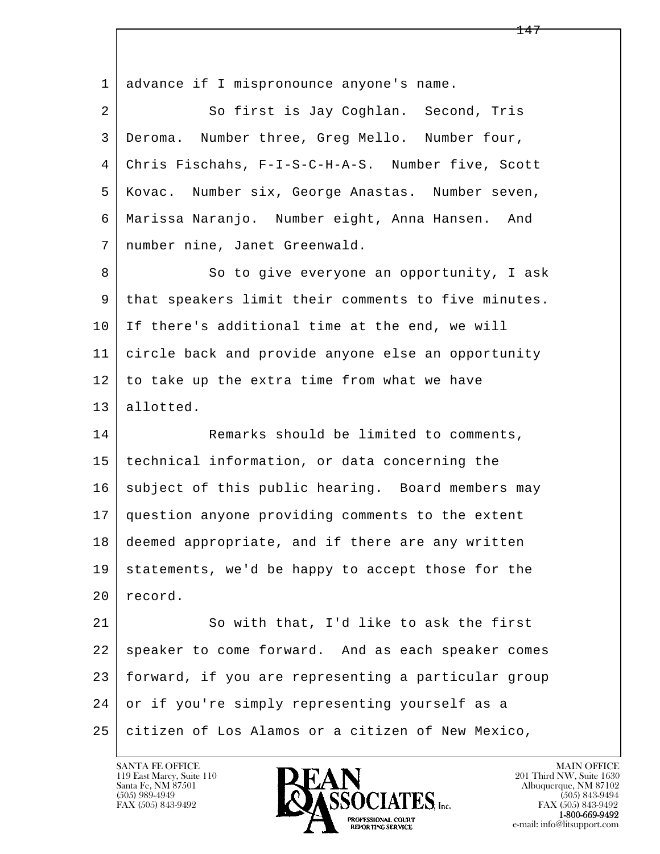l  $\overline{\phantom{a}}$  1 advance if I mispronounce anyone's name. 2 So first is Jay Coghlan. Second, Tris 3 Deroma. Number three, Greg Mello. Number four, 4 Chris Fischahs, F-I-S-C-H-A-S. Number five, Scott 5 Kovac. Number six, George Anastas. Number seven, 6 Marissa Naranjo. Number eight, Anna Hansen. And 7 number nine, Janet Greenwald. 8 So to give everyone an opportunity, I ask 9 that speakers limit their comments to five minutes. 10 If there's additional time at the end, we will 11 circle back and provide anyone else an opportunity  $12$  to take up the extra time from what we have 13 allotted. 14 Remarks should be limited to comments, 15 technical information, or data concerning the 16 subject of this public hearing. Board members may 17 question anyone providing comments to the extent 18 deemed appropriate, and if there are any written 19 statements, we'd be happy to accept those for the 20 record. 21 So with that, I'd like to ask the first 22 speaker to come forward. And as each speaker comes 23 forward, if you are representing a particular group 24 or if you're simply representing yourself as a 25 citizen of Los Alamos or a citizen of New Mexico,

119 East Marcy, Suite 110<br>Santa Fe, NM 87501

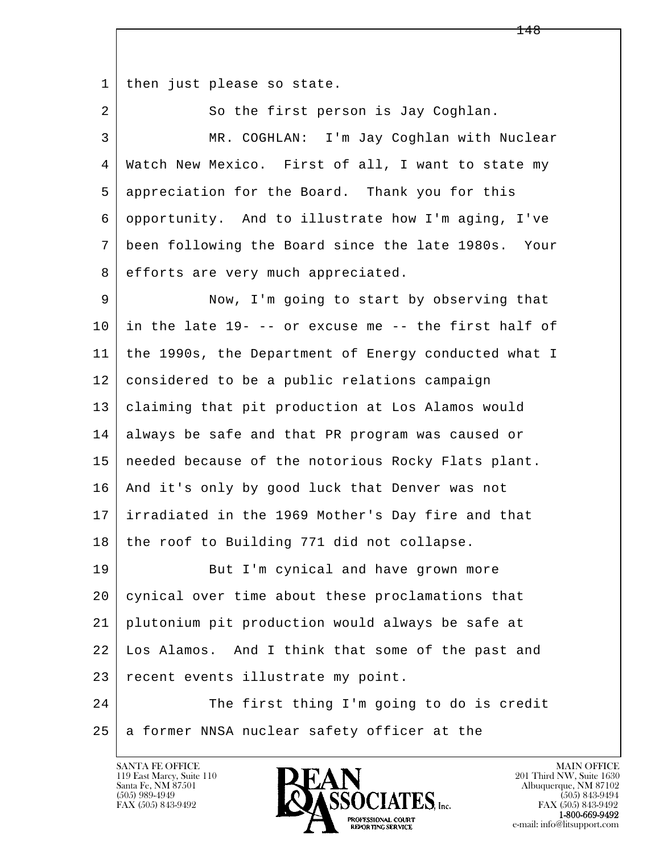1 | then just please so state.

2 So the first person is Jay Coghlan. 3 MR. COGHLAN: I'm Jay Coghlan with Nuclear 4 Watch New Mexico. First of all, I want to state my 5 appreciation for the Board. Thank you for this 6 opportunity. And to illustrate how I'm aging, I've 7 been following the Board since the late 1980s. Your 8 efforts are very much appreciated. 9 Now, I'm going to start by observing that  $10$  in the late  $19$ - -- or excuse me -- the first half of 11 the 1990s, the Department of Energy conducted what I 12 considered to be a public relations campaign 13 claiming that pit production at Los Alamos would 14 always be safe and that PR program was caused or 15 needed because of the notorious Rocky Flats plant. 16 And it's only by good luck that Denver was not 17 irradiated in the 1969 Mother's Day fire and that 18 the roof to Building 771 did not collapse. 19 But I'm cynical and have grown more 20 cynical over time about these proclamations that 21 plutonium pit production would always be safe at 22 Los Alamos. And I think that some of the past and

l  $\overline{\phantom{a}}$ 24 The first thing I'm going to do is credit  $25$  a former NNSA nuclear safety officer at the

23 recent events illustrate my point.

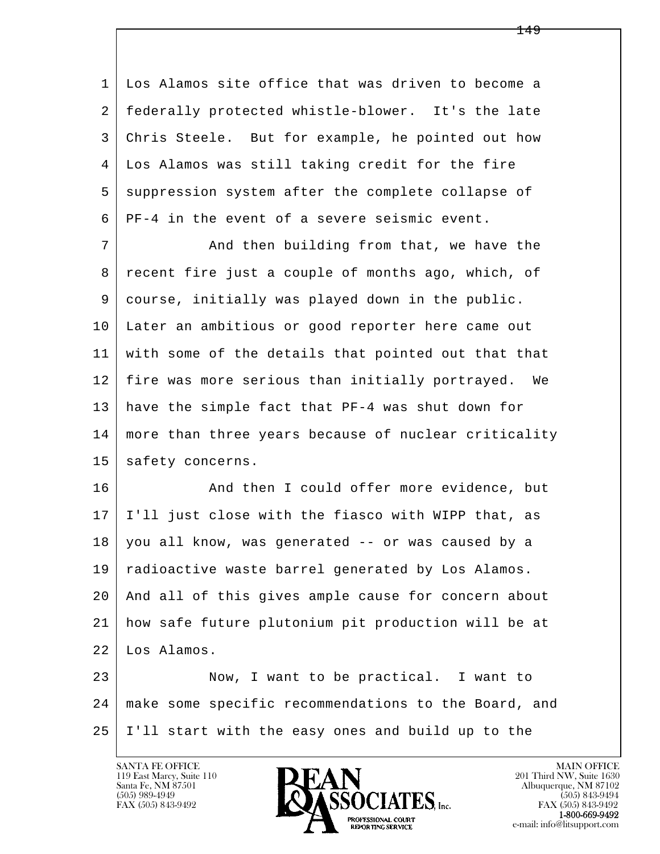1 Los Alamos site office that was driven to become a 2 federally protected whistle-blower. It's the late 3 Chris Steele. But for example, he pointed out how 4 Los Alamos was still taking credit for the fire 5 suppression system after the complete collapse of 6 PF-4 in the event of a severe seismic event.

7 And then building from that, we have the 8 | recent fire just a couple of months ago, which, of 9 course, initially was played down in the public. 10 Later an ambitious or good reporter here came out 11 with some of the details that pointed out that that 12 fire was more serious than initially portrayed. We 13 have the simple fact that PF-4 was shut down for 14 | more than three years because of nuclear criticality 15 | safety concerns.

16 And then I could offer more evidence, but 17 I'll just close with the fiasco with WIPP that, as 18 you all know, was generated -- or was caused by a 19 radioactive waste barrel generated by Los Alamos. 20 And all of this gives ample cause for concern about 21 how safe future plutonium pit production will be at 22 Los Alamos.

l  $\overline{\phantom{a}}$  23 Now, I want to be practical. I want to 24 make some specific recommendations to the Board, and 25 I'll start with the easy ones and build up to the

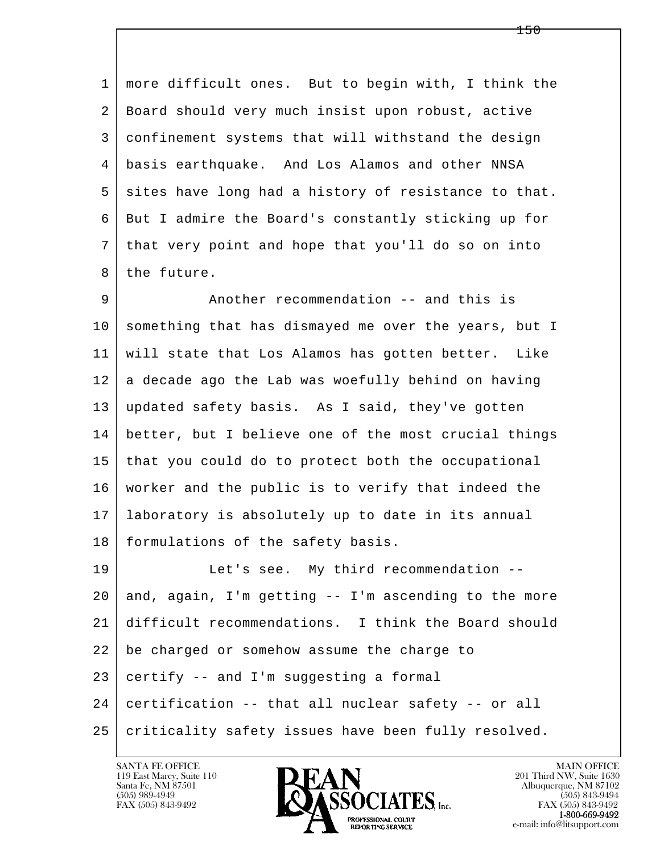1 more difficult ones. But to begin with, I think the 2 Board should very much insist upon robust, active 3 confinement systems that will withstand the design 4 basis earthquake. And Los Alamos and other NNSA 5 sites have long had a history of resistance to that. 6 But I admire the Board's constantly sticking up for 7 that very point and hope that you'll do so on into 8 the future.

 9 Another recommendation -- and this is 10 something that has dismayed me over the years, but I 11 will state that Los Alamos has gotten better. Like  $12$  a decade ago the Lab was woefully behind on having 13 updated safety basis. As I said, they've gotten 14 better, but I believe one of the most crucial things 15 that you could do to protect both the occupational 16 worker and the public is to verify that indeed the 17 laboratory is absolutely up to date in its annual 18 | formulations of the safety basis.

l  $\overline{\phantom{a}}$ 19 Let's see. My third recommendation -- $20$  and, again, I'm getting  $-$  I'm ascending to the more 21 difficult recommendations. I think the Board should 22 be charged or somehow assume the charge to 23 certify -- and I'm suggesting a formal 24 certification -- that all nuclear safety -- or all 25 | criticality safety issues have been fully resolved.

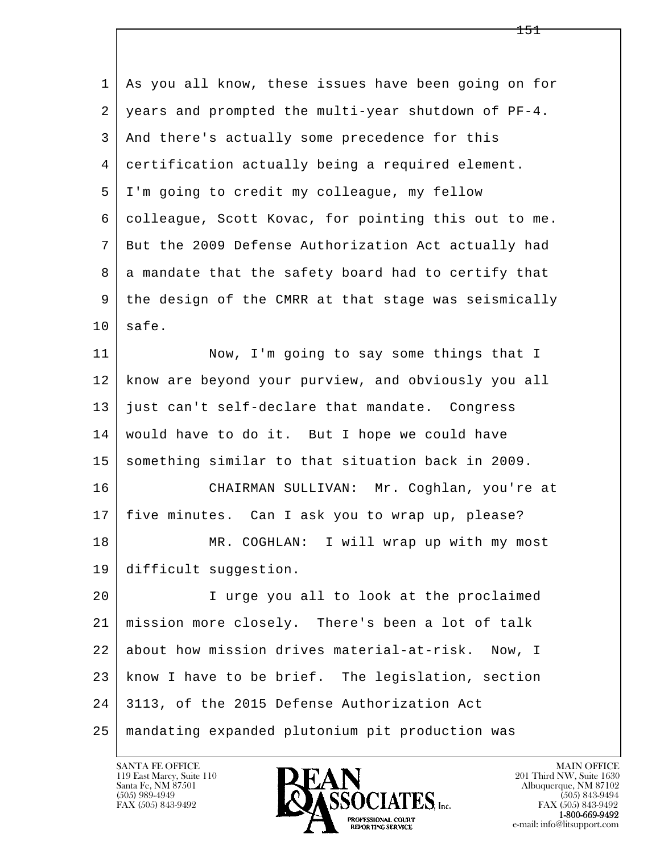| 1  | As you all know, these issues have been going on for |
|----|------------------------------------------------------|
| 2  | years and prompted the multi-year shutdown of PF-4.  |
| 3  | And there's actually some precedence for this        |
| 4  | certification actually being a required element.     |
| 5  | I'm going to credit my colleague, my fellow          |
| 6  | colleague, Scott Kovac, for pointing this out to me. |
| 7  | But the 2009 Defense Authorization Act actually had  |
| 8  | a mandate that the safety board had to certify that  |
| 9  | the design of the CMRR at that stage was seismically |
| 10 | safe.                                                |
| 11 | Now, I'm going to say some things that I             |
| 12 | know are beyond your purview, and obviously you all  |
| 13 | just can't self-declare that mandate. Congress       |
| 14 | would have to do it. But I hope we could have        |
| 15 | something similar to that situation back in 2009.    |
| 16 | CHAIRMAN SULLIVAN: Mr. Coghlan, you're at            |
| 17 | five minutes. Can I ask you to wrap up, please?      |
| 18 | MR. COGHLAN: I will wrap up with my most             |
| 19 | difficult suggestion.                                |
| 20 | I urge you all to look at the proclaimed             |
| 21 | mission more closely. There's been a lot of talk     |
| 22 | about how mission drives material-at-risk.<br>Now, I |
| 23 | know I have to be brief. The legislation, section    |
| 24 | 3113, of the 2015 Defense Authorization Act          |
| 25 | mandating expanded plutonium pit production was      |

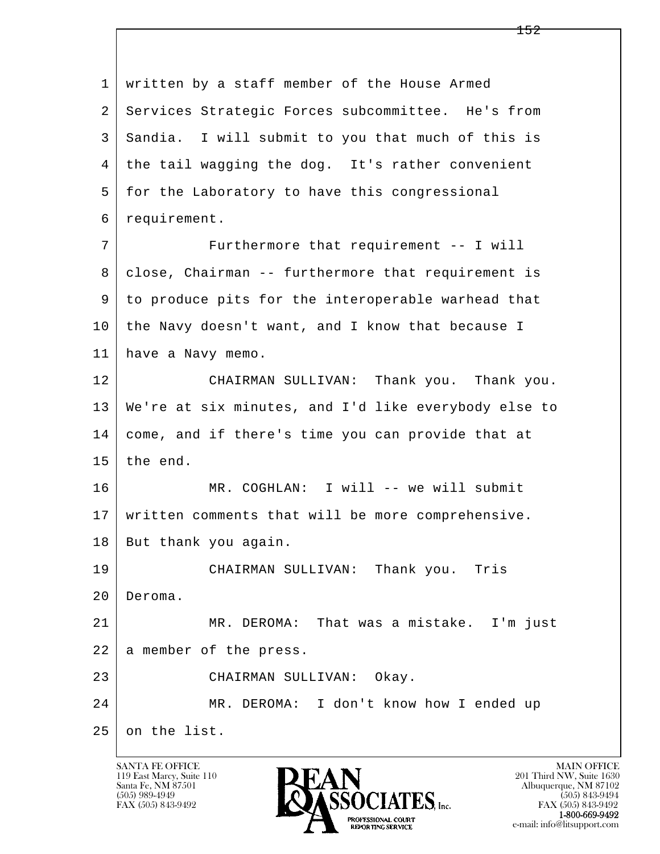l  $\overline{\phantom{a}}$  1 written by a staff member of the House Armed 2 Services Strategic Forces subcommittee. He's from 3 Sandia. I will submit to you that much of this is 4 the tail wagging the dog. It's rather convenient 5 for the Laboratory to have this congressional 6 requirement. 7 Furthermore that requirement -- I will 8 | close, Chairman -- furthermore that requirement is 9 to produce pits for the interoperable warhead that 10 the Navy doesn't want, and I know that because I 11 have a Navy memo. 12 CHAIRMAN SULLIVAN: Thank you. Thank you. 13 We're at six minutes, and I'd like everybody else to 14 come, and if there's time you can provide that at  $15$  the end. 16 MR. COGHLAN: I will -- we will submit 17 written comments that will be more comprehensive. 18 | But thank you again. 19 CHAIRMAN SULLIVAN: Thank you. Tris 20 Deroma. 21 MR. DEROMA: That was a mistake. I'm just 22 a member of the press. 23 CHAIRMAN SULLIVAN: Okay. 24 MR. DEROMA: I don't know how I ended up 25 on the list.

119 East Marcy, Suite 110<br>Santa Fe, NM 87501



FAX (505) 843-9492 FAX (505) 843-9492 e-mail: info@litsupport.com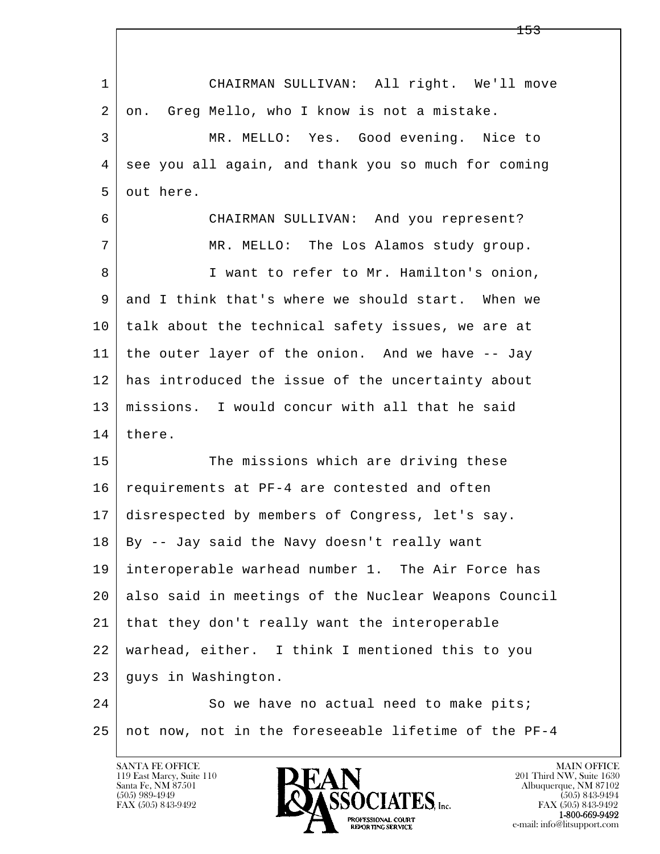| $\mathbf{1}$ | CHAIRMAN SULLIVAN: All right. We'll move             |
|--------------|------------------------------------------------------|
| 2            | Greg Mello, who I know is not a mistake.<br>on.      |
| 3            | MR. MELLO: Yes. Good evening. Nice to                |
| 4            | see you all again, and thank you so much for coming  |
| 5            | out here.                                            |
| 6            | CHAIRMAN SULLIVAN: And you represent?                |
| 7            | MR. MELLO: The Los Alamos study group.               |
| 8            | I want to refer to Mr. Hamilton's onion,             |
| 9            | and I think that's where we should start. When we    |
| 10           | talk about the technical safety issues, we are at    |
| 11           | the outer layer of the onion. And we have -- Jay     |
| 12           | has introduced the issue of the uncertainty about    |
| 13           | missions. I would concur with all that he said       |
| 14           | there.                                               |
| 15           | The missions which are driving these                 |
| 16           | requirements at PF-4 are contested and often         |
| 17           | disrespected by members of Congress, let's say.      |
| 18           | By -- Jay said the Navy doesn't really want          |
| 19           | interoperable warhead number 1. The Air Force has    |
| 20           | also said in meetings of the Nuclear Weapons Council |
| 21           | that they don't really want the interoperable        |
| 22           | warhead, either. I think I mentioned this to you     |
| 23           | guys in Washington.                                  |
| 24           | So we have no actual need to make pits;              |
| 25           | not now, not in the foreseeable lifetime of the PF-4 |

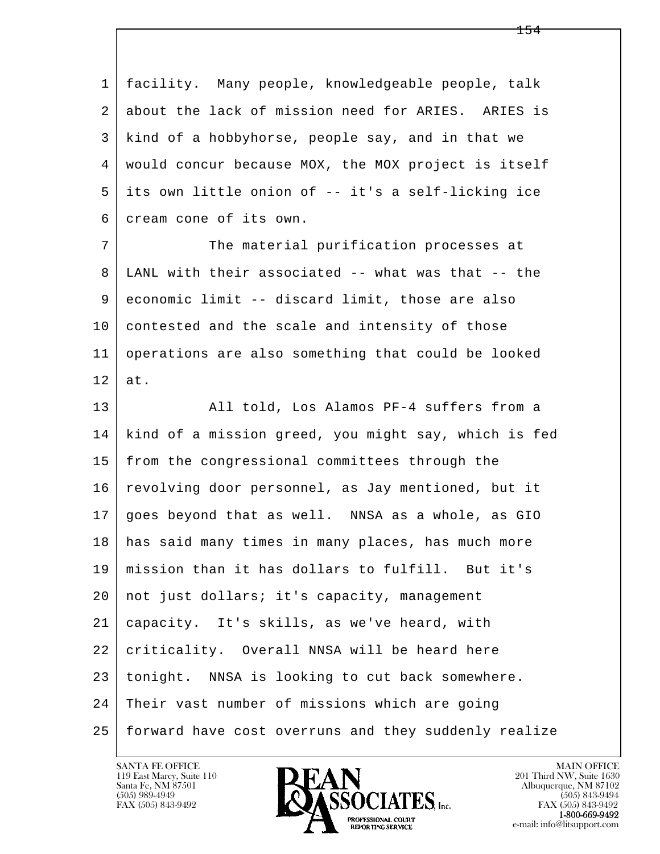l  $\overline{\phantom{a}}$  1 facility. Many people, knowledgeable people, talk 2 about the lack of mission need for ARIES. ARIES is 3 kind of a hobbyhorse, people say, and in that we 4 would concur because MOX, the MOX project is itself 5 its own little onion of -- it's a self-licking ice 6 cream cone of its own. 7 The material purification processes at 8 LANL with their associated -- what was that -- the 9 economic limit -- discard limit, those are also 10 contested and the scale and intensity of those 11 operations are also something that could be looked  $12$  at. 13 All told, Los Alamos PF-4 suffers from a 14 kind of a mission greed, you might say, which is fed 15 | from the congressional committees through the 16 | revolving door personnel, as Jay mentioned, but it 17 goes beyond that as well. NNSA as a whole, as GIO 18 has said many times in many places, has much more 19 mission than it has dollars to fulfill. But it's 20 | not just dollars; it's capacity, management 21 capacity. It's skills, as we've heard, with 22 criticality. Overall NNSA will be heard here 23 tonight. NNSA is looking to cut back somewhere. 24 Their vast number of missions which are going 25 forward have cost overruns and they suddenly realize

119 East Marcy, Suite 110<br>Santa Fe, NM 87501

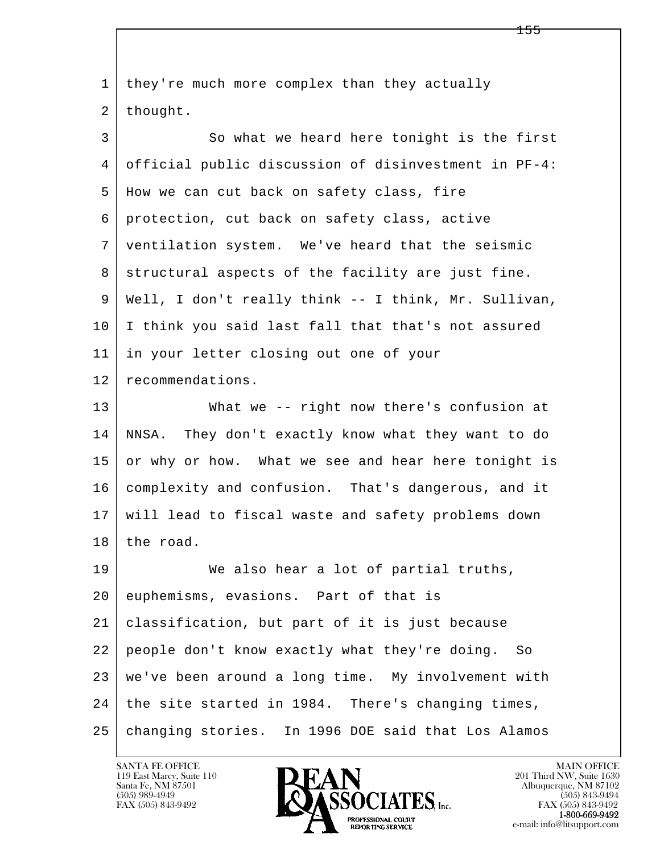| 1  | they're much more complex than they actually         |
|----|------------------------------------------------------|
| 2  | thought.                                             |
| 3  | So what we heard here tonight is the first           |
| 4  | official public discussion of disinvestment in PF-4: |
| 5  | How we can cut back on safety class, fire            |
| 6  | protection, cut back on safety class, active         |
| 7  | ventilation system. We've heard that the seismic     |
| 8  | structural aspects of the facility are just fine.    |
| 9  | Well, I don't really think -- I think, Mr. Sullivan, |
| 10 | I think you said last fall that that's not assured   |
| 11 | in your letter closing out one of your               |
| 12 | recommendations.                                     |
| 13 | What we -- right now there's confusion at            |
| 14 | NNSA. They don't exactly know what they want to do   |
| 15 | or why or how. What we see and hear here tonight is  |
| 16 | complexity and confusion. That's dangerous, and it   |
| 17 | will lead to fiscal waste and safety problems down   |
| 18 | the road.                                            |
| 19 | We also hear a lot of partial truths,                |
| 20 | euphemisms, evasions. Part of that is                |
| 21 | classification, but part of it is just because       |
| 22 | people don't know exactly what they're doing. So     |
| 23 | we've been around a long time. My involvement with   |
| 24 | the site started in 1984. There's changing times,    |
| 25 | changing stories. In 1996 DOE said that Los Alamos   |

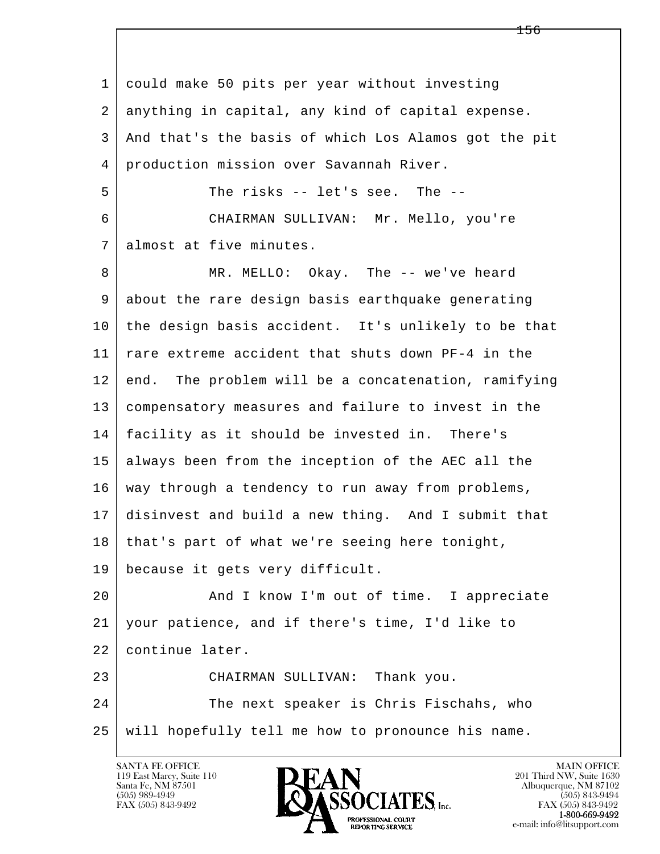l  $\overline{\phantom{a}}$  1 could make 50 pits per year without investing 2 anything in capital, any kind of capital expense. 3 And that's the basis of which Los Alamos got the pit 4 production mission over Savannah River. 5 The risks -- let's see. The -- 6 CHAIRMAN SULLIVAN: Mr. Mello, you're 7 almost at five minutes. 8 MR. MELLO: Okay. The -- we've heard 9 about the rare design basis earthquake generating 10 the design basis accident. It's unlikely to be that 11 rare extreme accident that shuts down PF-4 in the 12 end. The problem will be a concatenation, ramifying 13 compensatory measures and failure to invest in the 14 facility as it should be invested in. There's 15 always been from the inception of the AEC all the 16 way through a tendency to run away from problems, 17 disinvest and build a new thing. And I submit that  $18$  that's part of what we're seeing here tonight, 19 because it gets very difficult. 20 And I know I'm out of time. I appreciate 21 your patience, and if there's time, I'd like to 22 continue later. 23 CHAIRMAN SULLIVAN: Thank you. 24 The next speaker is Chris Fischahs, who 25 will hopefully tell me how to pronounce his name.

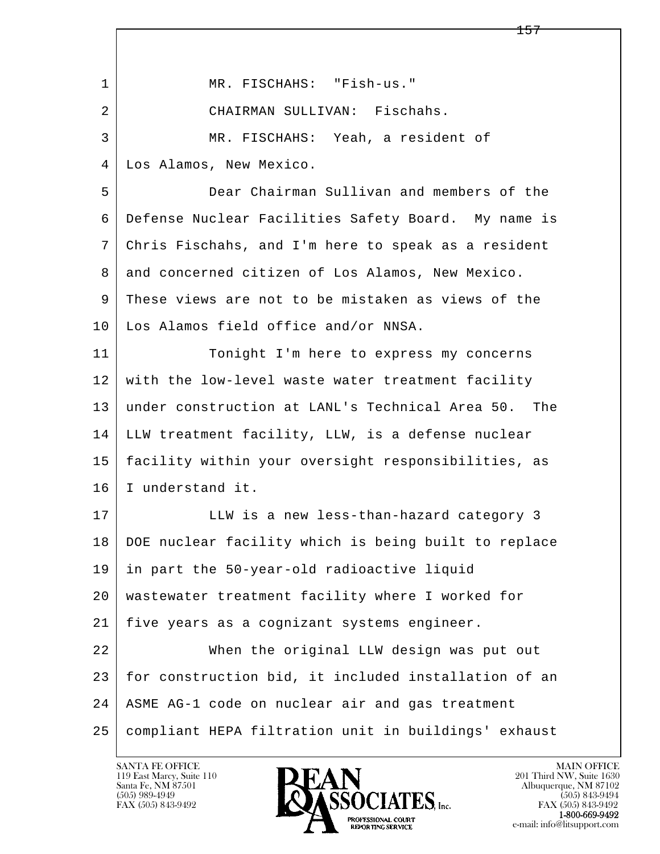l  $\overline{\phantom{a}}$ 1 | MR. FISCHAHS: "Fish-us." 2 CHAIRMAN SULLIVAN: Fischahs. 3 MR. FISCHAHS: Yeah, a resident of 4 Los Alamos, New Mexico. 5 Dear Chairman Sullivan and members of the 6 Defense Nuclear Facilities Safety Board. My name is 7 Chris Fischahs, and I'm here to speak as a resident 8 | and concerned citizen of Los Alamos, New Mexico. 9 These views are not to be mistaken as views of the 10 Los Alamos field office and/or NNSA. 11 Tonight I'm here to express my concerns 12 with the low-level waste water treatment facility 13 under construction at LANL's Technical Area 50. The 14 LLW treatment facility, LLW, is a defense nuclear 15 facility within your oversight responsibilities, as 16 I understand it. 17 LLW is a new less-than-hazard category 3 18 DOE nuclear facility which is being built to replace 19 in part the 50-year-old radioactive liquid 20 wastewater treatment facility where I worked for 21 five years as a cognizant systems engineer. 22 When the original LLW design was put out 23 for construction bid, it included installation of an 24 ASME AG-1 code on nuclear air and gas treatment 25 compliant HEPA filtration unit in buildings' exhaust

119 East Marcy, Suite 110<br>Santa Fe, NM 87501

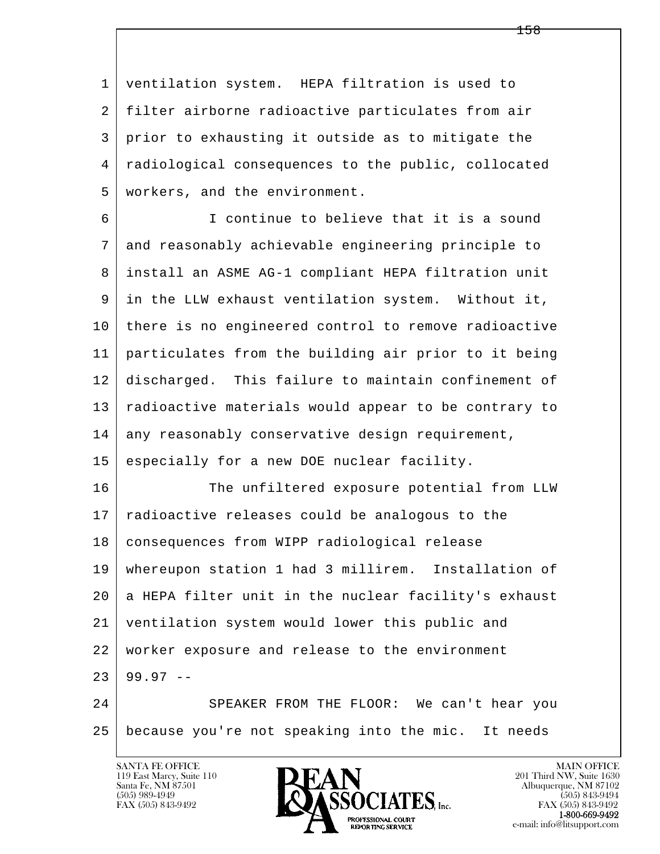1 ventilation system. HEPA filtration is used to 2 filter airborne radioactive particulates from air 3 prior to exhausting it outside as to mitigate the 4 radiological consequences to the public, collocated 5 workers, and the environment.

 6 I continue to believe that it is a sound 7 and reasonably achievable engineering principle to 8 install an ASME AG-1 compliant HEPA filtration unit 9 in the LLW exhaust ventilation system. Without it, 10 there is no engineered control to remove radioactive 11 particulates from the building air prior to it being 12 discharged. This failure to maintain confinement of 13 | radioactive materials would appear to be contrary to 14 any reasonably conservative design requirement,

15 especially for a new DOE nuclear facility.

l 16 The unfiltered exposure potential from LLW 17 radioactive releases could be analogous to the 18 consequences from WIPP radiological release 19 whereupon station 1 had 3 millirem. Installation of 20 a HEPA filter unit in the nuclear facility's exhaust 21 ventilation system would lower this public and 22 worker exposure and release to the environment  $23 \mid 99.97 -$ 24 SPEAKER FROM THE FLOOR: We can't hear you

 $\overline{\phantom{a}}$ 25 because you're not speaking into the mic. It needs

119 East Marcy, Suite 110<br>Santa Fe, NM 87501

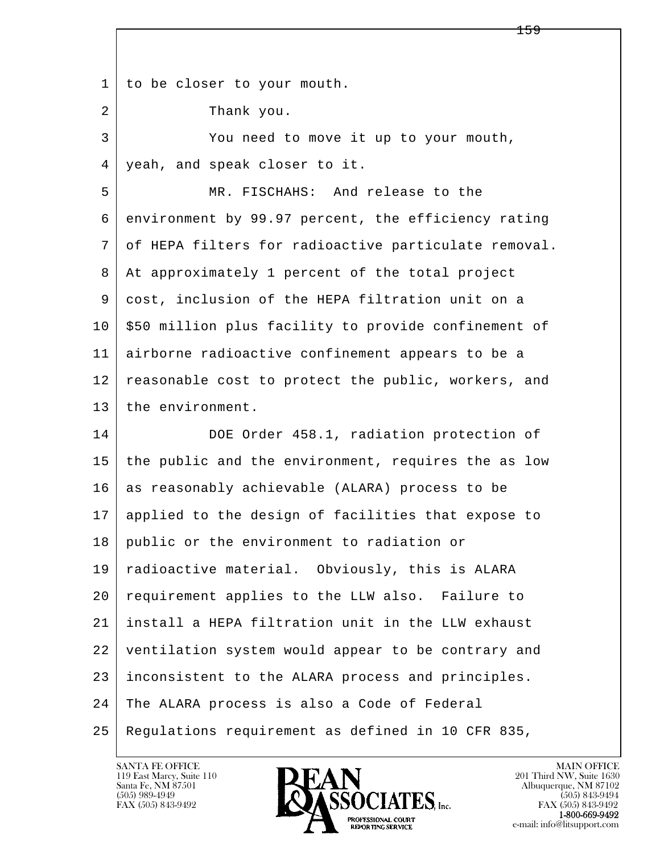l  $\overline{\phantom{a}}$ 1 to be closer to your mouth. 2 Thank you. 3 You need to move it up to your mouth, 4 yeah, and speak closer to it. 5 MR. FISCHAHS: And release to the 6 environment by 99.97 percent, the efficiency rating 7 of HEPA filters for radioactive particulate removal. 8 At approximately 1 percent of the total project 9 cost, inclusion of the HEPA filtration unit on a  $10$  \$50 million plus facility to provide confinement of 11 airborne radioactive confinement appears to be a 12 reasonable cost to protect the public, workers, and 13 the environment. 14 DOE Order 458.1, radiation protection of 15 the public and the environment, requires the as low 16 as reasonably achievable (ALARA) process to be 17 applied to the design of facilities that expose to 18 public or the environment to radiation or 19 radioactive material. Obviously, this is ALARA 20 requirement applies to the LLW also. Failure to 21 install a HEPA filtration unit in the LLW exhaust 22 ventilation system would appear to be contrary and 23 inconsistent to the ALARA process and principles. 24 The ALARA process is also a Code of Federal 25 Regulations requirement as defined in 10 CFR 835,

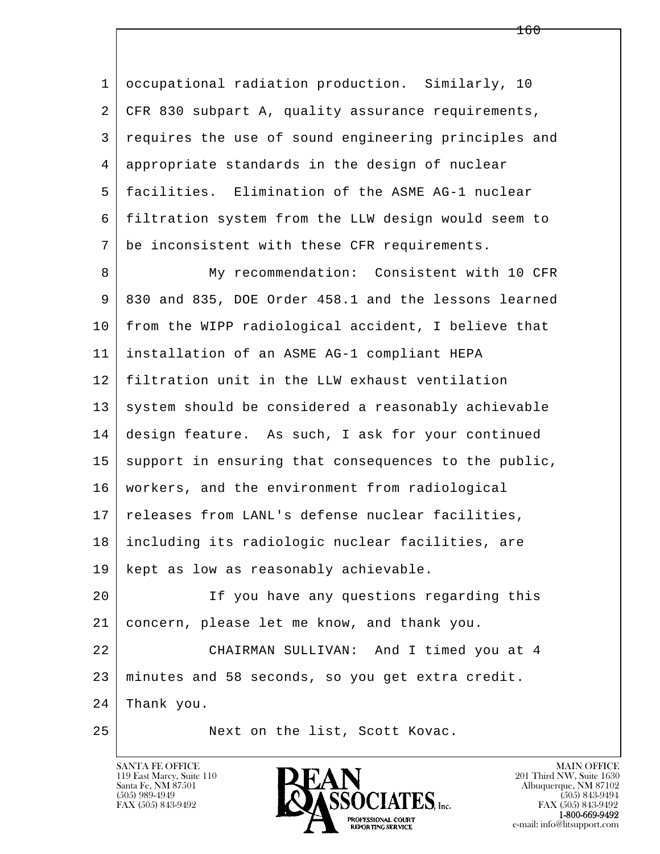1 occupational radiation production. Similarly, 10 2 CFR 830 subpart A, quality assurance requirements, 3 requires the use of sound engineering principles and 4 appropriate standards in the design of nuclear 5 facilities. Elimination of the ASME AG-1 nuclear 6 filtration system from the LLW design would seem to 7 be inconsistent with these CFR requirements.

l  $\overline{\phantom{a}}$ 8 My recommendation: Consistent with 10 CFR 9 830 and 835, DOE Order 458.1 and the lessons learned 10 from the WIPP radiological accident, I believe that 11 installation of an ASME AG-1 compliant HEPA 12 filtration unit in the LLW exhaust ventilation 13 system should be considered a reasonably achievable 14 design feature. As such, I ask for your continued 15 support in ensuring that consequences to the public, 16 workers, and the environment from radiological 17 | releases from LANL's defense nuclear facilities, 18 including its radiologic nuclear facilities, are 19 kept as low as reasonably achievable. 20 If you have any questions regarding this 21 concern, please let me know, and thank you. 22 CHAIRMAN SULLIVAN: And I timed you at 4 23 minutes and 58 seconds, so you get extra credit. 24 Thank you.

25 Next on the list, Scott Kovac.



FAX (505) 843-9492<br>1-800-669-9492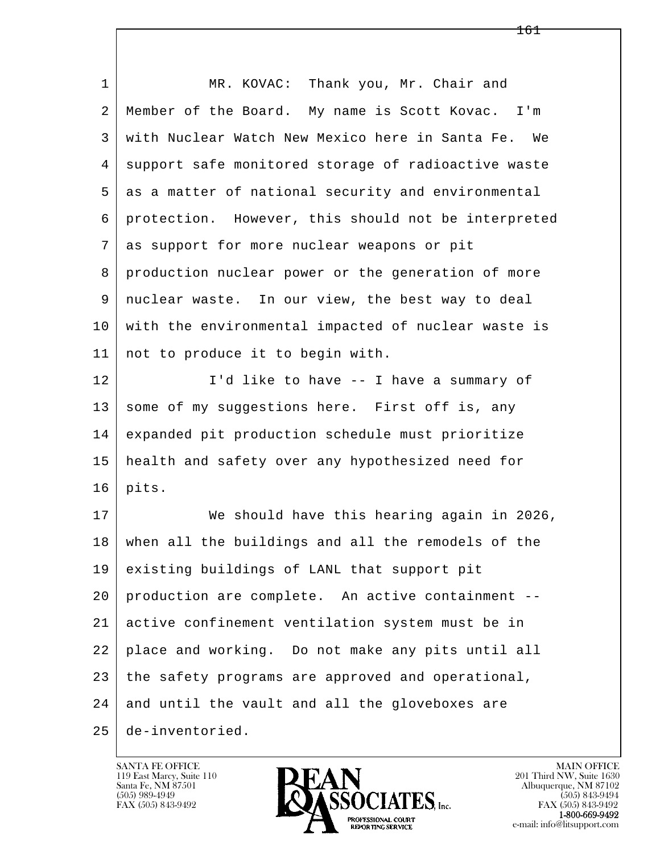| $\mathbf 1$ | MR. KOVAC: Thank you, Mr. Chair and                 |
|-------------|-----------------------------------------------------|
| 2           | Member of the Board. My name is Scott Kovac. I'm    |
| 3           | with Nuclear Watch New Mexico here in Santa Fe. We  |
| 4           | support safe monitored storage of radioactive waste |
| 5           | as a matter of national security and environmental  |
| 6           | protection. However, this should not be interpreted |
| 7           | as support for more nuclear weapons or pit          |
| 8           | production nuclear power or the generation of more  |
| 9           | nuclear waste. In our view, the best way to deal    |
| 10          | with the environmental impacted of nuclear waste is |
| 11          | not to produce it to begin with.                    |
| 12          | I'd like to have -- I have a summary of             |
| 13          | some of my suggestions here. First off is, any      |
| 14          | expanded pit production schedule must prioritize    |
| 15          | health and safety over any hypothesized need for    |
| 16          | pits.                                               |
| 17          | We should have this hearing again in 2026,          |
| 18          | when all the buildings and all the remodels of the  |
| 19          | existing buildings of LANL that support pit         |
| 20          | production are complete. An active containment --   |
| 21          | active confinement ventilation system must be in    |
| 22          | place and working. Do not make any pits until all   |
| 23          | the safety programs are approved and operational,   |
| 24          | and until the vault and all the gloveboxes are      |
| 25          | de-inventoried.                                     |

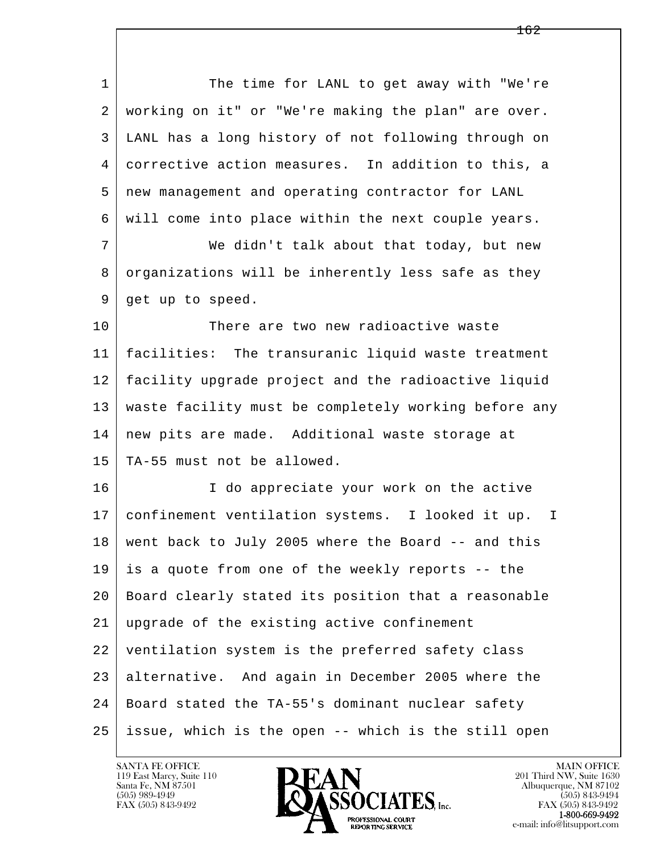| $\mathbf 1$ | The time for LANL to get away with "We're              |
|-------------|--------------------------------------------------------|
| 2           | working on it" or "We're making the plan" are over.    |
| 3           | LANL has a long history of not following through on    |
| 4           | corrective action measures. In addition to this, a     |
| 5           | new management and operating contractor for LANL       |
| 6           | will come into place within the next couple years.     |
| 7           | We didn't talk about that today, but new               |
| 8           | organizations will be inherently less safe as they     |
| 9           | get up to speed.                                       |
| 10          | There are two new radioactive waste                    |
| 11          | facilities: The transuranic liquid waste treatment     |
| 12          | facility upgrade project and the radioactive liquid    |
| 13          | waste facility must be completely working before any   |
| 14          | new pits are made. Additional waste storage at         |
| 15          | TA-55 must not be allowed.                             |
| 16          | I do appreciate your work on the active                |
| 17          | confinement ventilation systems. I looked it up.<br>Œ. |
| 18          | went back to July 2005 where the Board -- and this     |
| 19          | is a quote from one of the weekly reports -- the       |
| 20          | Board clearly stated its position that a reasonable    |
| 21          | upgrade of the existing active confinement             |
| 22          | ventilation system is the preferred safety class       |
| 23          | alternative. And again in December 2005 where the      |
| 24          | Board stated the TA-55's dominant nuclear safety       |
| 25          | issue, which is the open -- which is the still open    |

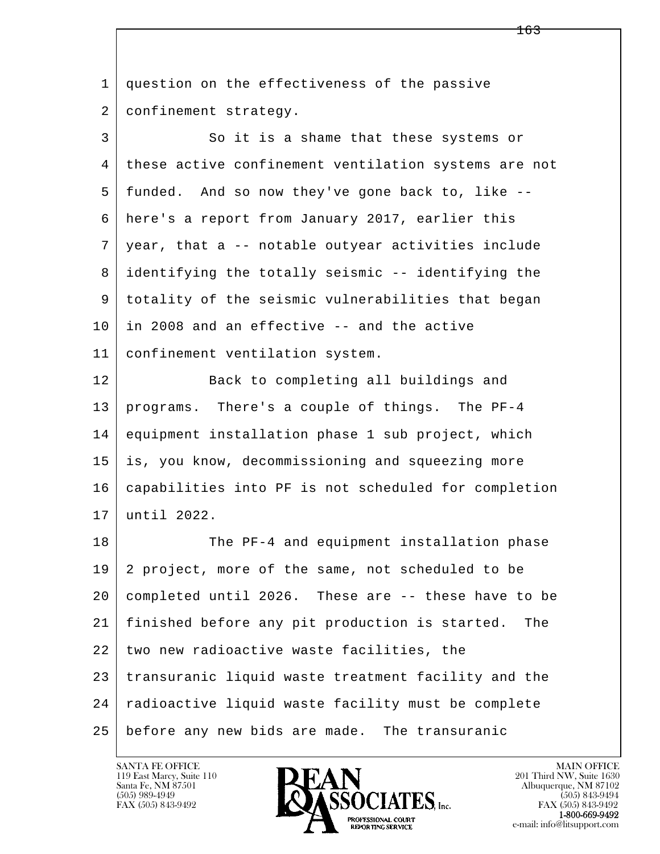| $\mathbf{1}$ | question on the effectiveness of the passive          |
|--------------|-------------------------------------------------------|
| 2            | confinement strategy.                                 |
| 3            | So it is a shame that these systems or                |
| 4            | these active confinement ventilation systems are not  |
| 5            | funded. And so now they've gone back to, like --      |
| 6            | here's a report from January 2017, earlier this       |
| 7            | year, that a -- notable outyear activities include    |
| 8            | identifying the totally seismic -- identifying the    |
| 9            | totality of the seismic vulnerabilities that began    |
| 10           | in 2008 and an effective -- and the active            |
| 11           | confinement ventilation system.                       |
| 12           | Back to completing all buildings and                  |
| 13           | programs. There's a couple of things. The PF-4        |
| 14           | equipment installation phase 1 sub project, which     |
| 15           | is, you know, decommissioning and squeezing more      |
| 16           | capabilities into PF is not scheduled for completion  |
| 17           | until 2022.                                           |
| 18           | The PF-4 and equipment installation phase             |
| 19           | 2 project, more of the same, not scheduled to be      |
| 20           | completed until 2026. These are -- these have to be   |
| 21           | finished before any pit production is started.<br>The |
| 22           | two new radioactive waste facilities, the             |
| 23           | transuranic liquid waste treatment facility and the   |
| 24           | radioactive liquid waste facility must be complete    |
| 25           | before any new bids are made. The transuranic         |

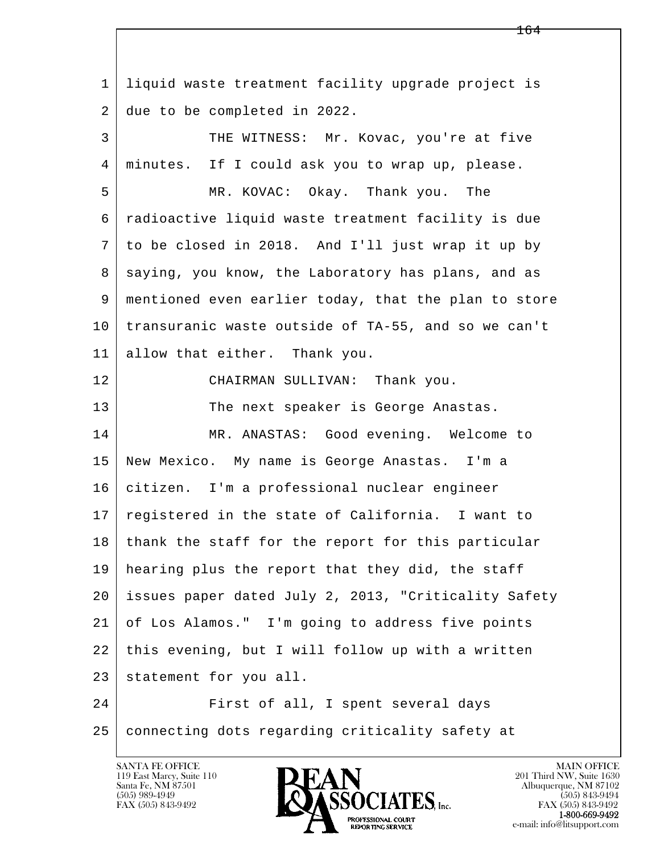l  $\overline{\phantom{a}}$  1 liquid waste treatment facility upgrade project is 2 due to be completed in 2022. 3 THE WITNESS: Mr. Kovac, you're at five 4 minutes. If I could ask you to wrap up, please. 5 MR. KOVAC: Okay. Thank you. The 6 radioactive liquid waste treatment facility is due 7 to be closed in 2018. And I'll just wrap it up by 8 | saying, you know, the Laboratory has plans, and as 9 mentioned even earlier today, that the plan to store 10 transuranic waste outside of TA-55, and so we can't 11 allow that either. Thank you. 12 CHAIRMAN SULLIVAN: Thank you. 13 The next speaker is George Anastas. 14 MR. ANASTAS: Good evening. Welcome to 15 New Mexico. My name is George Anastas. I'm a 16 citizen. I'm a professional nuclear engineer 17 registered in the state of California. I want to 18 thank the staff for the report for this particular 19 hearing plus the report that they did, the staff 20 issues paper dated July 2, 2013, "Criticality Safety 21 of Los Alamos." I'm going to address five points 22 this evening, but I will follow up with a written 23 statement for you all. 24 First of all, I spent several days 25 connecting dots regarding criticality safety at

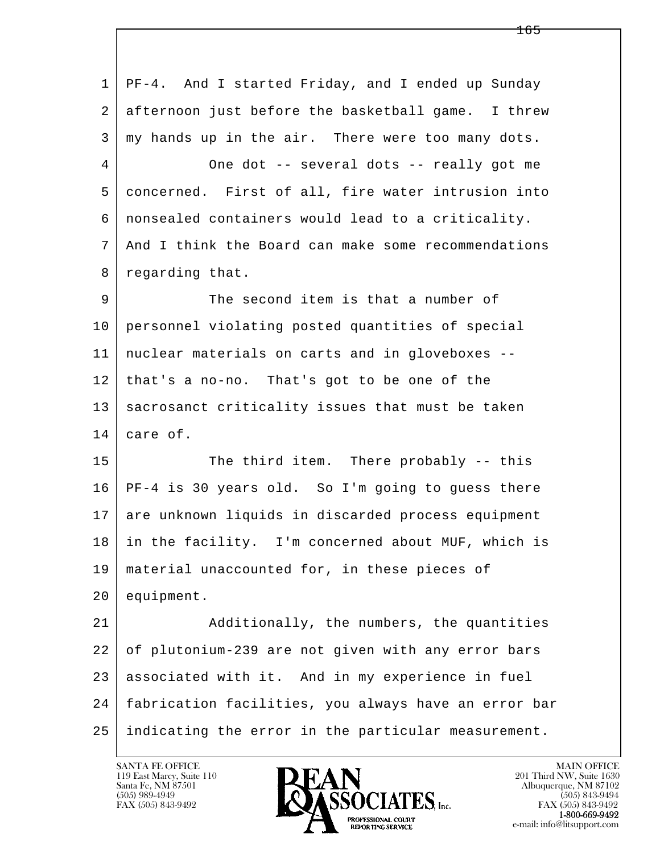l  $\overline{\phantom{a}}$  1 PF-4. And I started Friday, and I ended up Sunday 2 afternoon just before the basketball game. I threw  $3 \mid$  my hands up in the air. There were too many dots. 4 One dot -- several dots -- really got me 5 concerned. First of all, fire water intrusion into 6 nonsealed containers would lead to a criticality. 7 And I think the Board can make some recommendations 8 regarding that. 9 The second item is that a number of 10 personnel violating posted quantities of special 11 nuclear materials on carts and in gloveboxes -- 12 that's a no-no. That's got to be one of the 13 | sacrosanct criticality issues that must be taken 14 care of. 15 The third item. There probably -- this 16 PF-4 is 30 years old. So I'm going to guess there 17 are unknown liquids in discarded process equipment 18 in the facility. I'm concerned about MUF, which is 19 material unaccounted for, in these pieces of 20 equipment. 21 Additionally, the numbers, the quantities 22 of plutonium-239 are not given with any error bars 23 associated with it. And in my experience in fuel 24 fabrication facilities, you always have an error bar 25 indicating the error in the particular measurement.

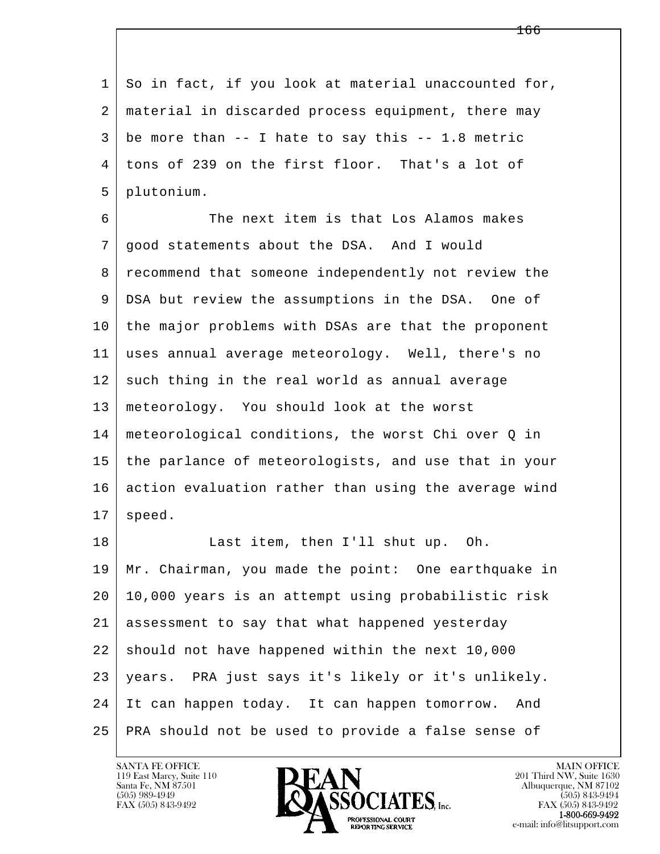l  $\overline{\phantom{a}}$ 1 So in fact, if you look at material unaccounted for, 2 material in discarded process equipment, there may  $3 \mid$  be more than -- I hate to say this -- 1.8 metric 4 tons of 239 on the first floor. That's a lot of 5 plutonium. 6 The next item is that Los Alamos makes 7 good statements about the DSA. And I would 8 | recommend that someone independently not review the 9 DSA but review the assumptions in the DSA. One of 10 the major problems with DSAs are that the proponent 11 uses annual average meteorology. Well, there's no 12 such thing in the real world as annual average 13 meteorology. You should look at the worst 14 meteorological conditions, the worst Chi over Q in 15 the parlance of meteorologists, and use that in your 16 action evaluation rather than using the average wind  $17$  speed. 18 | Last item, then I'll shut up. Oh. 19 Mr. Chairman, you made the point: One earthquake in 20 10,000 years is an attempt using probabilistic risk 21 assessment to say that what happened yesterday  $22$  should not have happened within the next 10,000 23 years. PRA just says it's likely or it's unlikely. 24 It can happen today. It can happen tomorrow. And 25 PRA should not be used to provide a false sense of

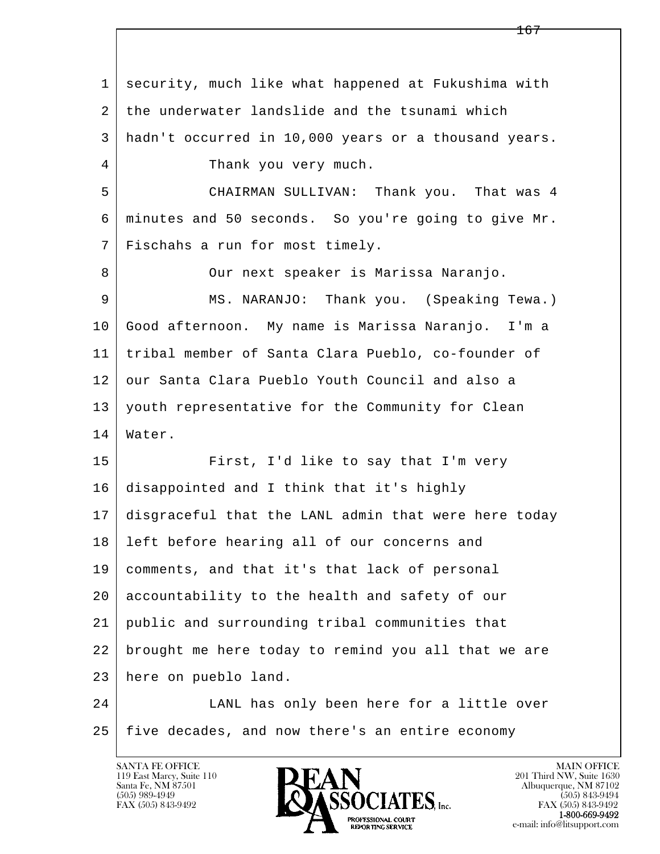l  $\overline{\phantom{a}}$  1 security, much like what happened at Fukushima with 2 the underwater landslide and the tsunami which 3 hadn't occurred in 10,000 years or a thousand years. 4 Thank you very much. 5 CHAIRMAN SULLIVAN: Thank you. That was 4 6 minutes and 50 seconds. So you're going to give Mr. 7 Fischahs a run for most timely. 8 | Cur next speaker is Marissa Naranjo. 9 MS. NARANJO: Thank you. (Speaking Tewa.) 10 Good afternoon. My name is Marissa Naranjo. I'm a 11 tribal member of Santa Clara Pueblo, co-founder of 12 our Santa Clara Pueblo Youth Council and also a 13 youth representative for the Community for Clean 14 Water. 15 First, I'd like to say that I'm very 16 disappointed and I think that it's highly 17 disgraceful that the LANL admin that were here today 18 left before hearing all of our concerns and 19 comments, and that it's that lack of personal 20 accountability to the health and safety of our 21 public and surrounding tribal communities that 22 brought me here today to remind you all that we are 23 here on pueblo land. 24 LANL has only been here for a little over

25 five decades, and now there's an entire economy

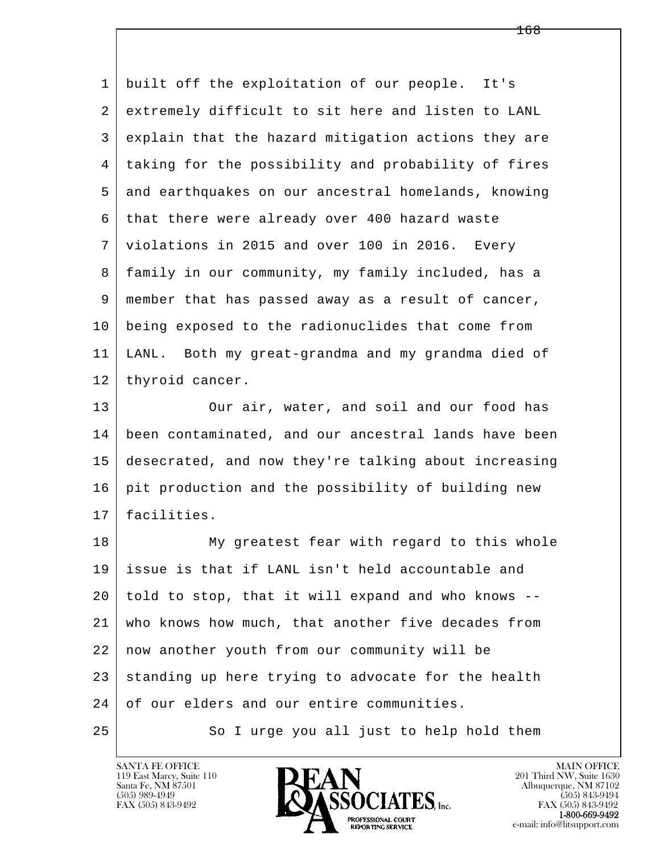l  $\overline{\phantom{a}}$  1 built off the exploitation of our people. It's 2 extremely difficult to sit here and listen to LANL 3 explain that the hazard mitigation actions they are 4 taking for the possibility and probability of fires 5 and earthquakes on our ancestral homelands, knowing 6 that there were already over 400 hazard waste 7 violations in 2015 and over 100 in 2016. Every 8 family in our community, my family included, has a 9 member that has passed away as a result of cancer, 10 being exposed to the radionuclides that come from 11 LANL. Both my great-grandma and my grandma died of 12 | thyroid cancer. 13 Our air, water, and soil and our food has 14 been contaminated, and our ancestral lands have been 15 desecrated, and now they're talking about increasing 16 | pit production and the possibility of building new 17 facilities. 18 My greatest fear with regard to this whole 19 issue is that if LANL isn't held accountable and 20 told to stop, that it will expand and who knows -- 21 who knows how much, that another five decades from 22 now another youth from our community will be  $23$  standing up here trying to advocate for the health 24 of our elders and our entire communities.

25 So I urge you all just to help hold them

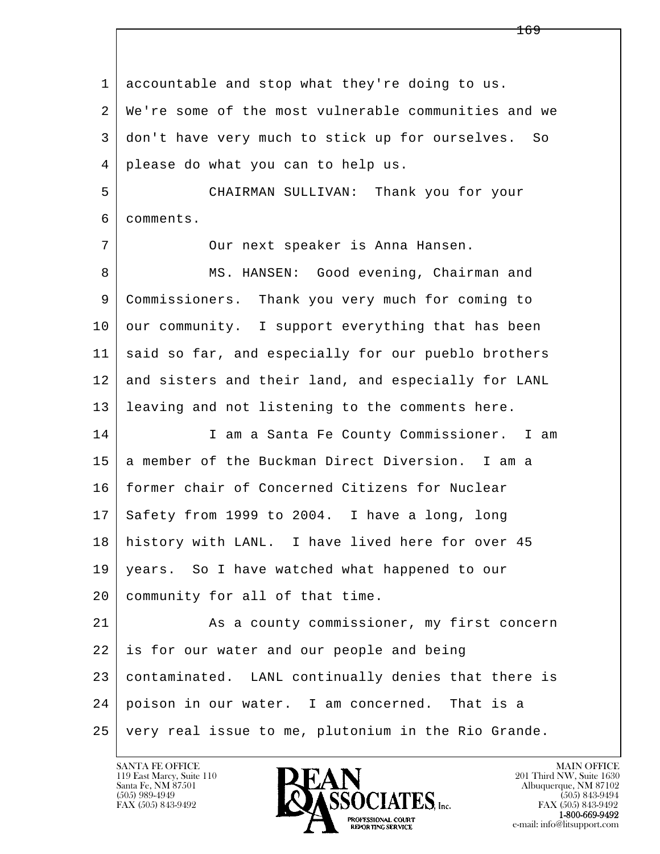l  $\overline{\phantom{a}}$  1 accountable and stop what they're doing to us. 2 We're some of the most vulnerable communities and we 3 don't have very much to stick up for ourselves. So 4 please do what you can to help us. 5 CHAIRMAN SULLIVAN: Thank you for your 6 comments. 7 | Cur next speaker is Anna Hansen. 8 MS. HANSEN: Good evening, Chairman and 9 Commissioners. Thank you very much for coming to 10 our community. I support everything that has been 11 said so far, and especially for our pueblo brothers 12 and sisters and their land, and especially for LANL 13 leaving and not listening to the comments here. 14 | I am a Santa Fe County Commissioner. I am 15 a member of the Buckman Direct Diversion. I am a 16 former chair of Concerned Citizens for Nuclear 17 Safety from 1999 to 2004. I have a long, long 18 history with LANL. I have lived here for over 45 19 years. So I have watched what happened to our 20 community for all of that time. 21 As a county commissioner, my first concern 22 is for our water and our people and being 23 contaminated. LANL continually denies that there is 24 poison in our water. I am concerned. That is a 25 very real issue to me, plutonium in the Rio Grande.

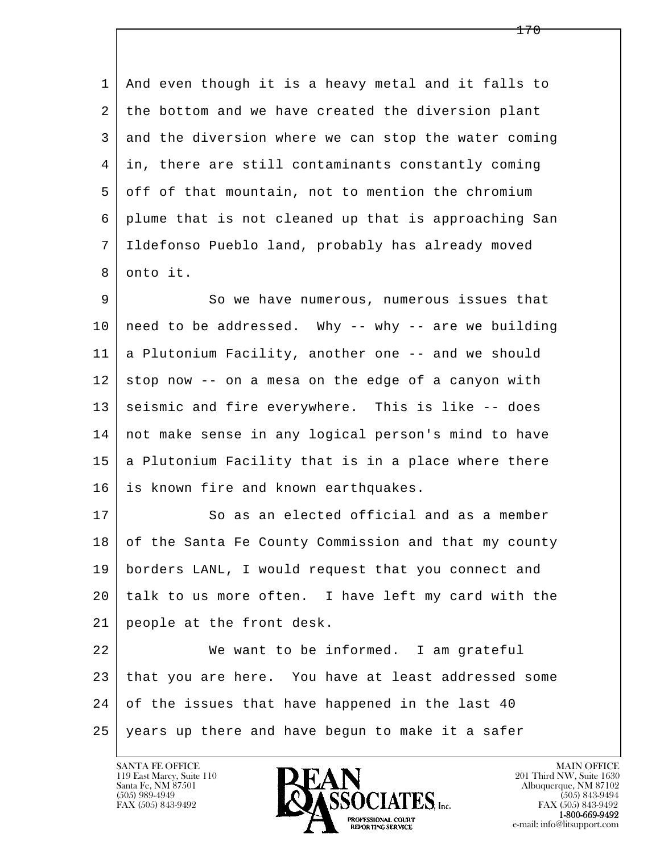1 And even though it is a heavy metal and it falls to 2 the bottom and we have created the diversion plant 3 and the diversion where we can stop the water coming 4 in, there are still contaminants constantly coming 5 off of that mountain, not to mention the chromium 6 plume that is not cleaned up that is approaching San 7 Ildefonso Pueblo land, probably has already moved 8 onto it.

9 | So we have numerous, numerous issues that  $10$  need to be addressed. Why -- why -- are we building 11 a Plutonium Facility, another one -- and we should  $12$  stop now -- on a mesa on the edge of a canyon with 13 seismic and fire everywhere. This is like -- does 14 not make sense in any logical person's mind to have  $15$  a Plutonium Facility that is in a place where there 16 is known fire and known earthquakes.

17 So as an elected official and as a member 18 of the Santa Fe County Commission and that my county 19 borders LANL, I would request that you connect and 20 talk to us more often. I have left my card with the 21 people at the front desk.

l  $\overline{\phantom{a}}$ 22 We want to be informed. I am grateful 23 that you are here. You have at least addressed some 24 of the issues that have happened in the last 40 25 years up there and have begun to make it a safer

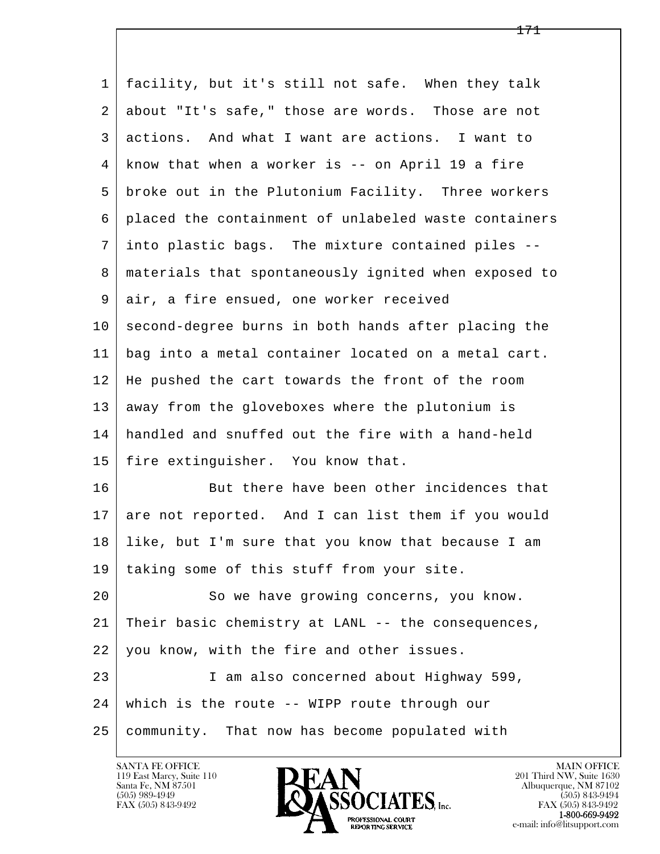| $\mathbf 1$ | facility, but it's still not safe. When they talk    |
|-------------|------------------------------------------------------|
| 2           | about "It's safe," those are words. Those are not    |
| 3           | actions. And what I want are actions. I want to      |
| 4           | know that when a worker is -- on April 19 a fire     |
| 5           | broke out in the Plutonium Facility. Three workers   |
| 6           | placed the containment of unlabeled waste containers |
| 7           | into plastic bags. The mixture contained piles --    |
| 8           | materials that spontaneously ignited when exposed to |
| 9           | air, a fire ensued, one worker received              |
| 10          | second-degree burns in both hands after placing the  |
| 11          | bag into a metal container located on a metal cart.  |
| 12          | He pushed the cart towards the front of the room     |
| 13          | away from the gloveboxes where the plutonium is      |
| 14          | handled and snuffed out the fire with a hand-held    |
| 15          | fire extinguisher. You know that.                    |
| 16          | But there have been other incidences that            |
| 17          | are not reported. And I can list them if you would   |
| 18          | like, but I'm sure that you know that because I am   |
| 19          | taking some of this stuff from your site.            |
| 20          | So we have growing concerns, you know.               |
| 21          | Their basic chemistry at LANL -- the consequences,   |
| 22          | you know, with the fire and other issues.            |
| 23          | I am also concerned about Highway 599,               |
| 24          | which is the route -- WIPP route through our         |
| 25          | community. That now has become populated with        |

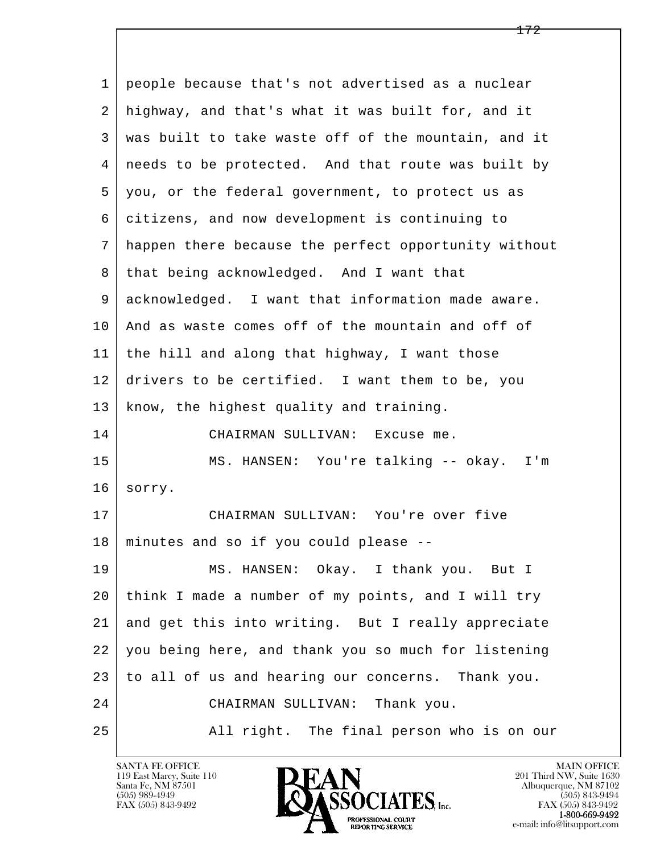l  $\overline{\phantom{a}}$  1 people because that's not advertised as a nuclear 2 highway, and that's what it was built for, and it 3 was built to take waste off of the mountain, and it 4 needs to be protected. And that route was built by 5 you, or the federal government, to protect us as 6 citizens, and now development is continuing to 7 happen there because the perfect opportunity without 8 | that being acknowledged. And I want that 9 acknowledged. I want that information made aware. 10 And as waste comes off of the mountain and off of 11 the hill and along that highway, I want those 12 drivers to be certified. I want them to be, you 13 | know, the highest quality and training. 14 CHAIRMAN SULLIVAN: Excuse me. 15 MS. HANSEN: You're talking -- okay. I'm 16 sorry. 17 CHAIRMAN SULLIVAN: You're over five 18 minutes and so if you could please -- 19 | MS. HANSEN: Okay. I thank you. But I 20 think I made a number of my points, and I will try 21 and get this into writing. But I really appreciate 22 you being here, and thank you so much for listening 23 to all of us and hearing our concerns. Thank you. 24 CHAIRMAN SULLIVAN: Thank you. 25 All right. The final person who is on our

119 East Marcy, Suite 110<br>Santa Fe, NM 87501

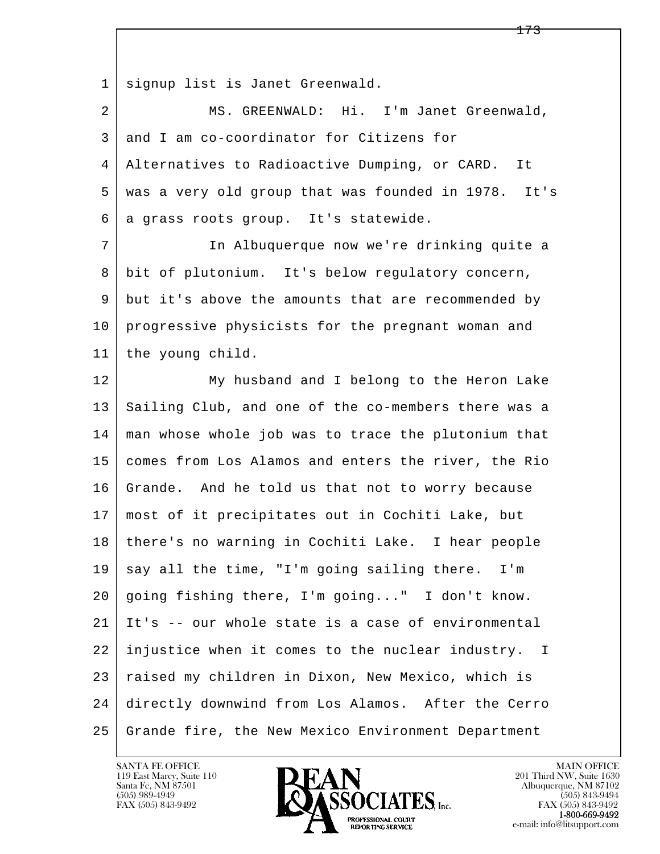1 signup list is Janet Greenwald.

 2 MS. GREENWALD: Hi. I'm Janet Greenwald, 3 and I am co-coordinator for Citizens for 4 Alternatives to Radioactive Dumping, or CARD. It 5 was a very old group that was founded in 1978. It's 6 a grass roots group. It's statewide.

 7 In Albuquerque now we're drinking quite a 8 bit of plutonium. It's below regulatory concern, 9 but it's above the amounts that are recommended by 10 progressive physicists for the pregnant woman and 11 the young child.

l  $\overline{\phantom{a}}$ 12 My husband and I belong to the Heron Lake 13 Sailing Club, and one of the co-members there was a 14 man whose whole job was to trace the plutonium that 15 comes from Los Alamos and enters the river, the Rio 16 Grande. And he told us that not to worry because 17 most of it precipitates out in Cochiti Lake, but 18 there's no warning in Cochiti Lake. I hear people  $19$  say all the time, "I'm going sailing there. I'm 20 going fishing there, I'm going..." I don't know. 21 It's -- our whole state is a case of environmental 22 injustice when it comes to the nuclear industry. I 23 raised my children in Dixon, New Mexico, which is 24 directly downwind from Los Alamos. After the Cerro 25 Grande fire, the New Mexico Environment Department

119 East Marcy, Suite 110<br>Santa Fe, NM 87501



FAX (505) 843-9492<br>**1-800-669-9492**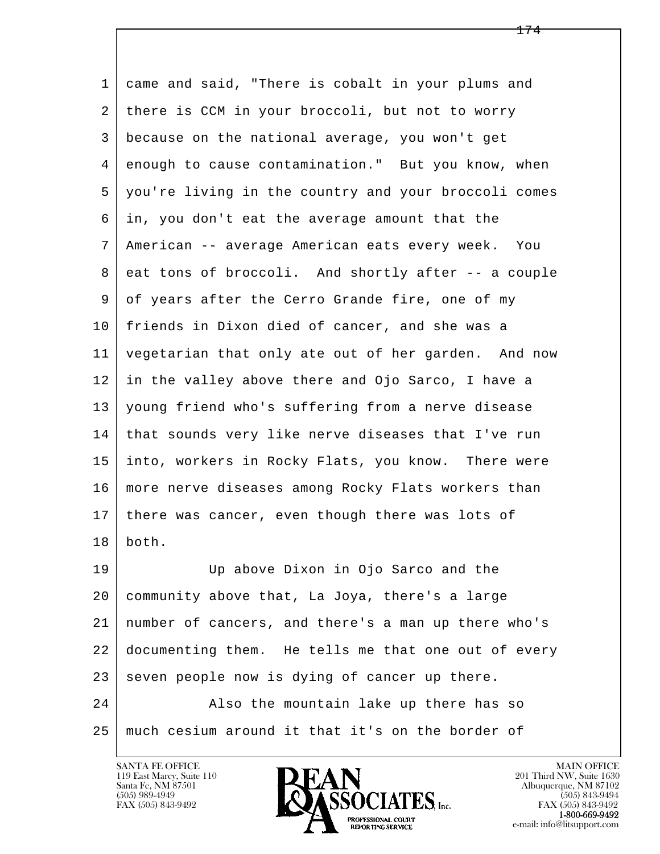l  $\overline{\phantom{a}}$  1 came and said, "There is cobalt in your plums and 2 there is CCM in your broccoli, but not to worry 3 because on the national average, you won't get 4 enough to cause contamination." But you know, when 5 you're living in the country and your broccoli comes 6 in, you don't eat the average amount that the 7 American -- average American eats every week. You 8 eat tons of broccoli. And shortly after -- a couple 9 of years after the Cerro Grande fire, one of my 10 friends in Dixon died of cancer, and she was a 11 vegetarian that only ate out of her garden. And now 12 in the valley above there and Ojo Sarco, I have a 13 young friend who's suffering from a nerve disease 14 that sounds very like nerve diseases that I've run 15 into, workers in Rocky Flats, you know. There were 16 more nerve diseases among Rocky Flats workers than 17 | there was cancer, even though there was lots of 18 both. 19 Up above Dixon in Ojo Sarco and the 20 community above that, La Joya, there's a large 21 number of cancers, and there's a man up there who's 22 documenting them. He tells me that one out of every  $23$  seven people now is dying of cancer up there. 24 Also the mountain lake up there has so 25 much cesium around it that it's on the border of

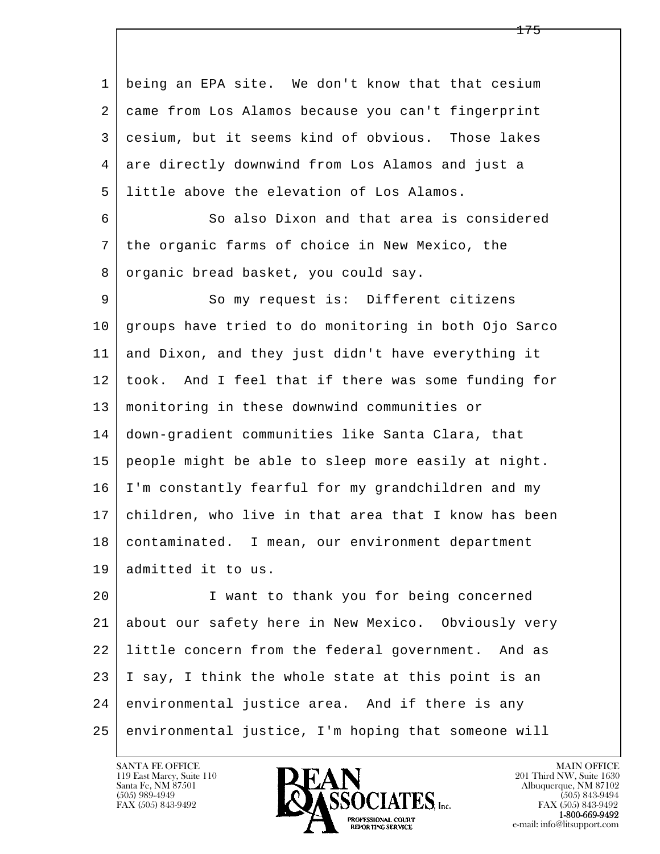l  $\overline{\phantom{a}}$  1 being an EPA site. We don't know that that cesium 2 came from Los Alamos because you can't fingerprint 3 cesium, but it seems kind of obvious. Those lakes 4 are directly downwind from Los Alamos and just a 5 little above the elevation of Los Alamos. 6 So also Dixon and that area is considered 7 the organic farms of choice in New Mexico, the 8 organic bread basket, you could say. 9 So my request is: Different citizens 10 groups have tried to do monitoring in both Ojo Sarco 11 and Dixon, and they just didn't have everything it 12 took. And I feel that if there was some funding for 13 monitoring in these downwind communities or 14 down-gradient communities like Santa Clara, that 15 people might be able to sleep more easily at night. 16 I'm constantly fearful for my grandchildren and my 17 children, who live in that area that I know has been 18 contaminated. I mean, our environment department 19 admitted it to us. 20 I want to thank you for being concerned 21 about our safety here in New Mexico. Obviously very 22 little concern from the federal government. And as 23 I say, I think the whole state at this point is an 24 environmental justice area. And if there is any 25 environmental justice, I'm hoping that someone will

119 East Marcy, Suite 110<br>Santa Fe, NM 87501

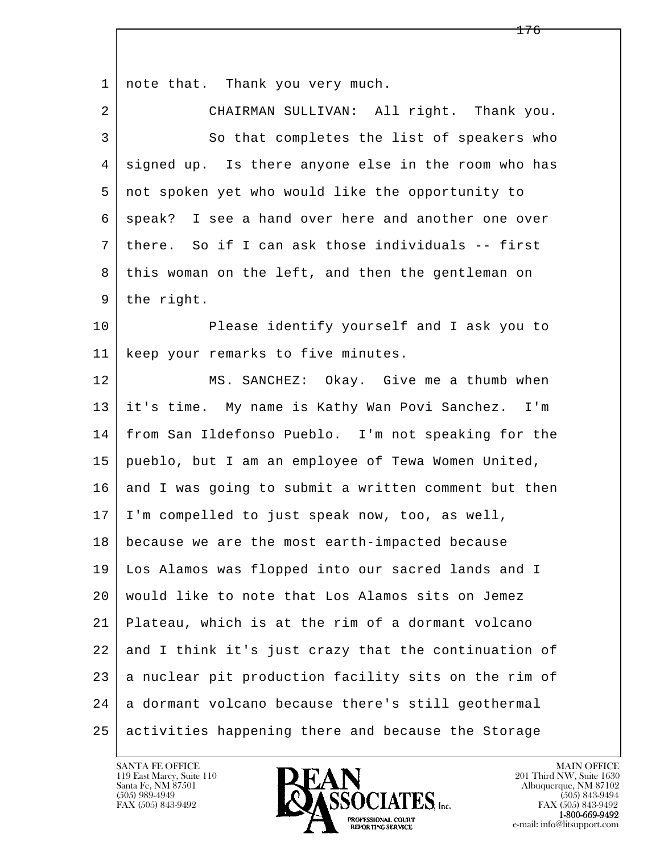l  $\overline{\phantom{a}}$ 1 | note that. Thank you very much. 2 CHAIRMAN SULLIVAN: All right. Thank you. 3 So that completes the list of speakers who 4 signed up. Is there anyone else in the room who has 5 not spoken yet who would like the opportunity to 6 | speak? I see a hand over here and another one over 7 there. So if I can ask those individuals -- first 8 this woman on the left, and then the gentleman on 9 | the right. 10 Please identify yourself and I ask you to 11 | keep your remarks to five minutes. 12 MS. SANCHEZ: Okay. Give me a thumb when 13 it's time. My name is Kathy Wan Povi Sanchez. I'm 14 from San Ildefonso Pueblo. I'm not speaking for the 15 pueblo, but I am an employee of Tewa Women United, 16 and I was going to submit a written comment but then 17 I'm compelled to just speak now, too, as well, 18 because we are the most earth-impacted because 19 Los Alamos was flopped into our sacred lands and I 20 would like to note that Los Alamos sits on Jemez 21 Plateau, which is at the rim of a dormant volcano 22 and I think it's just crazy that the continuation of 23 a nuclear pit production facility sits on the rim of 24 a dormant volcano because there's still geothermal 25 activities happening there and because the Storage

119 East Marcy, Suite 110<br>Santa Fe, NM 87501

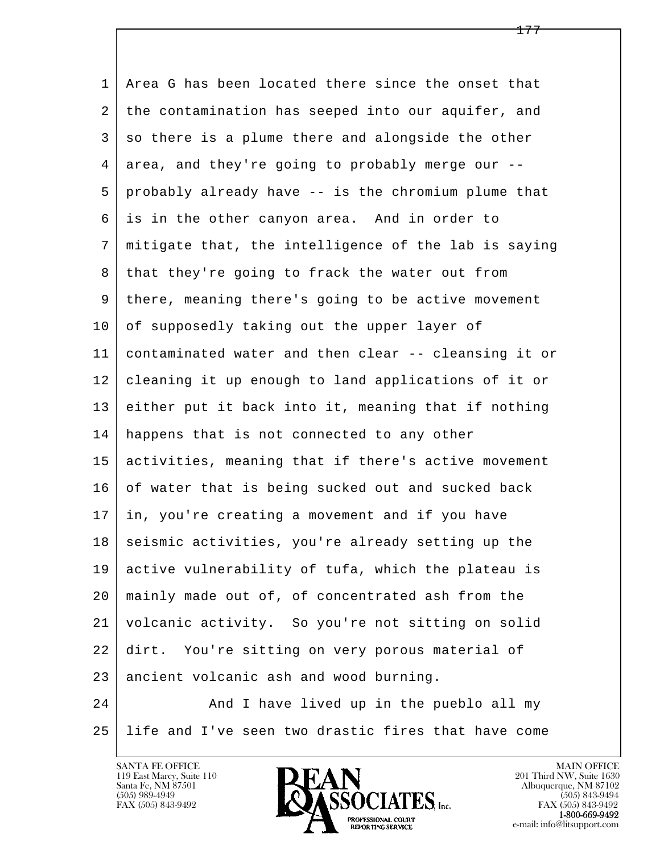l  $\overline{\phantom{a}}$  1 Area G has been located there since the onset that 2 the contamination has seeped into our aquifer, and 3 so there is a plume there and alongside the other 4 area, and they're going to probably merge our -- 5 probably already have -- is the chromium plume that 6 is in the other canyon area. And in order to 7 mitigate that, the intelligence of the lab is saying 8 | that they're going to frack the water out from 9 there, meaning there's going to be active movement  $10$  of supposedly taking out the upper layer of 11 contaminated water and then clear -- cleansing it or 12 cleaning it up enough to land applications of it or 13 either put it back into it, meaning that if nothing 14 happens that is not connected to any other 15 activities, meaning that if there's active movement 16 of water that is being sucked out and sucked back 17 in, you're creating a movement and if you have 18 seismic activities, you're already setting up the 19 active vulnerability of tufa, which the plateau is 20 mainly made out of, of concentrated ash from the 21 volcanic activity. So you're not sitting on solid 22 dirt. You're sitting on very porous material of 23 ancient volcanic ash and wood burning. 24 And I have lived up in the pueblo all my



25 life and I've seen two drastic fires that have come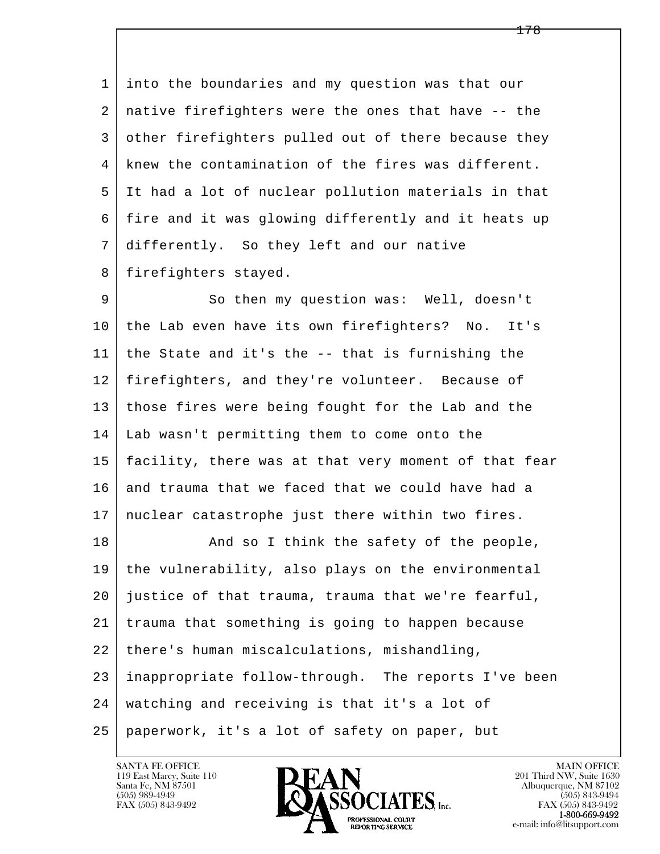1 into the boundaries and my question was that our 2 native firefighters were the ones that have -- the 3 other firefighters pulled out of there because they 4 knew the contamination of the fires was different. 5 It had a lot of nuclear pollution materials in that 6 fire and it was glowing differently and it heats up 7 differently. So they left and our native 8 | firefighters stayed.

 9 So then my question was: Well, doesn't 10 the Lab even have its own firefighters? No. It's 11 the State and it's the -- that is furnishing the 12 firefighters, and they're volunteer. Because of 13 those fires were being fought for the Lab and the 14 Lab wasn't permitting them to come onto the 15 facility, there was at that very moment of that fear 16 and trauma that we faced that we could have had a 17 nuclear catastrophe just there within two fires.

l  $\overline{\phantom{a}}$ 18 | The Safety of the people, 19 the vulnerability, also plays on the environmental 20 justice of that trauma, trauma that we're fearful, 21 trauma that something is going to happen because 22 there's human miscalculations, mishandling, 23 inappropriate follow-through. The reports I've been 24 watching and receiving is that it's a lot of 25 paperwork, it's a lot of safety on paper, but

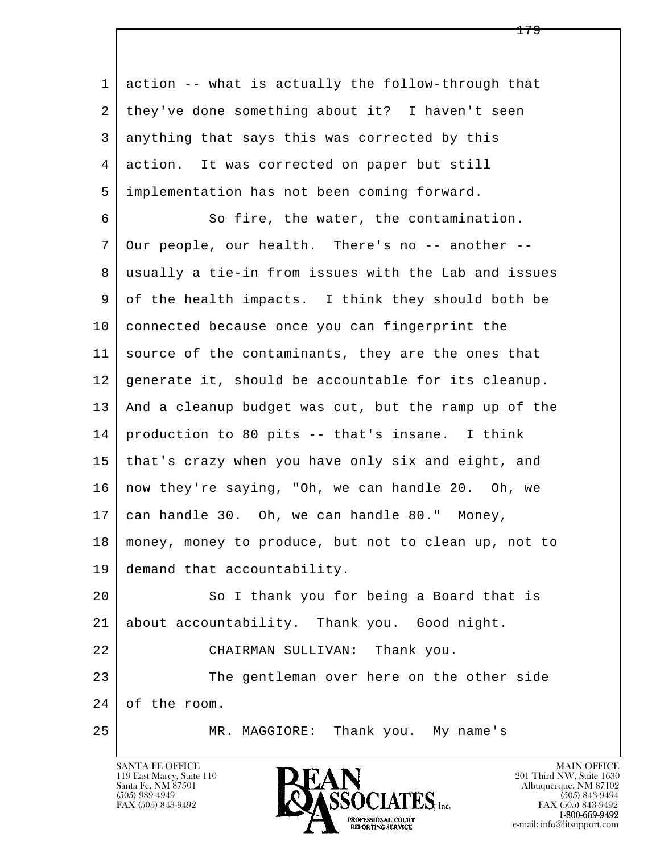| 1  | action -- what is actually the follow-through that   |
|----|------------------------------------------------------|
| 2  | they've done something about it? I haven't seen      |
| 3  | anything that says this was corrected by this        |
| 4  | action. It was corrected on paper but still          |
| 5  | implementation has not been coming forward.          |
| 6  | So fire, the water, the contamination.               |
| 7  | Our people, our health. There's no -- another --     |
| 8  | usually a tie-in from issues with the Lab and issues |
| 9  | of the health impacts. I think they should both be   |
| 10 | connected because once you can fingerprint the       |
| 11 | source of the contaminants, they are the ones that   |
| 12 | generate it, should be accountable for its cleanup.  |
| 13 | And a cleanup budget was cut, but the ramp up of the |
| 14 | production to 80 pits -- that's insane. I think      |
| 15 | that's crazy when you have only six and eight, and   |
| 16 | now they're saying, "Oh, we can handle 20. Oh, we    |
| 17 | can handle 30. Oh, we can handle 80." Money,         |
| 18 | money, money to produce, but not to clean up, not to |
| 19 | demand that accountability.                          |
| 20 | So I thank you for being a Board that is             |
| 21 | about accountability. Thank you. Good night.         |
| 22 | Thank you.<br>CHAIRMAN SULLIVAN:                     |
| 23 | The gentleman over here on the other side            |
| 24 | of the room.                                         |
| 25 | Thank you. My name's<br>MR. MAGGIORE:                |

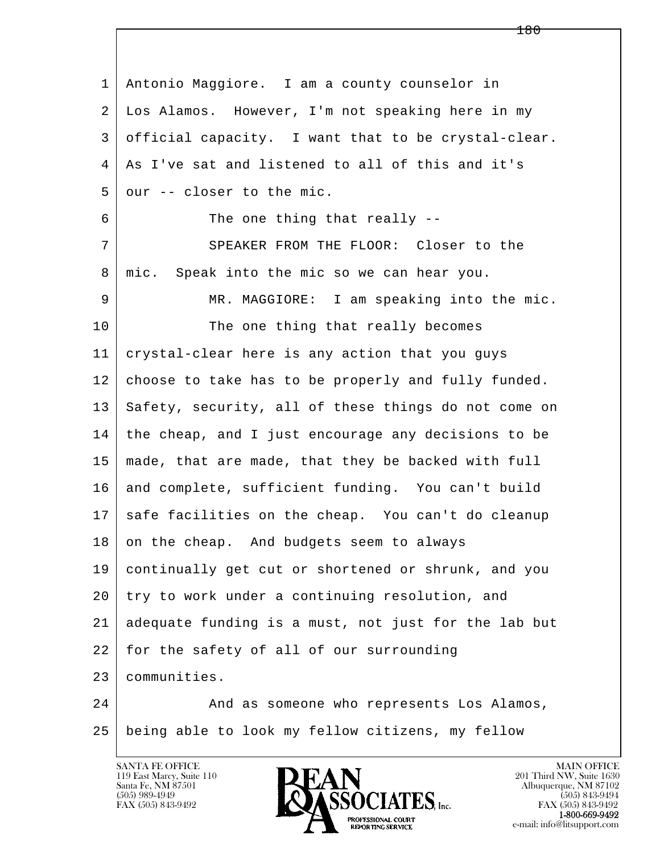l  $\overline{\phantom{a}}$  1 Antonio Maggiore. I am a county counselor in 2 Los Alamos. However, I'm not speaking here in my 3 official capacity. I want that to be crystal-clear. 4 As I've sat and listened to all of this and it's  $5$  our  $-$  closer to the mic. 6 The one thing that really -- 7 SPEAKER FROM THE FLOOR: Closer to the 8 | mic. Speak into the mic so we can hear you. 9 MR. MAGGIORE: I am speaking into the mic. 10 The one thing that really becomes 11 crystal-clear here is any action that you guys 12 choose to take has to be properly and fully funded. 13 Safety, security, all of these things do not come on 14 the cheap, and I just encourage any decisions to be 15 made, that are made, that they be backed with full 16 and complete, sufficient funding. You can't build 17 safe facilities on the cheap. You can't do cleanup 18 on the cheap. And budgets seem to always 19 continually get cut or shortened or shrunk, and you 20 try to work under a continuing resolution, and 21 adequate funding is a must, not just for the lab but 22 for the safety of all of our surrounding 23 communities. 24 And as someone who represents Los Alamos, 25 being able to look my fellow citizens, my fellow

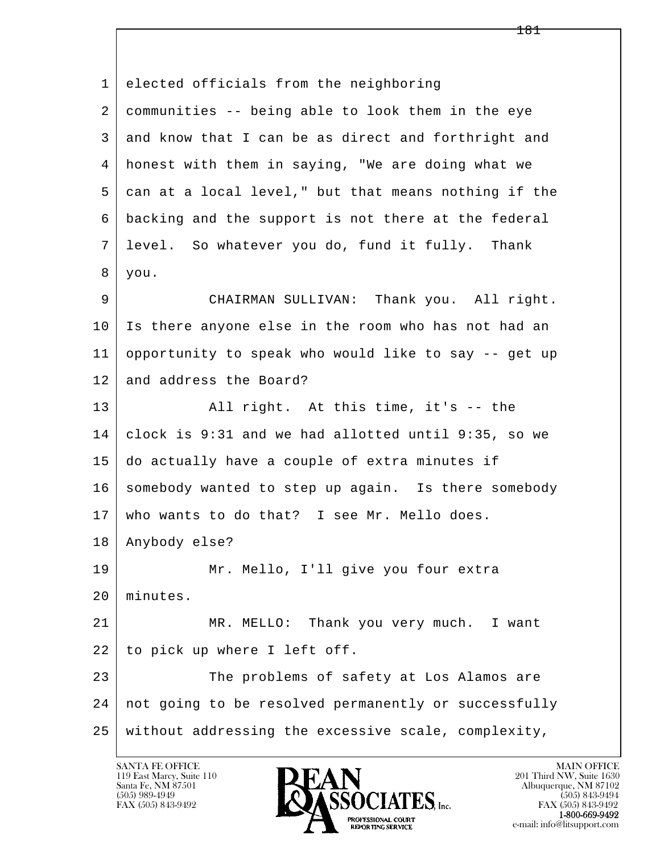l  $\overline{\phantom{a}}$  1 elected officials from the neighboring 2 communities -- being able to look them in the eye 3 and know that I can be as direct and forthright and 4 honest with them in saying, "We are doing what we 5 can at a local level," but that means nothing if the 6 backing and the support is not there at the federal 7 level. So whatever you do, fund it fully. Thank 8 you. 9 CHAIRMAN SULLIVAN: Thank you. All right. 10 Is there anyone else in the room who has not had an 11 opportunity to speak who would like to say -- get up 12 and address the Board? 13 | All right. At this time, it's -- the 14 clock is 9:31 and we had allotted until 9:35, so we 15 do actually have a couple of extra minutes if 16 somebody wanted to step up again. Is there somebody 17 who wants to do that? I see Mr. Mello does. 18 Anybody else? 19 Mr. Mello, I'll give you four extra 20 minutes. 21 MR. MELLO: Thank you very much. I want 22 to pick up where I left off. 23 The problems of safety at Los Alamos are 24 not going to be resolved permanently or successfully 25 without addressing the excessive scale, complexity,

119 East Marcy, Suite 110<br>Santa Fe, NM 87501

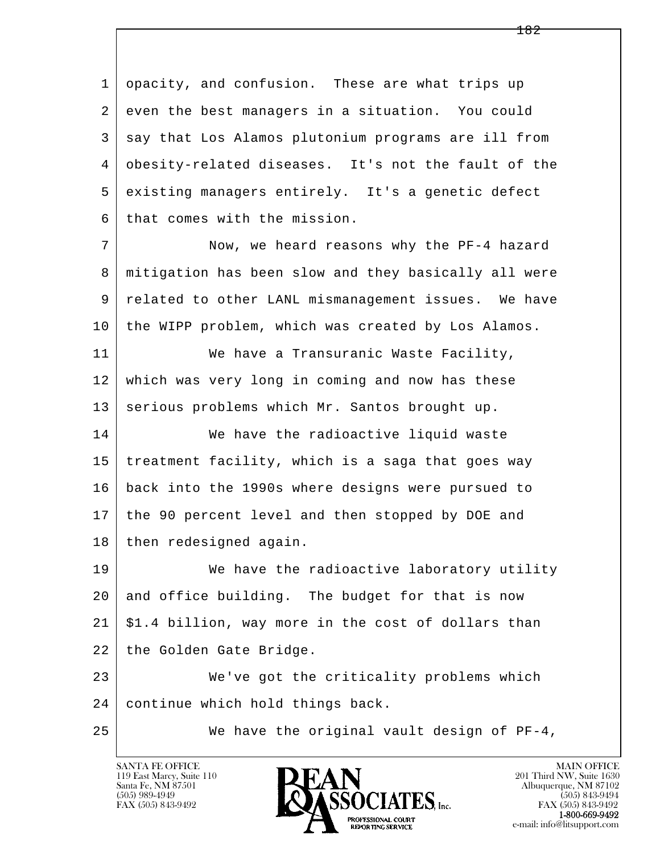1 opacity, and confusion. These are what trips up 2 even the best managers in a situation. You could 3 say that Los Alamos plutonium programs are ill from 4 obesity-related diseases. It's not the fault of the 5 existing managers entirely. It's a genetic defect 6 that comes with the mission.

7 Now, we heard reasons why the PF-4 hazard 8 mitigation has been slow and they basically all were 9 related to other LANL mismanagement issues. We have 10 the WIPP problem, which was created by Los Alamos.

11 We have a Transuranic Waste Facility, 12 which was very long in coming and now has these 13 | serious problems which Mr. Santos brought up.

14 We have the radioactive liquid waste 15 treatment facility, which is a saga that goes way 16 back into the 1990s where designs were pursued to 17 the 90 percent level and then stopped by DOE and 18 then redesigned again.

19 We have the radioactive laboratory utility 20 and office building. The budget for that is now  $21 \mid $1.4$  billion, way more in the cost of dollars than 22 | the Golden Gate Bridge.

l  $\overline{\phantom{a}}$  23 We've got the criticality problems which 24 continue which hold things back.

25 We have the original vault design of PF-4,

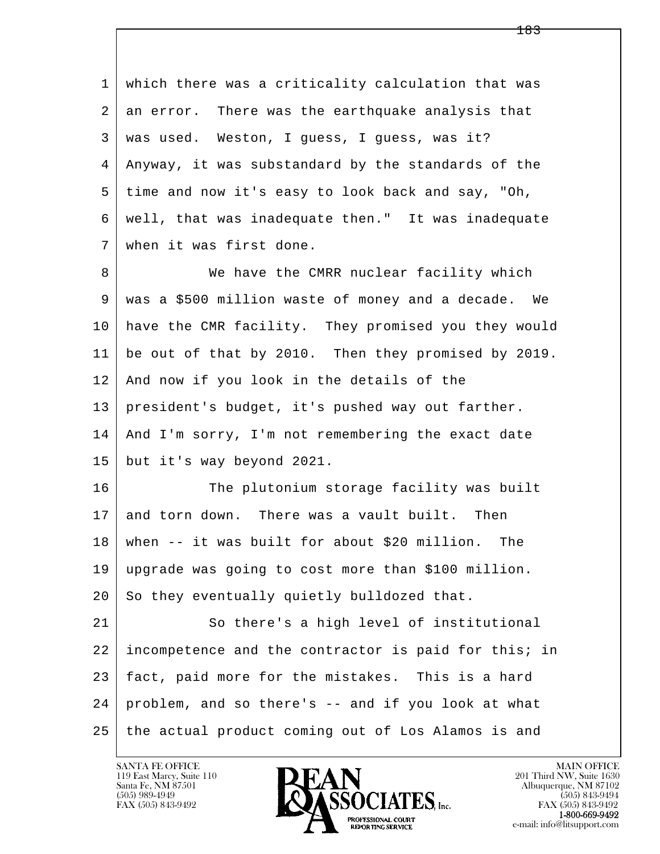l  $\overline{\phantom{a}}$  1 which there was a criticality calculation that was 2 an error. There was the earthquake analysis that 3 was used. Weston, I guess, I guess, was it? 4 Anyway, it was substandard by the standards of the 5 time and now it's easy to look back and say, "Oh, 6 well, that was inadequate then." It was inadequate 7 when it was first done. 8 We have the CMRR nuclear facility which 9 was a \$500 million waste of money and a decade. We 10 have the CMR facility. They promised you they would 11 be out of that by 2010. Then they promised by 2019. 12 And now if you look in the details of the 13 president's budget, it's pushed way out farther. 14 And I'm sorry, I'm not remembering the exact date 15 but it's way beyond 2021. 16 The plutonium storage facility was built 17 and torn down. There was a vault built. Then 18 when -- it was built for about \$20 million. The 19 upgrade was going to cost more than \$100 million. 20 So they eventually quietly bulldozed that. 21 So there's a high level of institutional 22 incompetence and the contractor is paid for this; in 23 fact, paid more for the mistakes. This is a hard 24 problem, and so there's -- and if you look at what

25 the actual product coming out of Los Alamos is and

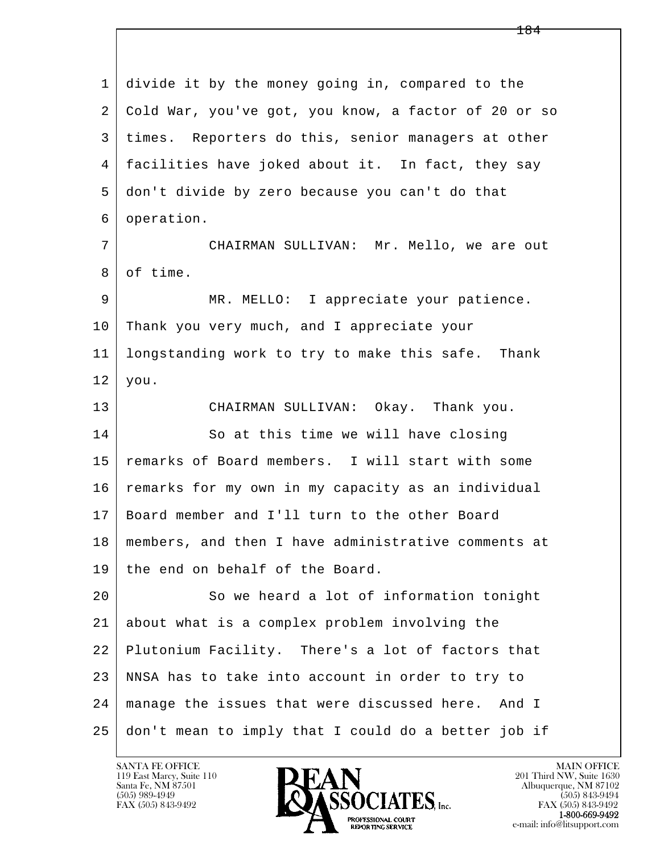l  $\overline{\phantom{a}}$  1 divide it by the money going in, compared to the 2 Cold War, you've got, you know, a factor of 20 or so 3 times. Reporters do this, senior managers at other 4 facilities have joked about it. In fact, they say 5 don't divide by zero because you can't do that 6 operation. 7 CHAIRMAN SULLIVAN: Mr. Mello, we are out 8 of time. 9 MR. MELLO: I appreciate your patience. 10 Thank you very much, and I appreciate your 11 longstanding work to try to make this safe. Thank  $12$  you. 13 CHAIRMAN SULLIVAN: Okay. Thank you. 14 So at this time we will have closing 15 remarks of Board members. I will start with some 16 remarks for my own in my capacity as an individual 17 Board member and I'll turn to the other Board 18 members, and then I have administrative comments at 19 the end on behalf of the Board. 20 So we heard a lot of information tonight 21 about what is a complex problem involving the 22 Plutonium Facility. There's a lot of factors that 23 NNSA has to take into account in order to try to 24 manage the issues that were discussed here. And I 25 don't mean to imply that I could do a better job if

119 East Marcy, Suite 110<br>Santa Fe, NM 87501

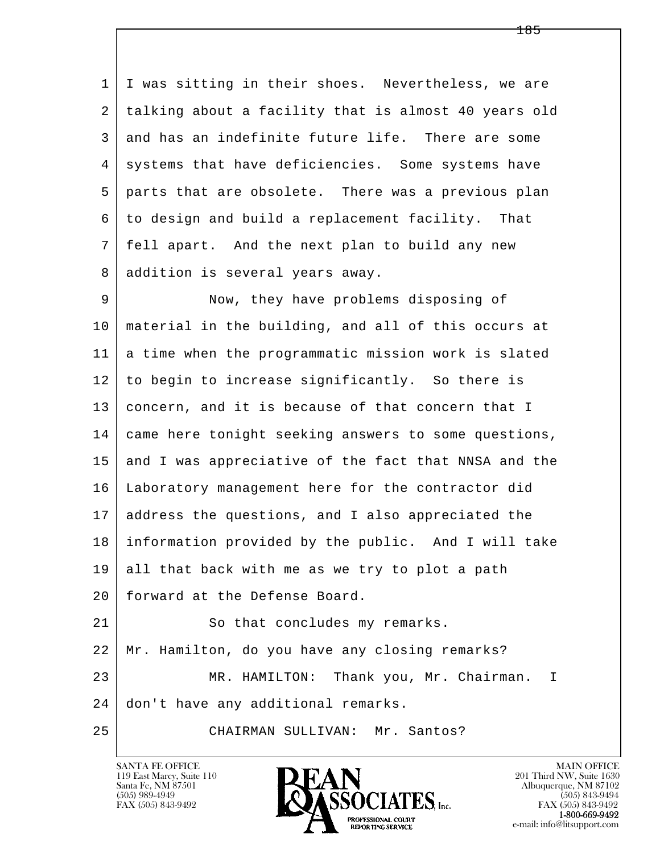1 I was sitting in their shoes. Nevertheless, we are 2 talking about a facility that is almost 40 years old 3 and has an indefinite future life. There are some 4 systems that have deficiencies. Some systems have 5 parts that are obsolete. There was a previous plan 6 to design and build a replacement facility. That 7 fell apart. And the next plan to build any new 8 | addition is several years away.

l 9 Now, they have problems disposing of 10 material in the building, and all of this occurs at 11 a time when the programmatic mission work is slated 12 to begin to increase significantly. So there is 13 concern, and it is because of that concern that I 14 came here tonight seeking answers to some questions, 15 and I was appreciative of the fact that NNSA and the 16 Laboratory management here for the contractor did 17 address the questions, and I also appreciated the 18 information provided by the public. And I will take  $19$  all that back with me as we try to plot a path 20 forward at the Defense Board. 21 So that concludes my remarks. 22 Mr. Hamilton, do you have any closing remarks? 23 MR. HAMILTON: Thank you, Mr. Chairman. I

 $\overline{\phantom{a}}$ 24 don't have any additional remarks.

25 CHAIRMAN SULLIVAN: Mr. Santos?

119 East Marcy, Suite 110<br>Santa Fe, NM 87501

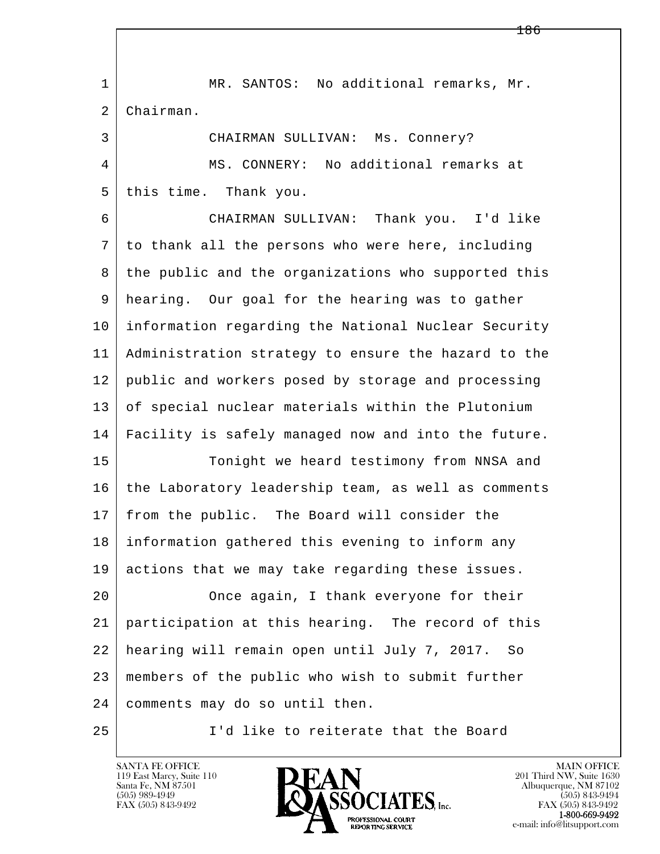l  $\overline{\phantom{a}}$ 1 | MR. SANTOS: No additional remarks, Mr. 2 Chairman. 3 CHAIRMAN SULLIVAN: Ms. Connery? 4 MS. CONNERY: No additional remarks at 5 this time. Thank you. 6 CHAIRMAN SULLIVAN: Thank you. I'd like 7 to thank all the persons who were here, including 8 the public and the organizations who supported this 9 hearing. Our goal for the hearing was to gather 10 information regarding the National Nuclear Security 11 Administration strategy to ensure the hazard to the 12 public and workers posed by storage and processing 13 of special nuclear materials within the Plutonium 14 Facility is safely managed now and into the future. 15 | Tonight we heard testimony from NNSA and 16 the Laboratory leadership team, as well as comments 17 from the public. The Board will consider the 18 information gathered this evening to inform any 19 actions that we may take regarding these issues. 20 Once again, I thank everyone for their 21 participation at this hearing. The record of this 22 hearing will remain open until July 7, 2017. So 23 members of the public who wish to submit further 24 comments may do so until then. 25 I'd like to reiterate that the Board

119 East Marcy, Suite 110<br>Santa Fe, NM 87501



FAX (505) 843-9492<br>**1-800-669-9492**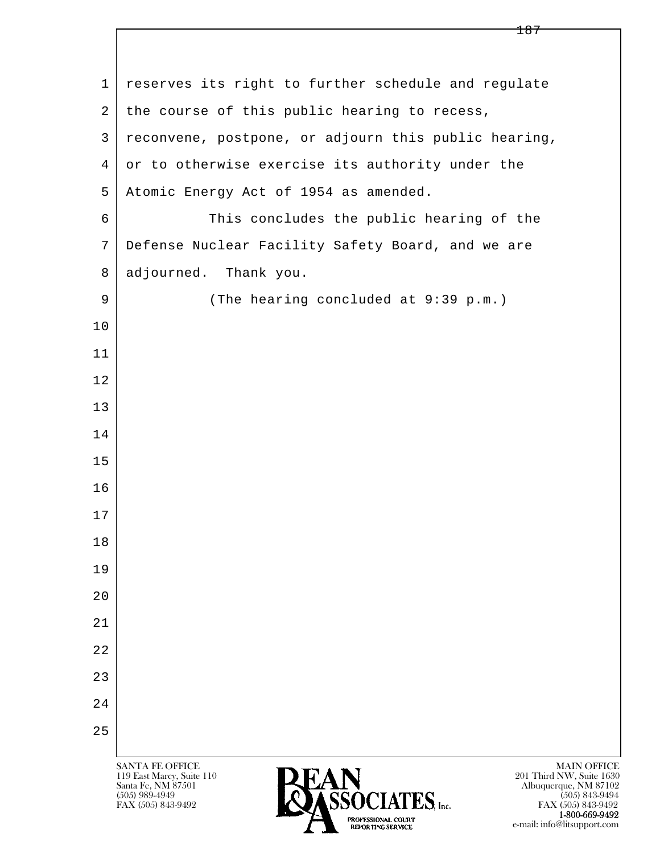| 1              | reserves its right to further schedule and regulate                                                                                                                 |
|----------------|---------------------------------------------------------------------------------------------------------------------------------------------------------------------|
| $\overline{2}$ | the course of this public hearing to recess,                                                                                                                        |
| 3              | reconvene, postpone, or adjourn this public hearing,                                                                                                                |
| $\overline{4}$ | or to otherwise exercise its authority under the                                                                                                                    |
| 5              | Atomic Energy Act of 1954 as amended.                                                                                                                               |
| 6              | This concludes the public hearing of the                                                                                                                            |
| 7              | Defense Nuclear Facility Safety Board, and we are                                                                                                                   |
| 8              | adjourned. Thank you.                                                                                                                                               |
| 9              | (The hearing concluded at 9:39 p.m.)                                                                                                                                |
| 10             |                                                                                                                                                                     |
| 11             |                                                                                                                                                                     |
| 12             |                                                                                                                                                                     |
| 13             |                                                                                                                                                                     |
| 14             |                                                                                                                                                                     |
| 15             |                                                                                                                                                                     |
| 16             |                                                                                                                                                                     |
| 17             |                                                                                                                                                                     |
| 18             |                                                                                                                                                                     |
| 19             |                                                                                                                                                                     |
| 20             |                                                                                                                                                                     |
| 21             |                                                                                                                                                                     |
| 22             |                                                                                                                                                                     |
| 23             |                                                                                                                                                                     |
| 24             |                                                                                                                                                                     |
| 25             |                                                                                                                                                                     |
|                | <b>SANTA FE OFFICE</b><br><b>MAIN OFFICE</b><br><b>PEAN</b><br>201 Third NW, Suite 1630<br>119 East Marcy, Suite 110<br>Santa Fe, NM 87501<br>Albuquerque, NM 87102 |

 $\bullet$  (505) 989-4949 (505) 843-9494 FAX (505) 843-9492 **FAX (505) 843-9492** FAX (505) 843-9492 **1-800-669-9492** e-mail: info@litsupport.com